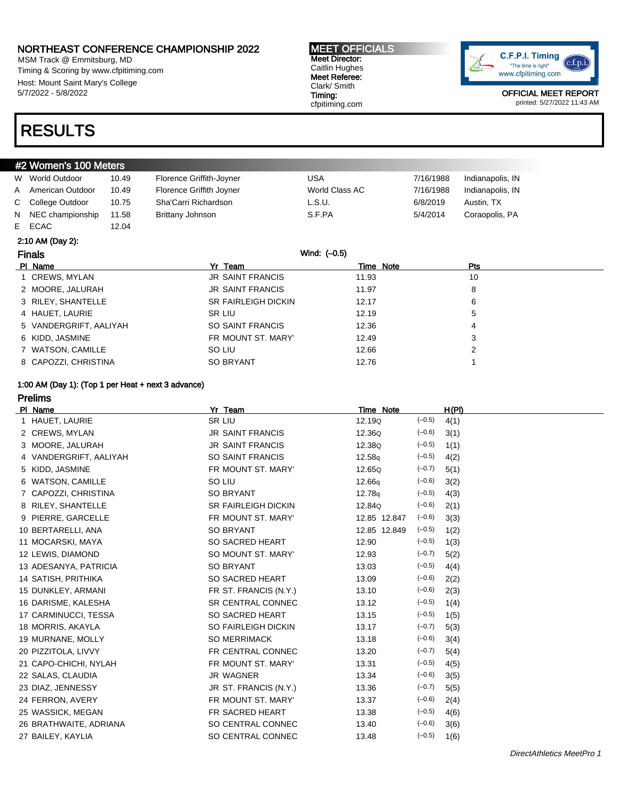MSM Track @ Emmitsburg, MD Timing & Scoring by www.cfpitiming.com Host: Mount Saint Mary's College 5/7/2022 - 5/8/2022

#### MEET OFFICIALS Meet Director: Caitlin Hughes Meet Referee: Clark/ Smith Timing: cfpitiming.com



OFFICIAL MEET REPORT printed: 5/27/2022 11:43 AM

## RESULTS

### #2 Women's 100 Meters

|   | W World Outdoor    | 10.49 | Florence Griffith-Joyner | USA            | 7/16/1988 | Indianapolis, IN |
|---|--------------------|-------|--------------------------|----------------|-----------|------------------|
| A | American Outdoor   | 10.49 | Florence Griffith Joyner | World Class AC | 7/16/1988 | Indianapolis, IN |
|   | C College Outdoor  | 10.75 | Sha'Carri Richardson     | L.S.U.         | 6/8/2019  | Austin, TX       |
|   | N NEC championship | 11.58 | Brittany Johnson         | S.F.PA         | 5/4/2014  | Coraopolis, PA   |
|   | E ECAC             | 12.04 |                          |                |           |                  |

#### 2:10 AM (Day 2):

| <b>Finals</b>          | Wind: (-0.5)               |           |            |  |
|------------------------|----------------------------|-----------|------------|--|
| PI Name                | Yr Team                    | Time Note | <b>Pts</b> |  |
| 1 CREWS, MYLAN         | <b>JR SAINT FRANCIS</b>    | 11.93     | 10         |  |
| 2 MOORE, JALURAH       | <b>JR SAINT FRANCIS</b>    | 11.97     | 8          |  |
| 3 RILEY, SHANTELLE     | <b>SR FAIRLEIGH DICKIN</b> | 12.17     | 6          |  |
| 4 HAUET, LAURIE        | SR LIU                     | 12.19     | 5          |  |
| 5 VANDERGRIFT, AALIYAH | SO SAINT FRANCIS           | 12.36     | 4          |  |
| 6 KIDD, JASMINE        | FR MOUNT ST. MARY'         | 12.49     | 3          |  |
| 7 WATSON, CAMILLE      | SO LIU                     | 12.66     | 2          |  |
| 8 CAPOZZI, CHRISTINA   | <b>SO BRYANT</b>           | 12.76     |            |  |

#### 1:00 AM (Day 1): (Top 1 per Heat + next 3 advance)

Prelims

| PI Name                | Yr Team                    | Time Note          |          | H(PI) |
|------------------------|----------------------------|--------------------|----------|-------|
| 1 HAUET, LAURIE        | SR LIU                     | 12.19Q             | $(-0.5)$ | 4(1)  |
| 2 CREWS, MYLAN         | <b>JR SAINT FRANCIS</b>    | 12.36Q             | $(-0.6)$ | 3(1)  |
| 3 MOORE, JALURAH       | <b>JR SAINT FRANCIS</b>    | 12.38Q             | $(-0.5)$ | 1(1)  |
| 4 VANDERGRIFT, AALIYAH | <b>SO SAINT FRANCIS</b>    | 12.58q             | $(-0.5)$ | 4(2)  |
| 5 KIDD, JASMINE        | FR MOUNT ST. MARY'         | 12.65Q             | $(-0.7)$ | 5(1)  |
| 6 WATSON, CAMILLE      | SO LIU                     | 12.66q             | $(-0.6)$ | 3(2)  |
| 7 CAPOZZI, CHRISTINA   | SO BRYANT                  | 12.78 <sub>q</sub> | $(-0.5)$ | 4(3)  |
| 8 RILEY, SHANTELLE     | <b>SR FAIRLEIGH DICKIN</b> | 12.84Q             | $(-0.6)$ | 2(1)  |
| 9 PIERRE, GARCELLE     | FR MOUNT ST. MARY'         | 12.85 12.847       | $(-0.6)$ | 3(3)  |
| 10 BERTARELLI, ANA     | SO BRYANT                  | 12.85 12.849       | $(-0.5)$ | 1(2)  |
| 11 MOCARSKI, MAYA      | SO SACRED HEART            | 12.90              | $(-0.5)$ | 1(3)  |
| 12 LEWIS, DIAMOND      | SO MOUNT ST. MARY'         | 12.93              | $(-0.7)$ | 5(2)  |
| 13 ADESANYA, PATRICIA  | SO BRYANT                  | 13.03              | $(-0.5)$ | 4(4)  |
| 14 SATISH, PRITHIKA    | SO SACRED HEART            | 13.09              | $(-0.6)$ | 2(2)  |
| 15 DUNKLEY, ARMANI     | FR ST. FRANCIS (N.Y.)      | 13.10              | $(-0.6)$ | 2(3)  |
| 16 DARISME, KALESHA    | <b>SR CENTRAL CONNEC</b>   | 13.12              | $(-0.5)$ | 1(4)  |
| 17 CARMINUCCI, TESSA   | SO SACRED HEART            | 13.15              | $(-0.5)$ | 1(5)  |
| 18 MORRIS, AKAYLA      | SO FAIRLEIGH DICKIN        | 13.17              | $(-0.7)$ | 5(3)  |
| 19 MURNANE, MOLLY      | <b>SO MERRIMACK</b>        | 13.18              | $(-0.6)$ | 3(4)  |
| 20 PIZZITOLA, LIVVY    | FR CENTRAL CONNEC          | 13.20              | $(-0.7)$ | 5(4)  |
| 21 CAPO-CHICHI, NYLAH  | FR MOUNT ST. MARY'         | 13.31              | $(-0.5)$ | 4(5)  |
| 22 SALAS, CLAUDIA      | <b>JR WAGNER</b>           | 13.34              | $(-0.6)$ | 3(5)  |
| 23 DIAZ, JENNESSY      | JR ST. FRANCIS (N.Y.)      | 13.36              | $(-0.7)$ | 5(5)  |
| 24 FERRON, AVERY       | FR MOUNT ST. MARY'         | 13.37              | $(-0.6)$ | 2(4)  |
| 25 WASSICK, MEGAN      | FR SACRED HEART            | 13.38              | $(-0.5)$ | 4(6)  |
| 26 BRATHWAITE, ADRIANA | SO CENTRAL CONNEC          | 13.40              | $(-0.6)$ | 3(6)  |
| 27 BAILEY, KAYLIA      | SO CENTRAL CONNEC          | 13.48              | $(-0.5)$ | 1(6)  |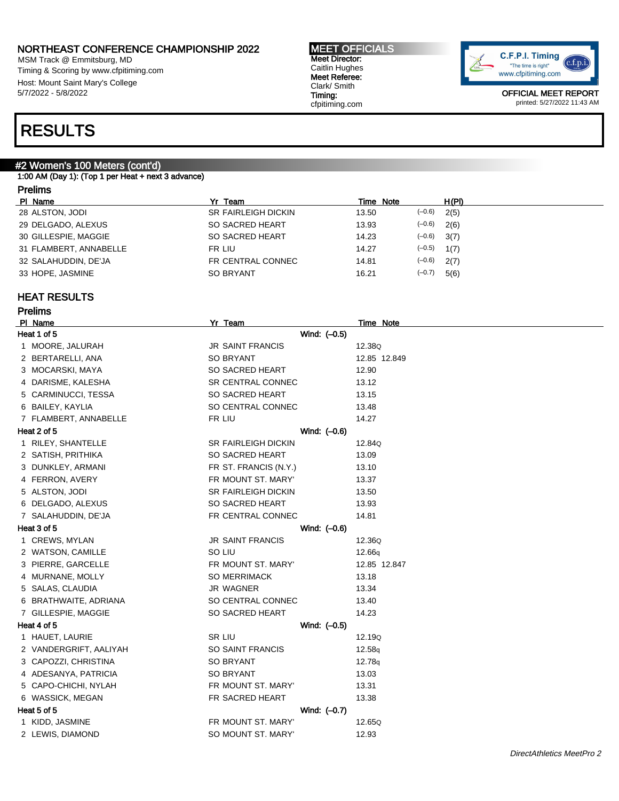MSM Track @ Emmitsburg, MD Timing & Scoring by www.cfpitiming.com Host: Mount Saint Mary's College 5/7/2022 - 5/8/2022

#### MEET OFFICIALS Meet Director: Caitlin Hughes Meet Referee: Clark/ Smith Timing: cfpitiming.com



OFFICIAL MEET REPORT printed: 5/27/2022 11:43 AM

## RESULTS

### #2 Women's 100 Meters (cont'd)

1:00 AM (Day 1): (Top 1 per Heat + next 3 advance)

### Prelims

| PI Name                | Yr Team                    | Time Note |          | H(PI) |
|------------------------|----------------------------|-----------|----------|-------|
| 28 ALSTON, JODI        | <b>SR FAIRLEIGH DICKIN</b> | 13.50     | $(-0.6)$ | 2(5)  |
| 29 DELGADO, ALEXUS     | SO SACRED HEART            | 13.93     | $(-0.6)$ | 2(6)  |
| 30 GILLESPIE, MAGGIE   | SO SACRED HEART            | 14.23     | $(-0.6)$ | 3(7)  |
| 31 FLAMBERT, ANNABELLE | FR LIU                     | 14.27     | $(-0.5)$ | 1(7)  |
| 32 SALAHUDDIN, DE'JA   | FR CENTRAL CONNEC          | 14.81     | $(-0.6)$ | 2(7)  |
| 33 HOPE, JASMINE       | <b>SO BRYANT</b>           | 16.21     | $(-0.7)$ | 5(6)  |

#### HEAT RESULTS

### Prelims<br>PL Name

| PI Name                | Yr Team                    |              | <b>Time Note</b> |
|------------------------|----------------------------|--------------|------------------|
| Heat 1 of 5            | Wind: (-0.5)               |              |                  |
| 1 MOORE, JALURAH       | <b>JR SAINT FRANCIS</b>    |              | 12.38Q           |
| 2 BERTARELLI, ANA      | SO BRYANT                  |              | 12.85 12.849     |
| 3 MOCARSKI, MAYA       | SO SACRED HEART            |              | 12.90            |
| 4 DARISME, KALESHA     | SR CENTRAL CONNEC          |              | 13.12            |
| 5 CARMINUCCI, TESSA    | SO SACRED HEART            |              | 13.15            |
| 6 BAILEY, KAYLIA       | SO CENTRAL CONNEC          |              | 13.48            |
| 7 FLAMBERT, ANNABELLE  | FR LIU                     |              | 14.27            |
| Heat 2 of 5            |                            | Wind: (-0.6) |                  |
| 1 RILEY, SHANTELLE     | <b>SR FAIRLEIGH DICKIN</b> |              | 12.84Q           |
| 2 SATISH, PRITHIKA     | SO SACRED HEART            |              | 13.09            |
| 3 DUNKLEY, ARMANI      | FR ST. FRANCIS (N.Y.)      |              | 13.10            |
| 4 FERRON, AVERY        | FR MOUNT ST. MARY'         |              | 13.37            |
| 5 ALSTON, JODI         | SR FAIRLEIGH DICKIN        |              | 13.50            |
| 6 DELGADO, ALEXUS      | SO SACRED HEART            |              | 13.93            |
| 7 SALAHUDDIN, DE'JA    | FR CENTRAL CONNEC          |              | 14.81            |
| Heat 3 of 5            |                            | Wind: (-0.6) |                  |
| 1 CREWS, MYLAN         | <b>JR SAINT FRANCIS</b>    |              | 12.36Q           |
| 2 WATSON, CAMILLE      | SO LIU                     |              | 12.66g           |
| 3 PIERRE, GARCELLE     | FR MOUNT ST. MARY'         |              | 12.85 12.847     |
| 4 MURNANE, MOLLY       | <b>SO MERRIMACK</b>        |              | 13.18            |
| 5 SALAS, CLAUDIA       | JR WAGNER                  |              | 13.34            |
| 6 BRATHWAITE, ADRIANA  | SO CENTRAL CONNEC          |              | 13.40            |
| 7 GILLESPIE, MAGGIE    | SO SACRED HEART            |              | 14.23            |
| Heat 4 of 5            |                            | Wind: (-0.5) |                  |
| 1 HAUET, LAURIE        | SR LIU                     |              | 12.19Q           |
| 2 VANDERGRIFT, AALIYAH | SO SAINT FRANCIS           |              | 12.58q           |
| 3 CAPOZZI, CHRISTINA   | <b>SO BRYANT</b>           |              | 12.78q           |
| 4 ADESANYA, PATRICIA   | <b>SO BRYANT</b>           |              | 13.03            |
| 5 CAPO-CHICHI, NYLAH   | FR MOUNT ST. MARY'         |              | 13.31            |
| 6 WASSICK, MEGAN       | FR SACRED HEART            |              | 13.38            |
| Heat 5 of 5            |                            | Wind: (-0.7) |                  |
| 1 KIDD, JASMINE        | FR MOUNT ST. MARY'         |              | 12.65Q           |
| 2 LEWIS, DIAMOND       | SO MOUNT ST. MARY'         |              | 12.93            |
|                        |                            |              |                  |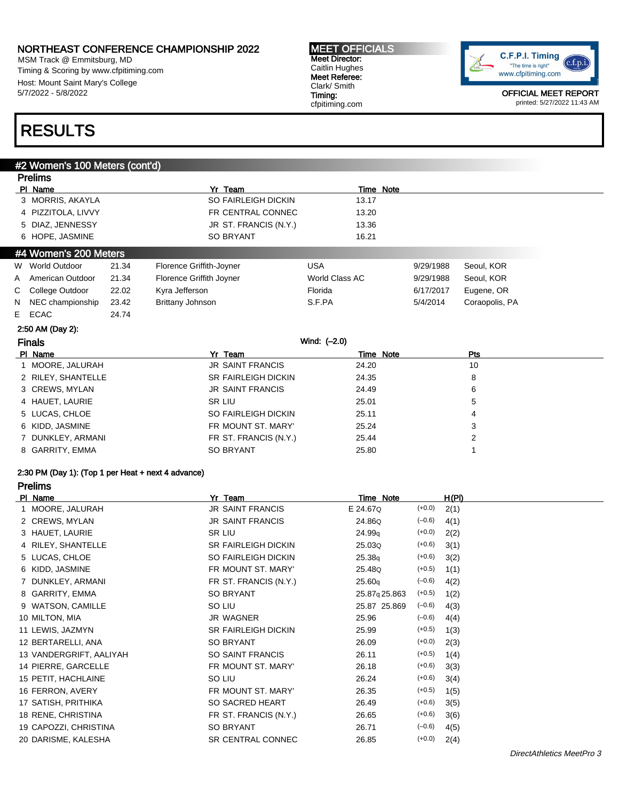MSM Track @ Emmitsburg, MD Timing & Scoring by www.cfpitiming.com Host: Mount Saint Mary's College 5/7/2022 - 5/8/2022

#### MEET OFFICIALS Meet Director: Caitlin Hughes Meet Referee: Clark/ Smith Timing: cfpitiming.com



OFFICIAL MEET REPORT printed: 5/27/2022 11:43 AM

## RESULTS

#### #2 Women's 100 Meters (cont'd)

|    | <b>Prelims</b>        |       |                            |                |           |                |
|----|-----------------------|-------|----------------------------|----------------|-----------|----------------|
|    | PI Name               |       | Yr Team                    | Time Note      |           |                |
|    | 3 MORRIS, AKAYLA      |       | SO FAIRLEIGH DICKIN        | 13.17          |           |                |
|    | 4 PIZZITOLA, LIVVY    |       | FR CENTRAL CONNEC          | 13.20          |           |                |
|    | 5 DIAZ, JENNESSY      |       | JR ST. FRANCIS (N.Y.)      | 13.36          |           |                |
|    | 6 HOPE, JASMINE       |       | <b>SO BRYANT</b>           | 16.21          |           |                |
|    | #4 Women's 200 Meters |       |                            |                |           |                |
|    | W World Outdoor       | 21.34 | Florence Griffith-Joyner   | <b>USA</b>     | 9/29/1988 | Seoul, KOR     |
| A  | American Outdoor      | 21.34 | Florence Griffith Joyner   | World Class AC | 9/29/1988 | Seoul, KOR     |
| С  | College Outdoor       | 22.02 | Kyra Jefferson             | Florida        | 6/17/2017 | Eugene, OR     |
| N  | NEC championship      | 23.42 | Brittany Johnson           | S.F.PA         | 5/4/2014  | Coraopolis, PA |
| E. | ECAC                  | 24.74 |                            |                |           |                |
|    | 2:50 AM (Day 2):      |       |                            |                |           |                |
|    | <b>Finals</b>         |       |                            | Wind: (-2.0)   |           |                |
|    | PI Name               |       | Yr Team                    | Time Note      |           | Pts            |
|    | 1 MOORE, JALURAH      |       | <b>JR SAINT FRANCIS</b>    | 24.20          |           | 10             |
|    | 2 RILEY, SHANTELLE    |       | <b>SR FAIRLEIGH DICKIN</b> | 24.35          |           | 8              |
|    | 3 CREWS, MYLAN        |       | <b>JR SAINT FRANCIS</b>    | 24.49          |           | 6              |
|    | 4 HAUET, LAURIE       |       | SR LIU                     | 25.01          |           | 5              |
|    | 5 LUCAS, CHLOE        |       | SO FAIRLEIGH DICKIN        | 25.11          |           | 4              |
|    | 6 KIDD, JASMINE       |       | FR MOUNT ST. MARY'         | 25.24          |           | 3              |
|    | 7 DUNKLEY, ARMANI     |       | FR ST. FRANCIS (N.Y.)      | 25.44          |           | $\overline{2}$ |
|    | 8 GARRITY, EMMA       |       | <b>SO BRYANT</b>           | 25.80          |           | 1              |
|    |                       |       |                            |                |           |                |

### 2:30 PM (Day 1): (Top 1 per Heat + next 4 advance)

Prelims

| PI Name |                         | Yr Team                    | Time Note     |          | H(PI) |
|---------|-------------------------|----------------------------|---------------|----------|-------|
|         | 1 MOORE, JALURAH        | JR SAINT FRANCIS           | E 24.67Q      | $(+0.0)$ | 2(1)  |
|         | 2 CREWS, MYLAN          | JR SAINT FRANCIS           | 24.86Q        | $(-0.6)$ | 4(1)  |
|         | 3 HAUET, LAURIE         | SR LIU                     | 24.99q        | $(+0.0)$ | 2(2)  |
|         | 4 RILEY, SHANTELLE      | <b>SR FAIRLEIGH DICKIN</b> | 25.03Q        | $(+0.6)$ | 3(1)  |
|         | 5 LUCAS, CHLOE          | SO FAIRLEIGH DICKIN        | 25.38q        | $(+0.6)$ | 3(2)  |
|         | 6 KIDD, JASMINE         | FR MOUNT ST. MARY'         | 25.48Q        | $(+0.5)$ | 1(1)  |
|         | 7 DUNKLEY, ARMANI       | FR ST. FRANCIS (N.Y.)      | 25.60q        | $(-0.6)$ | 4(2)  |
|         | 8 GARRITY, EMMA         | SO BRYANT                  | 25.87q 25.863 | $(+0.5)$ | 1(2)  |
|         | 9 WATSON, CAMILLE       | SO LIU                     | 25.87 25.869  | $(-0.6)$ | 4(3)  |
|         | 10 MILTON, MIA          | <b>JR WAGNER</b>           | 25.96         | $(-0.6)$ | 4(4)  |
|         | 11 LEWIS, JAZMYN        | <b>SR FAIRLEIGH DICKIN</b> | 25.99         | $(+0.5)$ | 1(3)  |
|         | 12 BERTARELLI, ANA      | SO BRYANT                  | 26.09         | $(+0.0)$ | 2(3)  |
|         | 13 VANDERGRIFT, AALIYAH | SO SAINT FRANCIS           | 26.11         | $(+0.5)$ | 1(4)  |
|         | 14 PIERRE, GARCELLE     | FR MOUNT ST. MARY'         | 26.18         | $(+0.6)$ | 3(3)  |
|         | 15 PETIT, HACHLAINE     | SO LIU                     | 26.24         | $(+0.6)$ | 3(4)  |
|         | 16 FERRON, AVERY        | FR MOUNT ST. MARY'         | 26.35         | $(+0.5)$ | 1(5)  |
|         | 17 SATISH, PRITHIKA     | SO SACRED HEART            | 26.49         | $(+0.6)$ | 3(5)  |
|         | 18 RENE, CHRISTINA      | FR ST. FRANCIS (N.Y.)      | 26.65         | $(+0.6)$ | 3(6)  |
|         | 19 CAPOZZI, CHRISTINA   | SO BRYANT                  | 26.71         | $(-0.6)$ | 4(5)  |
|         | 20 DARISME, KALESHA     | SR CENTRAL CONNEC          | 26.85         | $(+0.0)$ | 2(4)  |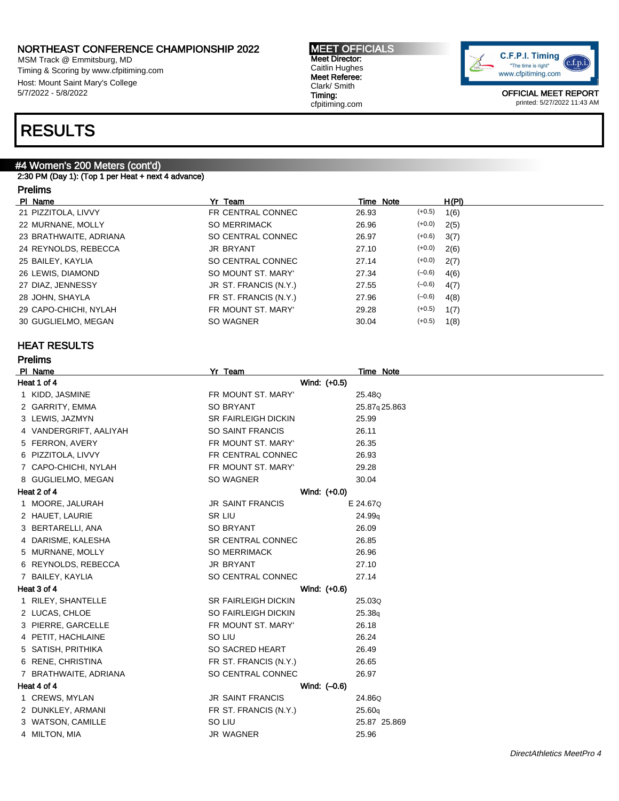MSM Track @ Emmitsburg, MD Timing & Scoring by www.cfpitiming.com Host: Mount Saint Mary's College 5/7/2022 - 5/8/2022

#### MEET OFFICIALS Meet Director: Caitlin Hughes Meet Referee: Clark/ Smith Timing: cfpitiming.com



OFFICIAL MEET REPORT printed: 5/27/2022 11:43 AM

## RESULTS

### #4 Women's 200 Meters (cont'd)

2:30 PM (Day 1): (Top 1 per Heat + next 4 advance)

| 'relims |  |
|---------|--|
|---------|--|

| PI Name                | Yr Team               | Time Note | H(PI)            |
|------------------------|-----------------------|-----------|------------------|
| 21 PIZZITOLA, LIVVY    | FR CENTRAL CONNEC     | 26.93     | $(+0.5)$<br>1(6) |
| 22 MURNANE, MOLLY      | <b>SO MERRIMACK</b>   | 26.96     | $(+0.0)$<br>2(5) |
| 23 BRATHWAITE, ADRIANA | SO CENTRAL CONNEC     | 26.97     | $(+0.6)$<br>3(7) |
| 24 REYNOLDS, REBECCA   | <b>JR BRYANT</b>      | 27.10     | $(+0.0)$<br>2(6) |
| 25 BAILEY, KAYLIA      | SO CENTRAL CONNEC     | 27.14     | $(+0.0)$<br>2(7) |
| 26 LEWIS, DIAMOND      | SO MOUNT ST. MARY'    | 27.34     | $(-0.6)$<br>4(6) |
| 27 DIAZ, JENNESSY      | JR ST. FRANCIS (N.Y.) | 27.55     | $(-0.6)$<br>4(7) |
| 28 JOHN, SHAYLA        | FR ST. FRANCIS (N.Y.) | 27.96     | $(-0.6)$<br>4(8) |
| 29 CAPO-CHICHI, NYLAH  | FR MOUNT ST. MARY'    | 29.28     | $(+0.5)$<br>1(7) |
| 30 GUGLIELMO, MEGAN    | SO WAGNER             | 30.04     | $(+0.5)$<br>1(8) |
|                        |                       |           |                  |

#### HEAT RESULTS

Prelims

| Yr Team                                                                                                                                                                                                                                                                                                                                                                                                                                                                                                                                                                                                                             | Time Note          |
|-------------------------------------------------------------------------------------------------------------------------------------------------------------------------------------------------------------------------------------------------------------------------------------------------------------------------------------------------------------------------------------------------------------------------------------------------------------------------------------------------------------------------------------------------------------------------------------------------------------------------------------|--------------------|
| Wind: (+0.5)                                                                                                                                                                                                                                                                                                                                                                                                                                                                                                                                                                                                                        |                    |
| FR MOUNT ST. MARY                                                                                                                                                                                                                                                                                                                                                                                                                                                                                                                                                                                                                   | 25.48Q             |
| <b>SO BRYANT</b>                                                                                                                                                                                                                                                                                                                                                                                                                                                                                                                                                                                                                    | 25.87q25.863       |
| <b>SR FAIRLEIGH DICKIN</b>                                                                                                                                                                                                                                                                                                                                                                                                                                                                                                                                                                                                          | 25.99              |
| SO SAINT FRANCIS                                                                                                                                                                                                                                                                                                                                                                                                                                                                                                                                                                                                                    | 26.11              |
| FR MOUNT ST. MARY'                                                                                                                                                                                                                                                                                                                                                                                                                                                                                                                                                                                                                  | 26.35              |
| FR CENTRAL CONNEC                                                                                                                                                                                                                                                                                                                                                                                                                                                                                                                                                                                                                   | 26.93              |
| FR MOUNT ST. MARY'                                                                                                                                                                                                                                                                                                                                                                                                                                                                                                                                                                                                                  | 29.28              |
| SO WAGNER                                                                                                                                                                                                                                                                                                                                                                                                                                                                                                                                                                                                                           | 30.04              |
| Wind: (+0.0)                                                                                                                                                                                                                                                                                                                                                                                                                                                                                                                                                                                                                        |                    |
| <b>JR SAINT FRANCIS</b>                                                                                                                                                                                                                                                                                                                                                                                                                                                                                                                                                                                                             | E 24.67Q           |
| SR LIU                                                                                                                                                                                                                                                                                                                                                                                                                                                                                                                                                                                                                              | 24.99 <sub>a</sub> |
| <b>SO BRYANT</b>                                                                                                                                                                                                                                                                                                                                                                                                                                                                                                                                                                                                                    | 26.09              |
| <b>SR CENTRAL CONNEC</b>                                                                                                                                                                                                                                                                                                                                                                                                                                                                                                                                                                                                            | 26.85              |
| <b>SO MERRIMACK</b>                                                                                                                                                                                                                                                                                                                                                                                                                                                                                                                                                                                                                 | 26.96              |
| JR BRYANT                                                                                                                                                                                                                                                                                                                                                                                                                                                                                                                                                                                                                           | 27.10              |
| SO CENTRAL CONNEC                                                                                                                                                                                                                                                                                                                                                                                                                                                                                                                                                                                                                   | 27.14              |
| Wind: (+0.6)                                                                                                                                                                                                                                                                                                                                                                                                                                                                                                                                                                                                                        |                    |
| <b>SR FAIRLEIGH DICKIN</b>                                                                                                                                                                                                                                                                                                                                                                                                                                                                                                                                                                                                          | 25.03Q             |
| SO FAIRLEIGH DICKIN                                                                                                                                                                                                                                                                                                                                                                                                                                                                                                                                                                                                                 | 25.38q             |
| FR MOUNT ST. MARY'                                                                                                                                                                                                                                                                                                                                                                                                                                                                                                                                                                                                                  | 26.18              |
| SO LIU                                                                                                                                                                                                                                                                                                                                                                                                                                                                                                                                                                                                                              | 26.24              |
| SO SACRED HEART                                                                                                                                                                                                                                                                                                                                                                                                                                                                                                                                                                                                                     | 26.49              |
| FR ST. FRANCIS (N.Y.)                                                                                                                                                                                                                                                                                                                                                                                                                                                                                                                                                                                                               | 26.65              |
| SO CENTRAL CONNEC                                                                                                                                                                                                                                                                                                                                                                                                                                                                                                                                                                                                                   | 26.97              |
| Wind: (-0.6)                                                                                                                                                                                                                                                                                                                                                                                                                                                                                                                                                                                                                        |                    |
| <b>JR SAINT FRANCIS</b>                                                                                                                                                                                                                                                                                                                                                                                                                                                                                                                                                                                                             | 24.86Q             |
| FR ST. FRANCIS (N.Y.)                                                                                                                                                                                                                                                                                                                                                                                                                                                                                                                                                                                                               | 25.60q             |
| SO LIU                                                                                                                                                                                                                                                                                                                                                                                                                                                                                                                                                                                                                              | 25.87 25.869       |
| JR WAGNER                                                                                                                                                                                                                                                                                                                                                                                                                                                                                                                                                                                                                           | 25.96              |
| PI Name<br>Heat 1 of 4<br>1 KIDD, JASMINE<br>2 GARRITY, EMMA<br>3 LEWIS, JAZMYN<br>4 VANDERGRIFT, AALIYAH<br>5 FERRON, AVERY<br>6 PIZZITOLA, LIVVY<br>7 CAPO-CHICHI, NYLAH<br>8 GUGLIELMO, MEGAN<br>Heat 2 of 4<br>1 MOORE, JALURAH<br>2 HAUET, LAURIE<br>3 BERTARELLI, ANA<br>4 DARISME, KALESHA<br>5 MURNANE, MOLLY<br>6 REYNOLDS, REBECCA<br>7 BAILEY, KAYLIA<br>Heat 3 of 4<br>1 RILEY, SHANTELLE<br>2 LUCAS, CHLOE<br>3 PIERRE, GARCELLE<br>4 PETIT, HACHLAINE<br>5 SATISH, PRITHIKA<br>6 RENE, CHRISTINA<br>7 BRATHWAITE, ADRIANA<br>Heat 4 of 4<br>1 CREWS, MYLAN<br>2 DUNKLEY, ARMANI<br>3 WATSON, CAMILLE<br>4 MILTON, MIA |                    |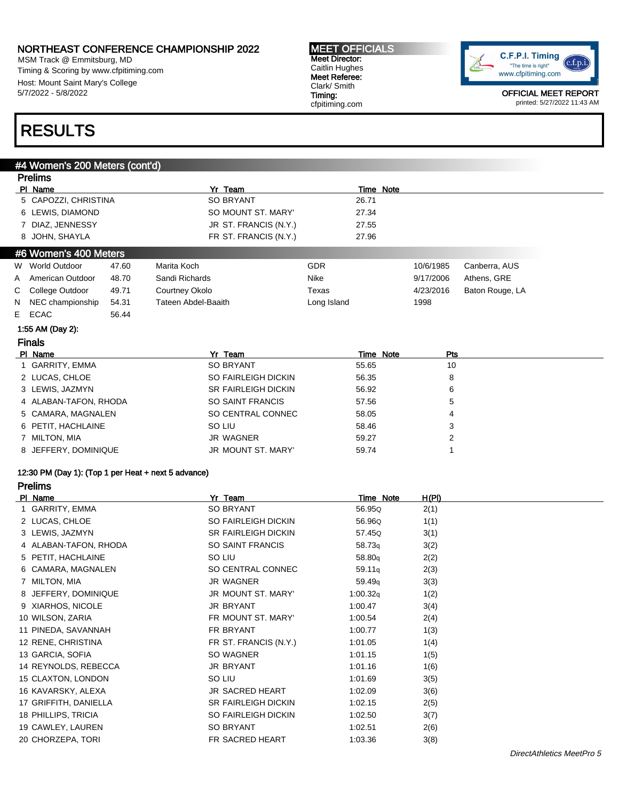MSM Track @ Emmitsburg, MD Timing & Scoring by www.cfpitiming.com Host: Mount Saint Mary's College 5/7/2022 - 5/8/2022

#### MEET OFFICIALS Meet Director: Caitlin Hughes Meet Referee: Clark/ Smith Timing: cfpitiming.com



OFFICIAL MEET REPORT printed: 5/27/2022 11:43 AM

## RESULTS

#### #4 Women's 200 Meters (cont'd)

|   | <b>Prelims</b>                                      |       |                                     |                    |              |                 |
|---|-----------------------------------------------------|-------|-------------------------------------|--------------------|--------------|-----------------|
|   | PI Name                                             |       | Yr Team                             | <b>Time Note</b>   |              |                 |
|   | 5 CAPOZZI, CHRISTINA                                |       | <b>SO BRYANT</b>                    | 26.71              |              |                 |
|   | 6 LEWIS, DIAMOND                                    |       | SO MOUNT ST. MARY'                  | 27.34              |              |                 |
|   | 7 DIAZ, JENNESSY                                    |       | JR ST. FRANCIS (N.Y.)               | 27.55              |              |                 |
|   | 8 JOHN, SHAYLA                                      |       | FR ST. FRANCIS (N.Y.)               | 27.96              |              |                 |
|   | #6 Women's 400 Meters                               |       |                                     |                    |              |                 |
|   | W World Outdoor                                     | 47.60 | Marita Koch                         | <b>GDR</b>         | 10/6/1985    | Canberra, AUS   |
| A | American Outdoor                                    | 48.70 | Sandi Richards                      | Nike               | 9/17/2006    | Athens, GRE     |
| С | College Outdoor                                     | 49.71 | Courtney Okolo                      | Texas              | 4/23/2016    | Baton Rouge, LA |
| N | NEC championship                                    | 54.31 | <b>Tateen Abdel-Baaith</b>          | Long Island        | 1998         |                 |
| Е | <b>ECAC</b>                                         | 56.44 |                                     |                    |              |                 |
|   | 1:55 AM (Day 2):                                    |       |                                     |                    |              |                 |
|   | <b>Finals</b>                                       |       |                                     |                    |              |                 |
|   | PI Name                                             |       | Yr Team                             | Time Note          | Pts          |                 |
|   | 1 GARRITY, EMMA                                     |       | <b>SO BRYANT</b>                    | 55.65              | 10           |                 |
|   | 2 LUCAS, CHLOE                                      |       | SO FAIRLEIGH DICKIN                 | 56.35              | 8            |                 |
|   | 3 LEWIS, JAZMYN                                     |       | SR FAIRLEIGH DICKIN                 | 56.92              | 6            |                 |
|   | 4 ALABAN-TAFON, RHODA                               |       | <b>SO SAINT FRANCIS</b>             | 57.56              | 5            |                 |
|   | 5 CAMARA, MAGNALEN                                  |       | SO CENTRAL CONNEC                   | 58.05              | 4            |                 |
|   | 6 PETIT, HACHLAINE                                  |       | SO LIU                              | 58.46              | 3            |                 |
|   | 7 MILTON, MIA                                       |       | <b>JR WAGNER</b>                    | 59.27              | 2            |                 |
|   | 8 JEFFERY, DOMINIQUE                                |       | <b>JR MOUNT ST. MARY'</b>           | 59.74              | 1            |                 |
|   | 12:30 PM (Day 1): (Top 1 per Heat + next 5 advance) |       |                                     |                    |              |                 |
|   | <b>Prelims</b>                                      |       |                                     |                    |              |                 |
|   | PI Name                                             |       | Yr_Team                             | Time Note          | H(PI)        |                 |
|   | 1 GARRITY, EMMA                                     |       | <b>SO BRYANT</b>                    | 56.95Q             | 2(1)         |                 |
|   | 2 LUCAS, CHLOE                                      |       | SO FAIRLEIGH DICKIN                 | 56.96Q             | 1(1)         |                 |
|   | 3 LEWIS, JAZMYN                                     |       | <b>SR FAIRLEIGH DICKIN</b>          | 57.45Q             | 3(1)         |                 |
|   | 4 ALABAN-TAFON, RHODA                               |       | SO SAINT FRANCIS                    |                    |              |                 |
|   | 5 PETIT, HACHLAINE                                  |       |                                     | 58.73 <sub>q</sub> | 3(2)         |                 |
|   |                                                     |       | SO LIU                              | 58.80q             | 2(2)         |                 |
|   | 6 CAMARA, MAGNALEN                                  |       | SO CENTRAL CONNEC                   | 59.11q             | 2(3)         |                 |
|   | 7 MILTON, MIA                                       |       | <b>JR WAGNER</b>                    | 59.49q             | 3(3)         |                 |
|   | 8 JEFFERY, DOMINIQUE                                |       | JR MOUNT ST. MARY'                  | 1:00.32q           | 1(2)         |                 |
|   | 9 XIARHOS, NICOLE                                   |       | <b>JR BRYANT</b>                    | 1:00.47            | 3(4)         |                 |
|   | 10 WILSON, ZARIA                                    |       | FR MOUNT ST. MARY'                  | 1:00.54            | 2(4)         |                 |
|   | 11 PINEDA, SAVANNAH                                 |       | FR BRYANT                           | 1:00.77            | 1(3)         |                 |
|   | 12 RENE, CHRISTINA                                  |       | FR ST. FRANCIS (N.Y.)               | 1:01.05            | 1(4)         |                 |
|   | 13 GARCIA, SOFIA                                    |       | SO WAGNER                           | 1:01.15            | 1(5)         |                 |
|   | 14 REYNOLDS, REBECCA                                |       | JR BRYANT                           | 1:01.16            |              |                 |
|   | 15 CLAXTON, LONDON                                  |       | SO LIU                              | 1:01.69            | 1(6)         |                 |
|   | 16 KAVARSKY, ALEXA                                  |       | JR SACRED HEART                     | 1:02.09            | 3(5)         |                 |
|   | 17 GRIFFITH, DANIELLA                               |       | SR FAIRLEIGH DICKIN                 |                    | 3(6)         |                 |
|   |                                                     |       |                                     | 1:02.15            | 2(5)         |                 |
|   | 18 PHILLIPS, TRICIA                                 |       | SO FAIRLEIGH DICKIN                 | 1:02.50            | 3(7)         |                 |
|   | 19 CAWLEY, LAUREN<br>20 CHORZEPA, TORI              |       | <b>SO BRYANT</b><br>FR SACRED HEART | 1:02.51<br>1:03.36 | 2(6)<br>3(8) |                 |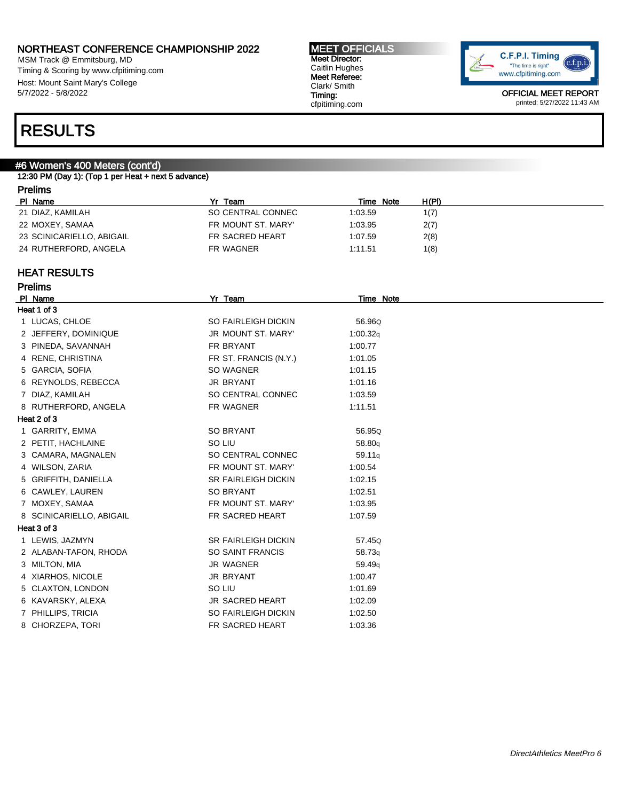MSM Track @ Emmitsburg, MD Timing & Scoring by www.cfpitiming.com Host: Mount Saint Mary's College 5/7/2022 - 5/8/2022

MEET OFFICIALS Meet Director: Caitlin Hughes Meet Referee: Clark/ Smith Timing: cfpitiming.com



OFFICIAL MEET REPORT printed: 5/27/2022 11:43 AM

## RESULTS

### #6 Women's 400 Meters (cont'd)

12:30 PM (Day 1): (Top 1 per Heat + next 5 advance)

| <b>Prelims</b>            |                    |           |       |  |  |
|---------------------------|--------------------|-----------|-------|--|--|
| PI Name                   | Yr Team            | Time Note | H(PI) |  |  |
| 21 DIAZ, KAMILAH          | SO CENTRAL CONNEC  | 1:03.59   | 1(7)  |  |  |
| 22 MOXEY, SAMAA           | FR MOUNT ST. MARY' | 1:03.95   | 2(7)  |  |  |
| 23 SCINICARIELLO, ABIGAIL | FR SACRED HEART    | 1:07.59   | 2(8)  |  |  |
| 24 RUTHERFORD, ANGELA     | FR WAGNER          | 1:11.51   | 1(8)  |  |  |

#### HEAT RESULTS

Prelims

| PI Name     |                          | Yr Team                    | <b>Time Note</b> |
|-------------|--------------------------|----------------------------|------------------|
| Heat 1 of 3 |                          |                            |                  |
|             | 1 LUCAS, CHLOE           | <b>SO FAIRLEIGH DICKIN</b> | 56.96Q           |
|             | 2 JEFFERY, DOMINIQUE     | JR MOUNT ST. MARY'         | 1:00.32q         |
|             | 3 PINEDA, SAVANNAH       | FR BRYANT                  | 1:00.77          |
|             | 4 RENE, CHRISTINA        | FR ST. FRANCIS (N.Y.)      | 1:01.05          |
|             | 5 GARCIA, SOFIA          | SO WAGNER                  | 1:01.15          |
|             | 6 REYNOLDS, REBECCA      | <b>JR BRYANT</b>           | 1:01.16          |
|             | 7 DIAZ, KAMILAH          | SO CENTRAL CONNEC          | 1:03.59          |
|             | 8 RUTHERFORD, ANGELA     | FR WAGNER                  | 1:11.51          |
| Heat 2 of 3 |                          |                            |                  |
|             | 1 GARRITY, EMMA          | <b>SO BRYANT</b>           | 56.95Q           |
|             | 2 PETIT, HACHLAINE       | SO LIU                     | 58.80q           |
|             | 3 CAMARA, MAGNALEN       | SO CENTRAL CONNEC          | 59.11q           |
|             | 4 WILSON, ZARIA          | FR MOUNT ST. MARY'         | 1:00.54          |
|             | 5 GRIFFITH, DANIELLA     | <b>SR FAIRLEIGH DICKIN</b> | 1:02.15          |
|             | 6 CAWLEY, LAUREN         | SO BRYANT                  | 1:02.51          |
|             | 7 MOXEY, SAMAA           | FR MOUNT ST. MARY'         | 1:03.95          |
|             | 8 SCINICARIELLO, ABIGAIL | FR SACRED HEART            | 1:07.59          |
| Heat 3 of 3 |                          |                            |                  |
|             | 1 LEWIS, JAZMYN          | <b>SR FAIRLEIGH DICKIN</b> | 57.45Q           |
|             | 2 ALABAN-TAFON, RHODA    | SO SAINT FRANCIS           | 58.73q           |
|             | 3 MILTON, MIA            | <b>JR WAGNER</b>           | 59.49q           |
|             | 4 XIARHOS, NICOLE        | JR BRYANT                  | 1:00.47          |
|             | 5 CLAXTON, LONDON        | SO LIU                     | 1:01.69          |
|             | 6 KAVARSKY, ALEXA        | <b>JR SACRED HEART</b>     | 1:02.09          |
|             | 7 PHILLIPS, TRICIA       | <b>SO FAIRLEIGH DICKIN</b> | 1:02.50          |
|             | 8 CHORZEPA, TORI         | FR SACRED HEART            | 1:03.36          |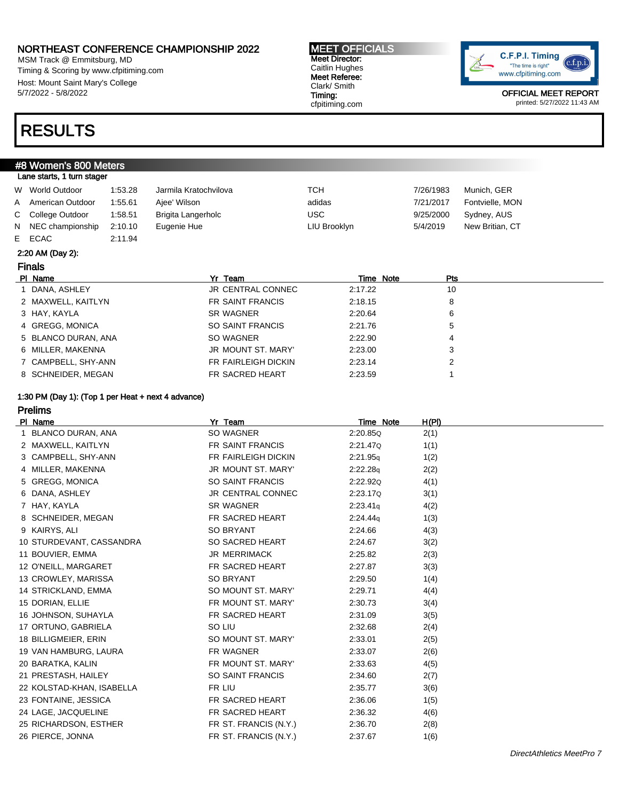MSM Track @ Emmitsburg, MD Timing & Scoring by www.cfpitiming.com Host: Mount Saint Mary's College 5/7/2022 - 5/8/2022

## RESULTS

#8 Women's 800 Meters Lane starts, 1 turn stager

#### MEET OFFICIALS Meet Director: Caitlin Hughes Meet Referee: Clark/ Smith Timing:

cfpitiming.com



OFFICIAL MEET REPORT printed: 5/27/2022 11:43 AM

#### W World Outdoor 1:53.28 Jarmila Kratochvilova TCH 7/26/1983 Munich, GER A American Outdoor 1:55.61 Ajee' Wilson adidas adidas 7/21/2017 Fontvielle, MON C College Outdoor 1:58.51 Brigita Langerholc USC 9/25/2000 Sydney, AUS N NEC championship 2:10.10 Eugenie Hue Late LIU Brooklyn 5/4/2019 New Britian, CT E ECAC 2:11.94

#### 2:20 AM (Day 2):

### Finals

| PI Name             | Yr Team                | Time Note | <b>Pts</b> |
|---------------------|------------------------|-----------|------------|
| DANA, ASHLEY        | JR CENTRAL CONNEC      | 2:17.22   | 10         |
| 2 MAXWELL, KAITLYN  | FR SAINT FRANCIS       | 2:18.15   |            |
| 3 HAY, KAYLA        | <b>SR WAGNER</b>       | 2:20.64   |            |
| 4 GREGG, MONICA     | SO SAINT FRANCIS       | 2:21.76   |            |
| 5 BLANCO DURAN, ANA | SO WAGNER              | 2:22.90   |            |
| 6 MILLER, MAKENNA   | JR MOUNT ST. MARY'     | 2:23.00   |            |
| 7 CAMPBELL, SHY-ANN | FR FAIRLEIGH DICKIN    | 2:23.14   |            |
| 8 SCHNEIDER, MEGAN  | <b>FR SACRED HEART</b> | 2:23.59   |            |

#### 1:30 PM (Day 1): (Top 1 per Heat + next 4 advance)

### Prelims

| PI Name                   | Yr Team                  | Time Note | H(PI) |
|---------------------------|--------------------------|-----------|-------|
| 1 BLANCO DURAN, ANA       | SO WAGNER                | 2:20.85Q  | 2(1)  |
| 2 MAXWELL, KAITLYN        | FR SAINT FRANCIS         | 2:21.47Q  | 1(1)  |
| 3 CAMPBELL, SHY-ANN       | FR FAIRLEIGH DICKIN      | 2:21.95q  | 1(2)  |
| 4 MILLER, MAKENNA         | JR MOUNT ST. MARY'       | 2:22.28q  | 2(2)  |
| 5 GREGG, MONICA           | SO SAINT FRANCIS         | 2:22.92Q  | 4(1)  |
| 6 DANA, ASHLEY            | <b>JR CENTRAL CONNEC</b> | 2:23.17Q  | 3(1)  |
| 7 HAY, KAYLA              | <b>SR WAGNER</b>         | 2:23.41q  | 4(2)  |
| 8 SCHNEIDER, MEGAN        | FR SACRED HEART          | 2:24.44q  | 1(3)  |
| 9 KAIRYS, ALI             | SO BRYANT                | 2:24.66   | 4(3)  |
| 10 STURDEVANT, CASSANDRA  | SO SACRED HEART          | 2:24.67   | 3(2)  |
| 11 BOUVIER, EMMA          | <b>JR MERRIMACK</b>      | 2:25.82   | 2(3)  |
| 12 O'NEILL, MARGARET      | FR SACRED HEART          | 2:27.87   | 3(3)  |
| 13 CROWLEY, MARISSA       | <b>SO BRYANT</b>         | 2:29.50   | 1(4)  |
| 14 STRICKLAND, EMMA       | SO MOUNT ST. MARY'       | 2:29.71   | 4(4)  |
| 15 DORIAN, ELLIE          | FR MOUNT ST. MARY'       | 2:30.73   | 3(4)  |
| 16 JOHNSON, SUHAYLA       | FR SACRED HEART          | 2:31.09   | 3(5)  |
| 17 ORTUNO, GABRIELA       | SO LIU                   | 2:32.68   | 2(4)  |
| 18 BILLIGMEIER, ERIN      | SO MOUNT ST. MARY'       | 2:33.01   | 2(5)  |
| 19 VAN HAMBURG, LAURA     | FR WAGNER                | 2:33.07   | 2(6)  |
| 20 BARATKA, KALIN         | FR MOUNT ST. MARY'       | 2:33.63   | 4(5)  |
| 21 PRESTASH, HAILEY       | SO SAINT FRANCIS         | 2:34.60   | 2(7)  |
| 22 KOLSTAD-KHAN, ISABELLA | FR LIU                   | 2:35.77   | 3(6)  |
| 23 FONTAINE, JESSICA      | FR SACRED HEART          | 2:36.06   | 1(5)  |
| 24 LAGE, JACQUELINE       | FR SACRED HEART          | 2:36.32   | 4(6)  |
| 25 RICHARDSON, ESTHER     | FR ST. FRANCIS (N.Y.)    | 2:36.70   | 2(8)  |
| 26 PIERCE, JONNA          | FR ST. FRANCIS (N.Y.)    | 2:37.67   | 1(6)  |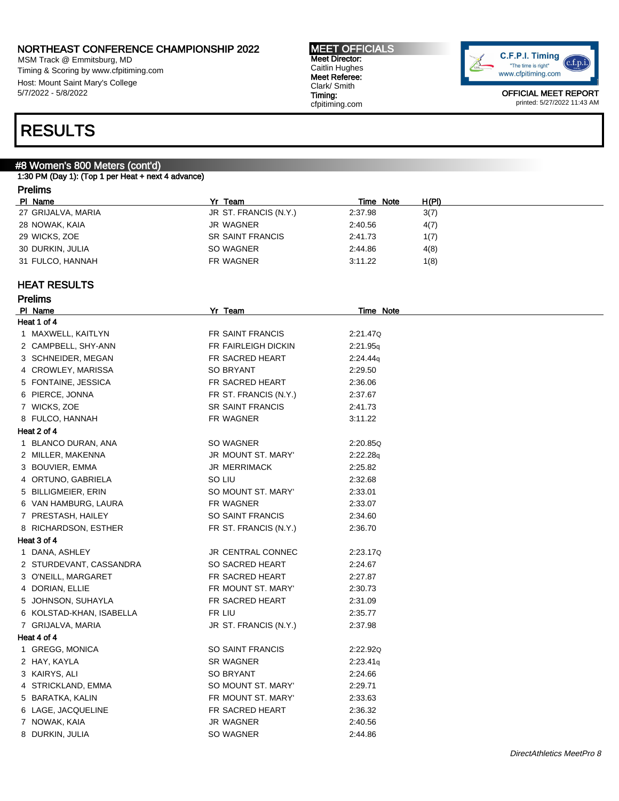MSM Track @ Emmitsburg, MD Timing & Scoring by www.cfpitiming.com Host: Mount Saint Mary's College 5/7/2022 - 5/8/2022

#### MEET OFFICIALS Meet Director: Caitlin Hughes Meet Referee: Clark/ Smith Timing: cfpitiming.com



OFFICIAL MEET REPORT printed: 5/27/2022 11:43 AM

## RESULTS

### #8 Women's 800 Meters (cont'd)

1:30 PM (Day 1): (Top 1 per Heat + next 4 advance)

### Prelims

Prelims

| PI Name            | Yr<br>Team              | Time Note | H(PI) |
|--------------------|-------------------------|-----------|-------|
| 27 GRIJALVA, MARIA | JR ST. FRANCIS (N.Y.)   | 2:37.98   | 3(7)  |
| 28 NOWAK, KAIA     | JR WAGNER               | 2:40.56   | 4(7)  |
| 29 WICKS, ZOE      | <b>SR SAINT FRANCIS</b> | 2:41.73   | 1(7)  |
| 30 DURKIN, JULIA   | SO WAGNER               | 2:44.86   | 4(8)  |
| 31 FULCO, HANNAH   | FR WAGNER               | 3:11.22   | 1(8)  |

### HEAT RESULTS

| PI Name                  | Yr Team                 | Time Note |
|--------------------------|-------------------------|-----------|
| Heat 1 of 4              |                         |           |
| 1 MAXWELL, KAITLYN       | FR SAINT FRANCIS        | 2:21.47Q  |
| 2 CAMPBELL, SHY-ANN      | FR FAIRLEIGH DICKIN     | 2:21.95q  |
| 3 SCHNEIDER, MEGAN       | FR SACRED HEART         | 2:24.44q  |
| 4 CROWLEY, MARISSA       | SO BRYANT               | 2:29.50   |
| 5 FONTAINE, JESSICA      | FR SACRED HEART         | 2:36.06   |
| 6 PIERCE, JONNA          | FR ST. FRANCIS (N.Y.)   | 2:37.67   |
| 7 WICKS, ZOE             | <b>SR SAINT FRANCIS</b> | 2:41.73   |
| 8 FULCO, HANNAH          | FR WAGNER               | 3:11.22   |
| Heat 2 of 4              |                         |           |
| 1 BLANCO DURAN, ANA      | SO WAGNER               | 2:20.85Q  |
| 2 MILLER, MAKENNA        | JR MOUNT ST. MARY'      | 2:22.28q  |
| 3 BOUVIER, EMMA          | <b>JR MERRIMACK</b>     | 2:25.82   |
| 4 ORTUNO, GABRIELA       | SO LIU                  | 2:32.68   |
| 5 BILLIGMEIER, ERIN      | SO MOUNT ST. MARY'      | 2:33.01   |
| 6 VAN HAMBURG, LAURA     | FR WAGNER               | 2:33.07   |
| 7 PRESTASH, HAILEY       | <b>SO SAINT FRANCIS</b> | 2:34.60   |
| 8 RICHARDSON, ESTHER     | FR ST. FRANCIS (N.Y.)   | 2:36.70   |
| Heat 3 of 4              |                         |           |
| 1 DANA, ASHLEY           | JR CENTRAL CONNEC       | 2:23.17Q  |
| 2 STURDEVANT, CASSANDRA  | SO SACRED HEART         | 2:24.67   |
| 3 O'NEILL, MARGARET      | FR SACRED HEART         | 2:27.87   |
| 4 DORIAN, ELLIE          | FR MOUNT ST. MARY'      | 2:30.73   |
| 5 JOHNSON, SUHAYLA       | FR SACRED HEART         | 2:31.09   |
| 6 KOLSTAD-KHAN, ISABELLA | FR LIU                  | 2:35.77   |
| 7 GRIJALVA, MARIA        | JR ST. FRANCIS (N.Y.)   | 2:37.98   |
| Heat 4 of 4              |                         |           |
| 1 GREGG, MONICA          | <b>SO SAINT FRANCIS</b> | 2:22.92Q  |
| 2 HAY, KAYLA             | <b>SR WAGNER</b>        | 2:23.41q  |
| 3 KAIRYS, ALI            | SO BRYANT               | 2:24.66   |
| 4 STRICKLAND, EMMA       | SO MOUNT ST. MARY'      | 2:29.71   |
| 5 BARATKA, KALIN         | FR MOUNT ST. MARY'      | 2:33.63   |
| 6 LAGE, JACQUELINE       | FR SACRED HEART         | 2:36.32   |
| 7 NOWAK, KAIA            | JR WAGNER               | 2:40.56   |
| 8 DURKIN, JULIA          | SO WAGNER               | 2:44.86   |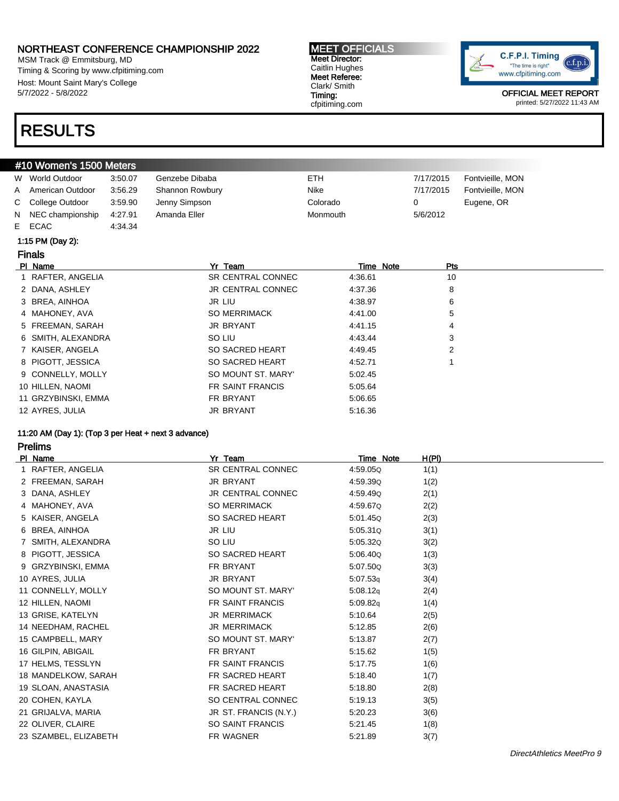MSM Track @ Emmitsburg, MD Timing & Scoring by www.cfpitiming.com Host: Mount Saint Mary's College 5/7/2022 - 5/8/2022

## RESULTS

#### MEET OFFICIALS Meet Director: Caitlin Hughes Meet Referee: Clark/ Smith Timing: cfpitiming.com



OFFICIAL MEET REPORT printed: 5/27/2022 11:43 AM

#### #10 Women's 1500 Meters W World Outdoor 3:50.07 Genzebe Dibaba **ETH** ETH 7/17/2015 Fontvieille, MON A American Outdoor 3:56.29 Shannon Rowbury Nike Nike 7/17/2015 Fontvieille, MON C College Outdoor 3:59.90 Jenny Simpson Colorado 0 Eugene, OR N NEC championship 4:27.91 Amanda Eller Monmouth Monmouth 5/6/2012 E ECAC 4:34.34

#### 1:15 PM (Day 2):

#### Finals

| PI Name             | Yr Team             | Time Note | Pts |
|---------------------|---------------------|-----------|-----|
| 1 RAFTER, ANGELIA   | SR CENTRAL CONNEC   | 4:36.61   | 10  |
| 2 DANA, ASHLEY      | JR CENTRAL CONNEC   | 4:37.36   | 8   |
| 3 BREA, AINHOA      | JR LIU              | 4:38.97   | 6   |
| 4 MAHONEY, AVA      | <b>SO MERRIMACK</b> | 4:41.00   | 5   |
| 5 FREEMAN, SARAH    | JR BRYANT           | 4:41.15   | 4   |
| 6 SMITH, ALEXANDRA  | SO LIU              | 4:43.44   | 3   |
| 7 KAISER, ANGELA    | SO SACRED HEART     | 4:49.45   | 2   |
| 8 PIGOTT, JESSICA   | SO SACRED HEART     | 4:52.71   |     |
| 9 CONNELLY, MOLLY   | SO MOUNT ST. MARY'  | 5:02.45   |     |
| 10 HILLEN, NAOMI    | FR SAINT FRANCIS    | 5:05.64   |     |
| 11 GRZYBINSKI, EMMA | FR BRYANT           | 5:06.65   |     |
| 12 AYRES, JULIA     | <b>JR BRYANT</b>    | 5:16.36   |     |

#### 11:20 AM (Day 1): (Top 3 per Heat + next 3 advance)

#### Prelims

| PI Name               | Yr Team                  | Time Note | <u>H(PI)</u> |
|-----------------------|--------------------------|-----------|--------------|
| 1 RAFTER, ANGELIA     | SR CENTRAL CONNEC        | 4:59.05Q  | 1(1)         |
| 2 FREEMAN, SARAH      | JR BRYANT                | 4:59.39Q  | 1(2)         |
| 3 DANA, ASHLEY        | <b>JR CENTRAL CONNEC</b> | 4:59.49Q  | 2(1)         |
| 4 MAHONEY, AVA        | <b>SO MERRIMACK</b>      | 4:59.67Q  | 2(2)         |
| 5 KAISER, ANGELA      | SO SACRED HEART          | 5:01.45Q  | 2(3)         |
| 6 BREA, AINHOA        | <b>JR LIU</b>            | 5:05.31Q  | 3(1)         |
| 7 SMITH, ALEXANDRA    | SO LIU                   | 5:05.32Q  | 3(2)         |
| 8 PIGOTT, JESSICA     | <b>SO SACRED HEART</b>   | 5:06.40Q  | 1(3)         |
| 9 GRZYBINSKI, EMMA    | FR BRYANT                | 5:07.50Q  | 3(3)         |
| 10 AYRES, JULIA       | JR BRYANT                | 5:07.53q  | 3(4)         |
| 11 CONNELLY, MOLLY    | SO MOUNT ST. MARY'       | 5:08.12q  | 2(4)         |
| 12 HILLEN, NAOMI      | <b>FR SAINT FRANCIS</b>  | 5:09.82q  | 1(4)         |
| 13 GRISE, KATELYN     | <b>JR MERRIMACK</b>      | 5:10.64   | 2(5)         |
| 14 NEEDHAM, RACHEL    | <b>JR MERRIMACK</b>      | 5:12.85   | 2(6)         |
| 15 CAMPBELL, MARY     | SO MOUNT ST. MARY'       | 5:13.87   | 2(7)         |
| 16 GILPIN, ABIGAIL    | FR BRYANT                | 5:15.62   | 1(5)         |
| 17 HELMS, TESSLYN     | FR SAINT FRANCIS         | 5:17.75   | 1(6)         |
| 18 MANDELKOW, SARAH   | FR SACRED HEART          | 5:18.40   | 1(7)         |
| 19 SLOAN, ANASTASIA   | FR SACRED HEART          | 5:18.80   | 2(8)         |
| 20 COHEN, KAYLA       | SO CENTRAL CONNEC        | 5:19.13   | 3(5)         |
| 21 GRIJALVA, MARIA    | JR ST. FRANCIS (N.Y.)    | 5:20.23   | 3(6)         |
| 22 OLIVER, CLAIRE     | <b>SO SAINT FRANCIS</b>  | 5:21.45   | 1(8)         |
| 23 SZAMBEL, ELIZABETH | <b>FR WAGNER</b>         | 5:21.89   | 3(7)         |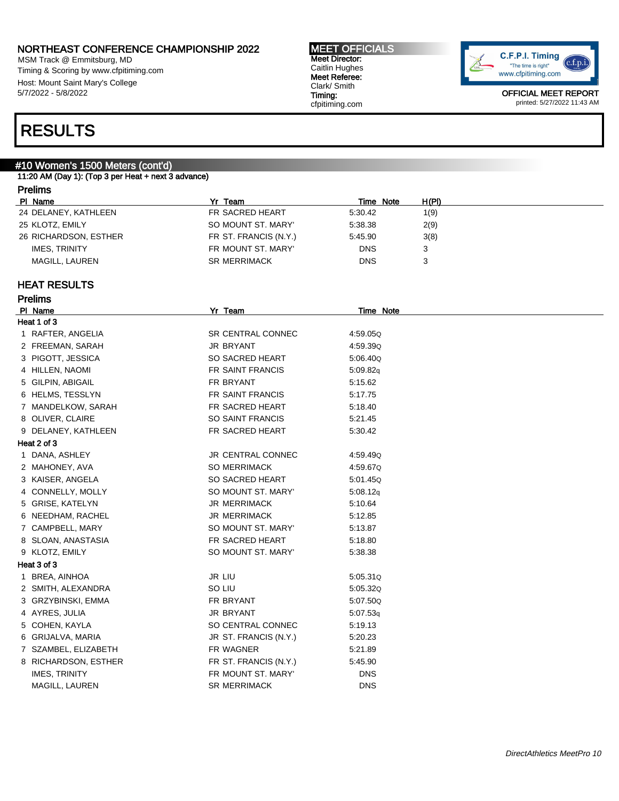MSM Track @ Emmitsburg, MD Timing & Scoring by www.cfpitiming.com Host: Mount Saint Mary's College 5/7/2022 - 5/8/2022

MEET OFFICIALS Meet Director: Caitlin Hughes Meet Referee: Clark/ Smith Timing: cfpitiming.com



OFFICIAL MEET REPORT printed: 5/27/2022 11:43 AM

## RESULTS

### #10 Women's 1500 Meters (cont'd)

11:20 AM (Day 1): (Top 3 per Heat + next 3 advance)

### Prelims

Prelims

| PI Name               | Team                  | Time Note  | H(PI) |
|-----------------------|-----------------------|------------|-------|
| 24 DELANEY, KATHLEEN  | FR SACRED HEART       | 5:30.42    | 1(9)  |
| 25 KLOTZ, EMILY       | SO MOUNT ST. MARY'    | 5:38.38    | 2(9)  |
| 26 RICHARDSON, ESTHER | FR ST. FRANCIS (N.Y.) | 5:45.90    | 3(8)  |
| IMES. TRINITY         | FR MOUNT ST. MARY'    | <b>DNS</b> |       |
| MAGILL, LAUREN        | <b>SR MERRIMACK</b>   | <b>DNS</b> |       |

### HEAT RESULTS

| PI Name              | Yr Team                  | <b>Time Note</b> |
|----------------------|--------------------------|------------------|
| Heat 1 of 3          |                          |                  |
| 1 RAFTER, ANGELIA    | <b>SR CENTRAL CONNEC</b> | 4:59.05Q         |
| 2 FREEMAN, SARAH     | JR BRYANT                | 4:59.39Q         |
| 3 PIGOTT, JESSICA    | SO SACRED HEART          | 5:06.40Q         |
| 4 HILLEN, NAOMI      | FR SAINT FRANCIS         | 5:09.82q         |
| 5 GILPIN, ABIGAIL    | FR BRYANT                | 5:15.62          |
| 6 HELMS, TESSLYN     | FR SAINT FRANCIS         | 5:17.75          |
| 7 MANDELKOW, SARAH   | FR SACRED HEART          | 5:18.40          |
| 8 OLIVER, CLAIRE     | <b>SO SAINT FRANCIS</b>  | 5:21.45          |
| 9 DELANEY, KATHLEEN  | FR SACRED HEART          | 5:30.42          |
| Heat 2 of 3          |                          |                  |
| 1 DANA, ASHLEY       | <b>JR CENTRAL CONNEC</b> | 4:59.49Q         |
| 2 MAHONEY, AVA       | <b>SO MERRIMACK</b>      | 4:59.67Q         |
| 3 KAISER, ANGELA     | SO SACRED HEART          | 5:01.45Q         |
| 4 CONNELLY, MOLLY    | SO MOUNT ST. MARY'       | 5:08.12q         |
| 5 GRISE, KATELYN     | <b>JR MERRIMACK</b>      | 5:10.64          |
| 6 NEEDHAM, RACHEL    | <b>JR MERRIMACK</b>      | 5:12.85          |
| 7 CAMPBELL, MARY     | SO MOUNT ST. MARY'       | 5:13.87          |
| 8 SLOAN, ANASTASIA   | FR SACRED HEART          | 5:18.80          |
| 9 KLOTZ, EMILY       | SO MOUNT ST. MARY'       | 5:38.38          |
| Heat 3 of 3          |                          |                  |
| 1 BREA, AINHOA       | JR LIU                   | 5:05.31Q         |
| 2 SMITH, ALEXANDRA   | SO LIU                   | 5:05.32Q         |
| 3 GRZYBINSKI, EMMA   | FR BRYANT                | 5:07.50Q         |
| 4 AYRES, JULIA       | JR BRYANT                | 5:07.53q         |
| 5 COHEN, KAYLA       | SO CENTRAL CONNEC        | 5:19.13          |
| 6 GRIJALVA, MARIA    | JR ST. FRANCIS (N.Y.)    | 5:20.23          |
| 7 SZAMBEL, ELIZABETH | FR WAGNER                | 5:21.89          |
| 8 RICHARDSON, ESTHER | FR ST. FRANCIS (N.Y.)    | 5:45.90          |
| <b>IMES, TRINITY</b> | FR MOUNT ST. MARY'       | <b>DNS</b>       |
| MAGILL, LAUREN       | <b>SR MERRIMACK</b>      | <b>DNS</b>       |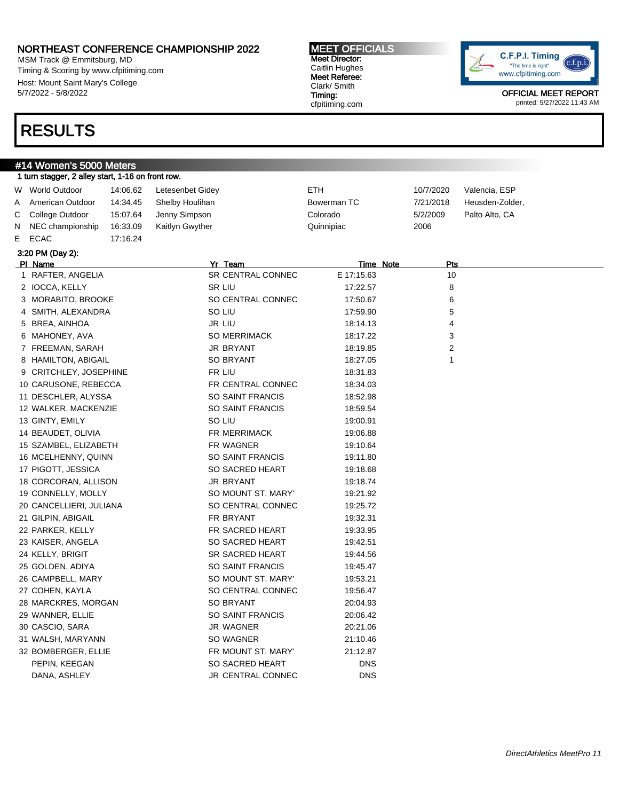MSM Track @ Emmitsburg, MD Timing & Scoring by www.cfpitiming.com Host: Mount Saint Mary's College 5/7/2022 - 5/8/2022

## RESULTS

#### MEET OFFICIALS Meet Director: Caitlin Hughes Meet Referee: Clark/ Smith Timing: cfpitiming.com



|   | #14 Women's 5000 Meters                           |          |                         |             |                |                 |
|---|---------------------------------------------------|----------|-------------------------|-------------|----------------|-----------------|
|   | 1 turn stagger, 2 alley start, 1-16 on front row. |          |                         |             |                |                 |
|   | W World Outdoor                                   | 14:06.62 | Letesenbet Gidey        | <b>ETH</b>  | 10/7/2020      | Valencia, ESP   |
| Α | American Outdoor                                  | 14:34.45 | Shelby Houlihan         | Bowerman TC | 7/21/2018      | Heusden-Zolder, |
| С | College Outdoor                                   | 15:07.64 | Jenny Simpson           | Colorado    | 5/2/2009       | Palto Alto, CA  |
| N | NEC championship                                  | 16:33.09 | Kaitlyn Gwyther         | Quinnipiac  | 2006           |                 |
| E | ECAC                                              | 17:16.24 |                         |             |                |                 |
|   | 3:20 PM (Day 2):                                  |          |                         |             |                |                 |
|   | PI Name                                           |          | Yr Team                 | Time Note   | Pts            |                 |
|   | 1 RAFTER, ANGELIA                                 |          | SR CENTRAL CONNEC       | E 17:15.63  | 10             |                 |
|   | 2 IOCCA, KELLY                                    |          | <b>SR LIU</b>           | 17:22.57    | 8              |                 |
|   | 3 MORABITO, BROOKE                                |          | SO CENTRAL CONNEC       | 17:50.67    | 6              |                 |
|   | 4 SMITH, ALEXANDRA                                |          | SO LIU                  | 17:59.90    | 5              |                 |
|   | 5 BREA, AINHOA                                    |          | JR LIU                  | 18:14.13    | 4              |                 |
|   | 6 MAHONEY, AVA                                    |          | <b>SO MERRIMACK</b>     | 18:17.22    | 3              |                 |
|   | 7 FREEMAN, SARAH                                  |          | <b>JR BRYANT</b>        | 18:19.85    | $\overline{2}$ |                 |
|   | 8 HAMILTON, ABIGAIL                               |          | <b>SO BRYANT</b>        | 18:27.05    | $\mathbf{1}$   |                 |
|   | 9 CRITCHLEY, JOSEPHINE                            |          | FR LIU                  | 18:31.83    |                |                 |
|   | 10 CARUSONE, REBECCA                              |          | FR CENTRAL CONNEC       | 18:34.03    |                |                 |
|   | 11 DESCHLER, ALYSSA                               |          | SO SAINT FRANCIS        | 18:52.98    |                |                 |
|   | 12 WALKER, MACKENZIE                              |          | SO SAINT FRANCIS        | 18:59.54    |                |                 |
|   | 13 GINTY, EMILY                                   |          | SO LIU                  | 19:00.91    |                |                 |
|   | 14 BEAUDET, OLIVIA                                |          | <b>FR MERRIMACK</b>     | 19:06.88    |                |                 |
|   | 15 SZAMBEL, ELIZABETH                             |          | FR WAGNER               | 19:10.64    |                |                 |
|   | 16 MCELHENNY, QUINN                               |          | <b>SO SAINT FRANCIS</b> | 19:11.80    |                |                 |
|   | 17 PIGOTT, JESSICA                                |          | SO SACRED HEART         | 19:18.68    |                |                 |
|   | 18 CORCORAN, ALLISON                              |          | <b>JR BRYANT</b>        | 19:18.74    |                |                 |
|   | 19 CONNELLY, MOLLY                                |          | SO MOUNT ST. MARY'      | 19:21.92    |                |                 |
|   | 20 CANCELLIERI, JULIANA                           |          | SO CENTRAL CONNEC       | 19:25.72    |                |                 |
|   | 21 GILPIN, ABIGAIL                                |          | FR BRYANT               | 19:32.31    |                |                 |
|   | 22 PARKER, KELLY                                  |          | FR SACRED HEART         | 19:33.95    |                |                 |
|   | 23 KAISER, ANGELA                                 |          | SO SACRED HEART         | 19:42.51    |                |                 |
|   | 24 KELLY, BRIGIT                                  |          | SR SACRED HEART         | 19:44.56    |                |                 |
|   | 25 GOLDEN, ADIYA                                  |          | SO SAINT FRANCIS        | 19:45.47    |                |                 |
|   | 26 CAMPBELL, MARY                                 |          | SO MOUNT ST. MARY'      | 19:53.21    |                |                 |
|   | 27 COHEN, KAYLA                                   |          | SO CENTRAL CONNEC       | 19:56.47    |                |                 |
|   | 28 MARCKRES, MORGAN                               |          | <b>SO BRYANT</b>        | 20:04.93    |                |                 |
|   | 29 WANNER, ELLIE                                  |          | <b>SO SAINT FRANCIS</b> | 20:06.42    |                |                 |
|   | 30 CASCIO, SARA                                   |          | JR WAGNER               | 20:21.06    |                |                 |
|   | 31 WALSH, MARYANN                                 |          | SO WAGNER               | 21:10.46    |                |                 |
|   | 32 BOMBERGER, ELLIE                               |          | FR MOUNT ST. MARY'      | 21:12.87    |                |                 |
|   | PEPIN, KEEGAN                                     |          | SO SACRED HEART         | <b>DNS</b>  |                |                 |
|   | DANA, ASHLEY                                      |          | JR CENTRAL CONNEC       | <b>DNS</b>  |                |                 |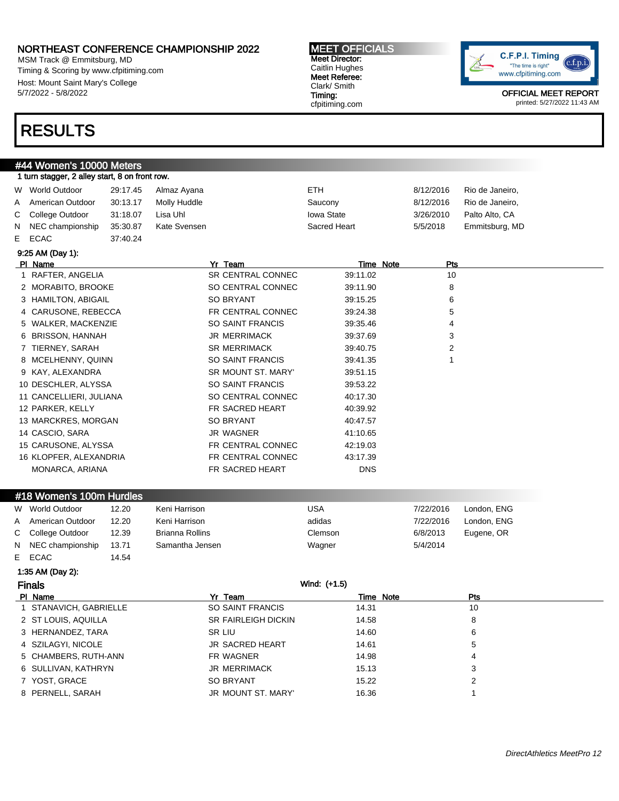MSM Track @ Emmitsburg, MD Timing & Scoring by www.cfpitiming.com Host: Mount Saint Mary's College 5/7/2022 - 5/8/2022

#44 Women's 10000 Meters 1 turn stagger, 2 alley start, 8 on front ro

## RESULTS

#### MEET OFFICIALS Meet Director: Caitlin Hughes Meet Referee: Clark/ Smith Timing: cfpitiming.com



OFFICIAL MEET REPORT printed: 5/27/2022 11:43 AM

| W World Outdoor<br>American Outdoor<br>College Outdoor<br>NEC championship<br><b>ECAC</b><br>9:25 AM (Day 1):<br>PI Name | 29:17.45<br>30:13.17<br>31:18.07<br>35:30.87<br>37:40.24 | Almaz Ayana<br>Molly Huddle<br>Lisa Uhl<br>Kate Svensen                                                                                                                                                                                 |         | ETH.<br>Saucony<br><b>Iowa State</b><br>Sacred Heart                                                                                                                                                                                                                                                                                                                | 8/12/2016<br>8/12/2016<br>3/26/2010 | Rio de Janeiro,<br>Rio de Janeiro,<br>Palto Alto, CA |
|--------------------------------------------------------------------------------------------------------------------------|----------------------------------------------------------|-----------------------------------------------------------------------------------------------------------------------------------------------------------------------------------------------------------------------------------------|---------|---------------------------------------------------------------------------------------------------------------------------------------------------------------------------------------------------------------------------------------------------------------------------------------------------------------------------------------------------------------------|-------------------------------------|------------------------------------------------------|
|                                                                                                                          |                                                          |                                                                                                                                                                                                                                         |         |                                                                                                                                                                                                                                                                                                                                                                     |                                     |                                                      |
|                                                                                                                          |                                                          |                                                                                                                                                                                                                                         |         |                                                                                                                                                                                                                                                                                                                                                                     |                                     |                                                      |
|                                                                                                                          |                                                          |                                                                                                                                                                                                                                         |         |                                                                                                                                                                                                                                                                                                                                                                     |                                     |                                                      |
|                                                                                                                          |                                                          |                                                                                                                                                                                                                                         |         |                                                                                                                                                                                                                                                                                                                                                                     | 5/5/2018                            | Emmitsburg, MD                                       |
|                                                                                                                          |                                                          |                                                                                                                                                                                                                                         |         |                                                                                                                                                                                                                                                                                                                                                                     |                                     |                                                      |
|                                                                                                                          |                                                          |                                                                                                                                                                                                                                         |         |                                                                                                                                                                                                                                                                                                                                                                     |                                     |                                                      |
|                                                                                                                          |                                                          |                                                                                                                                                                                                                                         | Yr Team | Time Note                                                                                                                                                                                                                                                                                                                                                           | Pts                                 |                                                      |
| 1 RAFTER, ANGELIA                                                                                                        |                                                          |                                                                                                                                                                                                                                         |         | 39:11.02                                                                                                                                                                                                                                                                                                                                                            | 10                                  |                                                      |
|                                                                                                                          |                                                          |                                                                                                                                                                                                                                         |         | 39:11.90                                                                                                                                                                                                                                                                                                                                                            | 8                                   |                                                      |
|                                                                                                                          |                                                          |                                                                                                                                                                                                                                         |         | 39:15.25                                                                                                                                                                                                                                                                                                                                                            | 6                                   |                                                      |
|                                                                                                                          |                                                          |                                                                                                                                                                                                                                         |         | 39:24.38                                                                                                                                                                                                                                                                                                                                                            | 5                                   |                                                      |
|                                                                                                                          |                                                          |                                                                                                                                                                                                                                         |         | 39:35.46                                                                                                                                                                                                                                                                                                                                                            | 4                                   |                                                      |
| 6 BRISSON, HANNAH                                                                                                        |                                                          |                                                                                                                                                                                                                                         |         | 39:37.69                                                                                                                                                                                                                                                                                                                                                            | 3                                   |                                                      |
| 7 TIERNEY, SARAH                                                                                                         |                                                          |                                                                                                                                                                                                                                         |         | 39:40.75                                                                                                                                                                                                                                                                                                                                                            | 2                                   |                                                      |
|                                                                                                                          |                                                          |                                                                                                                                                                                                                                         |         | 39:41.35                                                                                                                                                                                                                                                                                                                                                            |                                     |                                                      |
| 9 KAY, ALEXANDRA                                                                                                         |                                                          |                                                                                                                                                                                                                                         |         | 39:51.15                                                                                                                                                                                                                                                                                                                                                            |                                     |                                                      |
|                                                                                                                          |                                                          |                                                                                                                                                                                                                                         |         | 39:53.22                                                                                                                                                                                                                                                                                                                                                            |                                     |                                                      |
|                                                                                                                          |                                                          |                                                                                                                                                                                                                                         |         | 40:17.30                                                                                                                                                                                                                                                                                                                                                            |                                     |                                                      |
| 12 PARKER, KELLY                                                                                                         |                                                          |                                                                                                                                                                                                                                         |         | 40:39.92                                                                                                                                                                                                                                                                                                                                                            |                                     |                                                      |
|                                                                                                                          |                                                          |                                                                                                                                                                                                                                         |         | 40:47.57                                                                                                                                                                                                                                                                                                                                                            |                                     |                                                      |
| 14 CASCIO, SARA                                                                                                          |                                                          |                                                                                                                                                                                                                                         |         | 41:10.65                                                                                                                                                                                                                                                                                                                                                            |                                     |                                                      |
|                                                                                                                          |                                                          |                                                                                                                                                                                                                                         |         | 42:19.03                                                                                                                                                                                                                                                                                                                                                            |                                     |                                                      |
|                                                                                                                          |                                                          |                                                                                                                                                                                                                                         |         | 43:17.39                                                                                                                                                                                                                                                                                                                                                            |                                     |                                                      |
| MONARCA, ARIANA                                                                                                          |                                                          |                                                                                                                                                                                                                                         |         | <b>DNS</b>                                                                                                                                                                                                                                                                                                                                                          |                                     |                                                      |
|                                                                                                                          |                                                          |                                                                                                                                                                                                                                         |         |                                                                                                                                                                                                                                                                                                                                                                     |                                     |                                                      |
|                                                                                                                          |                                                          | 2 MORABITO, BROOKE<br>3 HAMILTON, ABIGAIL<br>4 CARUSONE, REBECCA<br>5 WALKER, MACKENZIE<br>8 MCELHENNY, QUINN<br>10 DESCHLER, ALYSSA<br>11 CANCELLIERI, JULIANA<br>13 MARCKRES, MORGAN<br>15 CARUSONE, ALYSSA<br>16 KLOPFER, ALEXANDRIA |         | <b>SR CENTRAL CONNEC</b><br>SO CENTRAL CONNEC<br>SO BRYANT<br>FR CENTRAL CONNEC<br><b>SO SAINT FRANCIS</b><br><b>JR MERRIMACK</b><br><b>SR MERRIMACK</b><br>SO SAINT FRANCIS<br><b>SR MOUNT ST. MARY'</b><br>SO SAINT FRANCIS<br>SO CENTRAL CONNEC<br>FR SACRED HEART<br><b>SO BRYANT</b><br>JR WAGNER<br>FR CENTRAL CONNEC<br>FR CENTRAL CONNEC<br>FR SACRED HEART |                                     |                                                      |

### #18 Women's 100m Hurdles

|              | W World Outdoor    | 12.20 | Keni Harrison          | USA     | 7/22/2016 | London, ENG |
|--------------|--------------------|-------|------------------------|---------|-----------|-------------|
| $\mathsf{A}$ | American Outdoor   | 12.20 | Keni Harrison          | adidas  | 7/22/2016 | London, ENG |
|              | C College Outdoor  | 12.39 | <b>Brianna Rollins</b> | Clemson | 6/8/2013  | Eugene, OR  |
|              | N NEC championship | 13.71 | Samantha Jensen        | Wagner  | 5/4/2014  |             |
|              | E ECAC             | 14.54 |                        |         |           |             |

#### 1:35 AM (Day 2):

### Finals Wind: (+1.5)

| PI Name                | Yr Team                    | Time Note | Pts |  |
|------------------------|----------------------------|-----------|-----|--|
| 1 STANAVICH, GABRIELLE | SO SAINT FRANCIS           | 14.31     | 10  |  |
| 2 ST LOUIS, AQUILLA    | <b>SR FAIRLEIGH DICKIN</b> | 14.58     | 8   |  |
| 3 HERNANDEZ, TARA      | SR LIU                     | 14.60     | 6   |  |
| 4 SZILAGYI, NICOLE     | <b>JR SACRED HEART</b>     | 14.61     | 5   |  |
| 5 CHAMBERS, RUTH-ANN   | FR WAGNER                  | 14.98     | 4   |  |
| 6 SULLIVAN, KATHRYN    | <b>JR MERRIMACK</b>        | 15.13     | 3   |  |
| 7 YOST, GRACE          | <b>SO BRYANT</b>           | 15.22     | 2   |  |
| 8 PERNELL, SARAH       | JR MOUNT ST. MARY'         | 16.36     |     |  |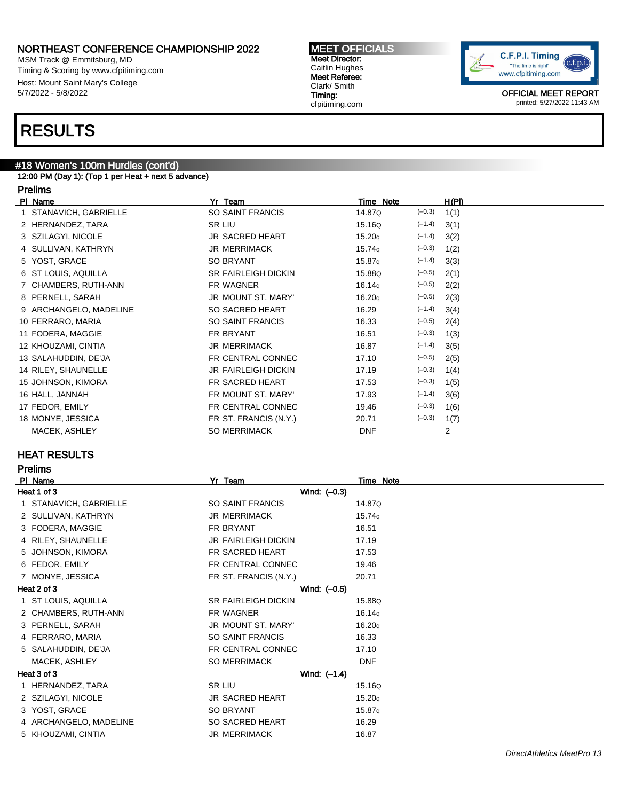MSM Track @ Emmitsburg, MD Timing & Scoring by www.cfpitiming.com Host: Mount Saint Mary's College 5/7/2022 - 5/8/2022

#### MEET OFFICIALS Meet Director: Caitlin Hughes Meet Referee: Clark/ Smith Timing: cfpitiming.com



OFFICIAL MEET REPORT printed: 5/27/2022 11:43 AM

## RESULTS

### #18 Women's 100m Hurdles (cont'd)

12:00 PM (Day 1): (Top 1 per Heat + next 5 advance)

#### Prelims

| PI Name                | Yr Team                    | Time Note          |          | H(PI) |
|------------------------|----------------------------|--------------------|----------|-------|
| 1 STANAVICH, GABRIELLE | SO SAINT FRANCIS           | 14.87Q             | $(-0.3)$ | 1(1)  |
| 2 HERNANDEZ, TARA      | SR LIU                     | 15.16Q             | $(-1.4)$ | 3(1)  |
| 3 SZILAGYI, NICOLE     | JR SACRED HEART            | 15.20q             | $(-1.4)$ | 3(2)  |
| 4 SULLIVAN, KATHRYN    | <b>JR MERRIMACK</b>        | 15.74 <sub>q</sub> | $(-0.3)$ | 1(2)  |
| 5 YOST, GRACE          | <b>SO BRYANT</b>           | 15.87q             | $(-1.4)$ | 3(3)  |
| 6 ST LOUIS, AQUILLA    | <b>SR FAIRLEIGH DICKIN</b> | 15.88Q             | $(-0.5)$ | 2(1)  |
| 7 CHAMBERS, RUTH-ANN   | FR WAGNER                  | 16.14q             | $(-0.5)$ | 2(2)  |
| 8 PERNELL, SARAH       | JR MOUNT ST. MARY'         | 16.20q             | $(-0.5)$ | 2(3)  |
| 9 ARCHANGELO, MADELINE | SO SACRED HEART            | 16.29              | $(-1.4)$ | 3(4)  |
| 10 FERRARO, MARIA      | SO SAINT FRANCIS           | 16.33              | $(-0.5)$ | 2(4)  |
| 11 FODERA, MAGGIE      | FR BRYANT                  | 16.51              | $(-0.3)$ | 1(3)  |
| 12 KHOUZAMI, CINTIA    | <b>JR MERRIMACK</b>        | 16.87              | $(-1.4)$ | 3(5)  |
| 13 SALAHUDDIN, DE'JA   | FR CENTRAL CONNEC          | 17.10              | $(-0.5)$ | 2(5)  |
| 14 RILEY, SHAUNELLE    | <b>JR FAIRLEIGH DICKIN</b> | 17.19              | $(-0.3)$ | 1(4)  |
| 15 JOHNSON, KIMORA     | FR SACRED HEART            | 17.53              | $(-0.3)$ | 1(5)  |
| 16 HALL, JANNAH        | FR MOUNT ST. MARY'         | 17.93              | $(-1.4)$ | 3(6)  |
| 17 FEDOR, EMILY        | FR CENTRAL CONNEC          | 19.46              | $(-0.3)$ | 1(6)  |
| 18 MONYE, JESSICA      | FR ST. FRANCIS (N.Y.)      | 20.71              | $(-0.3)$ | 1(7)  |
| MACEK, ASHLEY          | <b>SO MERRIMACK</b>        | <b>DNF</b>         |          | 2     |
|                        |                            |                    |          |       |

### HEAT RESULTS

Prelims

| PI Name                | Yr Team                    | Time Note  |
|------------------------|----------------------------|------------|
| Heat 1 of 3            | Wind: $(-0.3)$             |            |
| STANAVICH, GABRIELLE   | <b>SO SAINT FRANCIS</b>    | 14.87Q     |
| 2 SULLIVAN, KATHRYN    | <b>JR MERRIMACK</b>        | 15.74q     |
| 3 FODERA, MAGGIE       | FR BRYANT                  | 16.51      |
| 4 RILEY, SHAUNELLE     | <b>JR FAIRLEIGH DICKIN</b> | 17.19      |
| 5 JOHNSON, KIMORA      | FR SACRED HEART            | 17.53      |
| 6 FEDOR, EMILY         | FR CENTRAL CONNEC          | 19.46      |
| 7 MONYE, JESSICA       | FR ST. FRANCIS (N.Y.)      | 20.71      |
| Heat 2 of 3            | Wind: (-0.5)               |            |
| 1 ST LOUIS, AQUILLA    | <b>SR FAIRLEIGH DICKIN</b> | 15.88Q     |
| 2 CHAMBERS, RUTH-ANN   | FR WAGNER                  | 16.14q     |
| 3 PERNELL, SARAH       | JR MOUNT ST. MARY'         | 16.20q     |
| 4 FERRARO, MARIA       | SO SAINT FRANCIS           | 16.33      |
| 5 SALAHUDDIN, DE'JA    | FR CENTRAL CONNEC          | 17.10      |
| MACEK, ASHLEY          | <b>SO MERRIMACK</b>        | <b>DNF</b> |
| Heat 3 of 3            | Wind: (-1.4)               |            |
| 1 HERNANDEZ, TARA      | SR LIU                     | 15.16Q     |
| 2 SZILAGYI, NICOLE     | JR SACRED HEART            | 15.20q     |
| 3 YOST, GRACE          | <b>SO BRYANT</b>           | 15.87q     |
| 4 ARCHANGELO, MADELINE | SO SACRED HEART            | 16.29      |
| 5 KHOUZAMI, CINTIA     | <b>JR MERRIMACK</b>        | 16.87      |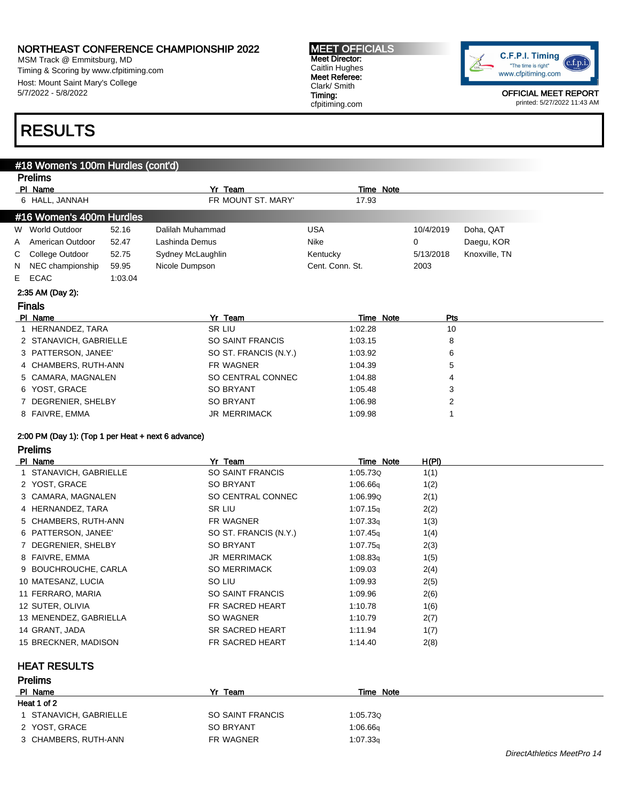MSM Track @ Emmitsburg, MD Timing & Scoring by www.cfpitiming.com Host: Mount Saint Mary's College 5/7/2022 - 5/8/2022

## RESULTS

### #18 Women's 100m Hurdles (cont'd)

|                | <b>Prelims</b>                                     |         |                         |                  |              |               |
|----------------|----------------------------------------------------|---------|-------------------------|------------------|--------------|---------------|
|                | PI Name                                            |         | Yr Team                 | Time Note        |              |               |
|                | 6 HALL, JANNAH                                     |         | FR MOUNT ST. MARY'      | 17.93            |              |               |
|                | #16 Women's 400m Hurdles                           |         |                         |                  |              |               |
|                | W World Outdoor                                    | 52.16   | Dalilah Muhammad        | <b>USA</b>       | 10/4/2019    | Doha, QAT     |
| A              | American Outdoor                                   | 52.47   | Lashinda Demus          | Nike             | 0            | Daegu, KOR    |
| С              | College Outdoor                                    | 52.75   | Sydney McLaughlin       | Kentucky         | 5/13/2018    | Knoxville, TN |
| N              | NEC championship                                   | 59.95   | Nicole Dumpson          | Cent. Conn. St.  | 2003         |               |
| E.             | ECAC                                               | 1:03.04 |                         |                  |              |               |
|                | 2:35 AM (Day 2):                                   |         |                         |                  |              |               |
|                | <b>Finals</b>                                      |         |                         |                  |              |               |
|                | PI Name                                            |         | Yr Team                 | Time Note        | Pts          |               |
|                | 1 HERNANDEZ, TARA                                  |         | SR LIU                  | 1:02.28          | 10           |               |
|                | 2 STANAVICH, GABRIELLE                             |         | SO SAINT FRANCIS        | 1:03.15          | 8            |               |
|                | 3 PATTERSON, JANEE'                                |         | SO ST. FRANCIS (N.Y.)   | 1:03.92          | 6            |               |
|                | 4 CHAMBERS, RUTH-ANN                               |         | FR WAGNER               | 1:04.39          | 5            |               |
|                | 5 CAMARA, MAGNALEN                                 |         | SO CENTRAL CONNEC       | 1:04.88          | 4            |               |
|                | 6 YOST, GRACE                                      |         | SO BRYANT               | 1:05.48          | 3            |               |
|                | 7 DEGRENIER, SHELBY                                |         | <b>SO BRYANT</b>        | 1:06.98          | 2            |               |
| 8 FAIVRE, EMMA |                                                    |         | JR MERRIMACK            | 1:09.98          | 1            |               |
|                |                                                    |         |                         |                  |              |               |
|                | 2:00 PM (Day 1): (Top 1 per Heat + next 6 advance) |         |                         |                  |              |               |
|                | <b>Prelims</b>                                     |         |                         |                  |              |               |
|                | PI Name                                            |         | Yr Team                 | Time Note        | <u>H(PI)</u> |               |
|                | 1 STANAVICH, GABRIELLE                             |         | <b>SO SAINT FRANCIS</b> | 1:05.73Q         | 1(1)         |               |
|                | 2 YOST, GRACE                                      |         | SO BRYANT               | 1:06.66q         | 1(2)         |               |
|                | 3 CAMARA, MAGNALEN                                 |         | SO CENTRAL CONNEC       | 1:06.99Q         | 2(1)         |               |
|                | 4 HERNANDEZ, TARA                                  |         | SR LIU                  | 1:07.15q         | 2(2)         |               |
|                | 5 CHAMBERS, RUTH-ANN                               |         | FR WAGNER               | 1:07.33q         | 1(3)         |               |
|                | 6 PATTERSON, JANEE'                                |         | SO ST. FRANCIS (N.Y.)   | 1:07.45q         | 1(4)         |               |
|                | 7 DEGRENIER, SHELBY                                |         | <b>SO BRYANT</b>        | 1:07.75q         | 2(3)         |               |
|                | 8 FAIVRE, EMMA                                     |         | <b>JR MERRIMACK</b>     | 1:08.83q         | 1(5)         |               |
|                | 9 BOUCHROUCHE, CARLA                               |         | <b>SO MERRIMACK</b>     | 1:09.03          | 2(4)         |               |
|                | 10 MATESANZ, LUCIA                                 |         | SO LIU                  | 1:09.93          | 2(5)         |               |
|                | 11 FERRARO, MARIA                                  |         | SO SAINT FRANCIS        | 1:09.96          | 2(6)         |               |
|                | 12 SUTER, OLIVIA                                   |         | FR SACRED HEART         | 1:10.78          | 1(6)         |               |
|                | 13 MENENDEZ, GABRIELLA                             |         | SO WAGNER               | 1:10.79          | 2(7)         |               |
|                | 14 GRANT, JADA                                     |         | SR SACRED HEART         | 1:11.94          | 1(7)         |               |
|                | 15 BRECKNER, MADISON                               |         | FR SACRED HEART         | 1:14.40          | 2(8)         |               |
|                | <b>HEAT RESULTS</b>                                |         |                         |                  |              |               |
|                | <b>Prelims</b>                                     |         |                         |                  |              |               |
|                | PI Name                                            |         | Yr Team                 | <b>Time Note</b> |              |               |
|                | <b>HAAL 4 ALO</b>                                  |         |                         |                  |              |               |

| Heat 1 of 2      |          |  |  |  |  |  |  |
|------------------|----------|--|--|--|--|--|--|
| SO SAINT FRANCIS | 1:05.730 |  |  |  |  |  |  |
| <b>SO BRYANT</b> | 1:06.66q |  |  |  |  |  |  |
| FR WAGNER        | 1:07.33q |  |  |  |  |  |  |
|                  |          |  |  |  |  |  |  |

MEET OFFICIALS Meet Director: Caitlin Hughes Meet Referee: Clark/ Smith Timing: cfpitiming.com



OFFICIAL MEET REPORT printed: 5/27/2022 11:43 AM

DirectAthletics MeetPro 14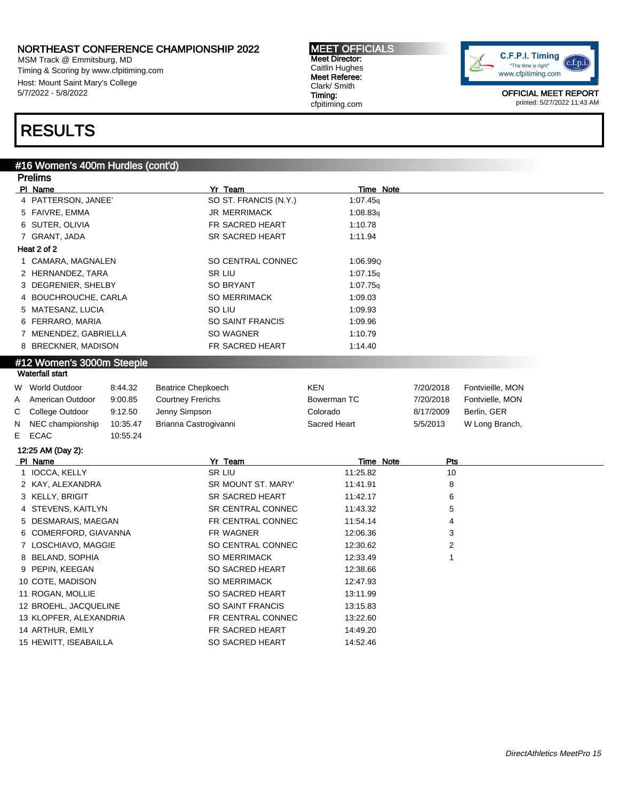MSM Track @ Emmitsburg, MD Timing & Scoring by www.cfpitiming.com Host: Mount Saint Mary's College 5/7/2022 - 5/8/2022

#### MEET OFFICIALS Meet Director: Caitlin Hughes Meet Referee: Clark/ Smith Timing: cfpitiming.com



OFFICIAL MEET REPORT printed: 5/27/2022 11:43 AM

## RESULTS

#### #16 Women's 400m Hurdles (cont'd)

|   | <b>Prelims</b>            |          |                           |                  |           |                  |  |
|---|---------------------------|----------|---------------------------|------------------|-----------|------------------|--|
|   | PI Name                   |          | Yr Team                   | <b>Time Note</b> |           |                  |  |
|   | 4 PATTERSON, JANEE'       |          | SO ST. FRANCIS (N.Y.)     | 1:07.45q         |           |                  |  |
|   | 5 FAIVRE, EMMA            |          | <b>JR MERRIMACK</b>       | 1:08.83q         |           |                  |  |
|   | 6 SUTER, OLIVIA           |          | FR SACRED HEART           | 1:10.78          |           |                  |  |
|   | 7 GRANT, JADA             |          | SR SACRED HEART           | 1:11.94          |           |                  |  |
|   | Heat 2 of 2               |          |                           |                  |           |                  |  |
|   | 1 CAMARA, MAGNALEN        |          | SO CENTRAL CONNEC         | 1:06.99Q         |           |                  |  |
|   | 2 HERNANDEZ, TARA         |          | SR LIU                    | 1:07.15q         |           |                  |  |
|   | 3 DEGRENIER, SHELBY       |          | <b>SO BRYANT</b>          | 1:07.75q         |           |                  |  |
|   | 4 BOUCHROUCHE, CARLA      |          | <b>SO MERRIMACK</b>       | 1:09.03          |           |                  |  |
|   | 5 MATESANZ, LUCIA         |          | SO LIU                    | 1:09.93          |           |                  |  |
|   | 6 FERRARO, MARIA          |          | SO SAINT FRANCIS          | 1:09.96          |           |                  |  |
|   | 7 MENENDEZ, GABRIELLA     |          | SO WAGNER                 | 1:10.79          |           |                  |  |
|   | 8 BRECKNER, MADISON       |          | FR SACRED HEART           | 1:14.40          |           |                  |  |
|   | #12 Women's 3000m Steeple |          |                           |                  |           |                  |  |
|   | <b>Waterfall start</b>    |          |                           |                  |           |                  |  |
|   | W World Outdoor           | 8:44.32  | <b>Beatrice Chepkoech</b> | <b>KEN</b>       | 7/20/2018 | Fontvieille, MON |  |
| A | American Outdoor          | 9:00.85  | <b>Courtney Frerichs</b>  | Bowerman TC      | 7/20/2018 | Fontvielle, MON  |  |
| С | College Outdoor           | 9:12.50  | Jenny Simpson             | Colorado         | 8/17/2009 | Berlin, GER      |  |
| N | NEC championship          | 10:35.47 | Brianna Castrogivanni     | Sacred Heart     | 5/5/2013  | W Long Branch,   |  |
| Е | <b>ECAC</b>               | 10:55.24 |                           |                  |           |                  |  |
|   | 12:25 AM (Day 2):         |          |                           |                  |           |                  |  |
|   | PI Name                   |          | Yr Team                   | Time Note        | Pts       |                  |  |
|   | 1 IOCCA, KELLY            |          | <b>SR LIU</b>             | 11:25.82         | 10        |                  |  |
|   | 2 KAY, ALEXANDRA          |          | SR MOUNT ST. MARY'        | 11:41.91         | 8         |                  |  |
|   | 3 KELLY, BRIGIT           |          | SR SACRED HEART           | 11:42.17         | 6         |                  |  |
|   | 4 STEVENS, KAITLYN        |          | <b>SR CENTRAL CONNEC</b>  | 11:43.32         | 5         |                  |  |
|   | 5 DESMARAIS, MAEGAN       |          | FR CENTRAL CONNEC         | 11:54.14         | 4         |                  |  |
|   | 6 COMERFORD, GIAVANNA     |          | FR WAGNER                 | 12:06.36         | 3         |                  |  |
|   | 7 LOSCHIAVO, MAGGIE       |          | SO CENTRAL CONNEC         | 12:30.62         | 2         |                  |  |
|   | 8 BELAND, SOPHIA          |          | <b>SO MERRIMACK</b>       | 12:33.49         | 1         |                  |  |
|   | 9 PEPIN, KEEGAN           |          | SO SACRED HEART           | 12:38.66         |           |                  |  |
|   | 10 COTE, MADISON          |          | <b>SO MERRIMACK</b>       | 12:47.93         |           |                  |  |
|   | 11 ROGAN, MOLLIE          |          | SO SACRED HEART           | 13:11.99         |           |                  |  |
|   | 12 BROEHL, JACQUELINE     |          | <b>SO SAINT FRANCIS</b>   | 13:15.83         |           |                  |  |
|   | 13 KLOPFER, ALEXANDRIA    |          | FR CENTRAL CONNEC         | 13:22.60         |           |                  |  |
|   | 14 ARTHUR, EMILY          |          | FR SACRED HEART           | 14:49.20         |           |                  |  |
|   | 15 HEWITT, ISEABAILLA     |          | SO SACRED HEART           | 14:52.46         |           |                  |  |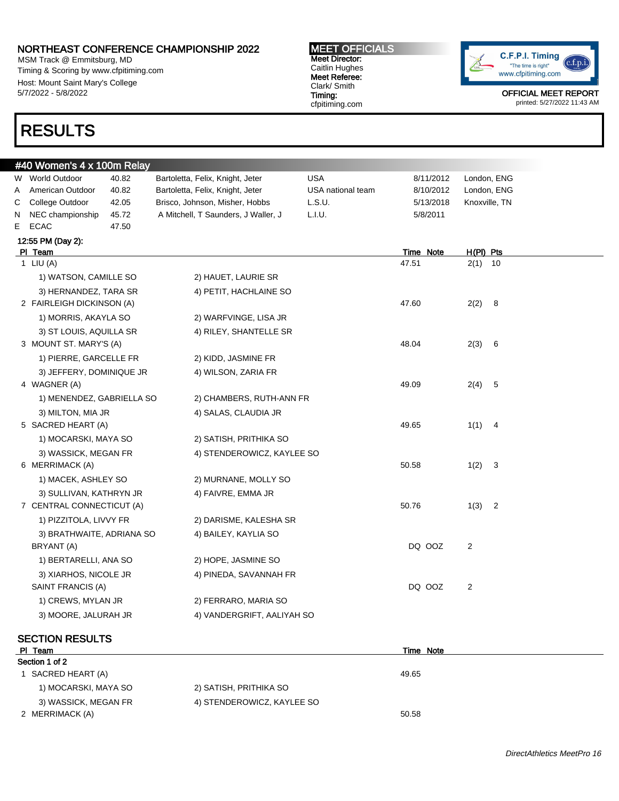MSM Track @ Emmitsburg, MD Timing & Scoring by www.cfpitiming.com Host: Mount Saint Mary's College 5/7/2022 - 5/8/2022

## RESULTS

#### MEET OFFICIALS Meet Director: Caitlin Hughes Meet Referee: Clark/ Smith Timing: cfpitiming.com



OFFICIAL MEET REPORT printed: 5/27/2022 11:43 AM

|   | #40 Women's 4 x 100m Relay |       |                                     |                   |           |                                 |  |  |  |  |  |
|---|----------------------------|-------|-------------------------------------|-------------------|-----------|---------------------------------|--|--|--|--|--|
|   | W World Outdoor            | 40.82 | Bartoletta, Felix, Knight, Jeter    | <b>USA</b>        | 8/11/2012 | London, ENG                     |  |  |  |  |  |
| A | American Outdoor           | 40.82 | Bartoletta, Felix, Knight, Jeter    | USA national team | 8/10/2012 | London, ENG                     |  |  |  |  |  |
| С | College Outdoor            | 42.05 | Brisco, Johnson, Misher, Hobbs      | L.S.U.            | 5/13/2018 | Knoxville, TN                   |  |  |  |  |  |
|   | N NEC championship         | 45.72 | A Mitchell, T Saunders, J Waller, J | L.I.U.            | 5/8/2011  |                                 |  |  |  |  |  |
|   | E ECAC                     | 47.50 |                                     |                   |           |                                 |  |  |  |  |  |
|   | 12:55 PM (Day 2):          |       |                                     |                   |           |                                 |  |  |  |  |  |
|   | PI Team                    |       |                                     |                   | Time Note | H(PI) Pts                       |  |  |  |  |  |
|   | 1 LIU $(A)$                |       |                                     |                   | 47.51     | $2(1)$ 10                       |  |  |  |  |  |
|   | 1) WATSON, CAMILLE SO      |       | 2) HAUET, LAURIE SR                 |                   |           |                                 |  |  |  |  |  |
|   | 3) HERNANDEZ, TARA SR      |       | 4) PETIT, HACHLAINE SO              |                   |           |                                 |  |  |  |  |  |
|   | 2 FAIRLEIGH DICKINSON (A)  |       |                                     |                   | 47.60     | $2(2)$ 8                        |  |  |  |  |  |
|   | 1) MORRIS, AKAYLA SO       |       | 2) WARFVINGE, LISA JR               |                   |           |                                 |  |  |  |  |  |
|   | 3) ST LOUIS, AQUILLA SR    |       | 4) RILEY, SHANTELLE SR              |                   |           |                                 |  |  |  |  |  |
|   | 3 MOUNT ST. MARY'S (A)     |       |                                     |                   | 48.04     | 2(3) 6                          |  |  |  |  |  |
|   | 1) PIERRE, GARCELLE FR     |       | 2) KIDD, JASMINE FR                 |                   |           |                                 |  |  |  |  |  |
|   | 3) JEFFERY, DOMINIQUE JR   |       | 4) WILSON, ZARIA FR                 |                   |           |                                 |  |  |  |  |  |
|   | 4 WAGNER (A)               |       |                                     |                   | 49.09     | 2(4) 5                          |  |  |  |  |  |
|   | 1) MENENDEZ, GABRIELLA SO  |       | 2) CHAMBERS, RUTH-ANN FR            |                   |           |                                 |  |  |  |  |  |
|   | 3) MILTON, MIA JR          |       | 4) SALAS, CLAUDIA JR                |                   |           |                                 |  |  |  |  |  |
|   | 5 SACRED HEART (A)         |       |                                     |                   | 49.65     | $1(1)$ 4                        |  |  |  |  |  |
|   | 1) MOCARSKI, MAYA SO       |       | 2) SATISH, PRITHIKA SO              |                   |           |                                 |  |  |  |  |  |
|   | 3) WASSICK, MEGAN FR       |       | 4) STENDEROWICZ, KAYLEE SO          |                   |           |                                 |  |  |  |  |  |
|   | 6 MERRIMACK (A)            |       |                                     |                   | 50.58     | 1(2) 3                          |  |  |  |  |  |
|   | 1) MACEK, ASHLEY SO        |       | 2) MURNANE, MOLLY SO                |                   |           |                                 |  |  |  |  |  |
|   | 3) SULLIVAN, KATHRYN JR    |       | 4) FAIVRE, EMMA JR                  |                   |           |                                 |  |  |  |  |  |
|   | 7 CENTRAL CONNECTICUT (A)  |       |                                     |                   | 50.76     | 1(3)<br>$\overline{\mathbf{2}}$ |  |  |  |  |  |
|   | 1) PIZZITOLA, LIVVY FR     |       | 2) DARISME, KALESHA SR              |                   |           |                                 |  |  |  |  |  |
|   | 3) BRATHWAITE, ADRIANA SO  |       | 4) BAILEY, KAYLIA SO                |                   |           |                                 |  |  |  |  |  |
|   | BRYANT (A)                 |       |                                     |                   | DQ OOZ    | 2                               |  |  |  |  |  |
|   | 1) BERTARELLI, ANA SO      |       | 2) HOPE, JASMINE SO                 |                   |           |                                 |  |  |  |  |  |
|   | 3) XIARHOS, NICOLE JR      |       | 4) PINEDA, SAVANNAH FR              |                   |           |                                 |  |  |  |  |  |
|   | SAINT FRANCIS (A)          |       |                                     |                   | DQ OOZ    | 2                               |  |  |  |  |  |
|   | 1) CREWS, MYLAN JR         |       | 2) FERRARO, MARIA SO                |                   |           |                                 |  |  |  |  |  |
|   | 3) MOORE, JALURAH JR       |       | 4) VANDERGRIFT, AALIYAH SO          |                   |           |                                 |  |  |  |  |  |
|   |                            |       |                                     |                   |           |                                 |  |  |  |  |  |

#### SECTION RESULTS

| PI Team              |                            | Time Note |  |  |  |  |  |  |
|----------------------|----------------------------|-----------|--|--|--|--|--|--|
| Section 1 of 2       |                            |           |  |  |  |  |  |  |
| SACRED HEART (A)     |                            | 49.65     |  |  |  |  |  |  |
| 1) MOCARSKI, MAYA SO | 2) SATISH, PRITHIKA SO     |           |  |  |  |  |  |  |
| 3) WASSICK, MEGAN FR | 4) STENDEROWICZ, KAYLEE SO |           |  |  |  |  |  |  |
| 2 MERRIMACK (A)      |                            | 50.58     |  |  |  |  |  |  |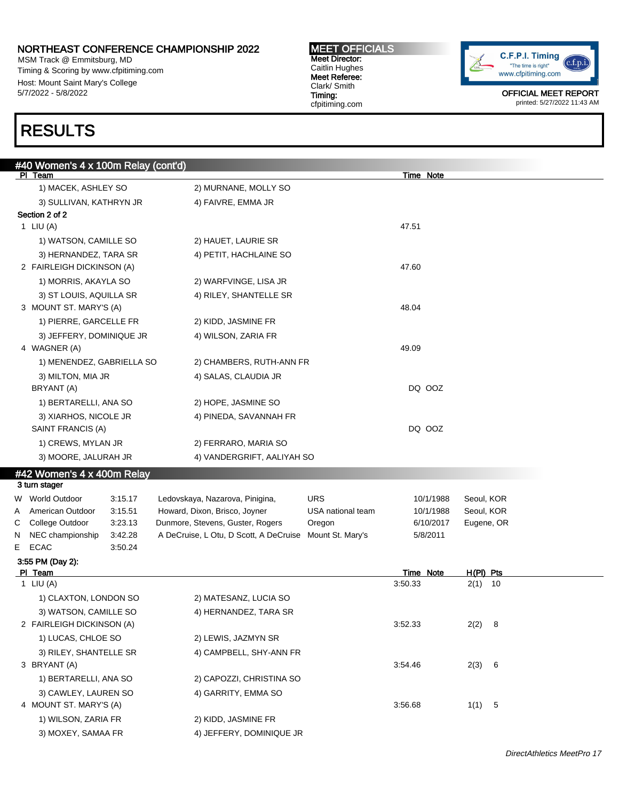MSM Track @ Emmitsburg, MD Timing & Scoring by www.cfpitiming.com Host: Mount Saint Mary's College 5/7/2022 - 5/8/2022

# RESULTS

### #40 Women's 4 x 100m Relay (cont'd) PI Team Time Note 1) MACEK, ASHLEY SO 2) MURNANE, MOLLY SO 3) SULLIVAN, KATHRYN JR 4) FAIVRE, EMMA JR Section 2 of 2 1 LIU (A) 47.51 1) WATSON, CAMILLE SO 2) HAUET, LAURIE SR 3) HERNANDEZ, TARA SR 4) PETIT, HACHLAINE SO 2 FAIRLEIGH DICKINSON (A) 47.60 1) MORRIS, AKAYLA SO 2) WARFVINGE, LISA JR 3) ST LOUIS, AQUILLA SR 4) RILEY, SHANTELLE SR 3 MOUNT ST. MARY'S (A) 48.04 1) PIERRE, GARCELLE FR 2) KIDD, JASMINE FR 3) JEFFERY, DOMINIQUE JR 4) WILSON, ZARIA FR 4 WAGNER (A) 49.09 1) MENENDEZ, GABRIELLA SO 2) CHAMBERS, RUTH-ANN FR 3) MILTON, MIA JR 4) SALAS, CLAUDIA JR BRYANT (A) DQ OOZ 1) BERTARELLI, ANA SO 2) HOPE, JASMINE SO 3) XIARHOS, NICOLE JR 4) PINEDA, SAVANNAH FR SAINT FRANCIS (A) DQ OOZ 1) CREWS, MYLAN JR 2) FERRARO, MARIA SO 3) MOORE, JALURAH JR 4) VANDERGRIFT, AALIYAH SO #42 Women's 4 x 400m Relay 3 turn stager W World Outdoor at 3:15.17 Ledovskaya, Nazarova, Pinigina, a URS 10/1/1988 Seoul, KOR A American Outdoor 3:15.51 Howard, Dixon, Brisco, Joyner USA national team 10/1/1988 Seoul, KOR C College Outdoor 3:23.13 Dunmore, Stevens, Guster, Rogers Oregon 6/10/2017 Eugene, OR N NEC championship 3:42.28 A DeCruise, L Otu, D Scott, A DeCruise Mount St. Mary's 5/8/2011 E ECAC 3:50.24 3:55 PM (Day 2): Pl Team Time Note H(Pl) Pts 1 LIU (A) 3:50.33 2(1) 10 1) CLAXTON, LONDON SO 2) MATESANZ, LUCIA SO 3) WATSON, CAMILLE SO 4) HERNANDEZ, TARA SR 2 FAIRLEIGH DICKINSON (A) 3:52.33 2(2) 8 1) LUCAS, CHLOE SO 2) LEWIS, JAZMYN SR 3) RILEY, SHANTELLE SR 4) CAMPBELL, SHY-ANN FR 3 BRYANT (A) 3 - 3 A - 3 A - 3 A - 3 A - 3 A - 3 A - 3 A - 3 A - 3 A - 3 A - 3 A - 3 A - 3 A - 3 A - 3 A - 3 A - 3 A - 3 A - 3 A - 3 A - 3 A - 3 A - 3 A - 3 A - 3 A - 3 A - 3 A - 3 A - 3 A - 3 A - 3 A - 3 A - 3 A - 3 A - 3 1) BERTARELLI, ANA SO 2) CAPOZZI, CHRISTINA SO 3) CAWLEY, LAUREN SO 4) GARRITY, EMMA SO 4 MOUNT ST. MARY'S (A) 3:56.68 1(1) 5 1) WILSON, ZARIA FR 2) KIDD, JASMINE FR 3) MOXEY, SAMAA FR 4) JEFFERY, DOMINIQUE JR

MEET OFFICIALS Meet Director: Caitlin Hughes Meet Referee: Clark/ Smith Timing: cfpitiming.com

C.F.P.I. Timing c.f.p.i "The time is right" www.cfpitiming.com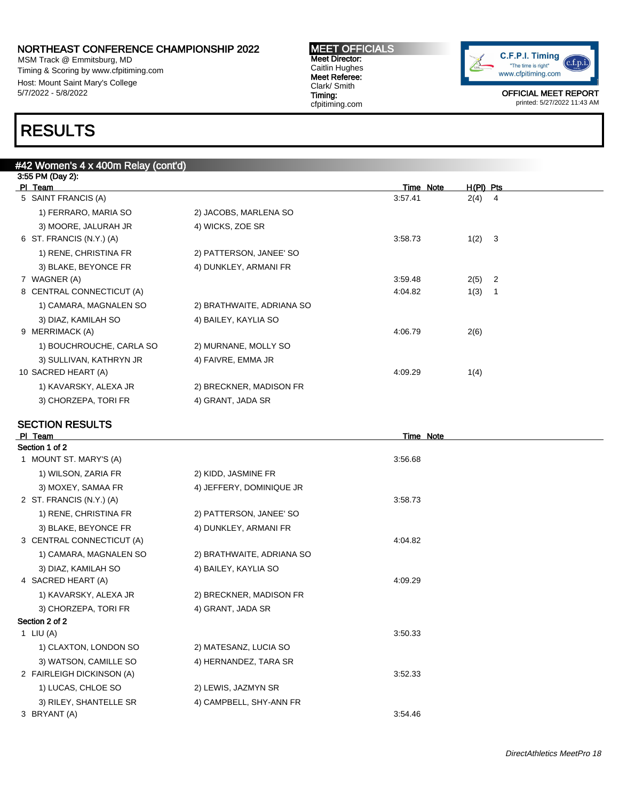MSM Track @ Emmitsburg, MD Timing & Scoring by www.cfpitiming.com Host: Mount Saint Mary's College 5/7/2022 - 5/8/2022

#### MEET OFFICIALS Meet Director: Caitlin Hughes Meet Referee: Clark/ Smith Timing: cfpitiming.com



OFFICIAL MEET REPORT printed: 5/27/2022 11:43 AM

## RESULTS

| #42 Women's 4 x 400m Relay (cont'd) |                           |                  |                                 |
|-------------------------------------|---------------------------|------------------|---------------------------------|
| 3:55 PM (Day 2):<br>PI Team         |                           | <b>Time Note</b> | $H(PI)$ Pts                     |
| 5 SAINT FRANCIS (A)                 |                           | 3:57.41          | $2(4)$ 4                        |
| 1) FERRARO, MARIA SO                | 2) JACOBS, MARLENA SO     |                  |                                 |
| 3) MOORE, JALURAH JR                | 4) WICKS, ZOE SR          |                  |                                 |
| $6$ ST. FRANCIS (N.Y.) (A)          |                           | 3:58.73          | 1(2) 3                          |
| 1) RENE, CHRISTINA FR               | 2) PATTERSON, JANEE' SO   |                  |                                 |
| 3) BLAKE, BEYONCE FR                | 4) DUNKLEY, ARMANI FR     |                  |                                 |
| 7 WAGNER (A)                        |                           | 3:59.48          | $2(5)$ 2                        |
| 8 CENTRAL CONNECTICUT (A)           |                           | 4:04.82          | 1(3)<br>$\overline{\mathbf{1}}$ |
| 1) CAMARA, MAGNALEN SO              | 2) BRATHWAITE, ADRIANA SO |                  |                                 |
| 3) DIAZ, KAMILAH SO                 | 4) BAILEY, KAYLIA SO      |                  |                                 |
| 9 MERRIMACK (A)                     |                           | 4:06.79          | 2(6)                            |
| 1) BOUCHROUCHE, CARLA SO            | 2) MURNANE, MOLLY SO      |                  |                                 |
| 3) SULLIVAN, KATHRYN JR             | 4) FAIVRE, EMMA JR        |                  |                                 |
| 10 SACRED HEART (A)                 |                           | 4:09.29          | 1(4)                            |
| 1) KAVARSKY, ALEXA JR               | 2) BRECKNER, MADISON FR   |                  |                                 |
| 3) CHORZEPA, TORI FR                | 4) GRANT, JADA SR         |                  |                                 |
| <b>SECTION RESULTS</b>              |                           |                  |                                 |
| PI Team                             |                           | Time Note        |                                 |
| Section 1 of 2                      |                           |                  |                                 |
| 1 MOUNT ST. MARY'S (A)              |                           | 3:56.68          |                                 |
| 1) WILSON, ZARIA FR                 | 2) KIDD, JASMINE FR       |                  |                                 |
| 3) MOXEY, SAMAA FR                  | 4) JEFFERY, DOMINIQUE JR  |                  |                                 |
| 2 ST. FRANCIS (N.Y.) (A)            |                           | 3:58.73          |                                 |
| 1) RENE, CHRISTINA FR               | 2) PATTERSON, JANEE' SO   |                  |                                 |
| 3) BLAKE, BEYONCE FR                | 4) DUNKLEY, ARMANI FR     |                  |                                 |
| 3 CENTRAL CONNECTICUT (A)           |                           | 4:04.82          |                                 |
| 1) CAMARA, MAGNALEN SO              | 2) BRATHWAITE, ADRIANA SO |                  |                                 |
| 3) DIAZ, KAMILAH SO                 | 4) BAILEY, KAYLIA SO      |                  |                                 |
| 4 SACRED HEART (A)                  |                           | 4:09.29          |                                 |
| 1) KAVARSKY, ALEXA JR               | 2) BRECKNER, MADISON FR   |                  |                                 |
| 3) CHORZEPA, TORI FR                | 4) GRANT, JADA SR         |                  |                                 |
| Section 2 of 2                      |                           |                  |                                 |
| 1 LIU $(A)$                         |                           | 3:50.33          |                                 |
| 1) CLAXTON, LONDON SO               | 2) MATESANZ, LUCIA SO     |                  |                                 |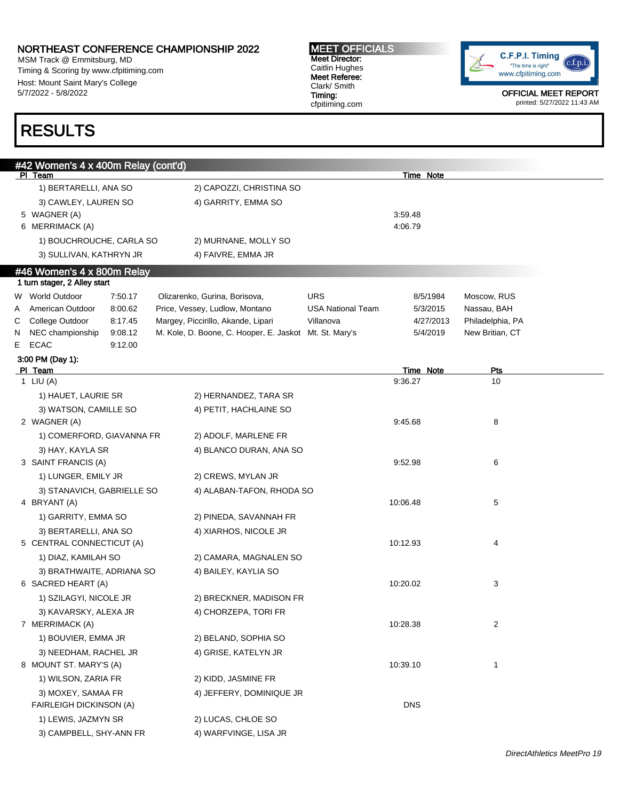MSM Track @ Emmitsburg, MD Timing & Scoring by www.cfpitiming.com Host: Mount Saint Mary's College 5/7/2022 - 5/8/2022

# RESULTS

MEET OFFICIALS Meet Director: Caitlin Hughes Meet Referee: Clark/ Smith Timing: cfpitiming.com



|        | #42 Women's 4 x 400m Relay (cont'd)             |                                                                 |                                        |                      |                            |
|--------|-------------------------------------------------|-----------------------------------------------------------------|----------------------------------------|----------------------|----------------------------|
|        | PI Team                                         |                                                                 |                                        | Time Note            |                            |
|        | 1) BERTARELLI, ANA SO                           | 2) CAPOZZI, CHRISTINA SO                                        |                                        |                      |                            |
|        | 3) CAWLEY, LAUREN SO                            | 4) GARRITY, EMMA SO                                             |                                        |                      |                            |
|        | 5 WAGNER (A)                                    |                                                                 |                                        | 3:59.48              |                            |
|        | 6 MERRIMACK (A)                                 |                                                                 |                                        | 4:06.79              |                            |
|        | 1) BOUCHROUCHE, CARLA SO                        | 2) MURNANE, MOLLY SO                                            |                                        |                      |                            |
|        | 3) SULLIVAN, KATHRYN JR                         | 4) FAIVRE, EMMA JR                                              |                                        |                      |                            |
|        | #46 Women's 4 x 800m Relay                      |                                                                 |                                        |                      |                            |
|        | 1 turn stager, 2 Alley start<br>W World Outdoor |                                                                 |                                        |                      |                            |
|        | 7:50.17<br>American Outdoor<br>8:00.62          | Olizarenko, Gurina, Borisova,<br>Price, Vessey, Ludlow, Montano | <b>URS</b><br><b>USA National Team</b> | 8/5/1984<br>5/3/2015 | Moscow, RUS<br>Nassau, BAH |
| A<br>С | College Outdoor<br>8:17.45                      | Margey, Piccirillo, Akande, Lipari                              | Villanova                              | 4/27/2013            | Philadelphia, PA           |
| N      | NEC championship<br>9:08.12                     | M. Kole, D. Boone, C. Hooper, E. Jaskot Mt. St. Mary's          |                                        | 5/4/2019             | New Britian, CT            |
| E.     | <b>ECAC</b><br>9:12.00                          |                                                                 |                                        |                      |                            |
|        | 3:00 PM (Day 1):                                |                                                                 |                                        |                      |                            |
|        | PI Team                                         |                                                                 |                                        | Time Note            | Pts                        |
|        | 1 LIU $(A)$                                     |                                                                 |                                        | 9:36.27              | 10                         |
|        | 1) HAUET, LAURIE SR                             | 2) HERNANDEZ, TARA SR                                           |                                        |                      |                            |
|        | 3) WATSON, CAMILLE SO                           | 4) PETIT, HACHLAINE SO                                          |                                        |                      |                            |
|        | 2 WAGNER (A)                                    |                                                                 |                                        | 9:45.68              | 8                          |
|        | 1) COMERFORD, GIAVANNA FR                       | 2) ADOLF, MARLENE FR                                            |                                        |                      |                            |
|        | 3) HAY, KAYLA SR                                | 4) BLANCO DURAN, ANA SO                                         |                                        |                      |                            |
|        | 3 SAINT FRANCIS (A)                             |                                                                 |                                        | 9.52.98              | 6                          |
|        | 1) LUNGER, EMILY JR                             | 2) CREWS, MYLAN JR                                              |                                        |                      |                            |
|        | 3) STANAVICH, GABRIELLE SO                      | 4) ALABAN-TAFON, RHODA SO                                       |                                        |                      |                            |
|        | 4 BRYANT (A)                                    |                                                                 |                                        | 10:06.48             | 5                          |
|        | 1) GARRITY, EMMA SO                             | 2) PINEDA, SAVANNAH FR                                          |                                        |                      |                            |
|        | 3) BERTARELLI, ANA SO                           | 4) XIARHOS, NICOLE JR                                           |                                        |                      |                            |
|        | 5 CENTRAL CONNECTICUT (A)                       |                                                                 |                                        | 10:12.93             | 4                          |
|        | 1) DIAZ, KAMILAH SO                             | 2) CAMARA, MAGNALEN SO                                          |                                        |                      |                            |
|        |                                                 |                                                                 |                                        |                      |                            |
|        | 3) BRATHWAITE, ADRIANA SO<br>6 SACRED HEART (A) | 4) BAILEY, KAYLIA SO                                            |                                        | 10:20.02             | 3                          |
|        |                                                 |                                                                 |                                        |                      |                            |
|        | 1) SZILAGYI, NICOLE JR                          | 2) BRECKNER, MADISON FR                                         |                                        |                      |                            |
|        | 3) KAVARSKY, ALEXA JR                           | 4) CHORZEPA, TORI FR                                            |                                        |                      |                            |
|        | 7 MERRIMACK (A)                                 |                                                                 |                                        | 10:28.38             | $\overline{c}$             |
|        | 1) BOUVIER, EMMA JR                             | 2) BELAND, SOPHIA SO                                            |                                        |                      |                            |
|        | 3) NEEDHAM, RACHEL JR                           | 4) GRISE, KATELYN JR                                            |                                        |                      |                            |
|        | 8 MOUNT ST. MARY'S (A)                          |                                                                 |                                        | 10:39.10             | 1                          |
|        | 1) WILSON, ZARIA FR                             | 2) KIDD, JASMINE FR                                             |                                        |                      |                            |
|        | 3) MOXEY, SAMAA FR                              | 4) JEFFERY, DOMINIQUE JR                                        |                                        |                      |                            |
|        | <b>FAIRLEIGH DICKINSON (A)</b>                  |                                                                 |                                        | <b>DNS</b>           |                            |
|        | 1) LEWIS, JAZMYN SR                             | 2) LUCAS, CHLOE SO                                              |                                        |                      |                            |
|        | 3) CAMPBELL, SHY-ANN FR                         | 4) WARFVINGE, LISA JR                                           |                                        |                      |                            |
|        |                                                 |                                                                 |                                        |                      |                            |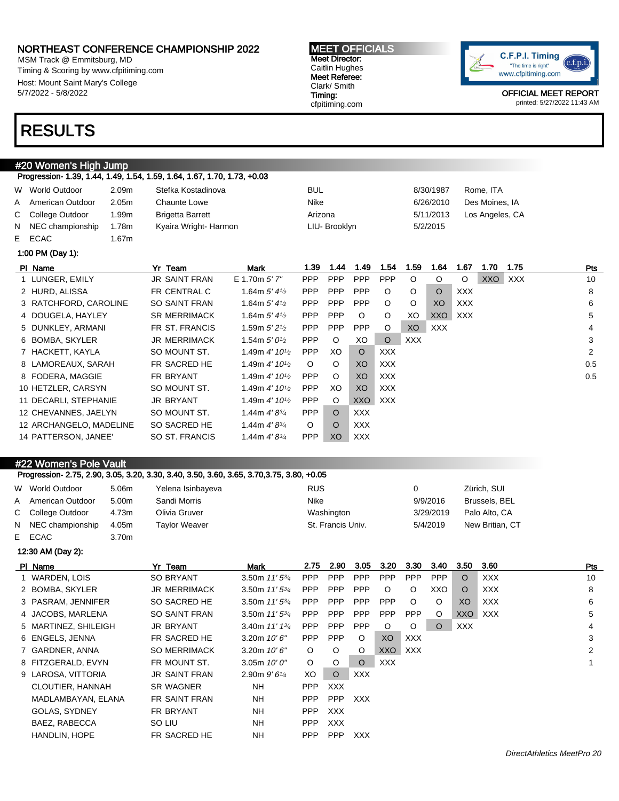MSM Track @ Emmitsburg, MD Timing & Scoring by www.cfpitiming.com Host: Mount Saint Mary's College 5/7/2022 - 5/8/2022

## RESULTS

#20 Women's High Jump

#### MEET OFFICIALS Meet Director: Caitlin Hughes Meet Referee: Clark/ Smith Timing:

cfpitiming.com



OFFICIAL MEET REPORT printed: 5/27/2022 11:43 AM

| Progression- 1.39, 1.44, 1.49, 1.54, 1.59, 1.64, 1.67, 1.70, 1.73, +0.03 |                   |                         |               |           |                 |  |  |  |  |  |  |
|--------------------------------------------------------------------------|-------------------|-------------------------|---------------|-----------|-----------------|--|--|--|--|--|--|
| W World Outdoor                                                          | 2.09 <sub>m</sub> | Stefka Kostadinova      | <b>BUL</b>    | 8/30/1987 | Rome, ITA       |  |  |  |  |  |  |
| A American Outdoor                                                       | 2.05 <sub>m</sub> | Chaunte Lowe            | Nike          | 6/26/2010 | Des Moines, IA  |  |  |  |  |  |  |
| C College Outdoor                                                        | 1.99m             | <b>Brigetta Barrett</b> | Arizona       | 5/11/2013 | Los Angeles, CA |  |  |  |  |  |  |
| N NEC championship                                                       | 1.78m             | Kyaira Wright-Harmon    | LIU- Brooklyn | 5/2/2015  |                 |  |  |  |  |  |  |
| E ECAC                                                                   | 1.67m             |                         |               |           |                 |  |  |  |  |  |  |

1:00 PM (Day 1):

| PI Name                 | Yr Team              | <b>Mark</b>                               | 1.39       | .44        | 1.49       | 1.54       | 1.59       | 1.64           | 1.67       | 1.70       | 1.75 | Pts |
|-------------------------|----------------------|-------------------------------------------|------------|------------|------------|------------|------------|----------------|------------|------------|------|-----|
| 1 LUNGER, EMILY         | <b>JR SAINT FRAN</b> | E 1.70m 5' 7"                             | <b>PPP</b> | <b>PPP</b> | <b>PPP</b> | <b>PPP</b> | $\circ$    | O              | O          | <b>XXO</b> | XXX  | 10  |
| 2 HURD, ALISSA          | FR CENTRAL C         | 1.64m $5'$ 4 $\frac{1}{2}$                | <b>PPP</b> | <b>PPP</b> | <b>PPP</b> | $\circ$    | $\circ$    | $\circ$        | XXX.       |            |      | 8   |
| 3 RATCHFORD, CAROLINE   | <b>SO SAINT FRAN</b> | 1.64m $5'$ 4 $\frac{1}{2}$                | <b>PPP</b> | <b>PPP</b> | <b>PPP</b> | $\circ$    | $\circ$    | X <sub>O</sub> | <b>XXX</b> |            |      | 6   |
| 4 DOUGELA, HAYLEY       | <b>SR MERRIMACK</b>  | 1.64m $5'$ 4 $\frac{1}{2}$                | <b>PPP</b> | <b>PPP</b> | $\circ$    | $\circ$    | XO         | XXO            | XXX        |            |      | 5   |
| 5 DUNKLEY, ARMANI       | FR ST. FRANCIS       | 1.59m $5'2'$                              | <b>PPP</b> | <b>PPP</b> | <b>PPP</b> | $\circ$    | XO         | <b>XXX</b>     |            |            |      | 4   |
| 6 BOMBA, SKYLER         | <b>JR MERRIMACK</b>  | 1.54m $5'0\frac{1}{2}$                    | <b>PPP</b> | $\circ$    | XO         | $\circ$    | <b>XXX</b> |                |            |            |      | 3   |
| 7 HACKETT, KAYLA        | SO MOUNT ST.         | 1.49m 4' $10\frac{1}{2}$                  | <b>PPP</b> | XO.        | $\circ$    | <b>XXX</b> |            |                |            |            |      | 2   |
| 8 LAMOREAUX, SARAH      | FR SACRED HE         | 1.49m $4'$ 10 <sup>1/2</sup>              | $\circ$    | $\circ$    | XO         | XXX        |            |                |            |            |      | 0.5 |
| 8 FODERA, MAGGIE        | FR BRYANT            | 1.49m $4'$ 10 <sup>1/2</sup>              | <b>PPP</b> | $\circ$    | XO         | XXX        |            |                |            |            |      | 0.5 |
| 10 HETZLER, CARSYN      | SO MOUNT ST.         | 1.49m $4'$ 10 <sup>1</sup> / <sub>2</sub> | <b>PPP</b> | XO.        | XO         | <b>XXX</b> |            |                |            |            |      |     |
| 11 DECARLI, STEPHANIE   | <b>JR BRYANT</b>     | 1.49m $4'$ 10 <sup>1/2</sup>              | <b>PPP</b> | $\circ$    | <b>XXO</b> | <b>XXX</b> |            |                |            |            |      |     |
| 12 CHEVANNES, JAELYN    | SO MOUNT ST.         | 1.44m $4'8^{3/4}$                         | <b>PPP</b> | $\circ$    | <b>XXX</b> |            |            |                |            |            |      |     |
| 12 ARCHANGELO, MADELINE | SO SACRED HE         | 1.44m $4'8^{3/4}$                         | $\circ$    | $\circ$    | <b>XXX</b> |            |            |                |            |            |      |     |
| 14 PATTERSON, JANEE'    | SO ST. FRANCIS       | 1.44m $4'8^{3/4}$                         | <b>PPP</b> | XO         | <b>XXX</b> |            |            |                |            |            |      |     |

### #22 Women's Pole Vault

|   |                                 |       | Progression- 2.75, 2.90, 3.05, 3.20, 3.30, 3.40, 3.50, 3.60, 3.65, 3.70, 3.75, 3.80, +0.05 |                                                  |            |                   |             |            |            |            |           |                 |     |
|---|---------------------------------|-------|--------------------------------------------------------------------------------------------|--------------------------------------------------|------------|-------------------|-------------|------------|------------|------------|-----------|-----------------|-----|
|   | W World Outdoor                 | 5.06m | Yelena Isinbayeva                                                                          |                                                  | <b>RUS</b> |                   |             |            | 0          |            |           | Zürich, SUI     |     |
| A | American Outdoor                | 5.00m | Sandi Morris                                                                               |                                                  | Nike       |                   |             |            |            | 9/9/2016   |           | Brussels, BEL   |     |
|   | C College Outdoor               | 4.73m | Olivia Gruver                                                                              |                                                  |            | Washington        |             |            |            | 3/29/2019  |           | Palo Alto, CA   |     |
|   | N NEC championship              | 4.05m | Taylor Weaver                                                                              |                                                  |            | St. Francis Univ. |             |            |            | 5/4/2019   |           | New Britian, CT |     |
|   | E ECAC                          | 3.70m |                                                                                            |                                                  |            |                   |             |            |            |            |           |                 |     |
|   | 12:30 AM (Day 2):               |       |                                                                                            |                                                  |            |                   |             |            |            |            |           |                 |     |
|   | PI Name                         |       | Yr Team                                                                                    | Mark                                             | 2.75       | 2.90              | 3.05        | 3.20       | 3.30       | 3.40       | 3.50      | 3.60            | Pts |
|   | WARDEN, LOIS                    |       | <b>SO BRYANT</b>                                                                           | 3.50m $11'5^{3/4}$                               | <b>PPP</b> | <b>PPP</b>        | <b>PPP</b>  | <b>PPP</b> | <b>PPP</b> | <b>PPP</b> | $\Omega$  | <b>XXX</b>      | 10  |
|   | 2 BOMBA, SKYLER                 |       | <b>JR MERRIMACK</b>                                                                        | 3.50m $11'5^{3}/4$                               | <b>PPP</b> | <b>PPP</b>        | <b>PPP</b>  | O          |            | XXO        | O         | <b>XXX</b>      | 8   |
|   | - - - - - - - - - - - - - - - - |       | $\sim$ $\sim$ $\sim$ $\sim$ $\sim$ $\sim$ $\sim$ $\sim$                                    | $\sim$ $\sim$ $\sim$ $\sim$ $\sim$ $\sim$ $\sim$ |            |                   | --- --- --- | ---        | $\sim$     | $\sim$     | $\lambda$ | 1.1111          |     |

| 3 PASRAM, JENNIFER   | SO SACRED HE         | 3.50m $11'5^{3/4}$ | <b>PPP</b> | <b>PPP</b> | <b>PPP</b> | <b>PPP</b> | $\circ$    | $\circ$ | XO         | <b>XXX</b> | 6 |
|----------------------|----------------------|--------------------|------------|------------|------------|------------|------------|---------|------------|------------|---|
| 4 JACOBS, MARLENA    | <b>SO SAINT FRAN</b> | 3.50m $11'5^{3/4}$ | <b>PPP</b> | <b>PPP</b> | <b>PPP</b> | <b>PPP</b> | <b>PPP</b> | $\circ$ | XXO        | XXX        | 5 |
| 5 MARTINEZ, SHILEIGH | JR BRYANT            | 3.40m $11'$ $13'$  | <b>PPP</b> | <b>PPP</b> | <b>PPP</b> | $\circ$    | O          | $\circ$ | <b>XXX</b> |            | 4 |
| 6 ENGELS, JENNA      | FR SACRED HE         | 3.20m $10'6''$     | <b>PPP</b> | <b>PPP</b> | $\circ$    | XO         | <b>XXX</b> |         |            |            | 3 |
| 7 GARDNER, ANNA      | <b>SO MERRIMACK</b>  | 3.20m $10'6''$     | $\circ$    | $\circ$    | $\circ$    | XXO        | <b>XXX</b> |         |            |            | 2 |
| 8 FITZGERALD, EVYN   | FR MOUNT ST.         | $3.05m$ 10' 0"     | $\circ$    | $\circ$    | $\circ$    | XXX        |            |         |            |            |   |
| 9 LAROSA, VITTORIA   | <b>JR SAINT FRAN</b> | 2.90m $9'6^{1/4}$  | XO.        | $\circ$    | XXX        |            |            |         |            |            |   |
| CLOUTIER, HANNAH     | <b>SR WAGNER</b>     | NH.                | <b>PPP</b> | <b>XXX</b> |            |            |            |         |            |            |   |
| MADLAMBAYAN, ELANA   | <b>FR SAINT FRAN</b> | <b>NH</b>          | <b>PPP</b> | <b>PPP</b> | XXX        |            |            |         |            |            |   |
| <b>GOLAS, SYDNEY</b> | FR BRYANT            | <b>NH</b>          | <b>PPP</b> | <b>XXX</b> |            |            |            |         |            |            |   |
| BAEZ, RABECCA        | SO LIU               | <b>NH</b>          | <b>PPP</b> | <b>XXX</b> |            |            |            |         |            |            |   |
| HANDLIN, HOPE        | FR SACRED HE         | <b>NH</b>          | <b>PPP</b> | <b>PPP</b> | <b>XXX</b> |            |            |         |            |            |   |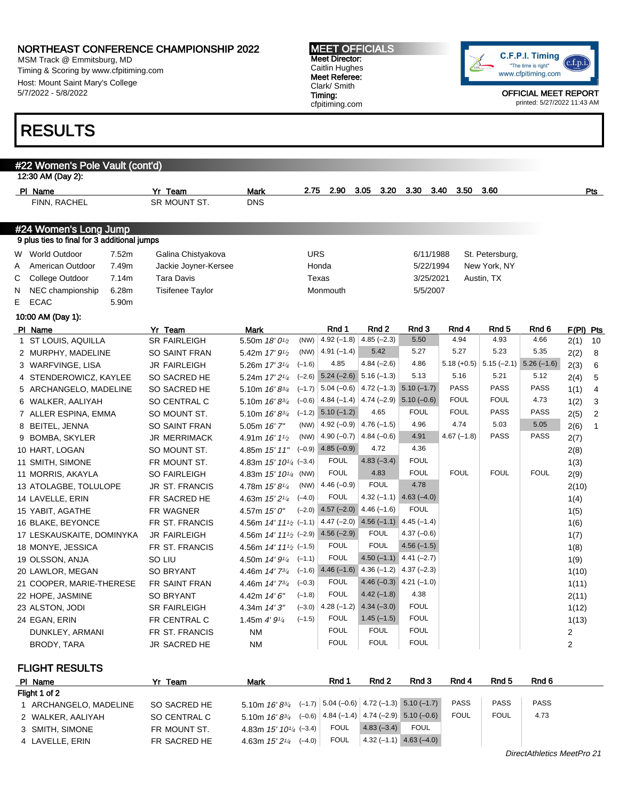MSM Track @ Emmitsburg, MD Timing & Scoring by www.cfpitiming.com Host: Mount Saint Mary's College 5/7/2022 - 5/8/2022

#### #22 Women's Pole Vault (cont'd) 12:30 AM (Day 2): Pl Name Yr Team Mark 2.75 2.90 3.05 3.20 3.30 3.40 3.50 3.60 Pts FINN, RACHEL SR MOUNT ST. DNS #24 Women's Long Jump 9 plus ties to final for 3 additional jumps W World Outdoor 2.52m Galina Chistyakova CHO URS CHO 6/11/1988 St. Petersburg, A American Outdoor 7.49m Jackie Joyner-Kersee Honda Honda 5/22/1994 New York, NY C College Outdoor 7.14m Tara Davis Texas Texas 3/25/2021 Austin, TX N NEC championship 6.28m Tisifenee Taylor Monmouth Monmouth 5/5/2007 E ECAC 5.90m 10:00 AM (Day 1): PIName Yr Team Mark Rnd 1 Rnd 2 Rnd 3 Rnd 4 Rnd 5 Rnd 6 F(Pl) Pts 1 ST LOUIS, AQUILLA SR FAIRLEIGH 5.50m  $18'0^{1/2}$ (NW)  $\begin{array}{|l} 4.92 \, (-1.8) \, | \, 4.85 \, (-2.3) \qquad 5.50 \qquad \qquad 4.94 \qquad \qquad 4.93 \qquad \qquad 4.66 \qquad \qquad 2(1) \quad 10 \end{array}$ 2 MURPHY, MADELINE SO SAINT FRAN 5.42m 17' 9<sup>1</sup>/2 (NW)  $\begin{array}{|l|c|c|c|c|c|c|c|} \hline \end{array}$  (NW)  $\begin{array}{|l|c|c|c|c|c|c|} \hline \end{array}$  4.91 (–1.4) 5.42 5.27 5.27 5.23 5.35 2(2) 8 3 WARFVINGE, LISA JR FAIRLEIGH 5.26m 17' 3<sup>1/4</sup>  $(-1.6)$  4.85 4.84 (-2.6) 4.86 5.18 (+0.5) 5.15 (-2.1) 5.26 (-1.6) 2(3) 6 4 STENDEROWICZ, KAYLEE SO SACRED HE 5.24m 17' 21/<sup>4</sup>  $(-2.6)$  5.24  $(-2.6)$  5.16  $(-1.3)$  5.13 5.16 5.21 5.12 2(4) 5 5 ARCHANGELO, MADELINE SO SACRED HE 5.10m 16' 83/4  $(-1.7)$  5.04 (-0.6) 4.72 (-1.3) 5.10 (-1.7) PASS PASS PASS 1(1) 4 6 WALKER, AALIYAH SO CENTRAL C 5.10m 16' 83/4  $(-0.6)$  4.84 (-1.4) 4.74 (-2.9) 5.10 (-0.6) FOUL FOUL 4.73 1(2) 3 7 ALLER ESPINA, EMMA SO MOUNT ST. 5.10m 16'83/4  $(-1.2)$  5.10  $(-1.2)$  4.65 FOUL FOUL PASS PASS 2(5) 2 8 BEITEL, JENNA SO SAINT FRAN 5.05m 16' 7" (NW)  $\begin{array}{|l} 4.92 \begin{pmatrix} -0.9 \end{pmatrix} \end{array}$   $\begin{array}{|l} 4.76 \begin{pmatrix} -1.5 \end{pmatrix}$   $\begin{array}{|l} 4.96 \end{array}$   $\begin{array}{|l} 4.74 \end{array}$   $\begin{array}{|l} 5.03 \end{array}$   $\begin{array}{|l} 5.05 \end{array}$   $\begin{array}{|l} 2(6) \end{array}$  1 9 BOMBA, SKYLER JR MERRIMACK 4.91m 16' 1<sup>1/2</sup>  $(NW)$  4.90 (-0.7) 4.84 (-0.6) 4.91 4.67 (-1.8) PASS PASS 2(7) 10 HART, LOGAN SO MOUNT ST. 4.85m 15' 11"  $(-0.9)$  4.85  $(-0.9)$  4.72 4.36 2(8) 11 SMITH, SIMONE FR MOUNT ST. 4.83m 15' 10<sup>1</sup>/4 (-3.4)  $(-3.4)$  FOUL 4.83  $(-3.4)$  FOUL 1(3) 11 MORRIS, AKAYLA SO FAIRLEIGH 4.83m 15' 10<sup>1/4</sup> (NW)  $(NW)$  FOUL 4.83 FOUL FOUL FOUL FOUL 2(9) 13 ATOLAGBE, TOLULOPE JR ST. FRANCIS 4.78m 15' 81/<sup>4</sup>  $(NW)$  4.46 (-0.9) FOUL 4.78 2(10) 14 LAVELLE, ERIN FR SACRED HE 4.63m 15' 2<sup>1/4</sup>  $(-4.0)$  FOUL  $4.32$  (-1.1)  $4.63$  (-4.0) 1(4) 15 YABIT, AGATHE FR WAGNER 4.57m 15' 0"  $(-2.0)$  4.57  $(-2.0)$  4.46  $(-1.6)$  FOUL 1(5) 16 BLAKE, BEYONCE FR ST. FRANCIS 4.56m 14' 11<sup>1</sup>/2 (-1.1)  $(4.47 \, (-2.0) \, 4.56 \, (-1.1) \, 4.45 \, (-1.4) \tag{6}$ 17 LESKAUSKAITE, DOMINYKA JR FAIRLEIGH 4.56m 14' 111/2 (-2.9)  $(-2.9)$  4.56  $(-2.9)$  FOUL 4.37  $(-0.6)$  1(7) 18 MONYE, JESSICA FR ST. FRANCIS 4.56m 14' 11<sup>1</sup>/2 (-1.5) FOUL FOUL 4.56 (-1.5) 1(8) 19 OLSSON, ANJA SO LIU 4.50m 14' 9<sup>1</sup>/<sub>4</sub> (-1.1) FOUL  $4.50 (-1.1)$   $4.41 (-2.7)$   $1(9)$ 20 LAWLOR, MEGAN SO BRYANT 4.46m 14' 73/4  $(-1.6)$  4.46  $(-1.6)$  4.36  $(-1.2)$  4.37  $(-2.3)$  1(10) 21 COOPER, MARIE-THERESE FR SAINT FRAN 4.46m 14' 73/4  $(-0.3)$  FOUL 4.46 (-0.3) 4.21 (-1.0) 1(11) 22 HOPE, JASMINE SO BRYANT 4.42m 14' 6"  $(-1.8)$  FOUL 4.42 (-1.8) 4.38 2(11) 23 ALSTON, JODI SR FAIRLEIGH 4.34m 14' 3"  $(-3.0)$  4.28 (-1.2) 4.34 (-3.0) FOUL 1(12) 24 EGAN, ERIN FR CENTRAL C 1.45m 4' 9<sup>1</sup>/<sub>4</sub>  $(-1.5)$  FOUL 1.45 (-1.5) FOUL 1.49 DUNKLEY, ARMANI FR ST. FRANCIS NM FOUL FOUL FOUL 2 BRODY, TARA JR SACRED HE NM FOUL FOUL FOUL 2 FLIGHT RESULTS Pl Name Yr Team Mark Rnd 1 Rnd 2 Rnd 3 Rnd 4 Rnd 5 Rnd 6 cfpitiming.com printed: 5/27/2022 11:43 AM RESULTS

| סוווגסויו ו            | 11 I CAIII   | war                                                            | .    | .            | .                                            | .           | .           | .           |
|------------------------|--------------|----------------------------------------------------------------|------|--------------|----------------------------------------------|-------------|-------------|-------------|
| Flight 1 of 2          |              |                                                                |      |              |                                              |             |             |             |
| 1 ARCHANGELO, MADELINE | SO SACRED HE | 5.10m $16' 8^{3/4}$ (-1.7) 5.04 (-0.6) 4.72 (-1.3) 5.10 (-1.7) |      |              |                                              | <b>PASS</b> | <b>PASS</b> | <b>PASS</b> |
| 2 WALKER, AALIYAH      | SO CENTRAL C | 5.10m $16' 8^{3/4}$                                            |      |              | $(-0.6)$ 4.84 (-1.4) 4.74 (-2.9) 5.10 (-0.6) | <b>FOUL</b> | <b>FOUL</b> | 4.73        |
| 3 SMITH, SIMONE        | FR MOUNT ST. | 4.83m $15'$ $10^{1/4}$ $(-3.4)$                                | FOUL | $4.83(-3.4)$ | FOUL                                         |             |             |             |
| 4 LAVELLE, ERIN        | FR SACRED HE | $(-4.0)$<br>4.63m <i>15' 2<sup>1/4</sup></i>                   | FOUL | $4.32(-1.1)$ | $4.63(-4.0)$                                 |             |             |             |



OFFICIAL MEET REPORT

#### MEET OFFICIALS Meet Director: Caitlin Hughes Meet Referee: Clark/ Smith Timing: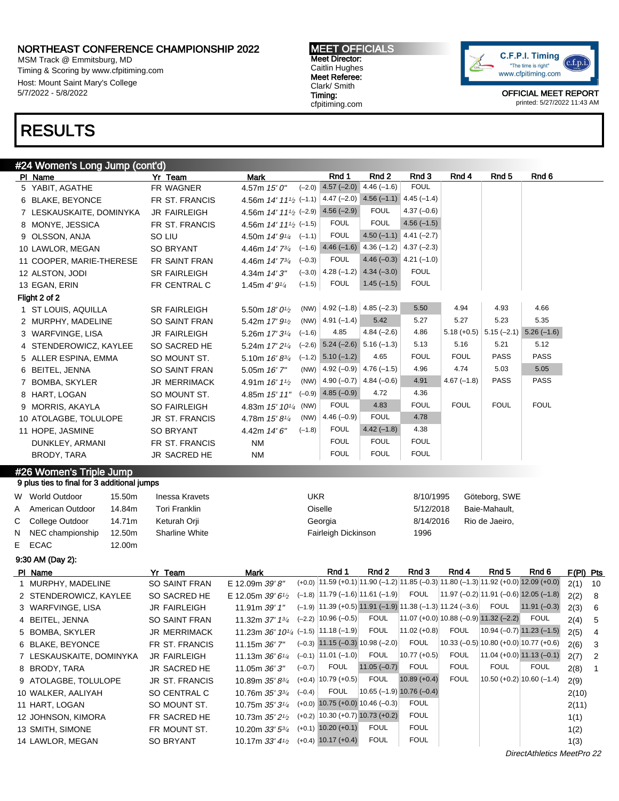MSM Track @ Emmitsburg, MD Timing & Scoring by www.cfpitiming.com Host: Mount Saint Mary's College 5/7/2022 - 5/8/2022

#### MEET OFFICIALS Meet Director: Caitlin Hughes Meet Referee: Clark/ Smith Timing: cfpitiming.com



OFFICIAL MEET REPORT printed: 5/27/2022 11:43 AM

## RESULTS

### #24 Women's Long Jump (cont'd)

| PI Name                                     | Yr Team               | <b>Mark</b>                                                                             | Rnd 1                                  | Rnd 2                                                        | Rnd 3                                      | Rnd 4        | Rnd <sub>5</sub>                             | Rnd 6                                                                                  |                        |
|---------------------------------------------|-----------------------|-----------------------------------------------------------------------------------------|----------------------------------------|--------------------------------------------------------------|--------------------------------------------|--------------|----------------------------------------------|----------------------------------------------------------------------------------------|------------------------|
| 5 YABIT, AGATHE                             | FR WAGNER             | 4.57m 15' 0"<br>$(-2.0)$                                                                | $4.57(-2.0)$                           | $4.46(-1.6)$                                                 | <b>FOUL</b>                                |              |                                              |                                                                                        |                        |
| 6 BLAKE, BEYONCE                            | FR ST. FRANCIS        | 4.56m $14'$ $11'$ <sup>2</sup> $(-1.1)$ $4.47$ $(-2.0)$ $4.56$ $(-1.1)$ $4.45$ $(-1.4)$ |                                        |                                                              |                                            |              |                                              |                                                                                        |                        |
| 7 LESKAUSKAITE, DOMINYKA                    | JR FAIRLEIGH          | 4.56m $14'$ $11'_{2}$ (-2.9) 4.56 (-2.9)                                                |                                        | <b>FOUL</b>                                                  | $4.37(-0.6)$                               |              |                                              |                                                                                        |                        |
| 8 MONYE, JESSICA                            | <b>FR ST. FRANCIS</b> | 4.56m $14'$ $11'$ <sub>2</sub> $(-1.5)$                                                 | <b>FOUL</b>                            | <b>FOUL</b>                                                  | $4.56(-1.5)$                               |              |                                              |                                                                                        |                        |
| 9 OLSSON, ANJA                              | SO LIU                | 4.50m 14' 91/4<br>$(-1.1)$                                                              | <b>FOUL</b>                            |                                                              | 4.50 $(-1.1)$ 4.41 $(-2.7)$                |              |                                              |                                                                                        |                        |
| 10 LAWLOR, MEGAN                            | <b>SO BRYANT</b>      | 4.46m 14' 73/4                                                                          |                                        | $(-1.6)$ 4.46 $(-1.6)$ 4.36 $(-1.2)$ 4.37 $(-2.3)$           |                                            |              |                                              |                                                                                        |                        |
| 11 COOPER, MARIE-THERESE                    | FR SAINT FRAN         | $(-0.3)$<br>4.46m 14' 73/4                                                              | <b>FOUL</b>                            |                                                              | 4.46 $(-0.3)$ 4.21 $(-1.0)$                |              |                                              |                                                                                        |                        |
| 12 ALSTON, JODI                             | <b>SR FAIRLEIGH</b>   | 4.34m 14' 3"                                                                            | $(-3.0)$ 4.28 $(-1.2)$ 4.34 $(-3.0)$   |                                                              | <b>FOUL</b>                                |              |                                              |                                                                                        |                        |
| 13 EGAN, ERIN                               | FR CENTRAL C          | $(-1.5)$<br>1.45m $4'9\frac{1}{4}$                                                      | <b>FOUL</b>                            | $1.45(-1.5)$                                                 | <b>FOUL</b>                                |              |                                              |                                                                                        |                        |
| Flight 2 of 2                               |                       |                                                                                         |                                        |                                                              |                                            |              |                                              |                                                                                        |                        |
| 1 ST LOUIS, AQUILLA                         | <b>SR FAIRLEIGH</b>   | 5.50m 18' 0 <sup>1</sup> / <sub>2</sub>                                                 | (NW) $ 4.92(-1.8) 4.85(-2.3)$          |                                                              | 5.50                                       | 4.94         | 4.93                                         | 4.66                                                                                   |                        |
| 2 MURPHY, MADELINE                          | <b>SO SAINT FRAN</b>  | 5.42m $17'$ $9\frac{1}{2}$                                                              | (NW) $ 4.91(-1.4)$                     | 5.42                                                         | 5.27                                       | 5.27         | 5.23                                         | 5.35                                                                                   |                        |
| 3 WARFVINGE, LISA                           | <b>JR FAIRLEIGH</b>   | $(-1.6)$<br>5.26m 17' 31/4                                                              | 4.85                                   | $4.84(-2.6)$                                                 | 4.86                                       |              |                                              | $5.18 (+0.5)$ $5.15 (-2.1)$ $5.26 (-1.6)$                                              |                        |
| 4 STENDEROWICZ, KAYLEE                      | SO SACRED HE          | 5.24m 17' 2 <sup>1/4</sup>                                                              | $(-2.6)$ 5.24 $(-2.6)$ 5.16 $(-1.3)$   |                                                              | 5.13                                       | 5.16         | 5.21                                         | 5.12                                                                                   |                        |
| 5 ALLER ESPINA, EMMA                        | SO MOUNT ST.          | 5.10m 16' 83/4                                                                          | $(-1.2)$ 5.10 $(-1.2)$                 | 4.65                                                         | <b>FOUL</b>                                | <b>FOUL</b>  | <b>PASS</b>                                  | <b>PASS</b>                                                                            |                        |
| 6 BEITEL, JENNA                             | SO SAINT FRAN         | (NW)<br>5.05m 16' 7"                                                                    | $4.92 (-0.9) 4.76 (-1.5)$              |                                                              | 4.96                                       | 4.74         | 5.03                                         | 5.05                                                                                   |                        |
| 7 BOMBA, SKYLER                             | <b>JR MERRIMACK</b>   | 4.91m $16'1^{1/2}$                                                                      | (NW) $ 4.90(-0.7) 4.84(-0.6)$          |                                                              | 4.91                                       | $4.67(-1.8)$ | <b>PASS</b>                                  | <b>PASS</b>                                                                            |                        |
| 8 HART, LOGAN                               | SO MOUNT ST.          | 4.85m 15' 11"                                                                           | $(-0.9)$ 4.85 $(-0.9)$                 | 4.72                                                         | 4.36                                       |              |                                              |                                                                                        |                        |
| 9 MORRIS, AKAYLA                            | SO FAIRLEIGH          | 4.83m 15' 101/4 (NW)                                                                    | <b>FOUL</b>                            | 4.83                                                         | <b>FOUL</b>                                | <b>FOUL</b>  | <b>FOUL</b>                                  | <b>FOUL</b>                                                                            |                        |
| 10 ATOLAGBE, TOLULOPE                       | <b>JR ST. FRANCIS</b> | (NW)<br>4.78m 15' 81/4                                                                  | $4.46(-0.9)$                           | <b>FOUL</b>                                                  | 4.78                                       |              |                                              |                                                                                        |                        |
| 11 HOPE, JASMINE                            | <b>SO BRYANT</b>      | $(-1.8)$<br>4.42m 14' 6"                                                                | <b>FOUL</b>                            | $4.42(-1.8)$                                                 | 4.38                                       |              |                                              |                                                                                        |                        |
| DUNKLEY, ARMANI                             | FR ST. FRANCIS        | <b>NM</b>                                                                               | <b>FOUL</b>                            | <b>FOUL</b>                                                  | <b>FOUL</b>                                |              |                                              |                                                                                        |                        |
|                                             |                       |                                                                                         | <b>FOUL</b>                            | <b>FOUL</b>                                                  | <b>FOUL</b>                                |              |                                              |                                                                                        |                        |
|                                             |                       |                                                                                         |                                        |                                                              |                                            |              |                                              |                                                                                        |                        |
| BRODY, TARA                                 | JR SACRED HE          | <b>NM</b>                                                                               |                                        |                                                              |                                            |              |                                              |                                                                                        |                        |
| #26 Women's Triple Jump                     |                       |                                                                                         |                                        |                                                              |                                            |              |                                              |                                                                                        |                        |
| 9 plus ties to final for 3 additional jumps |                       |                                                                                         |                                        |                                                              |                                            |              |                                              |                                                                                        |                        |
| W World Outdoor<br>15.50m                   | <b>Inessa Kravets</b> | <b>UKR</b>                                                                              |                                        |                                                              | 8/10/1995                                  |              | Göteborg, SWE                                |                                                                                        |                        |
| American Outdoor<br>14.84m<br>A             | <b>Tori Franklin</b>  |                                                                                         | Oiselle                                |                                                              | 5/12/2018                                  |              | Baie-Mahault,                                |                                                                                        |                        |
| С<br>College Outdoor<br>14.71m              | Keturah Orji          |                                                                                         | Georgia                                |                                                              | 8/14/2016                                  |              | Rio de Jaeiro,                               |                                                                                        |                        |
| NEC championship<br>12.50m<br>N             | <b>Sharline White</b> |                                                                                         | Fairleigh Dickinson                    |                                                              | 1996                                       |              |                                              |                                                                                        |                        |
| E.<br><b>ECAC</b><br>12.00m                 |                       |                                                                                         |                                        |                                                              |                                            |              |                                              |                                                                                        |                        |
| 9:30 AM (Day 2):                            |                       |                                                                                         |                                        |                                                              |                                            |              |                                              |                                                                                        |                        |
| PI Name                                     | Yr Team               | <b>Mark</b>                                                                             | Rnd 1                                  | Rnd 2                                                        | Rnd 3                                      | Rnd 4        | Rnd 5                                        | Rnd 6                                                                                  | F(PI) Pts              |
| 1 MURPHY, MADELINE                          | SO SAINT FRAN         | E 12.09m 39' 8"                                                                         |                                        |                                                              |                                            |              |                                              | $(+0.0)$ 11.59 (+0.1) 11.90 (-1.2) 11.85 (-0.3) 11.80 (-1.3) 11.92 (+0.0) 12.09 (+0.0) | 2(1)<br>10             |
| 2 STENDEROWICZ, KAYLEE                      | SO SACRED HE          | E 12.05m 39' $6\frac{1}{2}$                                                             | $(-1.8)$ 11.79 $(-1.6)$ 11.61 $(-1.9)$ |                                                              | <b>FOUL</b>                                |              | $ 11.97(-0.2) 11.91(-0.6) 12.05(-1.8) $      |                                                                                        | 2(2)<br>8              |
| 3 WARFVINGE, LISA                           | <b>JR FAIRLEIGH</b>   | 11.91m 39' 1"                                                                           |                                        | $(-1.9)$ 11.39 (+0.5) 11.91 (-1.9) 11.38 (-1.3) 11.24 (-3.6) |                                            |              | <b>FOUL</b>                                  | $11.91 (-0.3)$                                                                         | 2(3)<br>6              |
| 4 BEITEL, JENNA                             | <b>SO SAINT FRAN</b>  | 11.32m 37' 1 <sup>3/4</sup>                                                             | $(-2.2)$ 10.96 $(-0.5)$                | <b>FOUL</b>                                                  | $ 11.07 (+0.0) 10.88 (-0.9) 11.32 (-2.2) $ |              |                                              | <b>FOUL</b>                                                                            | 5<br>2(4)              |
| 5 BOMBA, SKYLER                             | <b>JR MERRIMACK</b>   | 11.23m $36'$ $10^{1/4}$ (-1.5) 11.18 (-1.9)                                             |                                        | <b>FOUL</b>                                                  | $11.02 (+0.8)$                             | <b>FOUL</b>  | $10.94 (-0.7) 11.23 (-1.5)$                  |                                                                                        | 2(5)<br>4              |
| 6 BLAKE, BEYONCE                            | FR ST. FRANCIS        | 11.15m 36'7"                                                                            | $(-0.3)$ 11.15 $(-0.3)$ 10.98 $(-2.0)$ |                                                              | <b>FOUL</b>                                |              | 10.33 $(-0.5)$ 10.80 $(+0.0)$ 10.77 $(+0.6)$ |                                                                                        | 2(6)<br>3              |
| 7 LESKAUSKAITE, DOMINYKA                    | <b>JR FAIRLEIGH</b>   | 11.13m $36'6'4$                                                                         | $(-0.1)$ 11.01 $(-1.0)$                | <b>FOUL</b>                                                  | $10.77 (+0.5)$                             | <b>FOUL</b>  | $11.04 (+0.0) 11.13 (-0.1)$                  |                                                                                        | $\overline{c}$<br>2(7) |
| 8 BRODY, TARA                               | JR SACRED HE          | $(-0.7)$<br>11.05m 36'3"                                                                | <b>FOUL</b>                            | $11.05(-0.7)$                                                | <b>FOUL</b>                                | <b>FOUL</b>  | <b>FOUL</b>                                  | <b>FOUL</b>                                                                            | 2(8)<br>$\mathbf{1}$   |
| 9 ATOLAGBE, TOLULOPE                        | JR ST. FRANCIS        | 10.89m 35' 83/4                                                                         | $(+0.4)$ 10.79 $(+0.5)$                | <b>FOUL</b>                                                  | $10.89 (+0.4)$                             | <b>FOUL</b>  | $10.50 (+0.2) 10.60 (-1.4)$                  |                                                                                        | 2(9)                   |
| 10 WALKER, AALIYAH                          | SO CENTRAL C          | $(-0.4)$<br>10.76m 35' 3 <sup>3/4</sup>                                                 | <b>FOUL</b>                            | $10.65$ (-1.9) $10.76$ (-0.4)                                |                                            |              |                                              |                                                                                        | 2(10)                  |
| 11 HART, LOGAN                              | SO MOUNT ST.          | 10.75m 35' 31/4                                                                         | $(+0.0)$ 10.75 $(+0.0)$ 10.46 $(-0.3)$ |                                                              | <b>FOUL</b>                                |              |                                              |                                                                                        |                        |
| 12 JOHNSON, KIMORA                          | FR SACRED HE          | 10.73m 35' 2 <sup>1</sup> / <sub>2</sub>                                                | $(+0.2)$ 10.30 $(+0.7)$ 10.73 $(+0.2)$ |                                                              | <b>FOUL</b>                                |              |                                              |                                                                                        | 2(11)                  |
| 13 SMITH, SIMONE                            | FR MOUNT ST.          | 10.20m 33' 5 <sup>3/4</sup>                                                             | $(+0.1)$ 10.20 $(+0.1)$                | <b>FOUL</b>                                                  | <b>FOUL</b>                                |              |                                              |                                                                                        | 1(1)<br>1(2)           |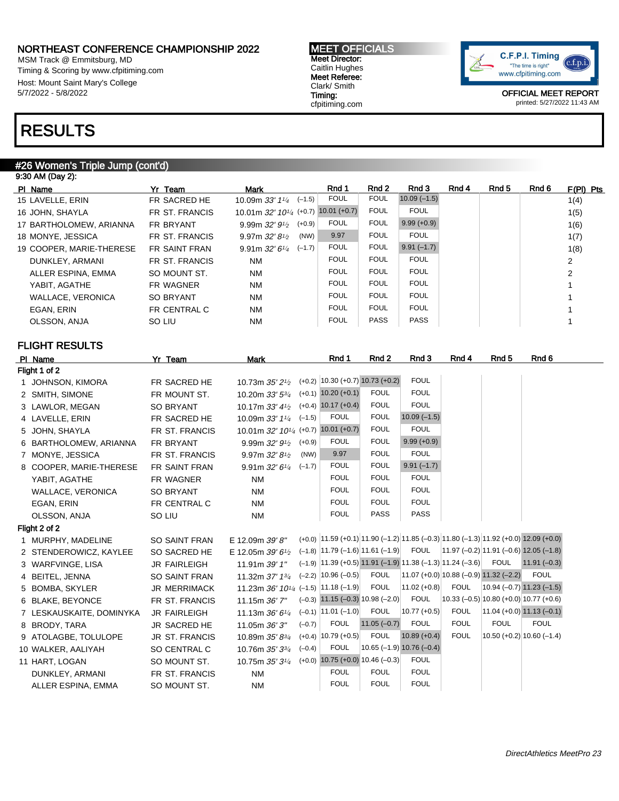MSM Track @ Emmitsburg, MD Timing & Scoring by www.cfpitiming.com Host: Mount Saint Mary's College 5/7/2022 - 5/8/2022

# RESULTS

#### #26 Women's Triple Jump (cont'd)

| 9:30 AM (Day 2):         |                      |                                                       |                |             |               |       |       |       |                |
|--------------------------|----------------------|-------------------------------------------------------|----------------|-------------|---------------|-------|-------|-------|----------------|
| PI Name                  | Yr Team              | Mark                                                  | Rnd 1          | Rnd 2       | Rnd 3         | Rnd 4 | Rnd 5 | Rnd 6 | $F(PI)$ Pts    |
| 15 LAVELLE, ERIN         | FR SACRED HE         | 10.09m $33'$ $1\frac{1}{4}$ $(-1.5)$                  | <b>FOUL</b>    | <b>FOUL</b> | $10.09(-1.5)$ |       |       |       | 1(4)           |
| 16 JOHN, SHAYLA          | FR ST. FRANCIS       | 10.01m $32'$ 10 <sup>1</sup> / <sub>4</sub> (+0.7)    | $10.01 (+0.7)$ | <b>FOUL</b> | <b>FOUL</b>   |       |       |       | 1(5)           |
| 17 BARTHOLOMEW, ARIANNA  | FR BRYANT            | $(+0.9)$<br>9.99m $32'$ 9 <sup>1</sup> / <sub>2</sub> | <b>FOUL</b>    | <b>FOUL</b> | $9.99(+0.9)$  |       |       |       | 1(6)           |
| 18 MONYE, JESSICA        | FR ST. FRANCIS       | (NW)<br>9.97m $32'81/2$                               | 9.97           | <b>FOUL</b> | <b>FOUL</b>   |       |       |       | 1(7)           |
| 19 COOPER, MARIE-THERESE | <b>FR SAINT FRAN</b> | 9.91m $32'6'4$ (-1.7)                                 | <b>FOUL</b>    | <b>FOUL</b> | $9.91(-1.7)$  |       |       |       | 1(8)           |
| DUNKLEY, ARMANI          | FR ST. FRANCIS       | NM                                                    | <b>FOUL</b>    | <b>FOUL</b> | <b>FOUL</b>   |       |       |       | 2              |
| ALLER ESPINA, EMMA       | SO MOUNT ST.         | NM                                                    | <b>FOUL</b>    | <b>FOUL</b> | <b>FOUL</b>   |       |       |       | $\overline{2}$ |
| YABIT, AGATHE            | FR WAGNER            | NM                                                    | <b>FOUL</b>    | <b>FOUL</b> | <b>FOUL</b>   |       |       |       |                |
| WALLACE, VERONICA        | <b>SO BRYANT</b>     | NM                                                    | <b>FOUL</b>    | <b>FOUL</b> | <b>FOUL</b>   |       |       |       |                |
| EGAN, ERIN               | FR CENTRAL C         | <b>NM</b>                                             | <b>FOUL</b>    | <b>FOUL</b> | <b>FOUL</b>   |       |       |       |                |
| OLSSON, ANJA             | SO LIU               | NM                                                    | <b>FOUL</b>    | <b>PASS</b> | <b>PASS</b>   |       |       |       |                |
|                          |                      |                                                       |                |             |               |       |       |       |                |

### FLIGHT RESULTS

| PI Name                  | Yr Team              | <b>Mark</b>                                      |          | Rnd 1                                                        | Rnd 2         | Rnd 3                                    | Rnd 4       | Rnd <sub>5</sub> | Rnd 6                                                                                  |
|--------------------------|----------------------|--------------------------------------------------|----------|--------------------------------------------------------------|---------------|------------------------------------------|-------------|------------------|----------------------------------------------------------------------------------------|
| Flight 1 of 2            |                      |                                                  |          |                                                              |               |                                          |             |                  |                                                                                        |
| 1 JOHNSON, KIMORA        | FR SACRED HE         | 10.73m 35' 21/2                                  |          | $(+0.2)$ 10.30 $(+0.7)$ 10.73 $(+0.2)$                       |               | <b>FOUL</b>                              |             |                  |                                                                                        |
| 2 SMITH, SIMONE          | FR MOUNT ST.         | 10.20m 33' 53/4                                  |          | $(+0.1)$ 10.20 $(+0.1)$                                      | <b>FOUL</b>   | <b>FOUL</b>                              |             |                  |                                                                                        |
| 3 LAWLOR, MEGAN          | <b>SO BRYANT</b>     | 10.17m $33'4\frac{1}{2}$                         |          | $(+0.4)$ 10.17 $(+0.4)$                                      | <b>FOUL</b>   | <b>FOUL</b>                              |             |                  |                                                                                        |
| 4 LAVELLE, ERIN          | FR SACRED HE         | 10.09m 33' 11/4                                  | $(-1.5)$ | <b>FOUL</b>                                                  | <b>FOUL</b>   | $10.09(-1.5)$                            |             |                  |                                                                                        |
| 5 JOHN, SHAYLA           | FR ST. FRANCIS       | 10.01m 32' 10 <sup>1/4</sup> (+0.7) 10.01 (+0.7) |          |                                                              | <b>FOUL</b>   | <b>FOUL</b>                              |             |                  |                                                                                        |
| 6 BARTHOLOMEW, ARIANNA   | FR BRYANT            | 9.99m $32'$ $9\frac{1}{2}$                       | $(+0.9)$ | <b>FOUL</b>                                                  | <b>FOUL</b>   | $9.99 (+0.9)$                            |             |                  |                                                                                        |
| 7 MONYE, JESSICA         | FR ST. FRANCIS       | 9.97m $32'81/2$                                  | (NW)     | 9.97                                                         | <b>FOUL</b>   | <b>FOUL</b>                              |             |                  |                                                                                        |
| 8 COOPER, MARIE-THERESE  | FR SAINT FRAN        | 9.91m $32'$ 6 <sup>1/4</sup>                     | $(-1.7)$ | <b>FOUL</b>                                                  | <b>FOUL</b>   | $9.91(-1.7)$                             |             |                  |                                                                                        |
| YABIT, AGATHE            | FR WAGNER            | <b>NM</b>                                        |          | <b>FOUL</b>                                                  | <b>FOUL</b>   | <b>FOUL</b>                              |             |                  |                                                                                        |
| <b>WALLACE, VERONICA</b> | <b>SO BRYANT</b>     | <b>NM</b>                                        |          | <b>FOUL</b>                                                  | <b>FOUL</b>   | <b>FOUL</b>                              |             |                  |                                                                                        |
| EGAN, ERIN               | FR CENTRAL C         | <b>NM</b>                                        |          | <b>FOUL</b>                                                  | <b>FOUL</b>   | <b>FOUL</b>                              |             |                  |                                                                                        |
| OLSSON, ANJA             | SO LIU               | <b>NM</b>                                        |          | <b>FOUL</b>                                                  | PASS          | PASS                                     |             |                  |                                                                                        |
| Flight 2 of 2            |                      |                                                  |          |                                                              |               |                                          |             |                  |                                                                                        |
| 1 MURPHY, MADELINE       | <b>SO SAINT FRAN</b> | E 12.09m 39' 8"                                  |          |                                                              |               |                                          |             |                  | $(+0.0)$ 11.59 (+0.1) 11.90 (-1.2) 11.85 (-0.3) 11.80 (-1.3) 11.92 (+0.0) 12.09 (+0.0) |
| 2 STENDEROWICZ, KAYLEE   | SO SACRED HE         | E 12.05m 39' $6\frac{1}{2}$                      |          |                                                              |               |                                          |             |                  | $(-1.8)$ 11.79 (-1.6) 11.61 (-1.9) FOUL 11.97 (-0.2) 11.91 (-0.6) 12.05 (-1.8)         |
| 3 WARFVINGE, LISA        | <b>JR FAIRLEIGH</b>  | 11.91m 39' 1"                                    |          | $(-1.9)$ 11.39 (+0.5) 11.91 (-1.9) 11.38 (-1.3) 11.24 (-3.6) |               |                                          |             | <b>FOUL</b>      | $11.91 (-0.3)$                                                                         |
| 4 BEITEL, JENNA          | SO SAINT FRAN        | 11.32m 37' 13/4                                  |          | $(-2.2)$ 10.96 $(-0.5)$                                      | <b>FOUL</b>   | $11.07 (+0.0) 10.88 (-0.9) 11.32 (-2.2)$ |             |                  | <b>FOUL</b>                                                                            |
| 5 BOMBA, SKYLER          | <b>JR MERRIMACK</b>  | 11.23m 36' $10^{1/4}$ (-1.5) 11.18 (-1.9)        |          |                                                              | <b>FOUL</b>   | $11.02 (+0.8)$                           | <b>FOUL</b> |                  | $10.94 (-0.7) 11.23 (-1.5)$                                                            |
| 6 BLAKE, BEYONCE         | FR ST. FRANCIS       | 11.15m 36' 7"                                    |          | $(-0.3)$ 11.15 $(-0.3)$ 10.98 $(-2.0)$                       |               | <b>FOUL</b>                              |             |                  | $ 10.33(-0.5) 10.80(+0.0) 10.77(+0.6) $                                                |
| 7 LESKAUSKAITE, DOMINYKA | <b>JR FAIRLEIGH</b>  | 11.13m 36' 61/4                                  |          | $(-0.1)$ 11.01 $(-1.0)$                                      | <b>FOUL</b>   | $10.77 (+0.5)$                           | <b>FOUL</b> |                  | $11.04 (+0.0) 11.13 (-0.1)$                                                            |
| 8 BRODY, TARA            | <b>JR SACRED HE</b>  | 11.05m $36'3''$                                  | $(-0.7)$ | <b>FOUL</b>                                                  | $11.05(-0.7)$ | <b>FOUL</b>                              | <b>FOUL</b> | <b>FOUL</b>      | <b>FOUL</b>                                                                            |
| 9 ATOLAGBE, TOLULOPE     | JR ST. FRANCIS       | 10.89m 35' 83/4                                  |          | $(+0.4)$ 10.79 $(+0.5)$                                      | <b>FOUL</b>   | $10.89 (+0.4)$                           | <b>FOUL</b> |                  | $10.50 (+0.2) 10.60 (-1.4)$                                                            |
| 10 WALKER, AALIYAH       | SO CENTRAL C         | 10.76m 35' 33/4                                  | $(-0.4)$ | <b>FOUL</b>                                                  |               | $10.65$ (-1.9) $10.76$ (-0.4)            |             |                  |                                                                                        |
| 11 HART, LOGAN           | SO MOUNT ST.         | 10.75m 35' 31/4                                  |          | $(+0.0)$ 10.75 $(+0.0)$ 10.46 $(-0.3)$                       |               | <b>FOUL</b>                              |             |                  |                                                                                        |
| DUNKLEY, ARMANI          | FR ST. FRANCIS       | <b>NM</b>                                        |          | <b>FOUL</b>                                                  | <b>FOUL</b>   | <b>FOUL</b>                              |             |                  |                                                                                        |
| ALLER ESPINA, EMMA       | SO MOUNT ST.         | <b>NM</b>                                        |          | <b>FOUL</b>                                                  | <b>FOUL</b>   | <b>FOUL</b>                              |             |                  |                                                                                        |
|                          |                      |                                                  |          |                                                              |               |                                          |             |                  |                                                                                        |

MEET OFFICIALS Meet Director: Caitlin Hughes Meet Referee: Clark/ Smith Timing: cfpitiming.com

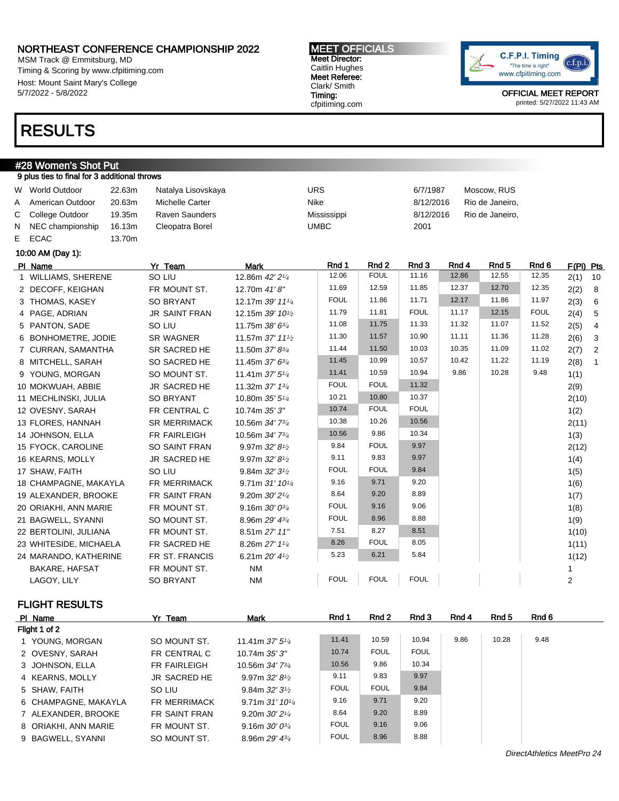MSM Track @ Emmitsburg, MD Timing & Scoring by www.cfpitiming.com Host: Mount Saint Mary's College 5/7/2022 - 5/8/2022

### RESULTS

# #28 Women's Shot Put

#### 9 plus ties to final for 3 additional throws W World Outdoor and 22.63m Natalya Lisovskaya Muscow, RUS CHA BOTT 1987 Moscow, RUS A American Outdoor 20.63m Michelle Carter Nike Nike 8/12/2016 Rio de Janeiro, C College Outdoor 19.35m Raven Saunders Mississippi 8/12/2016 Rio de Janeiro, N NEC championship 16.13m Cleopatra Borel UMBC 2001 E ECAC 13.70m 10:00 AM (Day 1): PIName Yr Team Mark Rnd 1 Rnd 2 Rnd 3 Rnd 4 Rnd 5 Rnd 6 F(Pl) Pts 1 WILLIAMS, SHERENE SO LIU 12.86m 42' 21/<sup>4</sup> 12.06 FOUL 11.16 12.86 12.55 12.35 2(1) 10 2 DECOFF, KEIGHAN FR MOUNT ST. 12.70m 41' 8" 11.69 12.59 11.85 12.37 12.70 12.35 2(2) 8 3 THOMAS, KASEY SO BRYANT 12.17m 39' 11<sup>1</sup>4 FOUL 11.86 11.71 12.17 11.86 11.97 2(3) 6 4 PAGE, ADRIAN JR SAINT FRAN 12.15m 39' 10<sup>1</sup>/2 11.79 | 11.81 | FOUL | 11.17 | 12.15 | FOUL | 2(4) | 5 5 PANTON, SADE SO LIU 11.75m 38' 6<sup>3/4</sup> 11.08 11.75 11.33 11.32 11.07 11.52 2(5) 4 6 BONHOMETRE, JODIE SR WAGNER 11.57m 37' 11<sup>1</sup>/2 11.30 11.57 10.90 11.11 11.36 11.28  $2(6)$  3 7 CURRAN, SAMANTHA SR SACRED HE 11.50m 37' 83/4 11.44 11.50 10.03 10.35 11.09 11.02 2(7) 2 8 MITCHELL, SARAH SO SACRED HE 11.45m 37' 63/4 11.45 10.99 10.57 10.42 11.22 11.19 2(8) 1 9 YOUNG, MORGAN SO MOUNT ST. 11.41m 37' 5<sup>1/4</sup> 11.41 10.59 10.94 9.86 10.28 9.48 1(1) 10 MOKWUAH, ABBIE JR SACRED HE 11.32m 37' 1<sup>3/4</sup> FOUL FOUL 11.32 **FOUL 11.32** 2(9) 11 MECHLINSKI, JULIA SO BRYANT 10.80m 35' 51/4 10.21 10.80 10.37 2(10) 12 OVESNY, SARAH FR CENTRAL C 10.74m 35' 3" 10.74 FOUL FOUL 10.74 1(2) 13 FLORES, HANNAH SR MERRIMACK 10.56m 34' 7<sup>3/4</sup> 10.38 10.26 10.56 2(11) 14 JOHNSON, ELLA FR FAIRLEIGH 10.56m 34' 73/4 10.56 9.86 10.34 10.34 1(3) 15 FYOCK, CAROLINE SO SAINT FRAN 9.97m 32' 8<sup>1</sup>/2 9.84 FOUL 9.97 2(12) 16 KEARNS, MOLLY JR SACRED HE 9.97m 32' 8<sup>1</sup>/2 9.11 9.83 9.97 and  $(4)$ 17 SHAW, FAITH  $\text{SO}\text{ LIU} \text{9.84m 32'31}_2 \text{ FOLL} \text{FOLL} \text{9.84m} \text{10.81m}$ 18 CHAMPAGNE, MAKAYLA FR MERRIMACK 9.71m 31' 10<sup>1/4</sup>

| .                      |                     |                                            |             |             |             |  | $\cdot$ $\cdot$ $\cdot$ |
|------------------------|---------------------|--------------------------------------------|-------------|-------------|-------------|--|-------------------------|
| 18 CHAMPAGNE, MAKAYLA  | <b>FR MERRIMACK</b> | 9.71m $31'$ 10 <sup>1</sup> / <sub>4</sub> | 9.16        | 9.71        | 9.20        |  | 1(6)                    |
| 19 ALEXANDER, BROOKE   | FR SAINT FRAN       | 9.20m $30'2'$ <sup><math>4</math></sup>    | 8.64        | 9.20        | 8.89        |  | 1(7)                    |
| 20 ORIAKHI, ANN MARIE  | FR MOUNT ST.        | 9.16m $30'0^{3}/4$                         | <b>FOUL</b> | 9.16        | 9.06        |  | 1(8)                    |
| 21 BAGWELL, SYANNI     | SO MOUNT ST.        | 8.96m $29'$ $4\frac{3}{4}$                 | <b>FOUL</b> | 8.96        | 8.88        |  | 1(9)                    |
| 22 BERTOLINI, JULIANA  | FR MOUNT ST.        | 8.51m 27' 11"                              | 7.51        | 8.27        | 8.51        |  | 1(10)                   |
| 23 WHITESIDE, MICHAELA | FR SACRED HE        | 8.26m $27'$ 1 $\frac{1}{4}$                | 8.26        | <b>FOUL</b> | 8.05        |  | 1(11)                   |
| 24 MARANDO, KATHERINE  | FR ST. FRANCIS      | 6.21m $20'$ 4 <sup>1</sup> / <sub>2</sub>  | 5.23        | 6.21        | 5.84        |  | 1(12)                   |
| BAKARE, HAFSAT         | FR MOUNT ST.        | NM                                         |             |             |             |  |                         |
| LAGOY, LILY            | <b>SO BRYANT</b>    | <b>NM</b>                                  | <b>FOUL</b> | <b>FOUL</b> | <b>FOUL</b> |  |                         |

FLIGHT RESULTS

| PI Name              | Yr Team              | <b>Mark</b>                                | Rnd 1       | Rnd 2       | Rnd 3       | Rnd 4 | Rnd 5 | Rnd 6 |  |
|----------------------|----------------------|--------------------------------------------|-------------|-------------|-------------|-------|-------|-------|--|
| Flight 1 of 2        |                      |                                            |             |             |             |       |       |       |  |
| 1 YOUNG, MORGAN      | SO MOUNT ST.         | 11.41m $37'5''_4$                          | 11.41       | 10.59       | 10.94       | 9.86  | 10.28 | 9.48  |  |
| 2 OVESNY, SARAH      | FR CENTRAL C         | 10.74m 35'3''                              | 10.74       | <b>FOUL</b> | <b>FOUL</b> |       |       |       |  |
| 3 JOHNSON, ELLA      | FR FAIRLEIGH         | 10.56m $34'$ $7^{3}/4$                     | 10.56       | 9.86        | 10.34       |       |       |       |  |
| 4 KEARNS, MOLLY      | JR SACRED HE         | 9.97m $32'8'$                              | 9.11        | 9.83        | 9.97        |       |       |       |  |
| 5 SHAW, FAITH        | SO LIU               | 9.84m $32'3'$                              | <b>FOUL</b> | <b>FOUL</b> | 9.84        |       |       |       |  |
| 6 CHAMPAGNE, MAKAYLA | FR MERRIMACK         | 9.71m $31'$ 10 <sup>1</sup> / <sub>4</sub> | 9.16        | 9.71        | 9.20        |       |       |       |  |
| 7 ALEXANDER, BROOKE  | <b>FR SAINT FRAN</b> | 9.20m $30'2^{1/4}$                         | 8.64        | 9.20        | 8.89        |       |       |       |  |
| 8 ORIAKHI, ANN MARIE | FR MOUNT ST.         | 9.16m $30'0^{3}/_4$                        | <b>FOUL</b> | 9.16        | 9.06        |       |       |       |  |
| 9 BAGWELL, SYANNI    | SO MOUNT ST.         | 8.96m $29'$ 4 $\frac{3}{4}$                | <b>FOUL</b> | 8.96        | 8.88        |       |       |       |  |

### "The time is right" www.cfpitiming.com

OFFICIAL MEET REPORT printed: 5/27/2022 11:43 AM

c.f.p.i

C.F.P.I. Timing

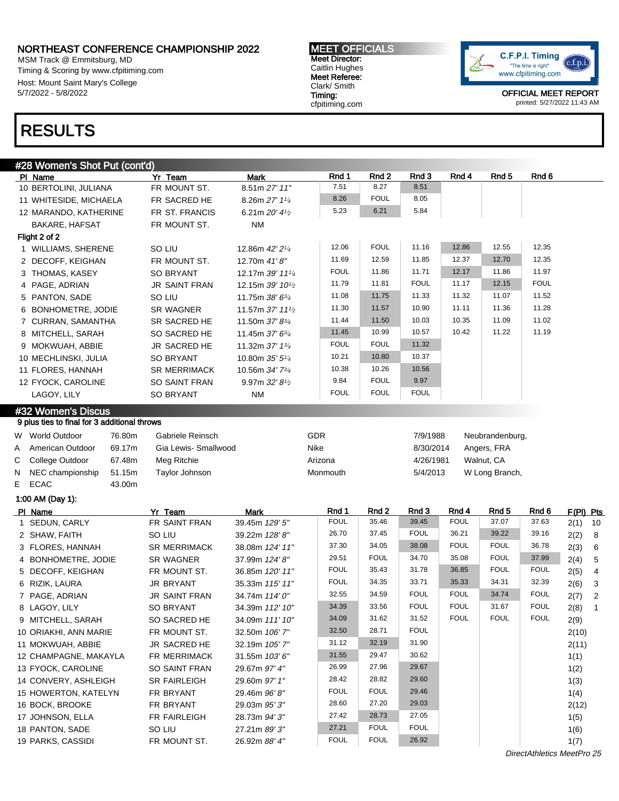MSM Track @ Emmitsburg, MD Timing & Scoring by www.cfpitiming.com Host: Mount Saint Mary's College 5/7/2022 - 5/8/2022

## RESULTS

### #28 Women's Shot Put (cont'd)

|    | PI Name                                                            | Yr Team              | <b>Mark</b>                  | Rnd 1       | Rnd <sub>2</sub> | Rnd 3       | Rnd 4                | Rnd 5            | Rnd 6            |           |                |
|----|--------------------------------------------------------------------|----------------------|------------------------------|-------------|------------------|-------------|----------------------|------------------|------------------|-----------|----------------|
|    | 10 BERTOLINI, JULIANA                                              | FR MOUNT ST.         | 8.51m 27' 11"                | 7.51        | 8.27             | 8.51        |                      |                  |                  |           |                |
|    | 11 WHITESIDE, MICHAELA                                             | FR SACRED HE         | 8.26m 27' 11/4               | 8.26        | <b>FOUL</b>      | 8.05        |                      |                  |                  |           |                |
|    | 12 MARANDO, KATHERINE                                              | FR ST. FRANCIS       | 6.21m 20' 41/2               | 5.23        | 6.21             | 5.84        |                      |                  |                  |           |                |
|    | BAKARE, HAFSAT                                                     | FR MOUNT ST.         | ΝM                           |             |                  |             |                      |                  |                  |           |                |
|    | Flight 2 of 2                                                      |                      |                              |             |                  |             |                      |                  |                  |           |                |
|    | 1 WILLIAMS, SHERENE                                                | SO LIU               | 12.86m 42' 21/4              | 12.06       | <b>FOUL</b>      | 11.16       | 12.86                | 12.55            | 12.35            |           |                |
|    | 2 DECOFF, KEIGHAN                                                  | FR MOUNT ST.         | 12.70m 41'8"                 | 11.69       | 12.59            | 11.85       | 12.37                | 12.70            | 12.35            |           |                |
|    | 3 THOMAS, KASEY                                                    | SO BRYANT            | 12.17m 39' 111/4             | <b>FOUL</b> | 11.86            | 11.71       | 12.17                | 11.86            | 11.97            |           |                |
|    | 4 PAGE, ADRIAN                                                     | <b>JR SAINT FRAN</b> | 12.15m 39' 10 <sup>1/2</sup> | 11.79       | 11.81            | <b>FOUL</b> | 11.17                | 12.15            | <b>FOUL</b>      |           |                |
|    | 5 PANTON, SADE                                                     | SO LIU               | 11.75m 38' 63/4              | 11.08       | 11.75            | 11.33       | 11.32                | 11.07            | 11.52            |           |                |
|    | 6 BONHOMETRE, JODIE                                                | SR WAGNER            | 11.57m 37' 111/2             | 11.30       | 11.57            | 10.90       | 11.11                | 11.36            | 11.28            |           |                |
|    | 7 CURRAN, SAMANTHA                                                 | SR SACRED HE         | 11.50m 37' 83/4              | 11.44       | 11.50            | 10.03       | 10.35                | 11.09            | 11.02            |           |                |
|    | 8 MITCHELL, SARAH                                                  | SO SACRED HE         | 11.45m 37' 63/4              | 11.45       | 10.99            | 10.57       | 10.42                | 11.22            | 11.19            |           |                |
|    | 9 MOKWUAH, ABBIE                                                   | JR SACRED HE         | 11.32m 37' 13/4              | <b>FOUL</b> | <b>FOUL</b>      | 11.32       |                      |                  |                  |           |                |
|    | 10 MECHLINSKI, JULIA                                               | <b>SO BRYANT</b>     | 10.80m 35' 51/4              | 10.21       | 10.80            | 10.37       |                      |                  |                  |           |                |
|    | 11 FLORES, HANNAH                                                  | <b>SR MERRIMACK</b>  | 10.56m 34' 73/4              | 10.38       | 10.26            | 10.56       |                      |                  |                  |           |                |
|    | 12 FYOCK, CAROLINE                                                 | SO SAINT FRAN        | 9.97m 32' 8 <sup>1/2</sup>   | 9.84        | <b>FOUL</b>      | 9.97        |                      |                  |                  |           |                |
|    | LAGOY, LILY                                                        | <b>SO BRYANT</b>     | <b>NM</b>                    | <b>FOUL</b> | <b>FOUL</b>      | <b>FOUL</b> |                      |                  |                  |           |                |
|    |                                                                    |                      |                              |             |                  |             |                      |                  |                  |           |                |
|    | #32 Women's Discus<br>9 plus ties to final for 3 additional throws |                      |                              |             |                  |             |                      |                  |                  |           |                |
|    |                                                                    |                      |                              |             |                  |             |                      |                  |                  |           |                |
|    | W World Outdoor<br>76.80m                                          | Gabriele Reinsch     |                              | GDR         |                  | 7/9/1988    |                      | Neubrandenburg,  |                  |           |                |
| A  | 69.17m<br>American Outdoor                                         | Gia Lewis- Smallwood |                              | Nike        |                  | 8/30/2014   |                      | Angers, FRA      |                  |           |                |
| С  | College Outdoor<br>67.48m                                          | Meg Ritchie          |                              | Arizona     |                  | 4/26/1981   |                      | Walnut, CA       |                  |           |                |
| N. | 51.15m<br>NEC championship                                         | Taylor Johnson       |                              | Monmouth    |                  | 5/4/2013    |                      | W Long Branch,   |                  |           |                |
| E  | ECAC<br>43.00m                                                     |                      |                              |             |                  |             |                      |                  |                  |           |                |
|    | 1:00 AM (Day 1):                                                   |                      |                              |             |                  |             |                      |                  |                  |           |                |
|    | PI Name                                                            | Yr Team              | Mark                         | Rnd 1       | Rnd 2            | Rnd 3       | Rnd 4<br><b>FOUL</b> | Rnd <sub>5</sub> | Rnd <sub>6</sub> | F(PI) Pts |                |
|    | 1 SEDUN, CARLY                                                     | FR SAINT FRAN        | 39.45m 129' 5"               | <b>FOUL</b> | 35.46            | 39.45       |                      | 37.07            | 37.63            | 2(1)      | 10             |
|    | 2 SHAW, FAITH                                                      | SO LIU               | 39.22m 128'8"                | 26.70       | 37.45            | <b>FOUL</b> | 36.21                | 39.22            | 39.16            | 2(2)      | 8              |
|    | 3 FLORES, HANNAH                                                   | <b>SR MERRIMACK</b>  | 38.08m 124' 11"              | 37.30       | 34.05            | 38.08       | <b>FOUL</b>          | <b>FOUL</b>      | 36.78            | 2(3)      | 6              |
|    | 4 BONHOMETRE, JODIE                                                | <b>SR WAGNER</b>     | 37.99m 124' 8"               | 29.51       | <b>FOUL</b>      | 34.70       | 35.08                | <b>FOUL</b>      | 37.99            | 2(4)      | 5              |
|    | 5 DECOFF, KEIGHAN                                                  | FR MOUNT ST.         | 36.85m 120' 11"              | <b>FOUL</b> | 35.43            | 31.78       | 36.85                | <b>FOUL</b>      | <b>FOUL</b>      | 2(5)      | 4              |
|    | 6 RIZIK, LAURA                                                     | JR BRYANT            | 35.33m 115' 11"              | <b>FOUL</b> | 34.35            | 33.71       | 35.33                | 34.31            | 32.39            | 2(6)      | 3              |
|    | 7 PAGE, ADRIAN                                                     | <b>JR SAINT FRAN</b> | 34.74m 114' 0"               | 32.55       | 34.59            | <b>FOUL</b> | <b>FOUL</b>          | 34.74            | <b>FOUL</b>      | 2(7)      | $\overline{c}$ |
|    | 8 LAGOY, LILY                                                      | <b>SO BRYANT</b>     | 34.39m 112' 10"              | 34.39       | 33.56            | <b>FOUL</b> | <b>FOUL</b>          | 31.67            | <b>FOUL</b>      | 2(8)      | $\overline{1}$ |
|    | 9 MITCHELL, SARAH                                                  | SO SACRED HE         | 34.09m 111' 10"              | 34.09       | 31.62            | 31.52       | <b>FOUL</b>          | <b>FOUL</b>      | <b>FOUL</b>      | 2(9)      |                |
|    | 10 ORIAKHI, ANN MARIE                                              | FR MOUNT ST.         | 32.50m 106' 7"               | 32.50       | 28.71            | <b>FOUL</b> |                      |                  |                  | 2(10)     |                |
|    | 11 MOKWUAH, ABBIE                                                  | JR SACRED HE         | 32.19m 105' 7"               | 31.12       | 32.19            | 31.90       |                      |                  |                  | 2(11)     |                |
|    | 12 CHAMPAGNE, MAKAYLA                                              | FR MERRIMACK         | 31.55m 103'6"                | 31.55       | 29.47            | 30.62       |                      |                  |                  | 1(1)      |                |
|    | 13 FYOCK, CAROLINE                                                 | SO SAINT FRAN        | 29.67m 97' 4"                | 26.99       | 27.96            | 29.67       |                      |                  |                  | 1(2)      |                |
|    | 14 CONVERY, ASHLEIGH                                               | SR FAIRLEIGH         | 29.60m 97' 1"                | 28.42       | 28.82            | 29.60       |                      |                  |                  | 1(3)      |                |
|    | 15 HOWERTON, KATELYN                                               | FR BRYANT            | 29.46m 96'8"                 | <b>FOUL</b> | <b>FOUL</b>      | 29.46       |                      |                  |                  | 1(4)      |                |
|    | 16 BOCK, BROOKE                                                    | FR BRYANT            | 29.03m 95'3"                 | 28.60       | 27.20            | 29.03       |                      |                  |                  | 2(12)     |                |
|    | 17 JOHNSON, ELLA                                                   | FR FAIRLEIGH         | 28.73m 94' 3"                | 27.42       | 28.73            | 27.05       |                      |                  |                  | 1(5)      |                |
|    | 18 PANTON, SADE                                                    | SO LIU               | 27.21m 89'3"                 | 27.21       | <b>FOUL</b>      | <b>FOUL</b> |                      |                  |                  | 1(6)      |                |
|    | 19 PARKS, CASSIDI                                                  | FR MOUNT ST.         | 26.92m 88' 4"                | <b>FOUL</b> | <b>FOUL</b>      | 26.92       |                      |                  |                  | 1(7)      |                |

C.F.P.I. Timing  $(c.f.p.i.$ "The time is right" www.cfpitiming.com

> OFFICIAL MEET REPORT printed: 5/27/2022 11:43 AM

DirectAthletics MeetPro 25

MEET OFFICIALS Meet Director: Caitlin Hughes Meet Referee: Clark/ Smith Timing: cfpitiming.com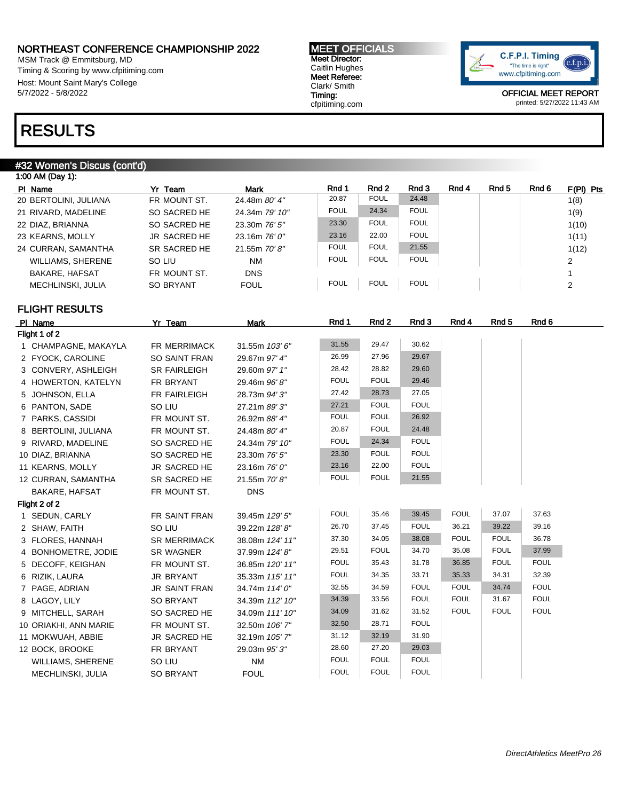MSM Track @ Emmitsburg, MD Timing & Scoring by www.cfpitiming.com Host: Mount Saint Mary's College 5/7/2022 - 5/8/2022

#### MEET OFFICIALS Meet Director: Caitlin Hughes Meet Referee: Clark/ Smith Timing: cfpitiming.com



OFFICIAL MEET REPORT printed: 5/27/2022 11:43 AM

## RESULTS

### #32 Women's Discus (cont'd)

| 1:00 AM (Day 1):         |                  |                 |             |             |             |       |       |       |             |
|--------------------------|------------------|-----------------|-------------|-------------|-------------|-------|-------|-------|-------------|
| PI Name                  | Yr Team          | <b>Mark</b>     | Rnd 1       | Rnd 2       | Rnd 3       | Rnd 4 | Rnd 5 | Rnd 6 | $F(PI)$ Pts |
| 20 BERTOLINI, JULIANA    | FR MOUNT ST.     | 24.48m 80' 4"   | 20.87       | <b>FOUL</b> | 24.48       |       |       |       | 1(8)        |
| 21 RIVARD, MADELINE      | SO SACRED HE     | 24.34m 79' 10"  | <b>FOUL</b> | 24.34       | <b>FOUL</b> |       |       |       | 1(9)        |
| 22 DIAZ, BRIANNA         | SO SACRED HE     | 23.30m 76' 5"   | 23.30       | <b>FOUL</b> | <b>FOUL</b> |       |       |       | 1(10)       |
| 23 KEARNS, MOLLY         | JR SACRED HE     | $23.16m$ 76' 0" | 23.16       | 22.00       | <b>FOUL</b> |       |       |       | 1(11)       |
| 24 CURRAN, SAMANTHA      | SR SACRED HE     | 21.55m 70'8"    | <b>FOUL</b> | <b>FOUL</b> | 21.55       |       |       |       | 1(12)       |
| <b>WILLIAMS, SHERENE</b> | SO LIU           | <b>NM</b>       | <b>FOUL</b> | <b>FOUL</b> | <b>FOUL</b> |       |       |       | 2           |
| <b>BAKARE, HAFSAT</b>    | FR MOUNT ST.     | <b>DNS</b>      |             |             |             |       |       |       |             |
| MECHLINSKI, JULIA        | <b>SO BRYANT</b> | <b>FOUL</b>     | <b>FOUL</b> | <b>FOUL</b> | <b>FOUL</b> |       |       |       | 2           |
|                          |                  |                 |             |             |             |       |       |       |             |

FLIGHT RESULTS

| PI Name                  | Yr Team              | <b>Mark</b>     | Rnd 1       | Rnd 2       | Rnd 3       | Rnd 4       | Rnd <sub>5</sub> | Rnd 6       |
|--------------------------|----------------------|-----------------|-------------|-------------|-------------|-------------|------------------|-------------|
| Flight 1 of 2            |                      |                 |             |             |             |             |                  |             |
| 1 CHAMPAGNE, MAKAYLA     | FR MERRIMACK         | 31.55m 103' 6"  | 31.55       | 29.47       | 30.62       |             |                  |             |
| 2 FYOCK, CAROLINE        | SO SAINT FRAN        | 29.67m 97' 4"   | 26.99       | 27.96       | 29.67       |             |                  |             |
| 3 CONVERY, ASHLEIGH      | <b>SR FAIRLEIGH</b>  | 29.60m 97' 1"   | 28.42       | 28.82       | 29.60       |             |                  |             |
| 4 HOWERTON, KATELYN      | FR BRYANT            | 29.46m 96'8"    | <b>FOUL</b> | <b>FOUL</b> | 29.46       |             |                  |             |
| 5 JOHNSON, ELLA          | FR FAIRLEIGH         | 28.73m 94' 3"   | 27.42       | 28.73       | 27.05       |             |                  |             |
| 6 PANTON, SADE           | SO LIU               | 27.21m 89'3"    | 27.21       | <b>FOUL</b> | <b>FOUL</b> |             |                  |             |
| 7 PARKS, CASSIDI         | FR MOUNT ST.         | 26.92m 88' 4"   | <b>FOUL</b> | <b>FOUL</b> | 26.92       |             |                  |             |
| 8 BERTOLINI, JULIANA     | FR MOUNT ST.         | 24.48m 80' 4"   | 20.87       | <b>FOUL</b> | 24.48       |             |                  |             |
| 9 RIVARD, MADELINE       | SO SACRED HE         | 24.34m 79' 10"  | <b>FOUL</b> | 24.34       | <b>FOUL</b> |             |                  |             |
| 10 DIAZ, BRIANNA         | SO SACRED HE         | 23.30m 76' 5"   | 23.30       | <b>FOUL</b> | <b>FOUL</b> |             |                  |             |
| 11 KEARNS, MOLLY         | JR SACRED HE         | 23.16m 76' 0"   | 23.16       | 22.00       | <b>FOUL</b> |             |                  |             |
| 12 CURRAN, SAMANTHA      | SR SACRED HE         | 21.55m 70'8"    | <b>FOUL</b> | <b>FOUL</b> | 21.55       |             |                  |             |
| BAKARE, HAFSAT           | FR MOUNT ST.         | <b>DNS</b>      |             |             |             |             |                  |             |
| Flight 2 of 2            |                      |                 |             |             |             |             |                  |             |
| 1 SEDUN, CARLY           | FR SAINT FRAN        | 39.45m 129' 5"  | <b>FOUL</b> | 35.46       | 39.45       | <b>FOUL</b> | 37.07            | 37.63       |
| 2 SHAW, FAITH            | SO LIU               | 39.22m 128'8"   | 26.70       | 37.45       | <b>FOUL</b> | 36.21       | 39.22            | 39.16       |
| 3 FLORES, HANNAH         | <b>SR MERRIMACK</b>  | 38.08m 124' 11" | 37.30       | 34.05       | 38.08       | <b>FOUL</b> | <b>FOUL</b>      | 36.78       |
| 4 BONHOMETRE, JODIE      | <b>SR WAGNER</b>     | 37.99m 124'8"   | 29.51       | <b>FOUL</b> | 34.70       | 35.08       | <b>FOUL</b>      | 37.99       |
| 5 DECOFF, KEIGHAN        | FR MOUNT ST.         | 36.85m 120' 11" | <b>FOUL</b> | 35.43       | 31.78       | 36.85       | <b>FOUL</b>      | <b>FOUL</b> |
| 6 RIZIK, LAURA           | <b>JR BRYANT</b>     | 35.33m 115' 11" | <b>FOUL</b> | 34.35       | 33.71       | 35.33       | 34.31            | 32.39       |
| 7 PAGE, ADRIAN           | <b>JR SAINT FRAN</b> | 34.74m 114' 0"  | 32.55       | 34.59       | <b>FOUL</b> | <b>FOUL</b> | 34.74            | <b>FOUL</b> |
| 8 LAGOY, LILY            | <b>SO BRYANT</b>     | 34.39m 112' 10" | 34.39       | 33.56       | <b>FOUL</b> | <b>FOUL</b> | 31.67            | <b>FOUL</b> |
| 9 MITCHELL, SARAH        | SO SACRED HE         | 34.09m 111' 10" | 34.09       | 31.62       | 31.52       | <b>FOUL</b> | <b>FOUL</b>      | <b>FOUL</b> |
| 10 ORIAKHI, ANN MARIE    | FR MOUNT ST.         | 32.50m 106' 7"  | 32.50       | 28.71       | <b>FOUL</b> |             |                  |             |
| 11 MOKWUAH, ABBIE        | JR SACRED HE         | 32.19m 105' 7"  | 31.12       | 32.19       | 31.90       |             |                  |             |
| 12 BOCK, BROOKE          | FR BRYANT            | 29.03m 95' 3"   | 28.60       | 27.20       | 29.03       |             |                  |             |
| <b>WILLIAMS, SHERENE</b> | SO LIU               | <b>NM</b>       | <b>FOUL</b> | <b>FOUL</b> | <b>FOUL</b> |             |                  |             |
| MECHLINSKI, JULIA        | <b>SO BRYANT</b>     | <b>FOUL</b>     | <b>FOUL</b> | <b>FOUL</b> | <b>FOUL</b> |             |                  |             |
|                          |                      |                 |             |             |             |             |                  |             |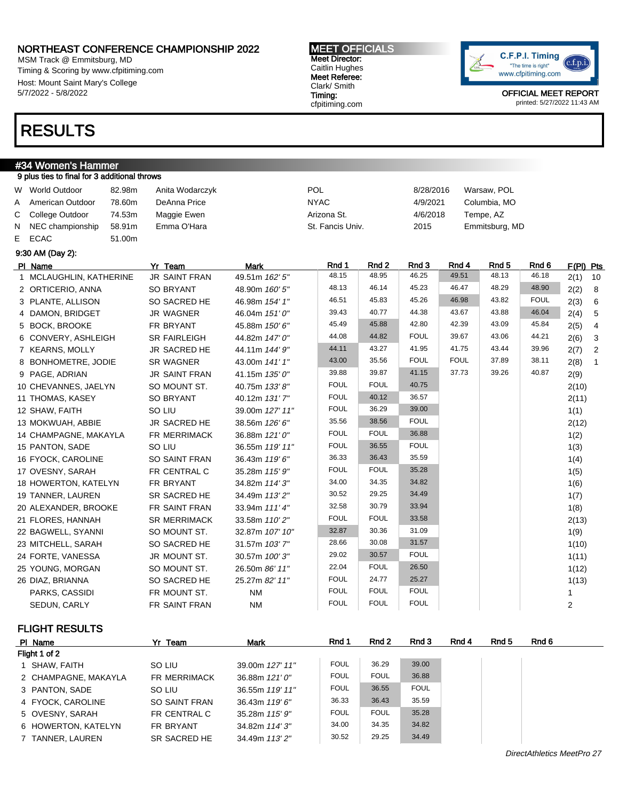MSM Track @ Emmitsburg, MD Timing & Scoring by www.cfpitiming.com Host: Mount Saint Mary's College 5/7/2022 - 5/8/2022

## RESULTS

#### #34 Women's Hammer 9 plus ties to final for 3 additional throws W World Outdoor 82.98m Anita Wodarczyk POL 8/28/2016 Warsaw, POL A American Outdoor 78.60m DeAnna Price NYAC 4/9/2021 Columbia, MO C College Outdoor 74.53m Maggie Ewen Arizona St. 4/6/2018 Tempe, AZ N NEC championship 58.91m Emma O'Hara St. Fancis Univ. 2015 Emmitsburg, MD E ECAC 51.00m 9:30 AM (Day 2): PIName Yr Team Mark Rnd 1 Rnd 2 Rnd 3 Rnd 4 Rnd 5 Rnd 6 F(Pl) Pts 1 MCLAUGHLIN, KATHERINE JR SAINT FRAN 49.51m 162' 5" 48.15 48.95 46.25 49.51 48.13 46.18 2(1) 10 2 ORTICERIO, ANNA SO BRYANT 48.90m 160' 5" 48.13 46.14 45.23 46.47 48.29 48.90 2(2) 8 3 PLANTE, ALLISON SO SACRED HE 46.98m 154' 1" 46.51 45.83 45.26 46.98 43.82 FOUL 2(3) 6 4 DAMON, BRIDGET JR WAGNER 46.04m 151' 0" 39.43 40.77 44.38 43.67 43.88 46.04 2(4) 5 5 BOCK, BROOKE FR BRYANT 45.88m 150' 6" 45.49 45.88 42.80 42.39 43.09 45.84 2(5) 4 6 CONVERY, ASHLEIGH SR FAIRLEIGH 44.82m 147' 0" 44.08 44.82 FOUL 39.67 43.06 44.21 2(6) 3 7 KEARNS, MOLLY JR SACRED HE 44.11m 144' 9" 44.11 43.27 41.95 41.75 43.44 39.96 2(7) 2 8 BONHOMETRE, JODIE SR WAGNER 43.00m 141' 1" 43.00 35.56 FOUL FOUL 37.89 38.11 2(8) 1 9 PAGE, ADRIAN JR SAINT FRAN 41.15m 135' 0" 39.88 39.87 41.15 37.73 39.26 40.87 2(9) 10 CHEVANNES, JAELYN SO MOUNT ST.  $40.75$ m 133' 8" FOUL FOUL 40.75  $\vert$  70  $\vert$  2(10) 11 THOMAS, KASEY SO BRYANT 40.12m 131' 7" FOUL 40.12 36.57 FOUL 40.12 2(11) 12 SHAW, FAITH SO LIU 39.00m 127' 11" FOUL 36.29 39.00 100 1(1) 13 MOKWUAH, ABBIE JR SACRED HE 38.56m 126' 6" 35.56 38.56 FOUL 2(12) 14 CHAMPAGNE, MAKAYLA FR MERRIMACK 36.88m 121' 0" FOUL FOUL 36.88 15 PANTON, SADE SO LIU 36.55m 119' 11" FOUL 36.55 FOUL 100 1(3) 16 FYOCK, CAROLINE SO SAINT FRAN 36.43m 119' 6" 36.33 36.43 35.59 1(4) 17 OVESNY, SARAH FR CENTRAL C 35.28m 115' 9" FOUL FOUL 35.28 1(5) 1(5) 18 HOWERTON, KATELYN FR BRYANT 34.82m 114' 3" 34.00 34.35 34.82 1(6) 19 TANNER, LAUREN SR SACRED HE 34.49m 113' 2" 30.52 29.25 34.49 1(7) 20 ALEXANDER, BROOKE FR SAINT FRAN 33.94m 111' 4" 32.58 30.79 33.94 1(8) 21 FLORES, HANNAH SR MERRIMACK  $33.58$ m 110' 2" FOUL FOUL 33.58 FOUL 33.58 22 BAGWELL, SYANNI SO MOUNT ST. 32.87m 107' 10" 32.87 30.36 31.09 1(9) 23 MITCHELL, SARAH SO SACRED HE 31.57m 103' 7" 28.66 30.08 31.57 1(10) 24 FORTE, VANESSA JR MOUNT ST. 30.57m 100' 3" 29.02 30.57 FOUL 1(11) 25 YOUNG, MORGAN SO MOUNT ST. 26.50m 86' 11" 22.04 FOUL 26.50 1(12) 26 DIAZ, BRIANNA SO SACRED HE  $25.27 \text{ }\, \text{POL}$  FOUL  $24.77$   $25.27$   $\text{POL}$  1(13) PARKS, CASSIDI FR MOUNT ST. NM FOUL FOUL FOUL 1 SEDUN, CARLY FR SAINT FRAN NM FOUL FOUL FOUL 2

FLIGHT RESULTS

| PI Name              | Yr Team             | <b>Mark</b>     | Rnd 1       | Rnd 2       | Rnd 3       | Rnd 4 | Rnd 5 | Rnd 6 |  |
|----------------------|---------------------|-----------------|-------------|-------------|-------------|-------|-------|-------|--|
| Flight 1 of 2        |                     |                 |             |             |             |       |       |       |  |
| 1 SHAW, FAITH        | SO LIU              | 39.00m 127' 11" | <b>FOUL</b> | 36.29       | 39.00       |       |       |       |  |
| 2 CHAMPAGNE, MAKAYLA | <b>FR MERRIMACK</b> | 36.88m 121'0"   | <b>FOUL</b> | <b>FOUL</b> | 36.88       |       |       |       |  |
| 3 PANTON, SADE       | SO LIU              | 36.55m 119' 11" | FOUL        | 36.55       | <b>FOUL</b> |       |       |       |  |
| 4 FYOCK, CAROLINE    | SO SAINT FRAN       | 36.43m 119'6"   | 36.33       | 36.43       | 35.59       |       |       |       |  |
| 5 OVESNY, SARAH      | FR CENTRAL C        | 35.28m 115' 9"  | <b>FOUL</b> | <b>FOUL</b> | 35.28       |       |       |       |  |
| 6 HOWERTON, KATELYN  | FR BRYANT           | 34.82m 114'3"   | 34.00       | 34.35       | 34.82       |       |       |       |  |
| 7 TANNER, LAUREN     | SR SACRED HE        | 34.49m 113'2"   | 30.52       | 29.25       | 34.49       |       |       |       |  |

MEET OFFICIALS Meet Director: Caitlin Hughes Meet Referee: Clark/ Smith Timing: cfpitiming.com

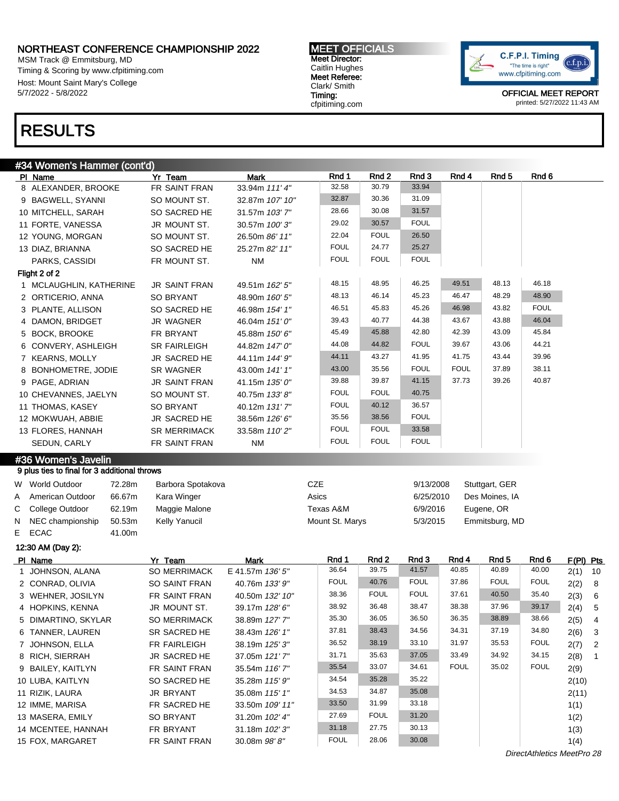MSM Track @ Emmitsburg, MD Timing & Scoring by www.cfpitiming.com Host: Mount Saint Mary's College 5/7/2022 - 5/8/2022

#### MEET OFFICIALS Meet Director: Caitlin Hughes Meet Referee: Clark/ Smith Timing: cfpitiming.com



OFFICIAL MEET REPORT printed: 5/27/2022 11:43 AM

## RESULTS

### #34 Women's Hammer (cont'd)

| PI Name           |                                              | Yr Team              | <b>Mark</b>      | Rnd 1           | Rnd 2          | Rnd 3          | Rnd 4          | Rnd <sub>5</sub> | Rnd 6          |           |                          |
|-------------------|----------------------------------------------|----------------------|------------------|-----------------|----------------|----------------|----------------|------------------|----------------|-----------|--------------------------|
|                   | 8 ALEXANDER, BROOKE                          | FR SAINT FRAN        | 33.94m 111' 4"   | 32.58           | 30.79          | 33.94          |                |                  |                |           |                          |
|                   | 9 BAGWELL, SYANNI                            | SO MOUNT ST.         | 32.87m 107' 10"  | 32.87           | 30.36          | 31.09          |                |                  |                |           |                          |
|                   | 10 MITCHELL, SARAH                           | SO SACRED HE         | 31.57m 103'7"    | 28.66           | 30.08          | 31.57          |                |                  |                |           |                          |
|                   | 11 FORTE, VANESSA                            | JR MOUNT ST.         | 30.57m 100'3"    | 29.02           | 30.57          | <b>FOUL</b>    |                |                  |                |           |                          |
|                   | 12 YOUNG, MORGAN                             | SO MOUNT ST.         | 26.50m 86' 11"   | 22.04           | <b>FOUL</b>    | 26.50          |                |                  |                |           |                          |
|                   | 13 DIAZ, BRIANNA                             | SO SACRED HE         | 25.27m 82' 11"   | <b>FOUL</b>     | 24.77          | 25.27          |                |                  |                |           |                          |
|                   | PARKS, CASSIDI                               | FR MOUNT ST.         | <b>NM</b>        | <b>FOUL</b>     | <b>FOUL</b>    | <b>FOUL</b>    |                |                  |                |           |                          |
|                   | Flight 2 of 2                                |                      |                  |                 |                |                |                |                  |                |           |                          |
|                   | 1 MCLAUGHLIN, KATHERINE                      | <b>JR SAINT FRAN</b> | 49.51m 162' 5"   | 48.15           | 48.95          | 46.25          | 49.51          | 48.13            | 46.18          |           |                          |
|                   | 2 ORTICERIO, ANNA                            | <b>SO BRYANT</b>     | 48.90m 160' 5"   | 48.13           | 46.14          | 45.23          | 46.47          | 48.29            | 48.90          |           |                          |
|                   | 3 PLANTE, ALLISON                            | SO SACRED HE         | 46.98m 154' 1"   | 46.51           | 45.83          | 45.26          | 46.98          | 43.82            | <b>FOUL</b>    |           |                          |
|                   | 4 DAMON, BRIDGET                             | JR WAGNER            | 46.04m 151' 0"   | 39.43           | 40.77          | 44.38          | 43.67          | 43.88            | 46.04          |           |                          |
|                   |                                              |                      |                  | 45.49           | 45.88          | 42.80          | 42.39          | 43.09            | 45.84          |           |                          |
|                   | 5 BOCK, BROOKE                               | FR BRYANT            | 45.88m 150' 6"   | 44.08           | 44.82          | <b>FOUL</b>    | 39.67          | 43.06            | 44.21          |           |                          |
|                   | 6 CONVERY, ASHLEIGH                          | <b>SR FAIRLEIGH</b>  | 44.82m 147' 0"   | 44.11           | 43.27          | 41.95          | 41.75          | 43.44            | 39.96          |           |                          |
|                   | 7 KEARNS, MOLLY                              | JR SACRED HE         | 44.11m 144' 9"   |                 |                |                | <b>FOUL</b>    |                  | 38.11          |           |                          |
|                   | 8 BONHOMETRE, JODIE                          | <b>SR WAGNER</b>     | 43.00m 141' 1"   | 43.00           | 35.56          | <b>FOUL</b>    |                | 37.89            |                |           |                          |
|                   | 9 PAGE, ADRIAN                               | <b>JR SAINT FRAN</b> | 41.15m 135' 0"   | 39.88           | 39.87          | 41.15          | 37.73          | 39.26            | 40.87          |           |                          |
|                   | 10 CHEVANNES, JAELYN                         | SO MOUNT ST.         | 40.75m 133' 8"   | <b>FOUL</b>     | <b>FOUL</b>    | 40.75          |                |                  |                |           |                          |
|                   | 11 THOMAS, KASEY                             | SO BRYANT            | 40.12m 131'7"    | <b>FOUL</b>     | 40.12          | 36.57          |                |                  |                |           |                          |
|                   | 12 MOKWUAH, ABBIE                            | JR SACRED HE         | 38.56m 126' 6"   | 35.56           | 38.56          | <b>FOUL</b>    |                |                  |                |           |                          |
|                   | 13 FLORES, HANNAH                            | SR MERRIMACK         | 33.58m 110' 2"   | <b>FOUL</b>     | <b>FOUL</b>    | 33.58          |                |                  |                |           |                          |
|                   | SEDUN, CARLY                                 | FR SAINT FRAN        | <b>NM</b>        | <b>FOUL</b>     | <b>FOUL</b>    | <b>FOUL</b>    |                |                  |                |           |                          |
|                   | #36 Women's Javelin                          |                      |                  |                 |                |                |                |                  |                |           |                          |
|                   | 9 plus ties to final for 3 additional throws |                      |                  |                 |                |                |                |                  |                |           |                          |
|                   | W World Outdoor<br>72.28m                    | Barbora Spotakova    |                  | <b>CZE</b>      |                | 9/13/2008      |                | Stuttgart, GER   |                |           |                          |
| A                 | 66.67m<br>American Outdoor                   | Kara Winger          |                  | Asics           |                | 6/25/2010      |                | Des Moines, IA   |                |           |                          |
| С                 | College Outdoor<br>62.19m                    | Maggie Malone        |                  | Texas A&M       |                | 6/9/2016       |                | Eugene, OR       |                |           |                          |
| N                 | 50.53m<br>NEC championship                   | Kelly Yanucil        |                  | Mount St. Marys |                | 5/3/2015       |                | Emmitsburg, MD   |                |           |                          |
| <b>ECAC</b><br>E. | 41.00m                                       |                      |                  |                 |                |                |                |                  |                |           |                          |
|                   |                                              |                      |                  |                 |                |                |                |                  |                |           |                          |
|                   | 12:30 AM (Day 2):                            |                      |                  |                 |                |                |                |                  |                |           |                          |
| PI Name           |                                              | Yr Team              | Mark             | Rnd 1<br>36.64  | Rnd 2<br>39.75 | Rnd 3<br>41.57 | Rnd 4<br>40.85 | Rnd 5<br>40.89   | Rnd 6<br>40.00 | F(PI) Pts |                          |
|                   | 1 JOHNSON, ALANA                             | <b>SO MERRIMACK</b>  | E 41.57m 136' 5" | <b>FOUL</b>     | 40.76          | <b>FOUL</b>    | 37.86          | <b>FOUL</b>      | <b>FOUL</b>    | $2(1)$ 10 |                          |
|                   | 2 CONRAD, OLIVIA                             | SO SAINT FRAN        | 40.76m 133' 9"   |                 |                |                |                |                  |                | 2(2) 8    |                          |
|                   | 3 WEHNER, JOSILYN                            | FR SAINT FRAN        | 40.50m 132' 10"  | 38.36           | <b>FOUL</b>    | <b>FOUL</b>    | 37.61          | 40.50            | 35.40          | 2(3) 6    |                          |
|                   | 4 HOPKINS, KENNA                             | JR MOUNT ST.         | 39.17m 128' 6"   | 38.92           | 36.48          | 38.47          | 38.38          | 37.96            | 39.17          | 2(4)      | $\sqrt{5}$               |
|                   | 5 DIMARTINO, SKYLAR                          | <b>SO MERRIMACK</b>  | 38.89m 127' 7"   | 35.30           | 36.05          | 36.50          | 36.35          | 38.89            | 38.66          | 2(5)      | 4                        |
|                   | 6 TANNER, LAUREN                             | SR SACRED HE         | 38.43m 126' 1"   | 37.81           | 38.43          | 34.56          | 34.31          | 37.19            | 34.80          | 2(6)      | $\overline{\mathbf{3}}$  |
|                   | 7 JOHNSON, ELLA                              | FR FAIRLEIGH         | 38.19m 125'3"    | 36.52           | 38.19          | 33.10          | 31.97          | 35.53            | <b>FOUL</b>    | 2(7)      | $\overline{\phantom{a}}$ |
|                   | 8 RICH, SIERRAH                              | JR SACRED HE         | 37.05m 121'7"    | 31.71           | 35.63          | 37.05          | 33.49          | 34.92            | 34.15          | 2(8)      | $\overline{1}$           |
|                   | 9 BAILEY, KAITLYN                            | FR SAINT FRAN        | 35.54m 116' 7"   | 35.54           | 33.07          | 34.61          | <b>FOUL</b>    | 35.02            | <b>FOUL</b>    | 2(9)      |                          |
|                   | 10 LUBA, KAITLYN                             | SO SACRED HE         | 35.28m 115' 9"   | 34.54           | 35.28          | 35.22          |                |                  |                | 2(10)     |                          |
|                   | 11 RIZIK, LAURA                              | JR BRYANT            | 35.08m 115' 1"   | 34.53           | 34.87          | 35.08          |                |                  |                | 2(11)     |                          |
|                   | 12 IMME, MARISA                              | FR SACRED HE         | 33.50m 109' 11"  | 33.50           | 31.99          | 33.18          |                |                  |                | 1(1)      |                          |
|                   | 13 MASERA, EMILY                             | SO BRYANT            | 31.20m 102' 4"   | 27.69           | <b>FOUL</b>    | 31.20          |                |                  |                | 1(2)      |                          |
|                   |                                              | FR BRYANT            | 31.18m 102'3"    | 31.18           | 27.75          | 30.13          |                |                  |                | 1(3)      |                          |
|                   |                                              |                      |                  |                 |                |                |                |                  |                |           |                          |
|                   | 14 MCENTEE, HANNAH<br>15 FOX, MARGARET       | FR SAINT FRAN        | 30.08m 98'8"     | <b>FOUL</b>     | 28.06          | 30.08          |                |                  |                | 1(4)      |                          |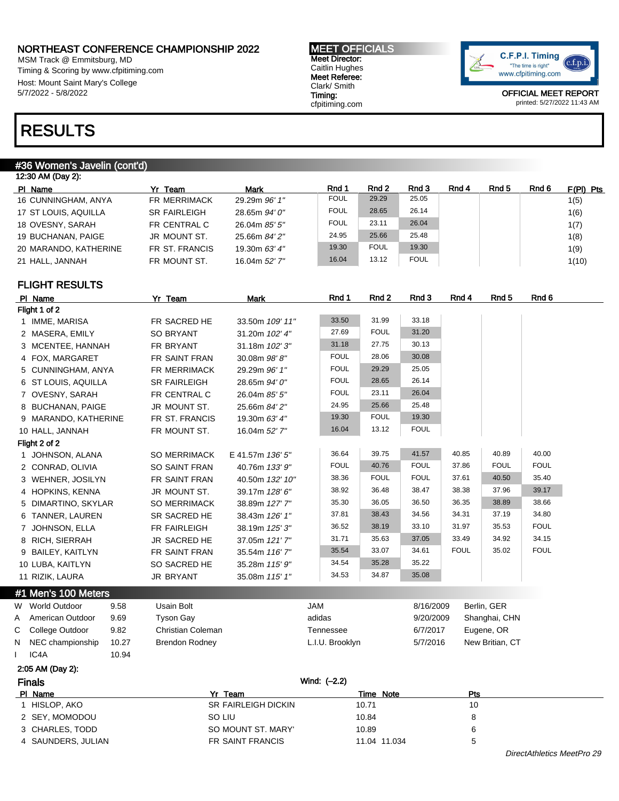MSM Track @ Emmitsburg, MD Timing & Scoring by www.cfpitiming.com Host: Mount Saint Mary's College 5/7/2022 - 5/8/2022

#### MEET OFFICIALS Meet Director: Caitlin Hughes Meet Referee: Clark/ Smith Timing: cfpitiming.com



OFFICIAL MEET REPORT printed: 5/27/2022 11:43 AM

## RESULTS

#### #36 Women's Javelin (cont'd)

| 12:30 AM (Day 2):     |                     |               |             |             |             |       |       |       |             |
|-----------------------|---------------------|---------------|-------------|-------------|-------------|-------|-------|-------|-------------|
| PI Name               | Yr Team             | <b>Mark</b>   | Rnd 1       | Rnd 2       | Rnd 3       | Rnd 4 | Rnd 5 | Rnd 6 | $F(PI)$ Pts |
| 16 CUNNINGHAM, ANYA   | <b>FR MERRIMACK</b> | 29.29m 96' 1" | <b>FOUL</b> | 29.29       | 25.05       |       |       |       | 1(5)        |
| 17 ST LOUIS, AQUILLA  | <b>SR FAIRLEIGH</b> | 28.65m 94' 0" | <b>FOUL</b> | 28.65       | 26.14       |       |       |       | 1(6)        |
| 18 OVESNY, SARAH      | FR CENTRAL C        | 26.04m 85' 5" | <b>FOUL</b> | 23.11       | 26.04       |       |       |       | 1(7)        |
| 19 BUCHANAN, PAIGE    | JR MOUNT ST.        | 25.66m 84' 2" | 24.95       | 25.66       | 25.48       |       |       |       | 1(8)        |
| 20 MARANDO, KATHERINE | FR ST. FRANCIS      | 19.30m 63' 4" | 19.30       | <b>FOUL</b> | 19.30       |       |       |       | 1(9)        |
| 21 HALL. JANNAH       | FR MOUNT ST.        | 16.04m 52' 7" | 16.04       | 13.12       | <b>FOUL</b> |       |       |       | 1(10)       |
|                       |                     |               |             |             |             |       |       |       |             |

#### FLIGHT RESULTS

|               | PI Name              |       | Yr Team               | <b>Mark</b>         | Rnd 1           | Rnd 2        | Rnd 3       | Rnd 4       | Rnd 5           | Rnd 6       |
|---------------|----------------------|-------|-----------------------|---------------------|-----------------|--------------|-------------|-------------|-----------------|-------------|
|               | Flight 1 of 2        |       |                       |                     |                 |              |             |             |                 |             |
|               | 1 IMME, MARISA       |       | FR SACRED HE          | 33.50m 109' 11"     | 33.50           | 31.99        | 33.18       |             |                 |             |
|               | 2 MASERA, EMILY      |       | <b>SO BRYANT</b>      | 31.20m 102' 4"      | 27.69           | <b>FOUL</b>  | 31.20       |             |                 |             |
|               | 3 MCENTEE, HANNAH    |       | FR BRYANT             | 31.18m 102' 3"      | 31.18           | 27.75        | 30.13       |             |                 |             |
|               | 4 FOX, MARGARET      |       | FR SAINT FRAN         | 30.08m 98'8"        | <b>FOUL</b>     | 28.06        | 30.08       |             |                 |             |
|               | 5 CUNNINGHAM, ANYA   |       | FR MERRIMACK          | 29.29m 96' 1"       | <b>FOUL</b>     | 29.29        | 25.05       |             |                 |             |
|               | 6 ST LOUIS, AQUILLA  |       | <b>SR FAIRLEIGH</b>   | 28.65m 94' 0"       | <b>FOUL</b>     | 28.65        | 26.14       |             |                 |             |
|               | 7 OVESNY, SARAH      |       | FR CENTRAL C          | 26.04m 85' 5"       | <b>FOUL</b>     | 23.11        | 26.04       |             |                 |             |
|               | 8 BUCHANAN, PAIGE    |       | JR MOUNT ST.          | 25.66m 84' 2"       | 24.95           | 25.66        | 25.48       |             |                 |             |
|               | 9 MARANDO, KATHERINE |       | FR ST. FRANCIS        | 19.30m 63' 4"       | 19.30           | <b>FOUL</b>  | 19.30       |             |                 |             |
|               | 10 HALL, JANNAH      |       | FR MOUNT ST.          | 16.04m 52' 7"       | 16.04           | 13.12        | <b>FOUL</b> |             |                 |             |
|               | Flight 2 of 2        |       |                       |                     |                 |              |             |             |                 |             |
|               | 1 JOHNSON, ALANA     |       | <b>SO MERRIMACK</b>   | E 41.57m 136' 5"    | 36.64           | 39.75        | 41.57       | 40.85       | 40.89           | 40.00       |
|               | 2 CONRAD, OLIVIA     |       | <b>SO SAINT FRAN</b>  | 40.76m 133' 9"      | <b>FOUL</b>     | 40.76        | <b>FOUL</b> | 37.86       | <b>FOUL</b>     | <b>FOUL</b> |
|               | 3 WEHNER, JOSILYN    |       | FR SAINT FRAN         | 40.50m 132' 10"     | 38.36           | <b>FOUL</b>  | <b>FOUL</b> | 37.61       | 40.50           | 35.40       |
|               | 4 HOPKINS, KENNA     |       | JR MOUNT ST.          | 39.17m 128' 6"      | 38.92           | 36.48        | 38.47       | 38.38       | 37.96           | 39.17       |
|               | 5 DIMARTINO, SKYLAR  |       | SO MERRIMACK          | 38.89m 127' 7"      | 35.30           | 36.05        | 36.50       | 36.35       | 38.89           | 38.66       |
|               | 6 TANNER, LAUREN     |       | SR SACRED HE          | 38.43m 126' 1"      | 37.81           | 38.43        | 34.56       | 34.31       | 37.19           | 34.80       |
|               | 7 JOHNSON, ELLA      |       | FR FAIRLEIGH          | 38.19m 125' 3"      | 36.52           | 38.19        | 33.10       | 31.97       | 35.53           | <b>FOUL</b> |
|               | 8 RICH, SIERRAH      |       | JR SACRED HE          | 37.05m 121'7"       | 31.71           | 35.63        | 37.05       | 33.49       | 34.92           | 34.15       |
|               | 9 BAILEY, KAITLYN    |       | FR SAINT FRAN         | 35.54m 116' 7"      | 35.54           | 33.07        | 34.61       | <b>FOUL</b> | 35.02           | <b>FOUL</b> |
|               | 10 LUBA, KAITLYN     |       | SO SACRED HE          | 35.28m 115' 9"      | 34.54           | 35.28        | 35.22       |             |                 |             |
|               | 11 RIZIK, LAURA      |       | JR BRYANT             | 35.08m 115' 1"      | 34.53           | 34.87        | 35.08       |             |                 |             |
|               | #1 Men's 100 Meters  |       |                       |                     |                 |              |             |             |                 |             |
|               | W World Outdoor      | 9.58  | Usain Bolt            |                     | <b>JAM</b>      |              | 8/16/2009   |             | Berlin, GER     |             |
| A             | American Outdoor     | 9.69  | <b>Tyson Gay</b>      |                     | adidas          |              | 9/20/2009   |             | Shanghai, CHN   |             |
| С             | College Outdoor      | 9.82  | Christian Coleman     |                     | Tennessee       |              | 6/7/2017    |             | Eugene, OR      |             |
| N             | NEC championship     | 10.27 | <b>Brendon Rodney</b> |                     | L.I.U. Brooklyn |              | 5/7/2016    |             | New Britian, CT |             |
|               | IC <sub>4</sub> A    | 10.94 |                       |                     |                 |              |             |             |                 |             |
|               | 2:05 AM (Day 2):     |       |                       |                     |                 |              |             |             |                 |             |
| <b>Finals</b> |                      |       |                       |                     | Wind: (-2.2)    |              |             |             |                 |             |
|               | PI Name              |       |                       | Yr Team             |                 | Time Note    |             | Pts         |                 |             |
|               | 1 HISLOP, AKO        |       |                       | SR FAIRLEIGH DICKIN |                 | 10.71        |             | 10          |                 |             |
|               | 2 SEY, MOMODOU       |       | SO LIU                |                     |                 | 10.84        |             | 8           |                 |             |
|               | 3 CHARLES, TODD      |       |                       | SO MOUNT ST. MARY'  |                 | 10.89        |             | 6           |                 |             |
|               | 4 SAUNDERS, JULIAN   |       |                       | FR SAINT FRANCIS    |                 | 11.04 11.034 |             | 5           |                 |             |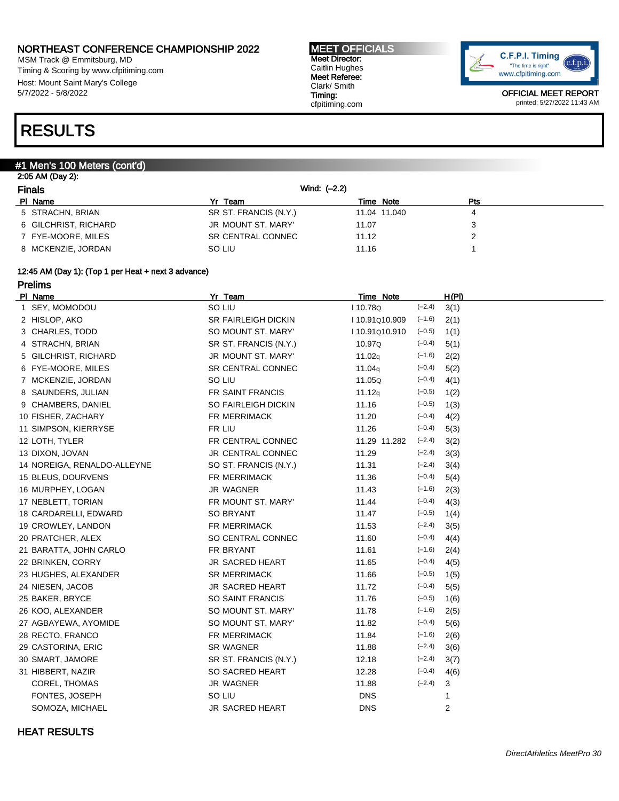MSM Track @ Emmitsburg, MD Timing & Scoring by www.cfpitiming.com Host: Mount Saint Mary's College 5/7/2022 - 5/8/2022

#### MEET OFFICIALS Meet Director: Caitlin Hughes Meet Referee: Clark/ Smith Timing: cfpitiming.com



OFFICIAL MEET REPORT printed: 5/27/2022 11:43 AM

## RESULTS

#### #1 Men's 100 Meters (cont'd)

| <b>Finals</b>        | Wind: $(-2.2)$        |              |            |  |
|----------------------|-----------------------|--------------|------------|--|
| PI Name              | Yr Team               | Time Note    | <b>Pts</b> |  |
| 5 STRACHN, BRIAN     | SR ST. FRANCIS (N.Y.) | 11.04 11.040 | 4          |  |
| 6 GILCHRIST, RICHARD | JR MOUNT ST. MARY'    | 11.07        | 3          |  |
| 7 FYE-MOORE, MILES   | SR CENTRAL CONNEC     | 11.12        |            |  |
| 8 MCKENZIE, JORDAN   | SO LIU                | 11.16        |            |  |

#### 12:45 AM (Day 1): (Top 1 per Heat + next 3 advance)

Prelims

| PI Name            |                             | Yr Team                  | Time Note          |          | <u>H(PI)</u> |  |
|--------------------|-----------------------------|--------------------------|--------------------|----------|--------------|--|
| 1 SEY, MOMODOU     |                             | SO LIU                   | I 10.78Q           | $(-2.4)$ | 3(1)         |  |
| 2 HISLOP, AKO      |                             | SR FAIRLEIGH DICKIN      | I 10.91Q10.909     | $(-1.6)$ | 2(1)         |  |
| 3 CHARLES, TODD    |                             | SO MOUNT ST. MARY'       | I 10.91Q10.910     | $(-0.5)$ | 1(1)         |  |
| 4 STRACHN, BRIAN   |                             | SR ST. FRANCIS (N.Y.)    | 10.97Q             | $(-0.4)$ | 5(1)         |  |
|                    | 5 GILCHRIST, RICHARD        | JR MOUNT ST. MARY'       | 11.02q             | $(-1.6)$ | 2(2)         |  |
| 6 FYE-MOORE, MILES |                             | <b>SR CENTRAL CONNEC</b> | 11.04 <sub>q</sub> | $(-0.4)$ | 5(2)         |  |
|                    | 7 MCKENZIE, JORDAN          | SO LIU                   | 11.05Q             | $(-0.4)$ | 4(1)         |  |
| 8 SAUNDERS, JULIAN |                             | FR SAINT FRANCIS         | 11.12q             | $(-0.5)$ | 1(2)         |  |
|                    | 9 CHAMBERS, DANIEL          | SO FAIRLEIGH DICKIN      | 11.16              | $(-0.5)$ | 1(3)         |  |
| 10 FISHER, ZACHARY |                             | FR MERRIMACK             | 11.20              | $(-0.4)$ | 4(2)         |  |
|                    | 11 SIMPSON, KIERRYSE        | FR LIU                   | 11.26              | $(-0.4)$ | 5(3)         |  |
| 12 LOTH, TYLER     |                             | FR CENTRAL CONNEC        | 11.29 11.282       | $(-2.4)$ | 3(2)         |  |
| 13 DIXON, JOVAN    |                             | JR CENTRAL CONNEC        | 11.29              | $(-2.4)$ | 3(3)         |  |
|                    | 14 NOREIGA, RENALDO-ALLEYNE | SO ST. FRANCIS (N.Y.)    | 11.31              | $(-2.4)$ | 3(4)         |  |
| 15 BLEUS, DOURVENS |                             | FR MERRIMACK             | 11.36              | $(-0.4)$ | 5(4)         |  |
| 16 MURPHEY, LOGAN  |                             | <b>JR WAGNER</b>         | 11.43              | $(-1.6)$ | 2(3)         |  |
| 17 NEBLETT, TORIAN |                             | FR MOUNT ST. MARY'       | 11.44              | $(-0.4)$ | 4(3)         |  |
|                    | 18 CARDARELLI, EDWARD       | SO BRYANT                | 11.47              | $(-0.5)$ | 1(4)         |  |
| 19 CROWLEY, LANDON |                             | FR MERRIMACK             | 11.53              | $(-2.4)$ | 3(5)         |  |
| 20 PRATCHER, ALEX  |                             | SO CENTRAL CONNEC        | 11.60              | $(-0.4)$ | 4(4)         |  |
|                    | 21 BARATTA, JOHN CARLO      | FR BRYANT                | 11.61              | $(-1.6)$ | 2(4)         |  |
| 22 BRINKEN, CORRY  |                             | <b>JR SACRED HEART</b>   | 11.65              | $(-0.4)$ | 4(5)         |  |
|                    | 23 HUGHES, ALEXANDER        | <b>SR MERRIMACK</b>      | 11.66              | $(-0.5)$ | 1(5)         |  |
| 24 NIESEN, JACOB   |                             | <b>JR SACRED HEART</b>   | 11.72              | $(-0.4)$ | 5(5)         |  |
| 25 BAKER, BRYCE    |                             | SO SAINT FRANCIS         | 11.76              | $(-0.5)$ | 1(6)         |  |
| 26 KOO, ALEXANDER  |                             | SO MOUNT ST. MARY'       | 11.78              | $(-1.6)$ | 2(5)         |  |
|                    | 27 AGBAYEWA, AYOMIDE        | SO MOUNT ST. MARY'       | 11.82              | $(-0.4)$ | 5(6)         |  |
| 28 RECTO, FRANCO   |                             | FR MERRIMACK             | 11.84              | $(-1.6)$ | 2(6)         |  |
| 29 CASTORINA, ERIC |                             | <b>SR WAGNER</b>         | 11.88              | $(-2.4)$ | 3(6)         |  |
| 30 SMART, JAMORE   |                             | SR ST. FRANCIS (N.Y.)    | 12.18              | $(-2.4)$ | 3(7)         |  |
| 31 HIBBERT, NAZIR  |                             | SO SACRED HEART          | 12.28              | $(-0.4)$ | 4(6)         |  |
| COREL, THOMAS      |                             | JR WAGNER                | 11.88              | $(-2.4)$ | 3            |  |
|                    | FONTES, JOSEPH              | SO LIU                   | <b>DNS</b>         |          | 1            |  |
|                    | SOMOZA, MICHAEL             | JR SACRED HEART          | <b>DNS</b>         |          | 2            |  |
|                    |                             |                          |                    |          |              |  |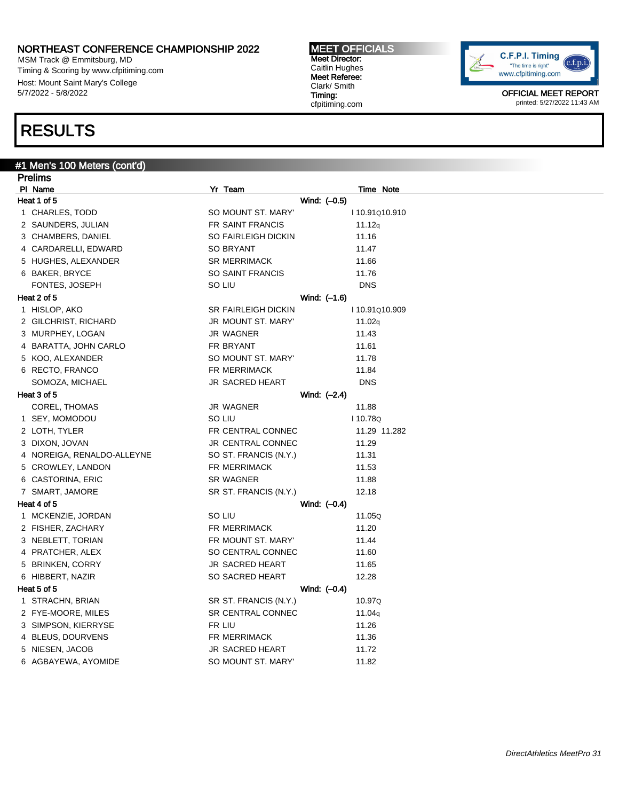MSM Track @ Emmitsburg, MD Timing & Scoring by www.cfpitiming.com Host: Mount Saint Mary's College 5/7/2022 - 5/8/2022

## RESULTS

### #1 Men's 100 Meters (cont'd)

| <b>Prelims</b>             |                            |                    |  |
|----------------------------|----------------------------|--------------------|--|
| PI Name                    | Yr Team                    | Time Note          |  |
| Heat 1 of 5                | Wind: (-0.5)               |                    |  |
| 1 CHARLES, TODD            | SO MOUNT ST. MARY'         | 110.91Q10.910      |  |
| 2 SAUNDERS, JULIAN         | FR SAINT FRANCIS           | 11.12q             |  |
| 3 CHAMBERS, DANIEL         | <b>SO FAIRLEIGH DICKIN</b> | 11.16              |  |
| 4 CARDARELLI, EDWARD       | <b>SO BRYANT</b>           | 11.47              |  |
| 5 HUGHES, ALEXANDER        | <b>SR MERRIMACK</b>        | 11.66              |  |
| 6 BAKER, BRYCE             | <b>SO SAINT FRANCIS</b>    | 11.76              |  |
| FONTES, JOSEPH             | SO LIU                     | <b>DNS</b>         |  |
| Heat 2 of 5                | Wind: (-1.6)               |                    |  |
| 1 HISLOP, AKO              | <b>SR FAIRLEIGH DICKIN</b> | I 10.91Q10.909     |  |
| 2 GILCHRIST, RICHARD       | JR MOUNT ST. MARY'         | 11.02q             |  |
| 3 MURPHEY, LOGAN           | <b>JR WAGNER</b>           | 11.43              |  |
| 4 BARATTA, JOHN CARLO      | FR BRYANT                  | 11.61              |  |
| 5 KOO, ALEXANDER           | SO MOUNT ST. MARY'         | 11.78              |  |
| 6 RECTO, FRANCO            | FR MERRIMACK               | 11.84              |  |
| SOMOZA, MICHAEL            | <b>JR SACRED HEART</b>     | <b>DNS</b>         |  |
| Heat 3 of 5                | Wind: (–2.4)               |                    |  |
| COREL, THOMAS              | JR WAGNER                  | 11.88              |  |
| 1 SEY, MOMODOU             | SO LIU                     | I 10.78Q           |  |
| 2 LOTH, TYLER              | FR CENTRAL CONNEC          | 11.29 11.282       |  |
| 3 DIXON, JOVAN             | <b>JR CENTRAL CONNEC</b>   | 11.29              |  |
| 4 NOREIGA, RENALDO-ALLEYNE | SO ST. FRANCIS (N.Y.)      | 11.31              |  |
| 5 CROWLEY, LANDON          | FR MERRIMACK               | 11.53              |  |
| 6 CASTORINA, ERIC          | <b>SR WAGNER</b>           | 11.88              |  |
| 7 SMART, JAMORE            | SR ST. FRANCIS (N.Y.)      | 12.18              |  |
| Heat 4 of 5                | Wind: (-0.4)               |                    |  |
| 1 MCKENZIE, JORDAN         | SO LIU                     | 11.05Q             |  |
| 2 FISHER, ZACHARY          | <b>FR MERRIMACK</b>        | 11.20              |  |
| 3 NEBLETT, TORIAN          | FR MOUNT ST. MARY'         | 11.44              |  |
| 4 PRATCHER, ALEX           | SO CENTRAL CONNEC          | 11.60              |  |
| 5 BRINKEN, CORRY           | <b>JR SACRED HEART</b>     | 11.65              |  |
| 6 HIBBERT, NAZIR           | SO SACRED HEART            | 12.28              |  |
| Heat 5 of 5                | Wind: (–0.4)               |                    |  |
| 1 STRACHN, BRIAN           | SR ST. FRANCIS (N.Y.)      | 10.97Q             |  |
| 2 FYE-MOORE, MILES         | SR CENTRAL CONNEC          | 11.04 <sub>q</sub> |  |
| 3 SIMPSON, KIERRYSE        | FR LIU                     | 11.26              |  |
| 4 BLEUS, DOURVENS          | <b>FR MERRIMACK</b>        | 11.36              |  |
| 5 NIESEN, JACOB            | <b>JR SACRED HEART</b>     | 11.72              |  |
| 6 AGBAYEWA, AYOMIDE        | SO MOUNT ST. MARY'         | 11.82              |  |

MEET OFFICIALS Meet Director: Caitlin Hughes Meet Referee: Clark/ Smith Timing: cfpitiming.com

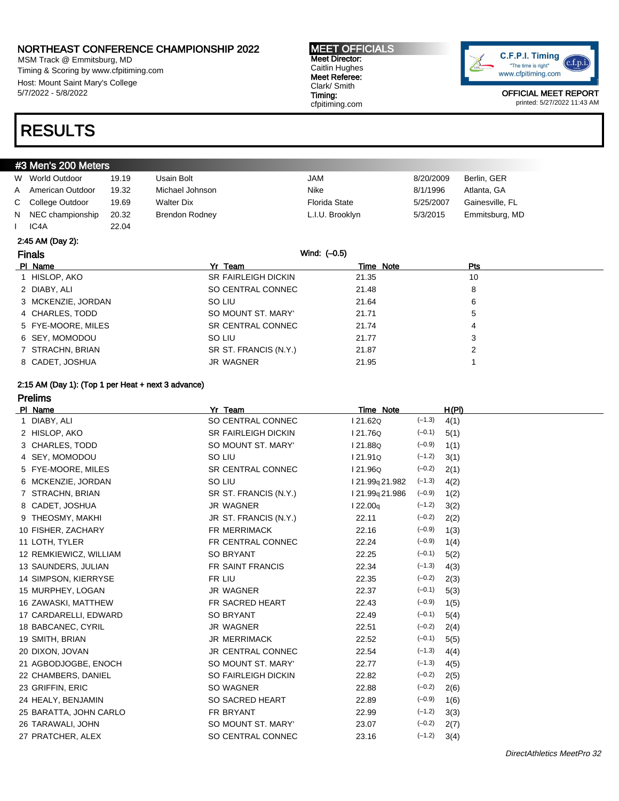MSM Track @ Emmitsburg, MD Timing & Scoring by www.cfpitiming.com Host: Mount Saint Mary's College 5/7/2022 - 5/8/2022

### RESULTS

#### #3 Men's 200 Meters

| W World Outdoor    | 19.19 | Usain Bolt            | JAM                  | 8/20/2009 | Berlin, GER     |
|--------------------|-------|-----------------------|----------------------|-----------|-----------------|
| A American Outdoor | 19.32 | Michael Johnson       | Nike                 | 8/1/1996  | Atlanta, GA     |
| C College Outdoor  | 19.69 | <b>Walter Dix</b>     | <b>Florida State</b> | 5/25/2007 | Gainesville, FL |
| N NEC championship | 20.32 | <b>Brendon Rodney</b> | L.I.U. Brooklyn      | 5/3/2015  | Emmitsburg, MD  |
| IC <sub>4</sub> A  | 22.04 |                       |                      |           |                 |

### 2:45 AM (Day 2):

| <b>Finals</b>      | Wind: (-0.5)               |           |     |  |
|--------------------|----------------------------|-----------|-----|--|
| PI Name            | Yr Team                    | Time Note | Pts |  |
| 1 HISLOP, AKO      | <b>SR FAIRLEIGH DICKIN</b> | 21.35     | 10  |  |
| 2 DIABY, ALI       | SO CENTRAL CONNEC          | 21.48     | 8   |  |
| 3 MCKENZIE, JORDAN | SO LIU                     | 21.64     | 6   |  |
| 4 CHARLES, TODD    | SO MOUNT ST. MARY'         | 21.71     | 5   |  |
| 5 FYE-MOORE, MILES | SR CENTRAL CONNEC          | 21.74     | 4   |  |
| 6 SEY, MOMODOU     | SO LIU                     | 21.77     | 3   |  |
| 7 STRACHN, BRIAN   | SR ST. FRANCIS (N.Y.)      | 21.87     | 2   |  |
| 8 CADET, JOSHUA    | JR WAGNER                  | 21.95     |     |  |

MEET OFFICIALS Meet Director: Caitlin Hughes Meet Referee: Clark/ Smith Timing: cfpitiming.com

#### 2:15 AM (Day 1): (Top 1 per Heat + next 3 advance)

| <b>Prelims</b>         |                            |                             |          |       |
|------------------------|----------------------------|-----------------------------|----------|-------|
| PI Name                | Yr Team                    | Time Note                   |          | H(PI) |
| 1 DIABY, ALI           | SO CENTRAL CONNEC          | I 21.62Q                    | $(-1.3)$ | 4(1)  |
| 2 HISLOP, AKO          | <b>SR FAIRLEIGH DICKIN</b> | I 21.76Q                    | $(-0.1)$ | 5(1)  |
| 3 CHARLES, TODD        | SO MOUNT ST. MARY'         | I 21.88Q                    | $(-0.9)$ | 1(1)  |
| 4 SEY, MOMODOU         | SO LIU                     | I 21.91Q                    | $(-1.2)$ | 3(1)  |
| 5 FYE-MOORE, MILES     | SR CENTRAL CONNEC          | 121.96Q                     | $(-0.2)$ | 2(1)  |
| 6 MCKENZIE, JORDAN     | SO LIU                     | l 21.99 <sub>9</sub> 21.982 | $(-1.3)$ | 4(2)  |
| 7 STRACHN, BRIAN       | SR ST. FRANCIS (N.Y.)      | l 21.99 <sub>9</sub> 21.986 | $(-0.9)$ | 1(2)  |
| 8 CADET, JOSHUA        | <b>JR WAGNER</b>           | 122.00q                     | $(-1.2)$ | 3(2)  |
| 9 THEOSMY, MAKHI       | JR ST. FRANCIS (N.Y.)      | 22.11                       | $(-0.2)$ | 2(2)  |
| 10 FISHER, ZACHARY     | FR MERRIMACK               | 22.16                       | $(-0.9)$ | 1(3)  |
| 11 LOTH, TYLER         | FR CENTRAL CONNEC          | 22.24                       | $(-0.9)$ | 1(4)  |
| 12 REMKIEWICZ, WILLIAM | <b>SO BRYANT</b>           | 22.25                       | $(-0.1)$ | 5(2)  |
| 13 SAUNDERS, JULIAN    | FR SAINT FRANCIS           | 22.34                       | $(-1.3)$ | 4(3)  |
| 14 SIMPSON, KIERRYSE   | FR LIU                     | 22.35                       | $(-0.2)$ | 2(3)  |
| 15 MURPHEY, LOGAN      | <b>JR WAGNER</b>           | 22.37                       | $(-0.1)$ | 5(3)  |
| 16 ZAWASKI, MATTHEW    | FR SACRED HEART            | 22.43                       | $(-0.9)$ | 1(5)  |
| 17 CARDARELLI, EDWARD  | <b>SO BRYANT</b>           | 22.49                       | $(-0.1)$ | 5(4)  |
| 18 BABCANEC, CYRIL     | <b>JR WAGNER</b>           | 22.51                       | $(-0.2)$ | 2(4)  |
| 19 SMITH, BRIAN        | <b>JR MERRIMACK</b>        | 22.52                       | $(-0.1)$ | 5(5)  |
| 20 DIXON, JOVAN        | JR CENTRAL CONNEC          | 22.54                       | $(-1.3)$ | 4(4)  |
| 21 AGBODJOGBE, ENOCH   | SO MOUNT ST. MARY'         | 22.77                       | $(-1.3)$ | 4(5)  |
| 22 CHAMBERS, DANIEL    | SO FAIRLEIGH DICKIN        | 22.82                       | $(-0.2)$ | 2(5)  |
| 23 GRIFFIN, ERIC       | SO WAGNER                  | 22.88                       | $(-0.2)$ | 2(6)  |
| 24 HEALY, BENJAMIN     | SO SACRED HEART            | 22.89                       | $(-0.9)$ | 1(6)  |
| 25 BARATTA, JOHN CARLO | FR BRYANT                  | 22.99                       | $(-1.2)$ | 3(3)  |
| 26 TARAWALI, JOHN      | SO MOUNT ST. MARY'         | 23.07                       | $(-0.2)$ | 2(7)  |
| 27 PRATCHER, ALEX      | SO CENTRAL CONNEC          | 23.16                       | $(-1.2)$ | 3(4)  |

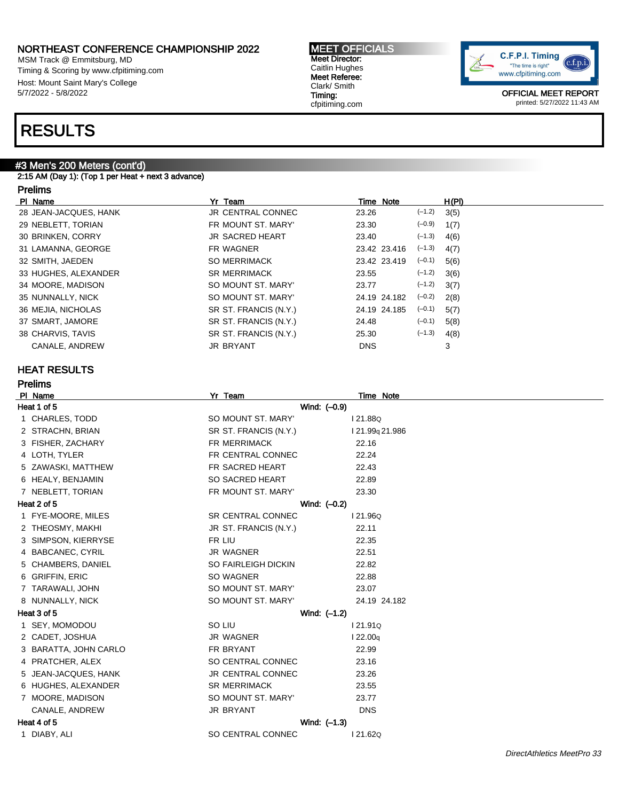MSM Track @ Emmitsburg, MD Timing & Scoring by www.cfpitiming.com Host: Mount Saint Mary's College 5/7/2022 - 5/8/2022

## RESULTS

### #3 Men's 200 Meters (cont'd)

2:15 AM (Day 1): (Top 1 per Heat + next 3 advance)

### Prelims

| PI Name               | Yr Team                | Time Note    | H(PI)            |
|-----------------------|------------------------|--------------|------------------|
| 28 JEAN-JACQUES, HANK | JR CENTRAL CONNEC      | 23.26        | $(-1.2)$<br>3(5) |
| 29 NEBLETT, TORIAN    | FR MOUNT ST. MARY'     | 23.30        | $(-0.9)$<br>1(7) |
| 30 BRINKEN, CORRY     | <b>JR SACRED HEART</b> | 23.40        | $(-1.3)$<br>4(6) |
| 31 LAMANNA, GEORGE    | FR WAGNER              | 23.42 23.416 | $(-1.3)$<br>4(7) |
| 32 SMITH, JAEDEN      | <b>SO MERRIMACK</b>    | 23.42 23.419 | $(-0.1)$<br>5(6) |
| 33 HUGHES, ALEXANDER  | <b>SR MERRIMACK</b>    | 23.55        | $(-1.2)$<br>3(6) |
| 34 MOORE, MADISON     | SO MOUNT ST. MARY'     | 23.77        | $(-1.2)$<br>3(7) |
| 35 NUNNALLY, NICK     | SO MOUNT ST. MARY'     | 24.19 24.182 | $(-0.2)$<br>2(8) |
| 36 MEJIA, NICHOLAS    | SR ST. FRANCIS (N.Y.)  | 24.19 24.185 | $(-0.1)$<br>5(7) |
| 37 SMART, JAMORE      | SR ST. FRANCIS (N.Y.)  | 24.48        | $(-0.1)$<br>5(8) |
| 38 CHARVIS, TAVIS     | SR ST. FRANCIS (N.Y.)  | 25.30        | $(-1.3)$<br>4(8) |
| CANALE, ANDREW        | <b>JR BRYANT</b>       | <b>DNS</b>   | 3                |
|                       |                        |              |                  |

### HEAT RESULTS

Prelims

|   | PI Name               | Yr Team                  | Time Note                   |
|---|-----------------------|--------------------------|-----------------------------|
|   | Heat 1 of 5           | Wind: (-0.9)             |                             |
|   | 1 CHARLES, TODD       | SO MOUNT ST. MARY'       | I 21.88Q                    |
|   | 2 STRACHN, BRIAN      | SR ST. FRANCIS (N.Y.)    | l 21.99 <sub>9</sub> 21.986 |
|   | 3 FISHER, ZACHARY     | FR MERRIMACK             | 22.16                       |
|   | 4 LOTH, TYLER         | FR CENTRAL CONNEC        | 22.24                       |
|   | 5 ZAWASKI, MATTHEW    | FR SACRED HEART          | 22.43                       |
|   | 6 HEALY, BENJAMIN     | SO SACRED HEART          | 22.89                       |
|   | 7 NEBLETT, TORIAN     | FR MOUNT ST. MARY'       | 23.30                       |
|   | Heat 2 of 5           | Wind: (-0.2)             |                             |
|   | 1 FYE-MOORE, MILES    | <b>SR CENTRAL CONNEC</b> | 121.96Q                     |
|   | 2 THEOSMY, MAKHI      | JR ST. FRANCIS (N.Y.)    | 22.11                       |
|   | SIMPSON, KIERRYSE     | FR LIU                   | 22.35                       |
|   | 4 BABCANEC, CYRIL     | JR WAGNER                | 22.51                       |
|   | 5 CHAMBERS, DANIEL    | SO FAIRLEIGH DICKIN      | 22.82                       |
|   | 6 GRIFFIN, ERIC       | SO WAGNER                | 22.88                       |
|   | 7 TARAWALI, JOHN      | SO MOUNT ST. MARY'       | 23.07                       |
|   | 8 NUNNALLY, NICK      | SO MOUNT ST. MARY'       | 24.19 24.182                |
|   | Heat 3 of 5           | Wind: (-1.2)             |                             |
|   | 1 SEY, MOMODOU        | SO LIU                   | 121.91Q                     |
|   | 2 CADET, JOSHUA       | JR WAGNER                | 122.00q                     |
|   | 3 BARATTA, JOHN CARLO | FR BRYANT                | 22.99                       |
|   | 4 PRATCHER, ALEX      | SO CENTRAL CONNEC        | 23.16                       |
| 5 | JEAN-JACQUES, HANK    | JR CENTRAL CONNEC        | 23.26                       |
|   | 6 HUGHES, ALEXANDER   | <b>SR MERRIMACK</b>      | 23.55                       |
|   | 7 MOORE, MADISON      | SO MOUNT ST. MARY'       | 23.77                       |
|   | CANALE, ANDREW        | <b>JR BRYANT</b>         | <b>DNS</b>                  |
|   | Heat 4 of 5           | Wind: $(-1.3)$           |                             |
|   | 1 DIABY, ALI          | SO CENTRAL CONNEC        | 121.62Q                     |
|   |                       |                          |                             |

MEET OFFICIALS Meet Director: Caitlin Hughes Meet Referee: Clark/ Smith Timing: cfpitiming.com

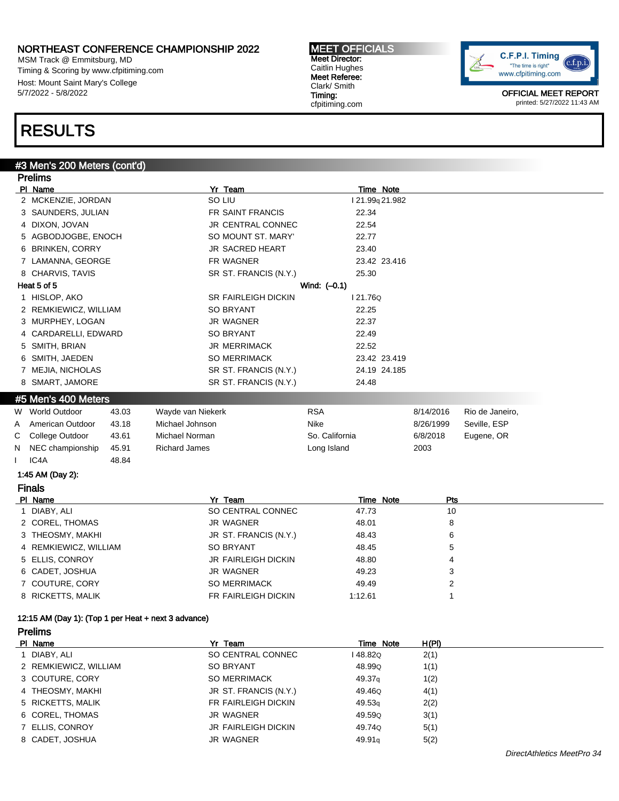MSM Track @ Emmitsburg, MD Timing & Scoring by www.cfpitiming.com Host: Mount Saint Mary's College 5/7/2022 - 5/8/2022

#### MEET OFFICIALS Meet Director: Caitlin Hughes Meet Referee: Clark/ Smith Timing: cfpitiming.com



OFFICIAL MEET REPORT printed: 5/27/2022 11:43 AM

## RESULTS

#### #3 Men's 200 Meters (cont'd)

|    | <b>Prelims</b>        |       |                            |                 |                |                 |
|----|-----------------------|-------|----------------------------|-----------------|----------------|-----------------|
|    | PI Name               |       | Yr Team                    | Time Note       |                |                 |
|    | 2 MCKENZIE, JORDAN    |       | SO LIU                     | I 21.99q 21.982 |                |                 |
|    | 3 SAUNDERS, JULIAN    |       | FR SAINT FRANCIS           | 22.34           |                |                 |
|    | 4 DIXON, JOVAN        |       | JR CENTRAL CONNEC          | 22.54           |                |                 |
|    | 5 AGBODJOGBE, ENOCH   |       | SO MOUNT ST. MARY'         | 22.77           |                |                 |
|    | 6 BRINKEN, CORRY      |       | JR SACRED HEART            | 23.40           |                |                 |
|    | 7 LAMANNA, GEORGE     |       | FR WAGNER                  | 23.42 23.416    |                |                 |
|    | 8 CHARVIS, TAVIS      |       | SR ST. FRANCIS (N.Y.)      | 25.30           |                |                 |
|    | Heat 5 of 5           |       |                            | Wind: $(-0.1)$  |                |                 |
|    | 1 HISLOP, AKO         |       | <b>SR FAIRLEIGH DICKIN</b> | 121.76Q         |                |                 |
|    | 2 REMKIEWICZ, WILLIAM |       | <b>SO BRYANT</b>           | 22.25           |                |                 |
|    | 3 MURPHEY, LOGAN      |       | <b>JR WAGNER</b>           | 22.37           |                |                 |
|    | 4 CARDARELLI, EDWARD  |       | <b>SO BRYANT</b>           | 22.49           |                |                 |
|    | 5 SMITH, BRIAN        |       | <b>JR MERRIMACK</b>        | 22.52           |                |                 |
|    | 6 SMITH, JAEDEN       |       | <b>SO MERRIMACK</b>        | 23.42 23.419    |                |                 |
|    | 7 MEJIA, NICHOLAS     |       | SR ST. FRANCIS (N.Y.)      | 24.19 24.185    |                |                 |
|    | 8 SMART, JAMORE       |       | SR ST. FRANCIS (N.Y.)      | 24.48           |                |                 |
|    | #5 Men's 400 Meters   |       |                            |                 |                |                 |
|    | W World Outdoor       | 43.03 | Wayde van Niekerk          | <b>RSA</b>      | 8/14/2016      | Rio de Janeiro, |
| Α  | American Outdoor      | 43.18 | Michael Johnson            | Nike            | 8/26/1999      | Seville, ESP    |
| С  | College Outdoor       | 43.61 | Michael Norman             | So. California  | 6/8/2018       | Eugene, OR      |
|    |                       |       |                            |                 |                |                 |
|    | NEC championship      | 45.91 | <b>Richard James</b>       | Long Island     | 2003           |                 |
|    | IC <sub>4</sub> A     | 48.84 |                            |                 |                |                 |
|    | 1:45 AM (Day 2):      |       |                            |                 |                |                 |
|    | <b>Finals</b>         |       |                            |                 |                |                 |
|    | PI Name               |       | Yr Team                    | Time Note       | Pts            |                 |
|    | 1 DIABY, ALI          |       | SO CENTRAL CONNEC          | 47.73           | 10             |                 |
| N. | 2 COREL, THOMAS       |       | <b>JR WAGNER</b>           | 48.01           | 8              |                 |
|    | 3 THEOSMY, MAKHI      |       | JR ST. FRANCIS (N.Y.)      | 48.43           | 6              |                 |
|    | 4 REMKIEWICZ, WILLIAM |       | <b>SO BRYANT</b>           | 48.45           | 5              |                 |
|    | 5 ELLIS, CONROY       |       | JR FAIRLEIGH DICKIN        | 48.80           | 4              |                 |
|    | 6 CADET, JOSHUA       |       | <b>JR WAGNER</b>           | 49.23           | 3              |                 |
|    | 7 COUTURE, CORY       |       | <b>SO MERRIMACK</b>        | 49.49           | $\overline{c}$ |                 |
|    | 8 RICKETTS, MALIK     |       | FR FAIRLEIGH DICKIN        | 1:12.61         | 1              |                 |

### 12:15 AM (Day 1): (Top 1 per Heat + next 3 advance)

Prelims PI Name **Time Note** H(PI) **PI Name** Time Note H(PI) 1 DIABY, ALI SO CENTRAL CONNEC 148.82Q 2(1) 2 REMKIEWICZ, WILLIAM SO BRYANT 48.99Q 1(1) 3 COUTURE, CORY SO MERRIMACK 49.37q 1(2) 4 THEOSMY, MAKHI JR ST. FRANCIS (N.Y.) 49.46Q 4(1) 5 RICKETTS, MALIK FR FAIRLEIGH DICKIN 49.53q 2(2) 6 COREL, THOMAS JR WAGNER 49.59Q 3(1) 7 ELLIS, CONROY **1998** JR FAIRLEIGH DICKIN 49.740 5(1) 8 CADET, JOSHUA JR WAGNER 49.91q 5(2)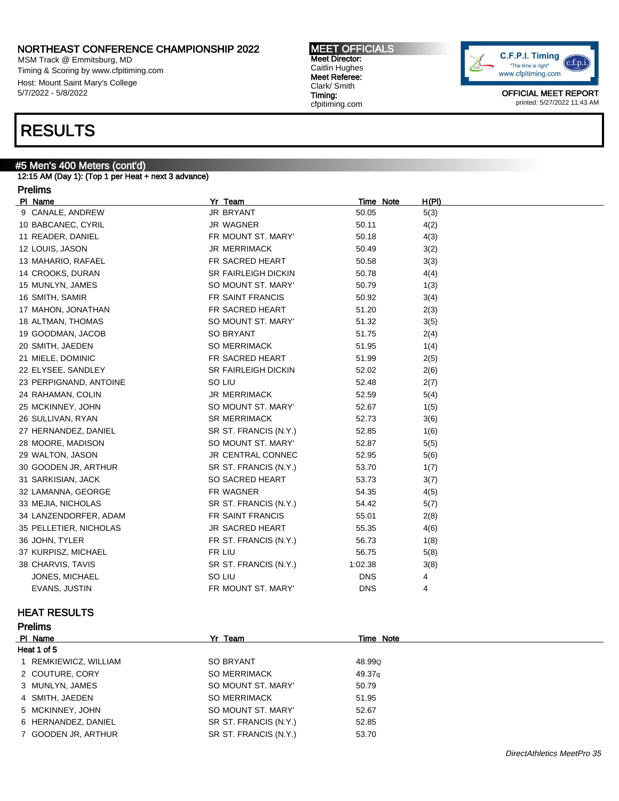MSM Track @ Emmitsburg, MD Timing & Scoring by www.cfpitiming.com Host: Mount Saint Mary's College 5/7/2022 - 5/8/2022

## RESULTS

### #5 Men's 400 Meters (cont'd)

12:15 AM (Day 1): (Top 1 per Heat + next 3 advance)

### Prelims

| PI Name                | Yr Team                    | Time Note  | H(PI) |
|------------------------|----------------------------|------------|-------|
| 9 CANALE, ANDREW       | <b>JR BRYANT</b>           | 50.05      | 5(3)  |
| 10 BABCANEC, CYRIL     | JR WAGNER                  | 50.11      | 4(2)  |
| 11 READER, DANIEL      | FR MOUNT ST. MARY'         | 50.18      | 4(3)  |
| 12 LOUIS, JASON        | <b>JR MERRIMACK</b>        | 50.49      | 3(2)  |
| 13 MAHARIO, RAFAEL     | FR SACRED HEART            | 50.58      | 3(3)  |
| 14 CROOKS, DURAN       | <b>SR FAIRLEIGH DICKIN</b> | 50.78      | 4(4)  |
| 15 MUNLYN, JAMES       | SO MOUNT ST. MARY'         | 50.79      | 1(3)  |
| 16 SMITH, SAMIR        | FR SAINT FRANCIS           | 50.92      | 3(4)  |
| 17 MAHON, JONATHAN     | FR SACRED HEART            | 51.20      | 2(3)  |
| 18 ALTMAN, THOMAS      | SO MOUNT ST. MARY'         | 51.32      | 3(5)  |
| 19 GOODMAN, JACOB      | <b>SO BRYANT</b>           | 51.75      | 2(4)  |
| 20 SMITH, JAEDEN       | <b>SO MERRIMACK</b>        | 51.95      | 1(4)  |
| 21 MIELE, DOMINIC      | FR SACRED HEART            | 51.99      | 2(5)  |
| 22 ELYSEE, SANDLEY     | <b>SR FAIRLEIGH DICKIN</b> | 52.02      | 2(6)  |
| 23 PERPIGNAND, ANTOINE | SO LIU                     | 52.48      | 2(7)  |
| 24 RAHAMAN, COLIN      | <b>JR MERRIMACK</b>        | 52.59      | 5(4)  |
| 25 MCKINNEY, JOHN      | SO MOUNT ST. MARY'         | 52.67      | 1(5)  |
| 26 SULLIVAN, RYAN      | <b>SR MERRIMACK</b>        | 52.73      | 3(6)  |
| 27 HERNANDEZ, DANIEL   | SR ST. FRANCIS (N.Y.)      | 52.85      | 1(6)  |
| 28 MOORE, MADISON      | SO MOUNT ST. MARY'         | 52.87      | 5(5)  |
| 29 WALTON, JASON       | <b>JR CENTRAL CONNEC</b>   | 52.95      | 5(6)  |
| 30 GOODEN JR, ARTHUR   | SR ST. FRANCIS (N.Y.)      | 53.70      | 1(7)  |
| 31 SARKISIAN, JACK     | SO SACRED HEART            | 53.73      | 3(7)  |
| 32 LAMANNA, GEORGE     | FR WAGNER                  | 54.35      | 4(5)  |
| 33 MEJIA, NICHOLAS     | SR ST. FRANCIS (N.Y.)      | 54.42      | 5(7)  |
| 34 LANZENDORFER, ADAM  | FR SAINT FRANCIS           | 55.01      | 2(8)  |
| 35 PELLETIER, NICHOLAS | <b>JR SACRED HEART</b>     | 55.35      | 4(6)  |
| 36 JOHN, TYLER         | FR ST. FRANCIS (N.Y.)      | 56.73      | 1(8)  |
| 37 KURPISZ, MICHAEL    | FR LIU                     | 56.75      | 5(8)  |
| 38 CHARVIS, TAVIS      | SR ST. FRANCIS (N.Y.)      | 1:02.38    | 3(8)  |
| JONES, MICHAEL         | SO LIU                     | <b>DNS</b> | 4     |
| EVANS, JUSTIN          | FR MOUNT ST. MARY'         | <b>DNS</b> | 4     |

### HEAT RESULTS

| <b>Prelims</b>        |                       |                    |  |  |
|-----------------------|-----------------------|--------------------|--|--|
| PI Name               | Yr Team               | Time Note          |  |  |
| Heat 1 of 5           |                       |                    |  |  |
| 1 REMKIEWICZ, WILLIAM | <b>SO BRYANT</b>      | 48.99Q             |  |  |
| 2 COUTURE, CORY       | SO MERRIMACK          | 49.37 <sub>g</sub> |  |  |
| 3 MUNLYN, JAMES       | SO MOUNT ST. MARY'    | 50.79              |  |  |
| 4 SMITH, JAEDEN       | <b>SO MERRIMACK</b>   | 51.95              |  |  |
| 5 MCKINNEY, JOHN      | SO MOUNT ST. MARY'    | 52.67              |  |  |
| 6 HERNANDEZ, DANIEL   | SR ST. FRANCIS (N.Y.) | 52.85              |  |  |
| 7 GOODEN JR, ARTHUR   | SR ST. FRANCIS (N.Y.) | 53.70              |  |  |

MEET OFFICIALS Meet Director: Caitlin Hughes Meet Referee: Clark/ Smith

Timing: cfpitiming.com

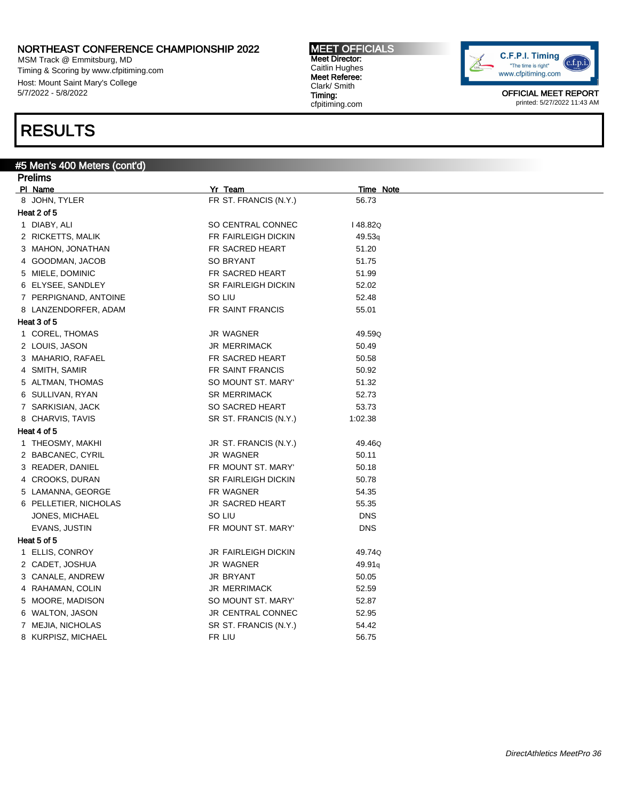MSM Track @ Emmitsburg, MD Timing & Scoring by www.cfpitiming.com Host: Mount Saint Mary's College 5/7/2022 - 5/8/2022

## RESULTS

### #5 Men's 400 Meters (cont'd)

| <b>Prelims</b>        |                       |            |  |
|-----------------------|-----------------------|------------|--|
| PI Name               | Yr Team               | Time Note  |  |
| 8 JOHN, TYLER         | FR ST. FRANCIS (N.Y.) | 56.73      |  |
| Heat 2 of 5           |                       |            |  |
| 1 DIABY, ALI          | SO CENTRAL CONNEC     | I 48.82Q   |  |
| 2 RICKETTS, MALIK     | FR FAIRLEIGH DICKIN   | 49.53q     |  |
| 3 MAHON, JONATHAN     | FR SACRED HEART       | 51.20      |  |
| 4 GOODMAN, JACOB      | <b>SO BRYANT</b>      | 51.75      |  |
| 5 MIELE, DOMINIC      | FR SACRED HEART       | 51.99      |  |
| 6 ELYSEE, SANDLEY     | SR FAIRLEIGH DICKIN   | 52.02      |  |
| 7 PERPIGNAND, ANTOINE | SO LIU                | 52.48      |  |
| 8 LANZENDORFER, ADAM  | FR SAINT FRANCIS      | 55.01      |  |
| Heat 3 of 5           |                       |            |  |
| 1 COREL, THOMAS       | JR WAGNER             | 49.59Q     |  |
| 2 LOUIS, JASON        | <b>JR MERRIMACK</b>   | 50.49      |  |
| 3 MAHARIO, RAFAEL     | FR SACRED HEART       | 50.58      |  |
| 4 SMITH, SAMIR        | FR SAINT FRANCIS      | 50.92      |  |
| 5 ALTMAN, THOMAS      | SO MOUNT ST. MARY'    | 51.32      |  |
| 6 SULLIVAN, RYAN      | <b>SR MERRIMACK</b>   | 52.73      |  |
| 7 SARKISIAN, JACK     | SO SACRED HEART       | 53.73      |  |
| 8 CHARVIS, TAVIS      | SR ST. FRANCIS (N.Y.) | 1:02.38    |  |
| Heat 4 of 5           |                       |            |  |
| 1 THEOSMY, MAKHI      | JR ST. FRANCIS (N.Y.) | 49.46Q     |  |
| 2 BABCANEC, CYRIL     | JR WAGNER             | 50.11      |  |
| 3 READER, DANIEL      | FR MOUNT ST. MARY'    | 50.18      |  |
| 4 CROOKS, DURAN       | SR FAIRLEIGH DICKIN   | 50.78      |  |
| 5 LAMANNA, GEORGE     | FR WAGNER             | 54.35      |  |
| 6 PELLETIER, NICHOLAS | JR SACRED HEART       | 55.35      |  |
| JONES, MICHAEL        | SO LIU                | <b>DNS</b> |  |
| EVANS, JUSTIN         | FR MOUNT ST. MARY'    | <b>DNS</b> |  |
| Heat 5 of 5           |                       |            |  |
| 1 ELLIS, CONROY       | JR FAIRLEIGH DICKIN   | 49.74Q     |  |
| 2 CADET, JOSHUA       | JR WAGNER             | 49.91q     |  |
| 3 CANALE, ANDREW      | <b>JR BRYANT</b>      | 50.05      |  |
| 4 RAHAMAN, COLIN      | <b>JR MERRIMACK</b>   | 52.59      |  |
| 5 MOORE, MADISON      | SO MOUNT ST. MARY'    | 52.87      |  |
| 6 WALTON, JASON       | JR CENTRAL CONNEC     | 52.95      |  |
| 7 MEJIA, NICHOLAS     | SR ST. FRANCIS (N.Y.) | 54.42      |  |
| 8 KURPISZ, MICHAEL    | FR LIU                | 56.75      |  |

MEET OFFICIALS

Meet Director: Caitlin Hughes Meet Referee: Clark/ Smith Timing: cfpitiming.com

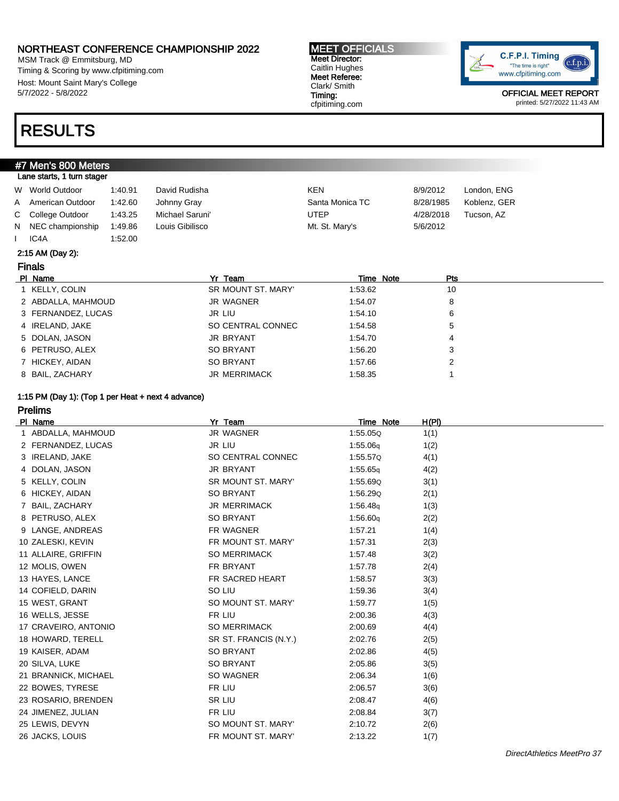MSM Track @ Emmitsburg, MD Timing & Scoring by www.cfpitiming.com Host: Mount Saint Mary's College 5/7/2022 - 5/8/2022

### RESULTS

#### #7 Men's 800 Meters Lane starts, 1 turn stager

| W World Outdoor    | 1:40.91 | David Rudisha   | <b>KEN</b>      | 8/9/2012  | London, ENG  |
|--------------------|---------|-----------------|-----------------|-----------|--------------|
| A American Outdoor | 1:42.60 | Johnny Gray     | Santa Monica TC | 8/28/1985 | Koblenz, GER |
| C College Outdoor  | 1:43.25 | Michael Saruni' | UTEP            | 4/28/2018 | Tucson, AZ   |
| N NEC championship | 1:49.86 | Louis Gibilisco | Mt. St. Mary's  | 5/6/2012  |              |
| IC4A               | 1:52.00 |                 |                 |           |              |

#### 2:15 AM (Day 2):

### Finals

| PI Name            | Yr Team             | Time Note | Pts |
|--------------------|---------------------|-----------|-----|
| 1 KELLY, COLIN     | SR MOUNT ST. MARY'  | 1:53.62   | 10  |
| 2 ABDALLA, MAHMOUD | JR WAGNER           | 1:54.07   | 8   |
| 3 FERNANDEZ, LUCAS | JR LIU              | 1:54.10   | 6   |
| 4 IRELAND, JAKE    | SO CENTRAL CONNEC   | 1:54.58   | 5   |
| 5 DOLAN, JASON     | <b>JR BRYANT</b>    | 1:54.70   | 4   |
| 6 PETRUSO, ALEX    | <b>SO BRYANT</b>    | 1:56.20   | 3   |
| 7 HICKEY, AIDAN    | <b>SO BRYANT</b>    | 1:57.66   |     |
| 8 BAIL, ZACHARY    | <b>JR MERRIMACK</b> | 1:58.35   |     |

MEET OFFICIALS Meet Director: Caitlin Hughes Meet Referee: Clark/ Smith Timing: cfpitiming.com

#### 1:15 PM (Day 1): (Top 1 per Heat + next 4 advance)

### Prelims

| PI Name              | Yr Team               | <u>Time Note</u> | <u>H(PI)</u> |
|----------------------|-----------------------|------------------|--------------|
| 1 ABDALLA, MAHMOUD   | JR WAGNER             | 1:55.05Q         | 1(1)         |
| 2 FERNANDEZ, LUCAS   | JR LIU                | 1:55.06q         | 1(2)         |
| 3 IRELAND, JAKE      | SO CENTRAL CONNEC     | 1:55.57Q         | 4(1)         |
| 4 DOLAN, JASON       | JR BRYANT             | 1:55.65q         | 4(2)         |
| 5 KELLY, COLIN       | SR MOUNT ST. MARY'    | 1:55.69Q         | 3(1)         |
| 6 HICKEY, AIDAN      | <b>SO BRYANT</b>      | 1:56.29Q         | 2(1)         |
| 7 BAIL, ZACHARY      | JR MERRIMACK          | 1:56.48q         | 1(3)         |
| 8 PETRUSO, ALEX      | <b>SO BRYANT</b>      | 1:56.60q         | 2(2)         |
| 9 LANGE, ANDREAS     | FR WAGNER             | 1:57.21          | 1(4)         |
| 10 ZALESKI, KEVIN    | FR MOUNT ST. MARY'    | 1:57.31          | 2(3)         |
| 11 ALLAIRE, GRIFFIN  | <b>SO MERRIMACK</b>   | 1:57.48          | 3(2)         |
| 12 MOLIS, OWEN       | FR BRYANT             | 1:57.78          | 2(4)         |
| 13 HAYES, LANCE      | FR SACRED HEART       | 1:58.57          | 3(3)         |
| 14 COFIELD, DARIN    | SO LIU                | 1:59.36          | 3(4)         |
| 15 WEST, GRANT       | SO MOUNT ST. MARY'    | 1:59.77          | 1(5)         |
| 16 WELLS, JESSE      | FR LIU                | 2:00.36          | 4(3)         |
| 17 CRAVEIRO, ANTONIO | <b>SO MERRIMACK</b>   | 2:00.69          | 4(4)         |
| 18 HOWARD, TERELL    | SR ST. FRANCIS (N.Y.) | 2:02.76          | 2(5)         |
| 19 KAISER, ADAM      | SO BRYANT             | 2:02.86          | 4(5)         |
| 20 SILVA, LUKE       | <b>SO BRYANT</b>      | 2:05.86          | 3(5)         |
| 21 BRANNICK, MICHAEL | SO WAGNER             | 2:06.34          | 1(6)         |
| 22 BOWES, TYRESE     | FR LIU                | 2:06.57          | 3(6)         |
| 23 ROSARIO, BRENDEN  | SR LIU                | 2:08.47          | 4(6)         |
| 24 JIMENEZ, JULIAN   | FR LIU                | 2:08.84          | 3(7)         |
| 25 LEWIS, DEVYN      | SO MOUNT ST. MARY'    | 2:10.72          | 2(6)         |
| 26 JACKS, LOUIS      | FR MOUNT ST. MARY'    | 2:13.22          | 1(7)         |
|                      |                       |                  |              |

C.F.P.I. Timing  $(c.f.p.i.$ "The time is right" www.cfpitiming.com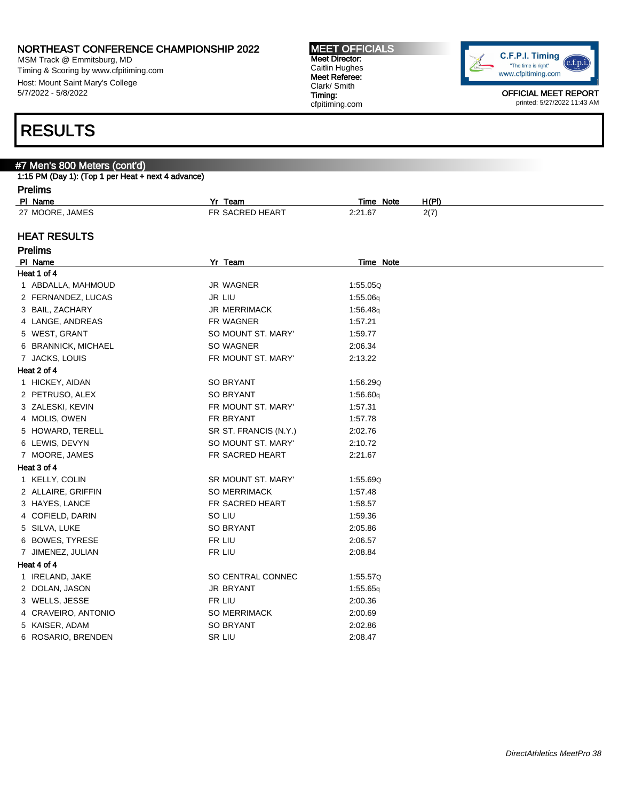MSM Track @ Emmitsburg, MD Timing & Scoring by www.cfpitiming.com Host: Mount Saint Mary's College 5/7/2022 - 5/8/2022

## RESULTS

#### #7 Men's 800 Meters (cont'd)

|        | 1:15 PM (Day 1): (Top 1 per Heat + next 4 advance) |  |  |
|--------|----------------------------------------------------|--|--|
| $\sim$ |                                                    |  |  |

| Prelims |
|---------|
|---------|

| .               |                 |              |       |  |
|-----------------|-----------------|--------------|-------|--|
| PI Name         | Yr<br>Team      | Note<br>Time | H(PI) |  |
| 27 MOORE, JAMES | FR SACRED HEART | 2:21.67      | 2(7)  |  |
|                 |                 |              |       |  |

MEET OFFICIALS Meet Director: Caitlin Hughes Meet Referee: Clark/ Smith Timing: cfpitiming.com

### HEAT RESULTS

| <b>Prelims</b>      |                       |           |
|---------------------|-----------------------|-----------|
| PI Name             | Yr Team               | Time Note |
| Heat 1 of 4         |                       |           |
| 1 ABDALLA, MAHMOUD  | <b>JR WAGNER</b>      | 1:55.05Q  |
| 2 FERNANDEZ, LUCAS  | <b>JR LIU</b>         | 1:55.06q  |
| 3 BAIL, ZACHARY     | <b>JR MERRIMACK</b>   | 1:56.48g  |
| 4 LANGE, ANDREAS    | FR WAGNER             | 1:57.21   |
| 5 WEST, GRANT       | SO MOUNT ST. MARY'    | 1:59.77   |
| 6 BRANNICK, MICHAEL | SO WAGNER             | 2:06.34   |
| 7 JACKS, LOUIS      | FR MOUNT ST. MARY'    | 2:13.22   |
| Heat 2 of 4         |                       |           |
| 1 HICKEY, AIDAN     | <b>SO BRYANT</b>      | 1:56.29Q  |
| 2 PETRUSO, ALEX     | <b>SO BRYANT</b>      | 1:56.60q  |
| 3 ZALESKI, KEVIN    | FR MOUNT ST. MARY'    | 1:57.31   |
| 4 MOLIS, OWEN       | FR BRYANT             | 1:57.78   |
| 5 HOWARD, TERELL    | SR ST. FRANCIS (N.Y.) | 2:02.76   |
| 6 LEWIS, DEVYN      | SO MOUNT ST. MARY'    | 2:10.72   |
| 7 MOORE, JAMES      | FR SACRED HEART       | 2:21.67   |
| Heat 3 of 4         |                       |           |
| 1 KELLY, COLIN      | SR MOUNT ST. MARY'    | 1:55.69Q  |
| 2 ALLAIRE, GRIFFIN  | <b>SO MERRIMACK</b>   | 1:57.48   |
| 3 HAYES, LANCE      | FR SACRED HEART       | 1:58.57   |
| 4 COFIELD, DARIN    | SO LIU                | 1:59.36   |
| 5 SILVA, LUKE       | <b>SO BRYANT</b>      | 2:05.86   |
| 6 BOWES, TYRESE     | FR LIU                | 2:06.57   |
| 7 JIMENEZ, JULIAN   | FR LIU                | 2:08.84   |
| Heat 4 of 4         |                       |           |
| 1 IRELAND, JAKE     | SO CENTRAL CONNEC     | 1:55.57Q  |
| 2 DOLAN, JASON      | <b>JR BRYANT</b>      | 1:55.65q  |
| 3 WELLS, JESSE      | FR LIU                | 2:00.36   |
| 4 CRAVEIRO, ANTONIO | <b>SO MERRIMACK</b>   | 2:00.69   |
| 5 KAISER, ADAM      | <b>SO BRYANT</b>      | 2:02.86   |
| 6 ROSARIO, BRENDEN  | SR LIU                | 2:08.47   |

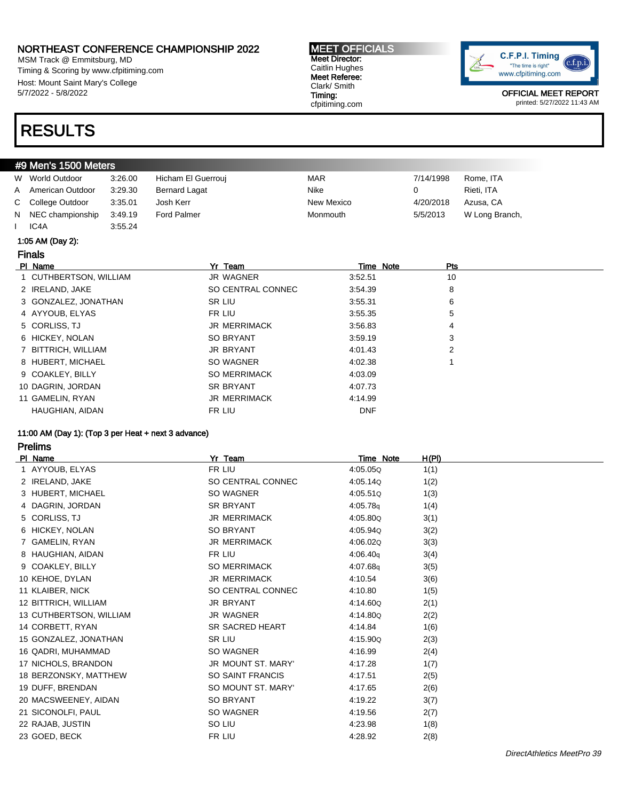MSM Track @ Emmitsburg, MD Timing & Scoring by www.cfpitiming.com Host: Mount Saint Mary's College 5/7/2022 - 5/8/2022

## RESULTS

#### #9 Men's 1500 Meters

|   | W World Outdoor    | 3:26.00 | Hicham El Guerrouj   | <b>MAR</b> | 7/14/1998 | Rome, ITA      |
|---|--------------------|---------|----------------------|------------|-----------|----------------|
| A | American Outdoor   | 3.29.30 | <b>Bernard Lagat</b> | Nike       |           | Rieti. ITA     |
|   | C College Outdoor  | 3:35.01 | Josh Kerr            | New Mexico | 4/20/2018 | Azusa, CA      |
|   | N NEC championship | 3:49.19 | Ford Palmer          | Monmouth   | 5/5/2013  | W Long Branch, |
|   | IC <sub>4</sub> A  | 3:55.24 |                      |            |           |                |

#### 1:05 AM (Day 2):

Finals

| PI Name                | Yr Team             | Time Note  | <b>Pts</b> |  |
|------------------------|---------------------|------------|------------|--|
| 1 CUTHBERTSON, WILLIAM | JR WAGNER           | 3:52.51    | 10         |  |
| 2 IRELAND, JAKE        | SO CENTRAL CONNEC   | 3:54.39    | 8          |  |
| 3 GONZALEZ, JONATHAN   | SR LIU              | 3:55.31    | 6          |  |
| 4 AYYOUB, ELYAS        | FR LIU              | 3:55.35    | 5          |  |
| 5 CORLISS, TJ          | <b>JR MERRIMACK</b> | 3:56.83    | 4          |  |
| 6 HICKEY, NOLAN        | SO BRYANT           | 3:59.19    | 3          |  |
| 7 BITTRICH, WILLIAM    | JR BRYANT           | 4:01.43    | 2          |  |
| 8 HUBERT, MICHAEL      | SO WAGNER           | 4:02.38    |            |  |
| 9 COAKLEY, BILLY       | <b>SO MERRIMACK</b> | 4:03.09    |            |  |
| 10 DAGRIN, JORDAN      | <b>SR BRYANT</b>    | 4:07.73    |            |  |
| 11 GAMELIN, RYAN       | <b>JR MERRIMACK</b> | 4:14.99    |            |  |
| HAUGHIAN, AIDAN        | FR LIU              | <b>DNF</b> |            |  |

Timing: cfpitiming.com

#### 11:00 AM (Day 1): (Top 3 per Heat + next 3 advance)

Prelims

| PI Name               |                         | Yr Team                   | Time Note | H(PI) |
|-----------------------|-------------------------|---------------------------|-----------|-------|
| 1 AYYOUB, ELYAS       |                         | FR LIU                    | 4:05.05Q  | 1(1)  |
| 2 IRELAND, JAKE       |                         | SO CENTRAL CONNEC         | 4:05.14Q  | 1(2)  |
| 3 HUBERT, MICHAEL     |                         | SO WAGNER                 | 4:05.51Q  | 1(3)  |
| 4 DAGRIN, JORDAN      |                         | <b>SR BRYANT</b>          | 4:05.78q  | 1(4)  |
| 5 CORLISS, TJ         |                         | <b>JR MERRIMACK</b>       | 4:05.80Q  | 3(1)  |
| 6 HICKEY, NOLAN       |                         | <b>SO BRYANT</b>          | 4:05.94Q  | 3(2)  |
| 7 GAMELIN, RYAN       |                         | <b>JR MERRIMACK</b>       | 4:06.02Q  | 3(3)  |
| 8 HAUGHIAN, AIDAN     |                         | FR LIU                    | 4:06.40q  | 3(4)  |
| 9 COAKLEY, BILLY      |                         | <b>SO MERRIMACK</b>       | 4:07.68g  | 3(5)  |
| 10 KEHOE, DYLAN       |                         | <b>JR MERRIMACK</b>       | 4:10.54   | 3(6)  |
| 11 KLAIBER, NICK      |                         | SO CENTRAL CONNEC         | 4:10.80   | 1(5)  |
| 12 BITTRICH, WILLIAM  |                         | <b>JR BRYANT</b>          | 4:14.60Q  | 2(1)  |
|                       | 13 CUTHBERTSON, WILLIAM | JR WAGNER                 | 4:14.80Q  | 2(2)  |
| 14 CORBETT, RYAN      |                         | <b>SR SACRED HEART</b>    | 4:14.84   | 1(6)  |
| 15 GONZALEZ, JONATHAN |                         | SR LIU                    | 4:15.90Q  | 2(3)  |
| 16 QADRI, MUHAMMAD    |                         | SO WAGNER                 | 4:16.99   | 2(4)  |
| 17 NICHOLS, BRANDON   |                         | <b>JR MOUNT ST. MARY'</b> | 4:17.28   | 1(7)  |
|                       | 18 BERZONSKY, MATTHEW   | <b>SO SAINT FRANCIS</b>   | 4:17.51   | 2(5)  |
| 19 DUFF, BRENDAN      |                         | SO MOUNT ST. MARY'        | 4:17.65   | 2(6)  |
| 20 MACSWEENEY, AIDAN  |                         | <b>SO BRYANT</b>          | 4:19.22   | 3(7)  |
| 21 SICONOLFI, PAUL    |                         | SO WAGNER                 | 4:19.56   | 2(7)  |
| 22 RAJAB, JUSTIN      |                         | SO LIU                    | 4:23.98   | 1(8)  |
| 23 GOED, BECK         |                         | FR LIU                    | 4:28.92   | 2(8)  |
|                       |                         |                           |           |       |

MEET OFFICIALS Meet Director: Caitlin Hughes Meet Referee: Clark/ Smith

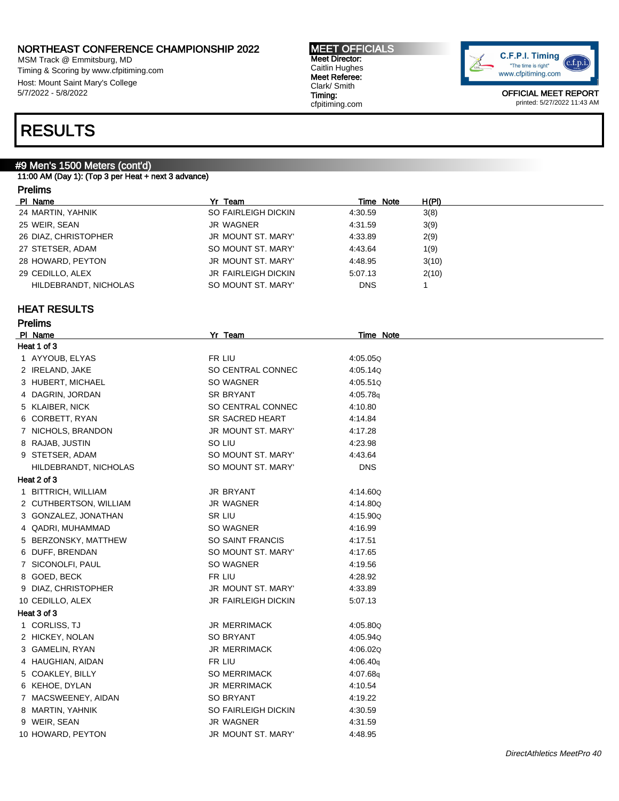MSM Track @ Emmitsburg, MD Timing & Scoring by www.cfpitiming.com Host: Mount Saint Mary's College 5/7/2022 - 5/8/2022

#### MEET OFFICIALS Meet Director: Caitlin Hughes Meet Referee: Clark/ Smith Timing: cfpitiming.com



OFFICIAL MEET REPORT printed: 5/27/2022 11:43 AM

## RESULTS

### #9 Men's 1500 Meters (cont'd)

11:00 AM (Day 1): (Top 3 per Heat + next 3 advance)

### Prelims

| PI Name               | Yr Team                    | Time Note  | H(PI) |
|-----------------------|----------------------------|------------|-------|
| 24 MARTIN, YAHNIK     | SO FAIRLEIGH DICKIN        | 4:30.59    | 3(8)  |
| 25 WEIR, SEAN         | JR WAGNER                  | 4:31.59    | 3(9)  |
| 26 DIAZ, CHRISTOPHER  | JR MOUNT ST. MARY'         | 4:33.89    | 2(9)  |
| 27 STETSER, ADAM      | SO MOUNT ST. MARY'         | 4:43.64    | 1(9)  |
| 28 HOWARD, PEYTON     | JR MOUNT ST. MARY'         | 4:48.95    | 3(10) |
| 29 CEDILLO, ALEX      | <b>JR FAIRLEIGH DICKIN</b> | 5:07.13    | 2(10) |
| HILDEBRANDT, NICHOLAS | SO MOUNT ST. MARY'         | <b>DNS</b> |       |

### HEAT RESULTS

| Prelims |  |
|---------|--|
|---------|--|

| PI Name                | Yr Team                    | <b>Time Note</b> |
|------------------------|----------------------------|------------------|
| Heat 1 of 3            |                            |                  |
| 1 AYYOUB, ELYAS        | FR LIU                     | 4:05.05Q         |
| 2 IRELAND, JAKE        | SO CENTRAL CONNEC          | 4:05.14Q         |
| 3 HUBERT, MICHAEL      | SO WAGNER                  | 4:05.51Q         |
| 4 DAGRIN, JORDAN       | SR BRYANT                  | 4:05.78q         |
| 5 KLAIBER, NICK        | SO CENTRAL CONNEC          | 4:10.80          |
| 6 CORBETT, RYAN        | <b>SR SACRED HEART</b>     | 4:14.84          |
| 7 NICHOLS, BRANDON     | JR MOUNT ST. MARY'         | 4:17.28          |
| 8 RAJAB, JUSTIN        | SO LIU                     | 4:23.98          |
| 9 STETSER, ADAM        | SO MOUNT ST. MARY'         | 4:43.64          |
| HILDEBRANDT, NICHOLAS  | SO MOUNT ST. MARY'         | <b>DNS</b>       |
| Heat 2 of 3            |                            |                  |
| 1 BITTRICH, WILLIAM    | JR BRYANT                  | 4:14.60Q         |
| 2 CUTHBERTSON, WILLIAM | <b>JR WAGNER</b>           | 4:14.80Q         |
| 3 GONZALEZ, JONATHAN   | SR LIU                     | 4:15.90Q         |
| 4 QADRI, MUHAMMAD      | SO WAGNER                  | 4:16.99          |
| 5 BERZONSKY, MATTHEW   | <b>SO SAINT FRANCIS</b>    | 4:17.51          |
| 6 DUFF, BRENDAN        | SO MOUNT ST. MARY'         | 4:17.65          |
| 7 SICONOLFI, PAUL      | SO WAGNER                  | 4:19.56          |
| 8 GOED, BECK           | FR LIU                     | 4:28.92          |
| 9 DIAZ, CHRISTOPHER    | JR MOUNT ST. MARY'         | 4:33.89          |
| 10 CEDILLO, ALEX       | <b>JR FAIRLEIGH DICKIN</b> | 5:07.13          |
| Heat 3 of 3            |                            |                  |
| 1 CORLISS, TJ          | <b>JR MERRIMACK</b>        | 4:05.80Q         |
| 2 HICKEY, NOLAN        | <b>SO BRYANT</b>           | 4:05.94Q         |
| 3 GAMELIN, RYAN        | <b>JR MERRIMACK</b>        | 4:06.02Q         |
| 4 HAUGHIAN, AIDAN      | FR LIU                     | 4:06.40q         |
| 5 COAKLEY, BILLY       | <b>SO MERRIMACK</b>        | 4:07.68q         |
| 6 KEHOE, DYLAN         | <b>JR MERRIMACK</b>        | 4:10.54          |
| 7 MACSWEENEY, AIDAN    | SO BRYANT                  | 4:19.22          |
| 8 MARTIN, YAHNIK       | SO FAIRLEIGH DICKIN        | 4:30.59          |
| 9 WEIR, SEAN           | <b>JR WAGNER</b>           | 4:31.59          |
| 10 HOWARD, PEYTON      | JR MOUNT ST. MARY'         | 4:48.95          |
|                        |                            |                  |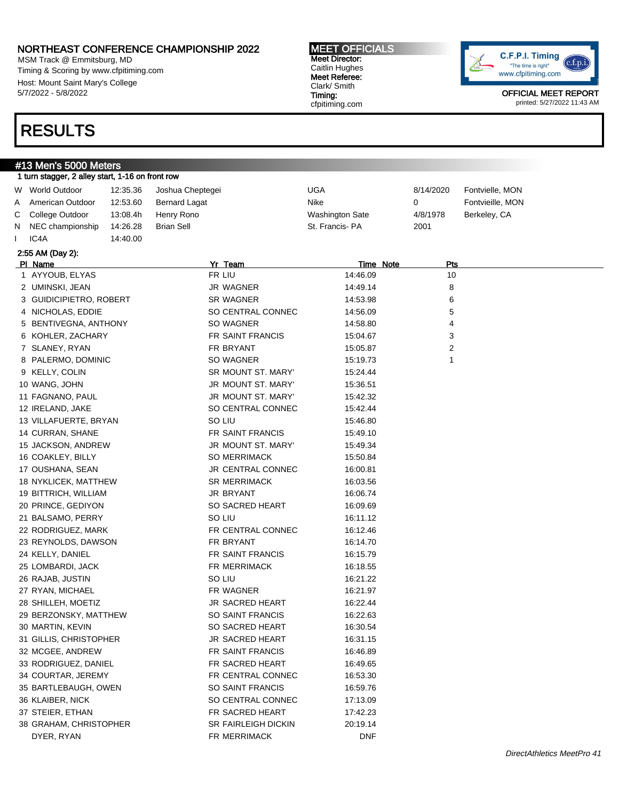MSM Track @ Emmitsburg, MD Timing & Scoring by www.cfpitiming.com Host: Mount Saint Mary's College 5/7/2022 - 5/8/2022

## RESULTS

#### #13 Men's 5000 Meters 1 turn stagger, 2 alley start, 1-16 on front row

|   | W World Outdoor         | 12:35.36 | Joshua Cheptegei     | <b>UGA</b>             | 8/14/2020 | Fontvielle, MON  |
|---|-------------------------|----------|----------------------|------------------------|-----------|------------------|
| Α | American Outdoor        | 12:53.60 | <b>Bernard Lagat</b> | Nike                   | 0         | Fontvieille, MON |
| С | College Outdoor         | 13:08.4h | Henry Rono           | <b>Washington Sate</b> | 4/8/1978  | Berkeley, CA     |
| N | NEC championship        | 14:26.28 | <b>Brian Sell</b>    | St. Francis-PA         | 2001      |                  |
|   | IC4A                    | 14:40.00 |                      |                        |           |                  |
|   | 2:55 AM (Day 2):        |          |                      |                        |           |                  |
|   | PI Name                 |          | Yr Team              | Time Note              | Pts       |                  |
|   | 1 AYYOUB, ELYAS         |          | FR LIU               | 14:46.09               | 10        |                  |
|   | 2 UMINSKI, JEAN         |          | JR WAGNER            | 14:49.14               | 8         |                  |
|   | 3 GUIDICIPIETRO, ROBERT |          | SR WAGNER            | 14:53.98               | 6         |                  |
|   | 4 NICHOLAS, EDDIE       |          | SO CENTRAL CONNEC    | 14:56.09               | 5         |                  |
|   | 5 BENTIVEGNA, ANTHONY   |          | SO WAGNER            | 14:58.80               | 4         |                  |
|   | 6 KOHLER, ZACHARY       |          | FR SAINT FRANCIS     | 15:04.67               | 3         |                  |
|   | 7 SLANEY, RYAN          |          | FR BRYANT            | 15:05.87               | 2         |                  |
|   | 8 PALERMO, DOMINIC      |          | SO WAGNER            | 15:19.73               | 1         |                  |
|   | 9 KELLY, COLIN          |          | SR MOUNT ST. MARY'   | 15:24.44               |           |                  |
|   | 10 WANG, JOHN           |          | JR MOUNT ST. MARY'   | 15:36.51               |           |                  |
|   | 11 FAGNANO, PAUL        |          | JR MOUNT ST. MARY'   | 15:42.32               |           |                  |
|   | 12 IRELAND, JAKE        |          | SO CENTRAL CONNEC    | 15:42.44               |           |                  |
|   | 13 VILLAFUERTE, BRYAN   |          | SO LIU               | 15:46.80               |           |                  |
|   | 14 CURRAN, SHANE        |          | FR SAINT FRANCIS     | 15:49.10               |           |                  |
|   | 15 JACKSON, ANDREW      |          | JR MOUNT ST. MARY'   | 15:49.34               |           |                  |
|   | 16 COAKLEY, BILLY       |          | SO MERRIMACK         | 15:50.84               |           |                  |
|   | 17 OUSHANA, SEAN        |          | JR CENTRAL CONNEC    | 16:00.81               |           |                  |
|   | 18 NYKLICEK, MATTHEW    |          | <b>SR MERRIMACK</b>  | 16:03.56               |           |                  |
|   | 19 BITTRICH, WILLIAM    |          | JR BRYANT            | 16:06.74               |           |                  |
|   | 20 PRINCE, GEDIYON      |          | SO SACRED HEART      | 16:09.69               |           |                  |
|   | 21 BALSAMO, PERRY       |          | SO LIU               | 16:11.12               |           |                  |
|   | 22 RODRIGUEZ, MARK      |          | FR CENTRAL CONNEC    | 16:12.46               |           |                  |
|   | 23 REYNOLDS, DAWSON     |          | FR BRYANT            | 16:14.70               |           |                  |
|   | 24 KELLY, DANIEL        |          | FR SAINT FRANCIS     | 16:15.79               |           |                  |
|   | 25 LOMBARDI, JACK       |          | FR MERRIMACK         | 16:18.55               |           |                  |
|   | 26 RAJAB, JUSTIN        |          | SO LIU               | 16:21.22               |           |                  |
|   | 27 RYAN, MICHAEL        |          | FR WAGNER            | 16:21.97               |           |                  |
|   | 28 SHILLEH, MOETIZ      |          | JR SACRED HEART      | 16:22.44               |           |                  |
|   | 29 BERZONSKY, MATTHEW   |          | SO SAINT FRANCIS     | 16:22.63               |           |                  |
|   | 30 MARTIN, KEVIN        |          | SO SACRED HEART      | 16:30.54               |           |                  |

31 GILLIS, CHRISTOPHER **JR SACRED HEART** 16:31.15 32 MCGEE, ANDREW FR SAINT FRANCIS 16:46.89 33 RODRIGUEZ, DANIEL FR SACRED HEART 16:49.65 34 COURTAR, JEREMY FR CENTRAL CONNEC 16:53.30 35 BARTLEBAUGH, OWEN SO SAINT FRANCIS 16:59.76 36 KLAIBER, NICK SO CENTRAL CONNEC 17:13.09 37 STEIER, ETHAN **FR SACRED HEART** 17:42.23 38 GRAHAM, CHRISTOPHER SR FAIRLEIGH DICKIN 20:19.14 DYER, RYAN FR MERRIMACK DNF

C.F.P.I. Timing  $c.f.p.i$ "The time is right" www.cfpitiming.com

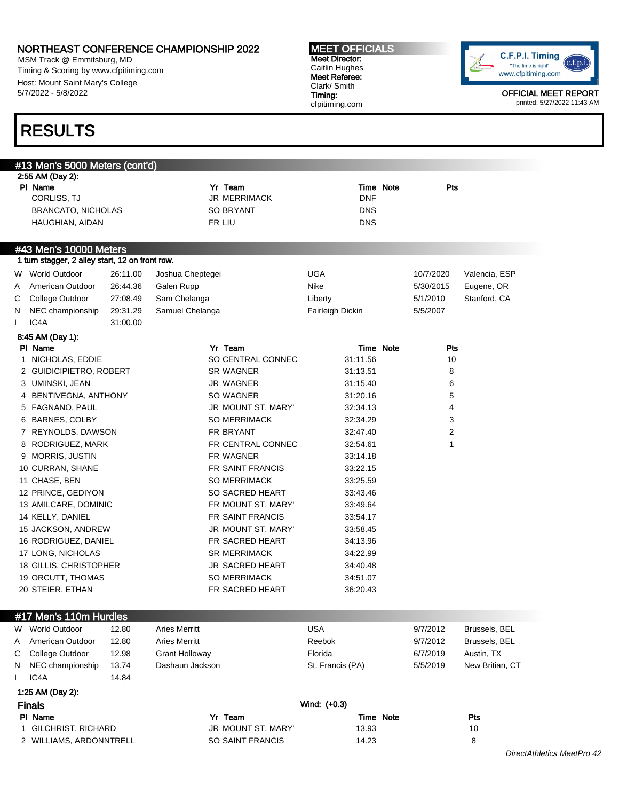MSM Track @ Emmitsburg, MD Timing & Scoring by www.cfpitiming.com Host: Mount Saint Mary's College 5/7/2022 - 5/8/2022

## RESULTS

### #13 Men's 5000 Meters (cont'd) 2:55 AM (Day 2): Pl Name Yr Team Time Note Pts CORLISS, TJ JR MERRIMACK DNF BRANCATO, NICHOLAS SO BRYANT DNS HAUGHIAN, AIDAN FR LIU DNS #43 Men's 10000 Meters 1 turn stagger, 2 alley start, 12 on front row. W World Outdoor 26:11.00 Joshua Cheptegei UGA 10/7/2020 Valencia, ESP A American Outdoor 26:44.36 Galen Rupp Nike Nike 5/30/2015 Eugene, OR C College Outdoor 27:08.49 Sam Chelanga Liberty Liberty 6/1/2010 Stanford, CA N NEC championship 29:31.29 Samuel Chelanga Fairleigh Dickin 5/5/2007 I IC4A 31:00.00 8:45 AM (Day 1): Pl Name Yr Team Time Note Pts 1 NICHOLAS, EDDIE SO CENTRAL CONNEC 31:11.56 10 2 GUIDICIPIETRO, ROBERT SR WAGNER 31:13.51 8 3 UMINSKI, JEAN JR WAGNER 31:15.40 6 4 BENTIVEGNA, ANTHONY SO WAGNER 31:20.16 5 5 FAGNANO, PAUL JR MOUNT ST. MARY' 32:34.13 4 6 BARNES, COLBY SO MERRIMACK 32:34.29 3 7 REYNOLDS, DAWSON FR BRYANT 32:47.40 2 8 RODRIGUEZ, MARK FR CENTRAL CONNEC 32:54.61 1 9 MORRIS, JUSTIN FR WAGNER 33:14.18 10 CURRAN, SHANE FR SAINT FRANCIS 33:22.15 11 CHASE, BEN SO MERRIMACK 33:25.59 12 PRINCE, GEDIYON SO SACRED HEART 33:43.46 13 AMILCARE, DOMINIC FR MOUNT ST. MARY' 33:49.64 14 KELLY, DANIEL FR SAINT FRANCIS 33:54.17 15 JACKSON, ANDREW JR MOUNT ST. MARY' 33:58.45 16 RODRIGUEZ, DANIEL FR SACRED HEART 34:13.96 17 LONG, NICHOLAS SR MERRIMACK 34:22.99 18 GILLIS, CHRISTOPHER **JR SACRED HEART** 34:40.48 19 ORCUTT, THOMAS SO MERRIMACK 34:51.07 20 STEIER, ETHAN FR SACRED HEART 36:20.43 #17 Men's 110m Hurdles W World Outdoor 12.80 Aries Merritt USA 9/7/2012 Brussels, BEL A American Outdoor 12.80 Aries Merritt Reebok 9/7/2012 Brussels, BEL C College Outdoor 12.98 Grant Holloway **Florida** Florida 6/7/2019 Austin, TX N NEC championship 13.74 Dashaun Jackson St. Francis (PA) 5/5/2019 New Britian, CT I IC4A 14.84 1:25 AM (Day 2): Finals Wind: (+0.3) PI Name **The Properties Access Properties Access Properties Properties Properties Properties Properties Properties Properties Properties Properties Properties Properties Properties Properties Properties Properties Properti** 1 GILCHRIST, RICHARD JR MOUNT ST. MARY' 13.93 10 2 WILLIAMS, ARDONNTRELL SO SAINT FRANCIS 14.23 14.23 DirectAthletics MeetPro 42

MEET OFFICIALS Meet Director: Caitlin Hughes Meet Referee: Clark/ Smith Timing: cfpitiming.com

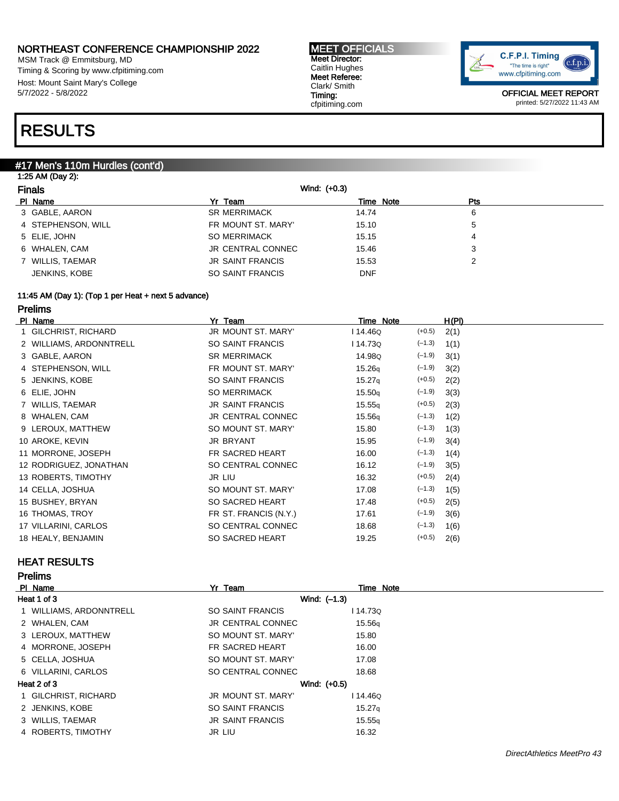MSM Track @ Emmitsburg, MD Timing & Scoring by www.cfpitiming.com Host: Mount Saint Mary's College 5/7/2022 - 5/8/2022

#### MEET OFFICIALS Meet Director: Caitlin Hughes Meet Referee: Clark/ Smith Timing: cfpitiming.com



OFFICIAL MEET REPORT printed: 5/27/2022 11:43 AM

## RESULTS

#### #17 Men's 110m Hurdles (cont'd)

| <b>Finals</b>      | Wind: (+0.3)            |            |     |  |
|--------------------|-------------------------|------------|-----|--|
| PI Name            | Yr Team                 | Time Note  | Pts |  |
| 3 GABLE, AARON     | <b>SR MERRIMACK</b>     | 14.74      | 6   |  |
| 4 STEPHENSON, WILL | FR MOUNT ST. MARY'      | 15.10      | 5   |  |
| 5 ELIE, JOHN       | <b>SO MERRIMACK</b>     | 15.15      | 4   |  |
| 6 WHALEN, CAM      | JR CENTRAL CONNEC       | 15.46      | 3   |  |
| 7 WILLIS, TAEMAR   | <b>JR SAINT FRANCIS</b> | 15.53      | 2   |  |
| JENKINS, KOBE      | SO SAINT FRANCIS        | <b>DNF</b> |     |  |

#### 11:45 AM (Day 1): (Top 1 per Heat + next 5 advance)

### Prelims

| PI Name                 | Yr Team                  | Time Note          |          | H(PI) |
|-------------------------|--------------------------|--------------------|----------|-------|
| 1 GILCHRIST, RICHARD    | JR MOUNT ST. MARY'       | l 14.46Q           | $(+0.5)$ | 2(1)  |
| 2 WILLIAMS, ARDONNTRELL | SO SAINT FRANCIS         | l 14.73Q           | $(-1.3)$ | 1(1)  |
| 3 GABLE, AARON          | <b>SR MERRIMACK</b>      | 14.98Q             | $(-1.9)$ | 3(1)  |
| 4 STEPHENSON, WILL      | FR MOUNT ST. MARY'       | 15.26q             | $(-1.9)$ | 3(2)  |
| 5 JENKINS, KOBE         | SO SAINT FRANCIS         | 15.27 <sub>q</sub> | $(+0.5)$ | 2(2)  |
| 6 ELIE, JOHN            | <b>SO MERRIMACK</b>      | 15.50q             | $(-1.9)$ | 3(3)  |
| 7 WILLIS, TAEMAR        | <b>JR SAINT FRANCIS</b>  | 15.55q             | $(+0.5)$ | 2(3)  |
| 8 WHALEN, CAM           | <b>JR CENTRAL CONNEC</b> | 15.56q             | $(-1.3)$ | 1(2)  |
| 9 LEROUX, MATTHEW       | SO MOUNT ST. MARY'       | 15.80              | $(-1.3)$ | 1(3)  |
| 10 AROKE, KEVIN         | <b>JR BRYANT</b>         | 15.95              | $(-1.9)$ | 3(4)  |
| 11 MORRONE, JOSEPH      | FR SACRED HEART          | 16.00              | $(-1.3)$ | 1(4)  |
| 12 RODRIGUEZ, JONATHAN  | SO CENTRAL CONNEC        | 16.12              | $(-1.9)$ | 3(5)  |
| 13 ROBERTS, TIMOTHY     | JR LIU                   | 16.32              | $(+0.5)$ | 2(4)  |
| 14 CELLA, JOSHUA        | SO MOUNT ST. MARY'       | 17.08              | $(-1.3)$ | 1(5)  |
| 15 BUSHEY, BRYAN        | SO SACRED HEART          | 17.48              | $(+0.5)$ | 2(5)  |
| 16 THOMAS, TROY         | FR ST. FRANCIS (N.Y.)    | 17.61              | $(-1.9)$ | 3(6)  |
| 17 VILLARINI, CARLOS    | SO CENTRAL CONNEC        | 18.68              | $(-1.3)$ | 1(6)  |
| 18 HEALY, BENJAMIN      | SO SACRED HEART          | 19.25              | $(+0.5)$ | 2(6)  |
|                         |                          |                    |          |       |

### HEAT RESULTS

#### Prelims

| PI Name                 | Yr Team                  | Time Note          |
|-------------------------|--------------------------|--------------------|
| Heat 1 of 3             |                          | Wind: $(-1.3)$     |
| 1 WILLIAMS, ARDONNTRELL | SO SAINT FRANCIS         | l 14.730           |
| 2 WHALEN, CAM           | <b>JR CENTRAL CONNEC</b> | 15.56q             |
| 3 LEROUX, MATTHEW       | SO MOUNT ST. MARY'       | 15.80              |
| 4 MORRONE, JOSEPH       | FR SACRED HEART          | 16.00              |
| 5 CELLA, JOSHUA         | SO MOUNT ST. MARY'       | 17.08              |
| 6 VILLARINI, CARLOS     | SO CENTRAL CONNEC        | 18.68              |
| Heat 2 of 3             |                          | Wind: (+0.5)       |
| 1 GILCHRIST, RICHARD    | JR MOUNT ST. MARY'       | 114.46Q            |
| 2 JENKINS, KOBE         | SO SAINT FRANCIS         | 15.27 <sub>g</sub> |
| 3 WILLIS, TAEMAR        | <b>JR SAINT FRANCIS</b>  | 15.55q             |
| 4 ROBERTS, TIMOTHY      | JR LIU                   | 16.32              |
|                         |                          |                    |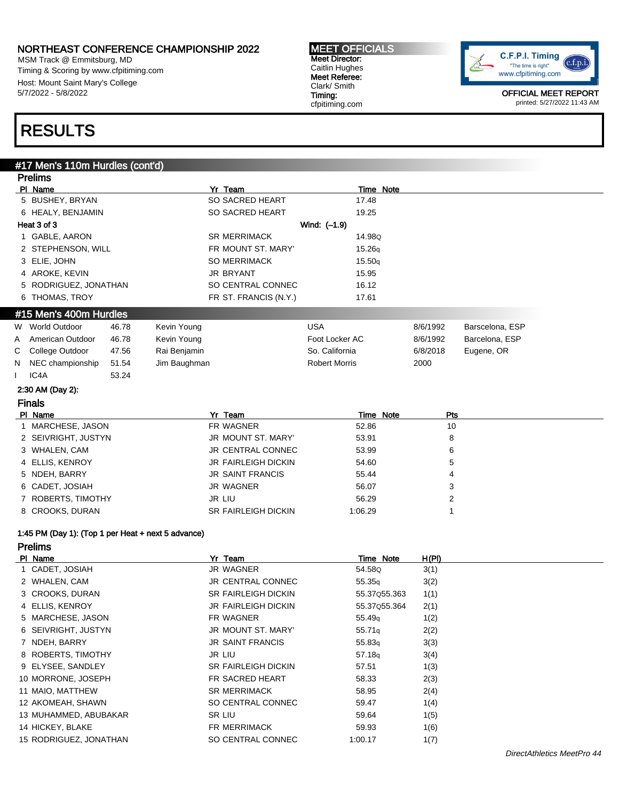MSM Track @ Emmitsburg, MD Timing & Scoring by www.cfpitiming.com Host: Mount Saint Mary's College 5/7/2022 - 5/8/2022

#### MEET OFFICIALS Meet Director: Caitlin Hughes Meet Referee: Clark/ Smith Timing: cfpitiming.com



OFFICIAL MEET REPORT printed: 5/27/2022 11:43 AM

## RESULTS

#### #17 Men's 110m Hurdles (cont'd)

|    | <b>Prelims</b>                                     |       |              |                            |                      |          |                 |  |
|----|----------------------------------------------------|-------|--------------|----------------------------|----------------------|----------|-----------------|--|
|    | PI Name                                            |       |              | Yr Team                    | Time Note            |          |                 |  |
|    | 5 BUSHEY, BRYAN                                    |       |              | SO SACRED HEART            | 17.48                |          |                 |  |
|    | 6 HEALY, BENJAMIN                                  |       |              | SO SACRED HEART            | 19.25                |          |                 |  |
|    | Heat 3 of 3                                        |       |              |                            | Wind: (-1.9)         |          |                 |  |
|    | 1 GABLE, AARON                                     |       |              | <b>SR MERRIMACK</b>        | 14.98Q               |          |                 |  |
|    | 2 STEPHENSON, WILL                                 |       |              | FR MOUNT ST. MARY'         | 15.26q               |          |                 |  |
|    | 3 ELIE, JOHN                                       |       |              | <b>SO MERRIMACK</b>        | 15.50q               |          |                 |  |
|    | 4 AROKE, KEVIN                                     |       |              | <b>JR BRYANT</b>           | 15.95                |          |                 |  |
|    | 5 RODRIGUEZ, JONATHAN                              |       |              | SO CENTRAL CONNEC          | 16.12                |          |                 |  |
|    | 6 THOMAS, TROY                                     |       |              | FR ST. FRANCIS (N.Y.)      | 17.61                |          |                 |  |
|    | #15 Men's 400m Hurdles                             |       |              |                            |                      |          |                 |  |
|    | W World Outdoor                                    | 46.78 | Kevin Young  |                            | <b>USA</b>           | 8/6/1992 | Barscelona, ESP |  |
| A  | American Outdoor                                   | 46.78 | Kevin Young  |                            | Foot Locker AC       | 8/6/1992 | Barcelona, ESP  |  |
| С  | College Outdoor                                    | 47.56 | Rai Benjamin |                            | So. California       | 6/8/2018 | Eugene, OR      |  |
| N. | NEC championship                                   | 51.54 | Jim Baughman |                            | <b>Robert Morris</b> | 2000     |                 |  |
|    | IC4A                                               | 53.24 |              |                            |                      |          |                 |  |
|    | 2:30 AM (Day 2):                                   |       |              |                            |                      |          |                 |  |
|    | <b>Finals</b>                                      |       |              |                            |                      |          |                 |  |
|    | PI Name                                            |       |              | Yr Team                    | Time Note            | Pts      |                 |  |
|    | 1 MARCHESE, JASON                                  |       |              | FR WAGNER                  | 52.86                | 10       |                 |  |
|    | 2 SEIVRIGHT, JUSTYN                                |       |              | JR MOUNT ST. MARY'         | 53.91                | 8        |                 |  |
|    | 3 WHALEN, CAM                                      |       |              | <b>JR CENTRAL CONNEC</b>   | 53.99                | 6        |                 |  |
|    | 4 ELLIS, KENROY                                    |       |              | JR FAIRLEIGH DICKIN        | 54.60                | 5        |                 |  |
|    | 5 NDEH, BARRY                                      |       |              | <b>JR SAINT FRANCIS</b>    | 55.44                | 4        |                 |  |
|    | 6 CADET, JOSIAH                                    |       |              | <b>JR WAGNER</b>           | 56.07                | 3        |                 |  |
|    | 7 ROBERTS, TIMOTHY                                 |       |              | <b>JR LIU</b>              | 56.29                | 2        |                 |  |
|    | 8 CROOKS, DURAN                                    |       |              | <b>SR FAIRLEIGH DICKIN</b> | 1:06.29              | 1        |                 |  |
|    | 1:45 PM (Day 1): (Top 1 per Heat + next 5 advance) |       |              |                            |                      |          |                 |  |
|    | <b>Prelims</b>                                     |       |              |                            |                      |          |                 |  |
|    | PI Name                                            |       |              | Yr Team                    | Time Note            | H(PI)    |                 |  |
|    |                                                    |       |              |                            |                      |          |                 |  |

| PI Nane                | TI leann                   | Time Note          | п(ri) |
|------------------------|----------------------------|--------------------|-------|
| 1 CADET, JOSIAH        | JR WAGNER                  | 54.58Q             | 3(1)  |
| 2 WHALEN, CAM          | <b>JR CENTRAL CONNEC</b>   | 55.35 <sub>a</sub> | 3(2)  |
| 3 CROOKS, DURAN        | <b>SR FAIRLEIGH DICKIN</b> | 55.37Q55.363       | 1(1)  |
| 4 ELLIS, KENROY        | JR FAIRLEIGH DICKIN        | 55.37055.364       | 2(1)  |
| 5 MARCHESE, JASON      | FR WAGNER                  | 55.49 <sub>g</sub> | 1(2)  |
| 6 SEIVRIGHT, JUSTYN    | <b>JR MOUNT ST. MARY'</b>  | 55.71 <sub>g</sub> | 2(2)  |
| 7 NDEH, BARRY          | <b>JR SAINT FRANCIS</b>    | 55.83 <sub>a</sub> | 3(3)  |
| 8 ROBERTS, TIMOTHY     | JR LIU                     | 57.18 <sub>g</sub> | 3(4)  |
| 9 ELYSEE, SANDLEY      | <b>SR FAIRLEIGH DICKIN</b> | 57.51              | 1(3)  |
| 10 MORRONE, JOSEPH     | FR SACRED HEART            | 58.33              | 2(3)  |
| 11 MAIO, MATTHEW       | <b>SR MERRIMACK</b>        | 58.95              | 2(4)  |
| 12 AKOMEAH, SHAWN      | SO CENTRAL CONNEC          | 59.47              | 1(4)  |
| 13 MUHAMMED, ABUBAKAR  | SR LIU                     | 59.64              | 1(5)  |
| 14 HICKEY, BLAKE       | FR MERRIMACK               | 59.93              | 1(6)  |
| 15 RODRIGUEZ, JONATHAN | SO CENTRAL CONNEC          | 1:00.17            | 1(7)  |
|                        |                            |                    |       |

 $\overline{\phantom{0}}$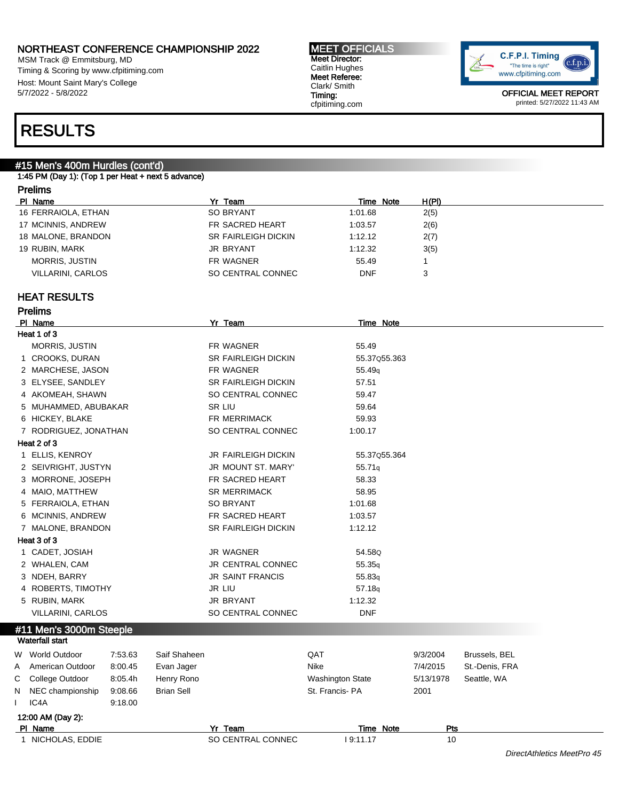MSM Track @ Emmitsburg, MD Timing & Scoring by www.cfpitiming.com Host: Mount Saint Mary's College 5/7/2022 - 5/8/2022

#### MEET OFFICIALS Meet Director: Caitlin Hughes Meet Referee: Clark/ Smith Timing: cfpitiming.com



OFFICIAL MEET REPORT printed: 5/27/2022 11:43 AM

## RESULTS

### #15 Men's 400m Hurdles (cont'd)

1:45 PM (Day 1): (Top 1 per Heat + next 5 advance)

### Prelims

| PI Name                  | Yr Team                    | Time Note  | H(PI) |
|--------------------------|----------------------------|------------|-------|
| 16 FERRAIOLA, ETHAN      | <b>SO BRYANT</b>           | 1:01.68    | 2(5)  |
| 17 MCINNIS, ANDREW       | FR SACRED HEART            | 1:03.57    | 2(6)  |
| 18 MALONE, BRANDON       | <b>SR FAIRLEIGH DICKIN</b> | 1:12.12    | 2(7)  |
| 19 RUBIN, MARK           | <b>JR BRYANT</b>           | 1:12.32    | 3(5)  |
| <b>MORRIS, JUSTIN</b>    | FR WAGNER                  | 55.49      |       |
| <b>VILLARINI, CARLOS</b> | SO CENTRAL CONNEC          | <b>DNF</b> |       |

#### HEAT RESULTS

|   | PI Name                  |         |                   | Yr Team                    | Time Note               |           |                |  |
|---|--------------------------|---------|-------------------|----------------------------|-------------------------|-----------|----------------|--|
|   | Heat 1 of 3              |         |                   |                            |                         |           |                |  |
|   | MORRIS, JUSTIN           |         |                   | FR WAGNER                  | 55.49                   |           |                |  |
|   | 1 CROOKS, DURAN          |         |                   | SR FAIRLEIGH DICKIN        | 55.37055.363            |           |                |  |
|   | 2 MARCHESE, JASON        |         |                   | FR WAGNER                  | 55.49 <sub>q</sub>      |           |                |  |
|   | 3 ELYSEE, SANDLEY        |         |                   | SR FAIRLEIGH DICKIN        | 57.51                   |           |                |  |
|   | 4 AKOMEAH, SHAWN         |         |                   | SO CENTRAL CONNEC          | 59.47                   |           |                |  |
|   | 5 MUHAMMED, ABUBAKAR     |         |                   | <b>SR LIU</b>              | 59.64                   |           |                |  |
|   | 6 HICKEY, BLAKE          |         |                   | FR MERRIMACK               | 59.93                   |           |                |  |
|   | 7 RODRIGUEZ, JONATHAN    |         |                   | SO CENTRAL CONNEC          | 1:00.17                 |           |                |  |
|   | Heat 2 of 3              |         |                   |                            |                         |           |                |  |
|   | 1 ELLIS, KENROY          |         |                   | JR FAIRLEIGH DICKIN        | 55.37Q55.364            |           |                |  |
|   | 2 SEIVRIGHT, JUSTYN      |         |                   | JR MOUNT ST. MARY'         | 55.71q                  |           |                |  |
|   | 3 MORRONE, JOSEPH        |         |                   | FR SACRED HEART            | 58.33                   |           |                |  |
|   | 4 MAIO, MATTHEW          |         |                   | <b>SR MERRIMACK</b>        | 58.95                   |           |                |  |
|   | 5 FERRAIOLA, ETHAN       |         |                   | <b>SO BRYANT</b>           | 1:01.68                 |           |                |  |
|   | 6 MCINNIS, ANDREW        |         |                   | FR SACRED HEART            | 1:03.57                 |           |                |  |
|   | 7 MALONE, BRANDON        |         |                   | <b>SR FAIRLEIGH DICKIN</b> | 1:12.12                 |           |                |  |
|   | Heat 3 of 3              |         |                   |                            |                         |           |                |  |
|   | 1 CADET, JOSIAH          |         |                   | <b>JR WAGNER</b>           | 54.58Q                  |           |                |  |
|   | 2 WHALEN, CAM            |         |                   | JR CENTRAL CONNEC          | 55.35q                  |           |                |  |
|   | 3 NDEH, BARRY            |         |                   | <b>JR SAINT FRANCIS</b>    | 55.83q                  |           |                |  |
|   | 4 ROBERTS, TIMOTHY       |         |                   | <b>JR LIU</b>              | 57.18q                  |           |                |  |
|   | 5 RUBIN, MARK            |         |                   | <b>JR BRYANT</b>           | 1:12.32                 |           |                |  |
|   | <b>VILLARINI, CARLOS</b> |         |                   | SO CENTRAL CONNEC          | <b>DNF</b>              |           |                |  |
|   | #11 Men's 3000m Steeple  |         |                   |                            |                         |           |                |  |
|   | <b>Waterfall start</b>   |         |                   |                            |                         |           |                |  |
| W | World Outdoor            | 7:53.63 | Saif Shaheen      |                            | QAT                     | 9/3/2004  | Brussels, BEL  |  |
| Α | American Outdoor         | 8:00.45 | Evan Jager        |                            | Nike                    | 7/4/2015  | St.-Denis, FRA |  |
| С | College Outdoor          | 8:05.4h | Henry Rono        |                            | <b>Washington State</b> | 5/13/1978 | Seattle, WA    |  |
| N | NEC championship         | 9:08.66 | <b>Brian Sell</b> |                            | St. Francis-PA          | 2001      |                |  |
|   | IC4A                     | 9:18.00 |                   |                            |                         |           |                |  |
|   | 12:00 AM (Day 2):        |         |                   |                            |                         |           |                |  |
|   | PI Name                  |         |                   | Yr Team                    | Time Note               | Pts       |                |  |
|   | 1 NICHOLAS, EDDIE        |         |                   | SO CENTRAL CONNEC          | 19:11.17                | 10        |                |  |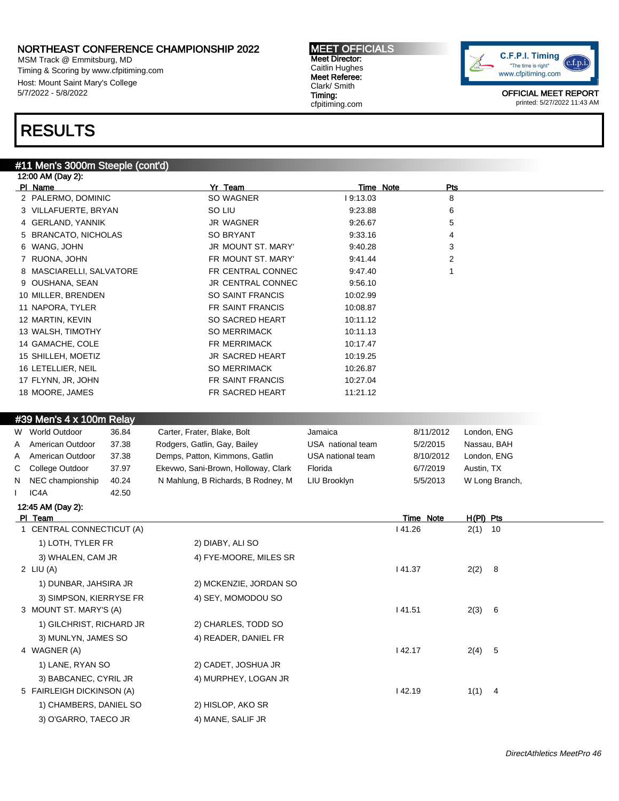MSM Track @ Emmitsburg, MD Timing & Scoring by www.cfpitiming.com Host: Mount Saint Mary's College 5/7/2022 - 5/8/2022

## RESULTS

#### #11 Men's 3000m Steeple (cont'd)

| 12:00 AM (Day 2):        |                          |           |            |  |
|--------------------------|--------------------------|-----------|------------|--|
| PI Name                  | Yr Team                  | Time Note | <b>Pts</b> |  |
| 2 PALERMO, DOMINIC       | SO WAGNER                | 19:13.03  | 8          |  |
| 3 VILLAFUERTE, BRYAN     | SO LIU                   | 9.23.88   | 6          |  |
| 4 GERLAND, YANNIK        | JR WAGNER                | 9:26.67   | 5          |  |
| 5 BRANCATO, NICHOLAS     | SO BRYANT                | 9:33.16   | 4          |  |
| 6 WANG, JOHN             | JR MOUNT ST. MARY'       | 9:40.28   | 3          |  |
| 7 RUONA, JOHN            | FR MOUNT ST. MARY'       | 9:41.44   | 2          |  |
| 8 MASCIARELLI, SALVATORE | FR CENTRAL CONNEC        | 9:47.40   |            |  |
| 9 OUSHANA, SEAN          | <b>JR CENTRAL CONNEC</b> | 9:56.10   |            |  |
| 10 MILLER, BRENDEN       | SO SAINT FRANCIS         | 10:02.99  |            |  |
| 11 NAPORA, TYLER         | FR SAINT FRANCIS         | 10:08.87  |            |  |
| 12 MARTIN, KEVIN         | SO SACRED HEART          | 10:11.12  |            |  |
| 13 WALSH, TIMOTHY        | <b>SO MERRIMACK</b>      | 10:11.13  |            |  |
| 14 GAMACHE, COLE         | <b>FR MERRIMACK</b>      | 10:17.47  |            |  |
| 15 SHILLEH, MOETIZ       | <b>JR SACRED HEART</b>   | 10:19.25  |            |  |
| 16 LETELLIER, NEIL       | <b>SO MERRIMACK</b>      | 10:26.87  |            |  |
| 17 FLYNN, JR, JOHN       | FR SAINT FRANCIS         | 10:27.04  |            |  |
| 18 MOORE, JAMES          | <b>FR SACRED HEART</b>   | 11:21.12  |            |  |
|                          |                          |           |            |  |

#### #39 Men's 4 x 100m Relay

| W World Outdoor    | 36.84 | Carter, Frater, Blake, Bolt         | Jamaica           | 8/11/2012 | London, ENG    |
|--------------------|-------|-------------------------------------|-------------------|-----------|----------------|
| A American Outdoor | 37.38 | Rodgers, Gatlin, Gay, Bailey        | USA national team | 5/2/2015  | Nassau, BAH    |
| A American Outdoor | 37.38 | Demps, Patton, Kimmons, Gatlin      | USA national team | 8/10/2012 | London, ENG    |
| C College Outdoor  | 37.97 | Ekevwo, Sani-Brown, Holloway, Clark | Florida           | 6/7/2019  | Austin, TX     |
| N NEC championship | 40.24 | N Mahlung, B Richards, B Rodney, M  | LIU Brooklyn      | 5/5/2013  | W Long Branch, |
| IC4A               | 42.50 |                                     |                   |           |                |

#### 12:45 AM (Day 2):

| PI Team                   |                        | Time Note | $H(PI)$ Pts |  |
|---------------------------|------------------------|-----------|-------------|--|
| 1 CENTRAL CONNECTICUT (A) |                        | 41.26     | $2(1)$ 10   |  |
| 1) LOTH, TYLER FR         | 2) DIABY, ALI SO       |           |             |  |
| 3) WHALEN, CAM JR         | 4) FYE-MOORE, MILES SR |           |             |  |
| 2 LIU $(A)$               |                        | 41.37     | $2(2)$ 8    |  |
| 1) DUNBAR, JAHSIRA JR     | 2) MCKENZIE, JORDAN SO |           |             |  |
| 3) SIMPSON, KIERRYSE FR   | 4) SEY, MOMODOU SO     |           |             |  |
| 3 MOUNT ST. MARY'S (A)    |                        | 41.51     | 2(3) 6      |  |
| 1) GILCHRIST, RICHARD JR  | 2) CHARLES, TODD SO    |           |             |  |
| 3) MUNLYN, JAMES SO       | 4) READER, DANIEL FR   |           |             |  |
| 4 WAGNER (A)              |                        | 42.17     | 2(4) 5      |  |
| 1) LANE, RYAN SO          | 2) CADET, JOSHUA JR    |           |             |  |
| 3) BABCANEC, CYRIL JR     | 4) MURPHEY, LOGAN JR   |           |             |  |
| 5 FAIRLEIGH DICKINSON (A) |                        | 42.19     | $1(1)$ 4    |  |
| 1) CHAMBERS, DANIEL SO    | 2) HISLOP, AKO SR      |           |             |  |
| 3) O'GARRO, TAECO JR      | 4) MANE, SALIF JR      |           |             |  |

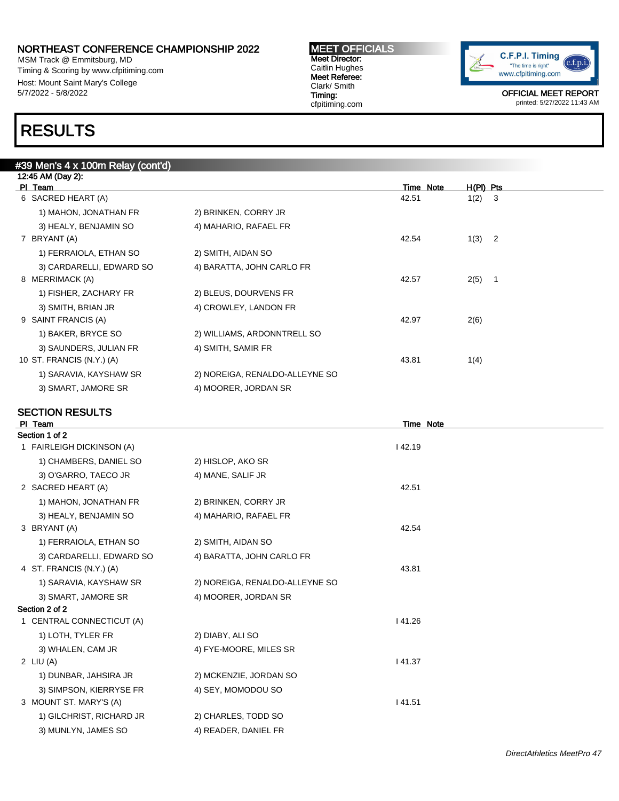MSM Track @ Emmitsburg, MD Timing & Scoring by www.cfpitiming.com Host: Mount Saint Mary's College 5/7/2022 - 5/8/2022

#39 Men's 4 x 100m Relay (cont'd)

## RESULTS

| <b>MEET OFFICIALS</b> |
|-----------------------|
| <b>Meet Director:</b> |
| Caitlin Hughes        |
| Meet Referee:         |
| Clark/ Smith          |
| Timing:               |
| cfpitiming.com        |



OFFICIAL MEET REPORT printed: 5/27/2022 11:43 AM

### 12:45 AM (Day 2): Pl Team Time Note H(Pl) Pts 6 SACRED HEART (A) 120 3 1) MAHON, JONATHAN FR 2) BRINKEN, CORRY JR 3) HEALY, BENJAMIN SO 4) MAHARIO, RAFAEL FR 7 BRYANT (A) 42.54 1(3) 2 1) FERRAIOLA, ETHAN SO 2) SMITH, AIDAN SO 3) CARDARELLI, EDWARD SO 4) BARATTA, JOHN CARLO FR 8 MERRIMACK (A) 42.57 2(5) 1 1) FISHER, ZACHARY FR 2) BLEUS, DOURVENS FR 3) SMITH, BRIAN JR 4) CROWLEY, LANDON FR 9 SAINT FRANCIS (A) 42.97 2(6) 1) BAKER, BRYCE SO 2) WILLIAMS, ARDONNTRELL SO 3) SAUNDERS, JULIAN FR 4) SMITH, SAMIR FR 10 ST. FRANCIS (N.Y.) (A) 43.81 1(4) 1) SARAVIA, KAYSHAW SR 2) NOREIGA, RENALDO-ALLEYNE SO 3) SMART, JAMORE SR 4) MOORER, JORDAN SR

#### SECTION RESULTS

| PI Team                   |                                | Time Note |  |
|---------------------------|--------------------------------|-----------|--|
| Section 1 of 2            |                                |           |  |
| 1 FAIRLEIGH DICKINSON (A) |                                | 142.19    |  |
| 1) CHAMBERS, DANIEL SO    | 2) HISLOP, AKO SR              |           |  |
| 3) O'GARRO, TAECO JR      | 4) MANE, SALIF JR              |           |  |
| 2 SACRED HEART (A)        |                                | 42.51     |  |
| 1) MAHON, JONATHAN FR     | 2) BRINKEN, CORRY JR           |           |  |
| 3) HEALY, BENJAMIN SO     | 4) MAHARIO, RAFAEL FR          |           |  |
| 3 BRYANT (A)              |                                | 42.54     |  |
| 1) FERRAIOLA, ETHAN SO    | 2) SMITH, AIDAN SO             |           |  |
| 3) CARDARELLI, EDWARD SO  | 4) BARATTA, JOHN CARLO FR      |           |  |
| 4 ST. FRANCIS (N.Y.) (A)  |                                | 43.81     |  |
| 1) SARAVIA, KAYSHAW SR    | 2) NOREIGA, RENALDO-ALLEYNE SO |           |  |
| 3) SMART, JAMORE SR       | 4) MOORER, JORDAN SR           |           |  |
| Section 2 of 2            |                                |           |  |
| 1 CENTRAL CONNECTICUT (A) |                                | 141.26    |  |
| 1) LOTH, TYLER FR         | 2) DIABY, ALI SO               |           |  |
| 3) WHALEN, CAM JR         | 4) FYE-MOORE, MILES SR         |           |  |
| 2 LIU $(A)$               |                                | 41.37     |  |
| 1) DUNBAR, JAHSIRA JR     | 2) MCKENZIE, JORDAN SO         |           |  |
| 3) SIMPSON, KIERRYSE FR   | 4) SEY, MOMODOU SO             |           |  |
| 3 MOUNT ST. MARY'S (A)    |                                | 41.51     |  |
| 1) GILCHRIST, RICHARD JR  | 2) CHARLES, TODD SO            |           |  |

3) MUNLYN, JAMES SO 4) READER, DANIEL FR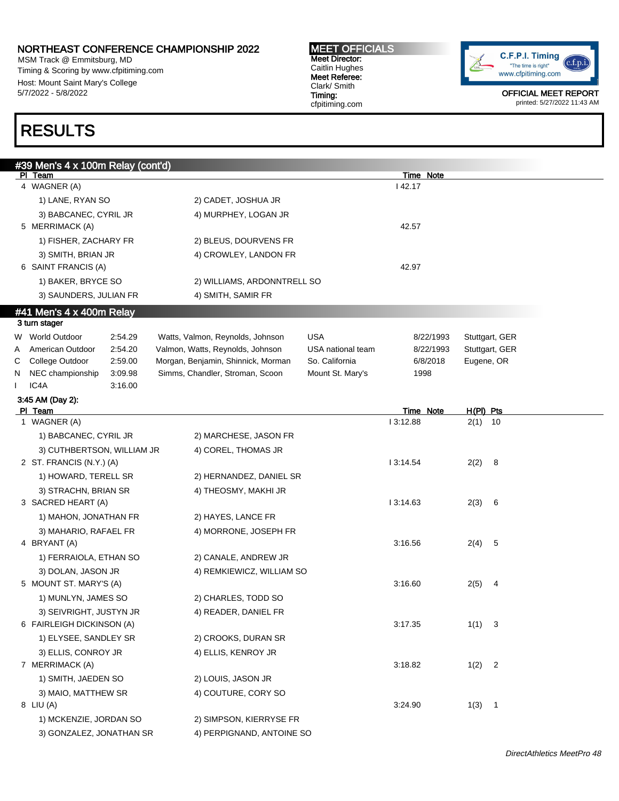MSM Track @ Emmitsburg, MD Timing & Scoring by www.cfpitiming.com Host: Mount Saint Mary's College 5/7/2022 - 5/8/2022

#### MEET OFFICIALS Meet Director: Caitlin Hughes Meet Referee: Clark/ Smith Timing: cfpitiming.com



OFFICIAL MEET REPORT printed: 5/27/2022 11:43 AM

## RESULTS

|   | #39 Men's 4 x 100m Relay (cont'd)         |                                    |                   |                              |                |  |
|---|-------------------------------------------|------------------------------------|-------------------|------------------------------|----------------|--|
|   | PI Team                                   |                                    |                   | Time Note                    |                |  |
|   | 4 WAGNER (A)                              |                                    |                   | 42.17                        |                |  |
|   | 1) LANE, RYAN SO                          | 2) CADET, JOSHUA JR                |                   |                              |                |  |
|   | 3) BABCANEC, CYRIL JR<br>5 MERRIMACK (A)  | 4) MURPHEY, LOGAN JR               |                   | 42.57                        |                |  |
|   | 1) FISHER, ZACHARY FR                     | 2) BLEUS, DOURVENS FR              |                   |                              |                |  |
|   | 3) SMITH, BRIAN JR                        | 4) CROWLEY, LANDON FR              |                   |                              |                |  |
|   | 6 SAINT FRANCIS (A)                       |                                    |                   | 42.97                        |                |  |
|   | 1) BAKER, BRYCE SO                        | 2) WILLIAMS, ARDONNTRELL SO        |                   |                              |                |  |
|   | 3) SAUNDERS, JULIAN FR                    | 4) SMITH, SAMIR FR                 |                   |                              |                |  |
|   |                                           |                                    |                   |                              |                |  |
|   | #41 Men's 4 x 400m Relay<br>3 turn stager |                                    |                   |                              |                |  |
|   | W World Outdoor<br>2:54.29                | Watts, Valmon, Reynolds, Johnson   | <b>USA</b>        | 8/22/1993                    | Stuttgart, GER |  |
| Α | American Outdoor<br>2:54.20               | Valmon, Watts, Reynolds, Johnson   | USA national team | 8/22/1993                    | Stuttgart, GER |  |
| С | College Outdoor<br>2:59.00                | Morgan, Benjamin, Shinnick, Morman | So. California    | 6/8/2018                     | Eugene, OR     |  |
| N | NEC championship<br>3:09.98               | Simms, Chandler, Stroman, Scoon    | Mount St. Mary's  | 1998                         |                |  |
|   | IC4A<br>3:16.00                           |                                    |                   |                              |                |  |
|   | 3:45 AM (Day 2):<br>PI Team               |                                    |                   |                              | $H(PI)$ Pts    |  |
|   | 1 WAGNER (A)                              |                                    |                   | <b>Time Note</b><br>13:12.88 | $2(1)$ 10      |  |
|   | 1) BABCANEC, CYRIL JR                     | 2) MARCHESE, JASON FR              |                   |                              |                |  |
|   | 3) CUTHBERTSON, WILLIAM JR                | 4) COREL, THOMAS JR                |                   |                              |                |  |
|   | 2 ST. FRANCIS (N.Y.) (A)                  |                                    |                   | 13:14.54                     | 2(2)<br>8      |  |
|   | 1) HOWARD, TERELL SR                      | 2) HERNANDEZ, DANIEL SR            |                   |                              |                |  |
|   | 3) STRACHN, BRIAN SR                      | 4) THEOSMY, MAKHI JR               |                   |                              |                |  |
|   | 3 SACRED HEART (A)                        |                                    |                   | 13:14.63                     | 2(3)<br>6      |  |
|   | 1) MAHON, JONATHAN FR                     | 2) HAYES, LANCE FR                 |                   |                              |                |  |
|   | 3) MAHARIO, RAFAEL FR                     | 4) MORRONE, JOSEPH FR              |                   |                              |                |  |
|   | 4 BRYANT (A)                              |                                    |                   | 3:16.56                      | 2(4)<br>5      |  |
|   | 1) FERRAIOLA, ETHAN SO                    | 2) CANALE, ANDREW JR               |                   |                              |                |  |
|   | 3) DOLAN, JASON JR                        | 4) REMKIEWICZ, WILLIAM SO          |                   |                              |                |  |
|   | 5 MOUNT ST. MARY'S (A)                    |                                    |                   | 3:16.60                      | 2(5)<br>4      |  |
|   | 1) MUNLYN, JAMES SO                       | 2) CHARLES, TODD SO                |                   |                              |                |  |
|   | 3) SEIVRIGHT, JUSTYN JR                   | 4) READER, DANIEL FR               |                   |                              |                |  |
|   | 6 FAIRLEIGH DICKINSON (A)                 |                                    |                   | 3:17.35                      | $1(1)$ 3       |  |
|   | 1) ELYSEE, SANDLEY SR                     | 2) CROOKS, DURAN SR                |                   |                              |                |  |
|   | 3) ELLIS, CONROY JR                       | 4) ELLIS, KENROY JR                |                   |                              |                |  |
|   | 7 MERRIMACK (A)                           |                                    |                   | 3:18.82                      | $1(2)$ 2       |  |
|   | 1) SMITH, JAEDEN SO                       | 2) LOUIS, JASON JR                 |                   |                              |                |  |
|   | 3) MAIO, MATTHEW SR                       | 4) COUTURE, CORY SO                |                   |                              |                |  |
|   | 8 LIU (A)                                 |                                    |                   | 3:24.90                      | 1(3) 1         |  |
|   | 1) MCKENZIE, JORDAN SO                    | 2) SIMPSON, KIERRYSE FR            |                   |                              |                |  |
|   | 3) GONZALEZ, JONATHAN SR                  | 4) PERPIGNAND, ANTOINE SO          |                   |                              |                |  |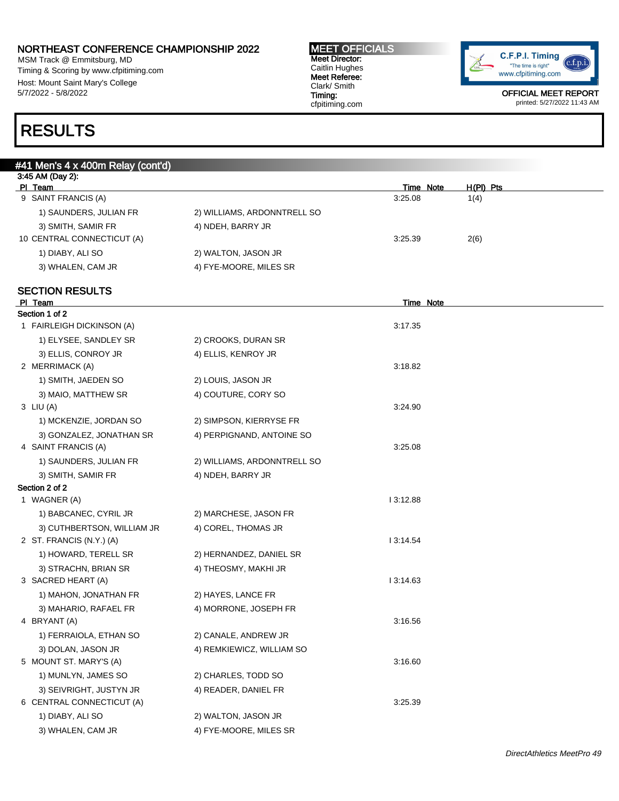MSM Track @ Emmitsburg, MD Timing & Scoring by www.cfpitiming.com Host: Mount Saint Mary's College 5/7/2022 - 5/8/2022

#### MEET OFFICIALS Meet Director: Caitlin Hughes Meet Referee: Clark/ Smith Timing: cfpitiming.com



OFFICIAL MEET REPORT printed: 5/27/2022 11:43 AM

## RESULTS

| #41 Men's 4 x 400m Relay (cont'd)                |                             |                      |                   |
|--------------------------------------------------|-----------------------------|----------------------|-------------------|
| 3:45 AM (Day 2):                                 |                             |                      |                   |
| PI Team<br>9 SAINT FRANCIS (A)                   |                             | Time Note<br>3:25.08 | H(PI) Pts<br>1(4) |
| 1) SAUNDERS, JULIAN FR                           | 2) WILLIAMS, ARDONNTRELL SO |                      |                   |
|                                                  |                             |                      |                   |
| 3) SMITH, SAMIR FR<br>10 CENTRAL CONNECTICUT (A) | 4) NDEH, BARRY JR           | 3:25.39              | 2(6)              |
|                                                  |                             |                      |                   |
| 1) DIABY, ALI SO                                 | 2) WALTON, JASON JR         |                      |                   |
| 3) WHALEN, CAM JR                                | 4) FYE-MOORE, MILES SR      |                      |                   |
| <b>SECTION RESULTS</b>                           |                             |                      |                   |
| PI Team                                          |                             | <b>Time Note</b>     |                   |
| Section 1 of 2                                   |                             |                      |                   |
| 1 FAIRLEIGH DICKINSON (A)                        |                             | 3:17.35              |                   |
| 1) ELYSEE, SANDLEY SR                            | 2) CROOKS, DURAN SR         |                      |                   |
| 3) ELLIS, CONROY JR                              | 4) ELLIS, KENROY JR         |                      |                   |
| 2 MERRIMACK (A)                                  |                             | 3:18.82              |                   |
| 1) SMITH, JAEDEN SO                              | 2) LOUIS, JASON JR          |                      |                   |
| 3) MAIO, MATTHEW SR                              | 4) COUTURE, CORY SO         |                      |                   |
| 3 LIU (A)                                        |                             | 3:24.90              |                   |
| 1) MCKENZIE, JORDAN SO                           | 2) SIMPSON, KIERRYSE FR     |                      |                   |
| 3) GONZALEZ, JONATHAN SR                         | 4) PERPIGNAND, ANTOINE SO   |                      |                   |
| 4 SAINT FRANCIS (A)                              |                             | 3:25.08              |                   |
| 1) SAUNDERS, JULIAN FR                           | 2) WILLIAMS, ARDONNTRELL SO |                      |                   |
| 3) SMITH, SAMIR FR                               | 4) NDEH, BARRY JR           |                      |                   |
| Section 2 of 2                                   |                             |                      |                   |
| 1 WAGNER (A)                                     |                             | 13:12.88             |                   |
| 1) BABCANEC, CYRIL JR                            | 2) MARCHESE, JASON FR       |                      |                   |
| 3) CUTHBERTSON, WILLIAM JR                       | 4) COREL, THOMAS JR         |                      |                   |
| 2 ST. FRANCIS (N.Y.) (A)                         |                             | 13:14.54             |                   |
| 1) HOWARD, TERELL SR                             | 2) HERNANDEZ, DANIEL SR     |                      |                   |
| 3) STRACHN, BRIAN SR                             | 4) THEOSMY, MAKHI JR        |                      |                   |
| 3 SACRED HEART (A)                               |                             | 13:14.63             |                   |
| 1) MAHON, JONATHAN FR                            | 2) HAYES, LANCE FR          |                      |                   |
| 3) MAHARIO, RAFAEL FR                            | 4) MORRONE, JOSEPH FR       |                      |                   |
| 4 BRYANT (A)                                     |                             | 3:16.56              |                   |
| 1) FERRAIOLA, ETHAN SO                           | 2) CANALE, ANDREW JR        |                      |                   |
| 3) DOLAN, JASON JR                               | 4) REMKIEWICZ, WILLIAM SO   |                      |                   |
| 5 MOUNT ST. MARY'S (A)                           |                             | 3:16.60              |                   |
| 1) MUNLYN, JAMES SO                              | 2) CHARLES, TODD SO         |                      |                   |
| 3) SEIVRIGHT, JUSTYN JR                          | 4) READER, DANIEL FR        |                      |                   |
| 6 CENTRAL CONNECTICUT (A)                        |                             | 3:25.39              |                   |
| 1) DIABY, ALI SO                                 | 2) WALTON, JASON JR         |                      |                   |
| 3) WHALEN, CAM JR                                | 4) FYE-MOORE, MILES SR      |                      |                   |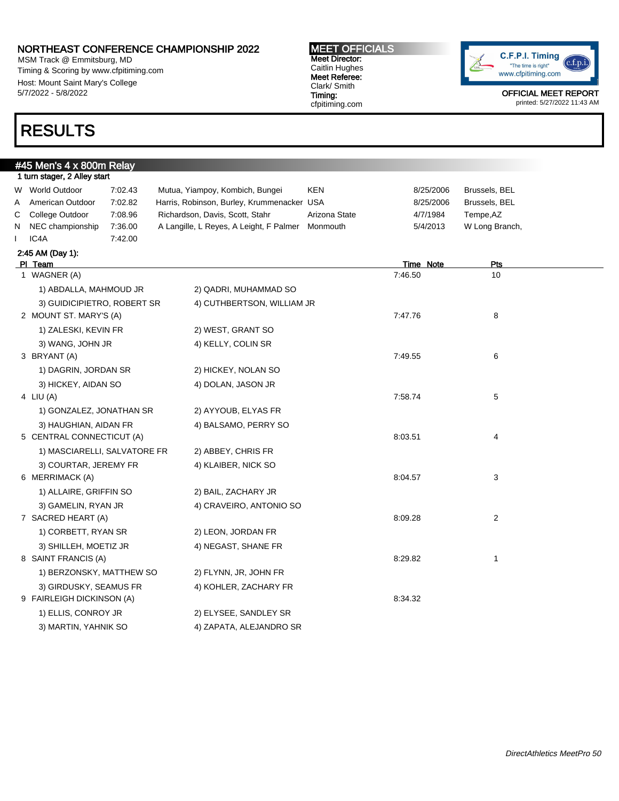MSM Track @ Emmitsburg, MD Timing & Scoring by www.cfpitiming.com Host: Mount Saint Mary's College 5/7/2022 - 5/8/2022

# RESULTS

#45 Men's 4 x 800m Relay

MEET OFFICIALS Meet Director: Caitlin Hughes Meet Referee: Clark/ Smith Timing: cfpitiming.com



|              | 1 turn stager, 2 Alley start |         |                                                  |               |                  |                |  |
|--------------|------------------------------|---------|--------------------------------------------------|---------------|------------------|----------------|--|
| W.           | <b>World Outdoor</b>         | 7:02.43 | Mutua, Yiampoy, Kombich, Bungei                  | KEN           | 8/25/2006        | Brussels, BEL  |  |
| A            | American Outdoor             | 7:02.82 | Harris, Robinson, Burley, Krummenacker USA       |               | 8/25/2006        | Brussels, BEL  |  |
| C            | College Outdoor              | 7:08.96 | Richardson, Davis, Scott, Stahr                  | Arizona State | 4/7/1984         | Tempe, AZ      |  |
| N            | NEC championship             | 7:36.00 | A Langille, L Reyes, A Leight, F Palmer Monmouth |               | 5/4/2013         | W Long Branch, |  |
| $\mathbf{I}$ | IC4A                         | 7:42.00 |                                                  |               |                  |                |  |
|              | 2:45 AM (Day 1):             |         |                                                  |               |                  |                |  |
|              | PI Team                      |         |                                                  |               | <b>Time Note</b> | Pts            |  |
|              | 1 WAGNER (A)                 |         |                                                  |               | 7:46.50          | 10             |  |
|              | 1) ABDALLA, MAHMOUD JR       |         | 2) QADRI, MUHAMMAD SO                            |               |                  |                |  |
|              | 3) GUIDICIPIETRO, ROBERT SR  |         | 4) CUTHBERTSON, WILLIAM JR                       |               |                  |                |  |
|              | 2 MOUNT ST. MARY'S (A)       |         |                                                  |               | 7:47.76          | 8              |  |
|              | 1) ZALESKI, KEVIN FR         |         | 2) WEST, GRANT SO                                |               |                  |                |  |
|              | 3) WANG, JOHN JR             |         | 4) KELLY, COLIN SR                               |               |                  |                |  |
|              | 3 BRYANT (A)                 |         |                                                  |               | 7:49.55          | 6              |  |
|              | 1) DAGRIN, JORDAN SR         |         | 2) HICKEY, NOLAN SO                              |               |                  |                |  |
|              | 3) HICKEY, AIDAN SO          |         | 4) DOLAN, JASON JR                               |               |                  |                |  |
|              | 4 LIU $(A)$                  |         |                                                  |               | 7:58.74          | 5              |  |
|              | 1) GONZALEZ, JONATHAN SR     |         | 2) AYYOUB, ELYAS FR                              |               |                  |                |  |
|              | 3) HAUGHIAN, AIDAN FR        |         | 4) BALSAMO, PERRY SO                             |               |                  |                |  |
|              | 5 CENTRAL CONNECTICUT (A)    |         |                                                  |               | 8:03.51          | 4              |  |
|              | 1) MASCIARELLI, SALVATORE FR |         | 2) ABBEY, CHRIS FR                               |               |                  |                |  |
|              | 3) COURTAR, JEREMY FR        |         | 4) KLAIBER, NICK SO                              |               |                  |                |  |
|              | 6 MERRIMACK (A)              |         |                                                  |               | 8:04.57          | 3              |  |
|              | 1) ALLAIRE, GRIFFIN SO       |         | 2) BAIL, ZACHARY JR                              |               |                  |                |  |
|              | 3) GAMELIN, RYAN JR          |         | 4) CRAVEIRO, ANTONIO SO                          |               |                  |                |  |
|              | 7 SACRED HEART (A)           |         |                                                  |               | 8:09.28          | 2              |  |
|              | 1) CORBETT, RYAN SR          |         | 2) LEON, JORDAN FR                               |               |                  |                |  |
|              | 3) SHILLEH, MOETIZ JR        |         | 4) NEGAST, SHANE FR                              |               |                  |                |  |
|              | 8 SAINT FRANCIS (A)          |         |                                                  |               | 8:29.82          | 1              |  |
|              | 1) BERZONSKY, MATTHEW SO     |         | 2) FLYNN, JR, JOHN FR                            |               |                  |                |  |
|              | 3) GIRDUSKY, SEAMUS FR       |         | 4) KOHLER, ZACHARY FR                            |               |                  |                |  |
|              | 9 FAIRLEIGH DICKINSON (A)    |         |                                                  |               | 8:34.32          |                |  |
|              | 1) ELLIS, CONROY JR          |         | 2) ELYSEE, SANDLEY SR                            |               |                  |                |  |
|              | 3) MARTIN, YAHNIK SO         |         | 4) ZAPATA, ALEJANDRO SR                          |               |                  |                |  |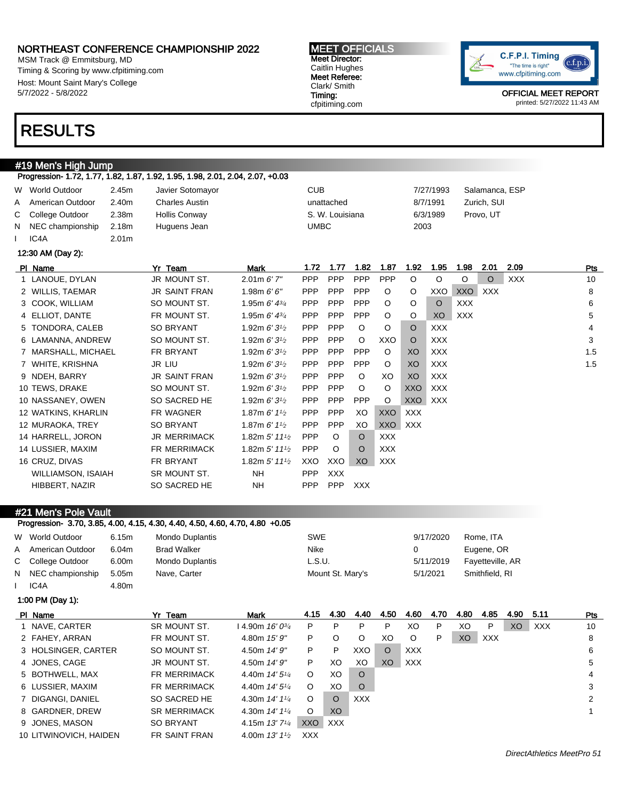MSM Track @ Emmitsburg, MD Timing & Scoring by www.cfpitiming.com Host: Mount Saint Mary's College 5/7/2022 - 5/8/2022

## RESULTS

### #19 Men's High Jump

Progression- 1.72, 1.77, 1.82, 1.87, 1.92, 1.95, 1.98, 2.01, 2.04, 2.07, +0.03

| W | World Outdoor             | 2.45m             | Javier Sotomayor      |                                           | <b>CUB</b>  |                 |            |            |            | 7/27/1993  |            | Salamanca, ESP |            |     |
|---|---------------------------|-------------------|-----------------------|-------------------------------------------|-------------|-----------------|------------|------------|------------|------------|------------|----------------|------------|-----|
| A | American Outdoor          | 2.40m             | <b>Charles Austin</b> |                                           |             | unattached      |            |            |            | 8/7/1991   |            | Zurich, SUI    |            |     |
| С | College Outdoor           | 2.38m             | <b>Hollis Conway</b>  |                                           |             | S. W. Louisiana |            |            |            | 6/3/1989   |            | Provo, UT      |            |     |
| N | NEC championship          | 2.18m             | Huguens Jean          |                                           | <b>UMBC</b> |                 |            |            | 2003       |            |            |                |            |     |
|   | IC4A                      | 2.01 <sub>m</sub> |                       |                                           |             |                 |            |            |            |            |            |                |            |     |
|   | 12:30 AM (Day 2):         |                   |                       |                                           |             |                 |            |            |            |            |            |                |            |     |
|   | PI Name                   |                   | Yr Team               | <b>Mark</b>                               | 1.72        | 1.77            | 1.82       | 1.87       | 1.92       | 1.95       | 1.98       | 2.01           | 2.09       | Pts |
|   | 1 LANOUE, DYLAN           |                   | JR MOUNT ST.          | $2.01m$ 6' $7''$                          | <b>PPP</b>  | PPP             | PPP        | PPP        | $\circ$    | $\circ$    | $\circ$    | O              | <b>XXX</b> | 10  |
|   | 2 WILLIS, TAEMAR          |                   | <b>JR SAINT FRAN</b>  | 1.98m $6'6''$                             | <b>PPP</b>  | PPP             | PPP        | O          | $\circ$    | XXO        | <b>XXO</b> | <b>XXX</b>     |            | 8   |
|   | 3 COOK, WILLIAM           |                   | SO MOUNT ST.          | 1.95m $6'$ 4 $\frac{3}{4}$                | <b>PPP</b>  | <b>PPP</b>      | PPP        | O          | O          | $\circ$    | <b>XXX</b> |                |            | 6   |
|   | 4 ELLIOT, DANTE           |                   | FR MOUNT ST.          | 1.95m $6'$ 4 $\frac{3}{4}$                | <b>PPP</b>  | <b>PPP</b>      | PPP        | $\circ$    | O          | XO         | <b>XXX</b> |                |            | 5   |
|   | 5 TONDORA, CALEB          |                   | <b>SO BRYANT</b>      | 1.92m $6'3'$                              | <b>PPP</b>  | <b>PPP</b>      | $\circ$    | O          | $\circ$    | <b>XXX</b> |            |                |            | 4   |
|   | 6 LAMANNA, ANDREW         |                   | SO MOUNT ST.          | 1.92m $6'3'$                              | <b>PPP</b>  | <b>PPP</b>      | $\circ$    | XXO        | O          | <b>XXX</b> |            |                |            | 3   |
|   | 7 MARSHALL, MICHAEL       |                   | FR BRYANT             | 1.92m $6'3'$                              | <b>PPP</b>  | PPP             | PPP        | O          | XO         | <b>XXX</b> |            |                |            | 1.5 |
|   | 7 WHITE, KRISHNA          |                   | <b>JR LIU</b>         | 1.92m $6'3'$                              | <b>PPP</b>  | <b>PPP</b>      | PPP        | $\circ$    | XO         | <b>XXX</b> |            |                |            | 1.5 |
|   | 9 NDEH, BARRY             |                   | <b>JR SAINT FRAN</b>  | 1.92m $6'3'$                              | <b>PPP</b>  | PPP             | $\circ$    | XO         | XO         | <b>XXX</b> |            |                |            |     |
|   | 10 TEWS, DRAKE            |                   | SO MOUNT ST.          | 1.92m $6'3'$                              | <b>PPP</b>  | <b>PPP</b>      | $\circ$    | O          | XXO        | <b>XXX</b> |            |                |            |     |
|   | 10 NASSANEY, OWEN         |                   | SO SACRED HE          | 1.92m $6'3'$                              | <b>PPP</b>  | PPP             | PPP        | O          | XXO        | <b>XXX</b> |            |                |            |     |
|   | 12 WATKINS, KHARLIN       |                   | FR WAGNER             | 1.87m $6'$ 1 <sup>1</sup> / <sub>2</sub>  | <b>PPP</b>  | PPP             | XO         | <b>XXO</b> | <b>XXX</b> |            |            |                |            |     |
|   | 12 MURAOKA, TREY          |                   | <b>SO BRYANT</b>      | 1.87m $6'$ 1 <sup>1</sup> / <sub>2</sub>  | <b>PPP</b>  | PPP             | XO         | <b>XXO</b> | <b>XXX</b> |            |            |                |            |     |
|   | 14 HARRELL, JORON         |                   | <b>JR MERRIMACK</b>   | 1.82m $5'$ 11 <sup>1</sup> / <sub>2</sub> | PPP         | $\circ$         | $\circ$    | <b>XXX</b> |            |            |            |                |            |     |
|   | 14 LUSSIER, MAXIM         |                   | <b>FR MERRIMACK</b>   | 1.82m $5'$ 11 <sup>1</sup> / <sub>2</sub> | PPP         | $\circ$         | $\circ$    | <b>XXX</b> |            |            |            |                |            |     |
|   | 16 CRUZ, DIVAS            |                   | FR BRYANT             | 1.82m 5' 11 <sup>1</sup> / <sub>2</sub>   | XXO         | XXO             | XO         | <b>XXX</b> |            |            |            |                |            |     |
|   | <b>WILLIAMSON, ISAIAH</b> |                   | SR MOUNT ST.          | <b>NH</b>                                 | <b>PPP</b>  | <b>XXX</b>      |            |            |            |            |            |                |            |     |
|   | HIBBERT, NAZIR            |                   | <b>SO SACRED HE</b>   | <b>NH</b>                                 | <b>PPP</b>  | PPP             | <b>XXX</b> |            |            |            |            |                |            |     |

MEET OFFICIALS Meet Director: Caitlin Hughes Meet Referee: Clark/ Smith Timing: cfpitiming.com

#### #21 Men's Pole Vault

### Progression- 3.70, 3.85, 4.00, 4.15, 4.30, 4.40, 4.50, 4.60, 4.70, 4.80 +0.05

|   | W World Outdoor        | 6.15m | <b>Mondo Duplantis</b> |                                         | <b>SWE</b> |                  |            |         |            | 9/17/2020 |      | Rome, ITA        |      |            |                |
|---|------------------------|-------|------------------------|-----------------------------------------|------------|------------------|------------|---------|------------|-----------|------|------------------|------|------------|----------------|
| A | American Outdoor       | 6.04m | <b>Brad Walker</b>     |                                         | Nike       |                  |            |         | 0          |           |      | Eugene, OR       |      |            |                |
|   | C College Outdoor      | 6.00m | <b>Mondo Duplantis</b> |                                         | L.S.U.     |                  |            |         |            | 5/11/2019 |      | Fayetteville, AR |      |            |                |
| N | NEC championship       | 5.05m | Nave, Carter           |                                         |            | Mount St. Mary's |            |         |            | 5/1/2021  |      | Smithfield, RI   |      |            |                |
|   | IC4A                   | 4.80m |                        |                                         |            |                  |            |         |            |           |      |                  |      |            |                |
|   | 1:00 PM (Day 1):       |       |                        |                                         |            |                  |            |         |            |           |      |                  |      |            |                |
|   | PI Name                |       | Yr Team                | Mark                                    | 4.15       | 4.30             | 4.40       | 4.50    | 4.60       | 4.70      | 4.80 | 4.85             | 4.90 | 5.11       | Pts            |
|   | 1 NAVE, CARTER         |       | SR MOUNT ST.           | $14.90m$ 16' 0 $\frac{3}{4}$            | P          | P                | P          | P       | XO         | P         | XO   | P                | XO   | <b>XXX</b> | 10             |
|   | 2 FAHEY, ARRAN         |       | FR MOUNT ST.           | 4.80m 15' 9"                            | P          | $\circ$          | $\circ$    | XO      | O          | P         | XO   | <b>XXX</b>       |      |            | 8              |
|   | 3 HOLSINGER, CARTER    |       | SO MOUNT ST.           | 4.50m 14' 9"                            | P          | P                | XXO        | $\circ$ | <b>XXX</b> |           |      |                  |      |            | 6              |
|   | 4 JONES, CAGE          |       | JR MOUNT ST.           | 4.50m 14' 9"                            | P          | XO               | XO         | XO      | <b>XXX</b> |           |      |                  |      |            | 5              |
|   | 5 BOTHWELL, MAX        |       | <b>FR MERRIMACK</b>    | 4.40m 14' 5 <sup>1</sup> / <sub>4</sub> | $\circ$    | XO               | $\circ$    |         |            |           |      |                  |      |            | 4              |
|   | 6 LUSSIER, MAXIM       |       | <b>FR MERRIMACK</b>    | 4.40m 14' 5 <sup>1</sup> / <sub>4</sub> | $\circ$    | XO               | $\circ$    |         |            |           |      |                  |      |            | 3              |
|   | 7 DIGANGI, DANIEL      |       | SO SACRED HE           | 4.30m 14' 11/4                          | $\circ$    | $\circ$          | <b>XXX</b> |         |            |           |      |                  |      |            | $\overline{2}$ |
|   | 8 GARDNER, DREW        |       | <b>SR MERRIMACK</b>    | 4.30m $14'1'4$                          | $\circ$    | XO.              |            |         |            |           |      |                  |      |            | 1              |
|   | 9 JONES, MASON         |       | <b>SO BRYANT</b>       | 4.15m $13'7'4$                          | XXO        | <b>XXX</b>       |            |         |            |           |      |                  |      |            |                |
|   | 10 LITWINOVICH, HAIDEN |       | FR SAINT FRAN          | 4.00m $13'1\frac{1}{2}$                 | <b>XXX</b> |                  |            |         |            |           |      |                  |      |            |                |
|   |                        |       |                        |                                         |            |                  |            |         |            |           |      |                  |      |            |                |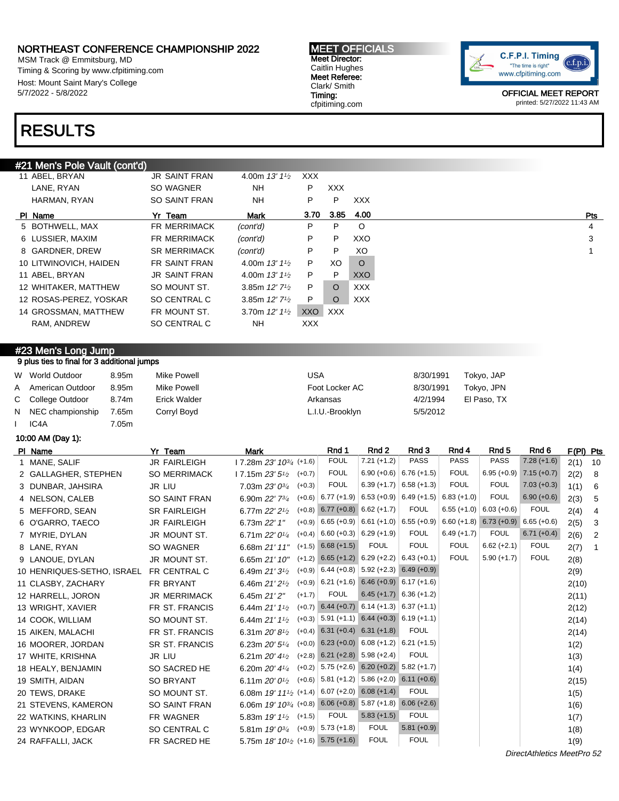MSM Track @ Emmitsburg, MD Timing & Scoring by www.cfpitiming.com Host: Mount Saint Mary's College 5/7/2022 - 5/8/2022

## RESULTS

#### #21 Men's Pole Vault (cont'd)

| 11 ABEL, BRYAN         | <b>JR SAINT FRAN</b> | 4.00m $13'11'_{2}$           | XXX.       |            |            |
|------------------------|----------------------|------------------------------|------------|------------|------------|
| LANE, RYAN             | SO WAGNER            | NΗ                           | P          | <b>XXX</b> |            |
| HARMAN, RYAN           | <b>SO SAINT FRAN</b> | NH.                          | P          | P          | <b>XXX</b> |
| PI Name                | Yr Team              | Mark                         | 3.70       | 3.85       | 4.00       |
| 5 BOTHWELL, MAX        | FR MERRIMACK         | (cont'd)                     | P          | P          | $\circ$    |
| 6 LUSSIER, MAXIM       | <b>FR MERRIMACK</b>  | (cont'd)                     | P          | P          | XXO        |
| 8 GARDNER, DREW        | <b>SR MERRIMACK</b>  | (cont'd)                     | P          | P          | XO         |
| 10 LITWINOVICH, HAIDEN | FR SAINT FRAN        | 4.00m $13'1\frac{1}{2}$      | P          | XO         | $\circ$    |
| 11 ABEL, BRYAN         | <b>JR SAINT FRAN</b> | 4.00m $13'1\frac{1}{2}$      | P.         | P          | XXO        |
| 12 WHITAKER, MATTHEW   | SO MOUNT ST.         | 3.85m $12'$ 7 <sup>1/2</sup> | P          | $\circ$    | <b>XXX</b> |
| 12 ROSAS-PEREZ, YOSKAR | SO CENTRAL C         | 3.85m $12'$ 7 <sup>1/2</sup> | P          | O          | <b>XXX</b> |
| 14 GROSSMAN, MATTHEW   | FR MOUNT ST.         | 3.70m $12'11/2$              | XXO        | <b>XXX</b> |            |
| RAM, ANDREW            | SO CENTRAL C         | NH.                          | <b>XXX</b> |            |            |
|                        |                      |                              |            |            |            |

#### #23 Men's Long Jump 9 plus ties to final for 3 additional jumps

| W World Outdoor    | 8.95m | Mike Powell  | USA             | 8/30/1991 | Tokyo, JAP  |
|--------------------|-------|--------------|-----------------|-----------|-------------|
| A American Outdoor | 8.95m | Mike Powell  | Foot Locker AC  | 8/30/1991 | Tokyo, JPN  |
| C College Outdoor  | 8.74m | Erick Walder | Arkansas        | 4/2/1994  | El Paso, TX |
| N NEC championship | 7.65m | Corryl Boyd  | L.I.U.-Brooklyn | 5/5/2012  |             |
| IC4A               | 7.05m |              |                 |           |             |

#### 10:00 AM (Day 1):

| PI Name                    | Yr Team              | Mark                                            | Rnd 1                                              | Rnd 2                                 | Rnd 3                     | Rnd 4         | Rnd <sub>5</sub>          | Rnd <sub>6</sub> | F(PI) Pts |              |
|----------------------------|----------------------|-------------------------------------------------|----------------------------------------------------|---------------------------------------|---------------------------|---------------|---------------------------|------------------|-----------|--------------|
| 1 MANE, SALIF              | <b>JR FAIRLEIGH</b>  | $17.28m 23' 10^{3/4}$ (+1.6)                    | <b>FOUL</b>                                        | $7.21 (+1.2)$                         | <b>PASS</b>               | <b>PASS</b>   | <b>PASS</b>               | $7.28(+1.6)$     | 2(1)      | 10           |
| 2 GALLAGHER, STEPHEN       | <b>SO MERRIMACK</b>  | 17.15m $23'5'$<br>$(+0.7)$                      | <b>FOUL</b>                                        |                                       | $6.90 (+0.6)$ 6.76 (+1.5) | <b>FOUL</b>   | $6.95 (+0.9)$             | $7.15 (+0.7)$    | 2(2)      | 8            |
| 3 DUNBAR, JAHSIRA          | <b>JR LIU</b>        | $(+0.3)$<br>7.03m 23' 0 <sup>3/4</sup>          | <b>FOUL</b>                                        |                                       | $6.39 (+1.7)$ 6.58 (+1.3) | <b>FOUL</b>   | <b>FOUL</b>               | $7.03 (+0.3)$    | 1(1)      | 6            |
| 4 NELSON, CALEB            | <b>SO SAINT FRAN</b> | 6.90m 22' 7 <sup>3/4</sup>                      | $(+0.6)$ 6.77 (+1.9) 6.53 (+0.9) 6.49 (+1.5)       |                                       |                           | $6.83 (+1.0)$ | <b>FOUL</b>               | $6.90 (+0.6)$    | 2(3)      | 5            |
| 5 MEFFORD, SEAN            | <b>SR FAIRLEIGH</b>  | 6.77m $22'2'2$                                  | $(+0.8)$ 6.77 $(+0.8)$ 6.62 $(+1.7)$               |                                       | <b>FOUL</b>               |               | $6.55 (+1.0)$ 6.03 (+0.6) | <b>FOUL</b>      | 2(4)      | 4            |
| 6 O'GARRO, TAECO           | <b>JR FAIRLEIGH</b>  | 6.73m 22' 1"                                    | $(+0.9)$ 6.65 (+0.9) 6.61 (+1.0) 6.55 (+0.9)       |                                       |                           |               | $6.60 (+1.8) 6.73 (+0.9)$ | $6.65 (+0.6)$    | 2(5)      | 3            |
| 7 MYRIE, DYLAN             | JR MOUNT ST.         | 6.71m $22'0\frac{1}{4}$                         | $(+0.4)$ 6.60 (+0.3) 6.29 (+1.9)                   |                                       | <b>FOUL</b>               | $6.49 (+1.7)$ | <b>FOUL</b>               | $6.71 (+0.4)$    | 2(6)      | 2            |
| 8 LANE, RYAN               | <b>SO WAGNER</b>     | 6.68m 21' 11"                                   | $(+1.5)$ 6.68 $(+1.5)$                             | <b>FOUL</b>                           | <b>FOUL</b>               | <b>FOUL</b>   | $6.62 (+2.1)$             | <b>FOUL</b>      | 2(7)      | $\mathbf{1}$ |
| 9 LANOUE, DYLAN            | JR MOUNT ST.         | 6.65m 21' 10"                                   | $(+1.2)$ 6.65 $(+1.2)$ 6.29 $(+2.2)$ 6.43 $(+0.1)$ |                                       |                           | <b>FOUL</b>   | $5.90 (+1.7)$             | <b>FOUL</b>      | 2(8)      |              |
| 10 HENRIQUES-SETHO, ISRAEL | FR CENTRAL C         | 6.49m $21'3'$                                   | $(+0.9)$ 6.44 (+0.8) 5.92 (+2.3) 6.49 (+0.9)       |                                       |                           |               |                           |                  | 2(9)      |              |
| 11 CLASBY, ZACHARY         | FR BRYANT            | 6.46m 21' 2 <sup>1</sup> / <sub>2</sub>         | $(+0.9)$ 6.21 (+1.6) 6.46 (+0.9) 6.17 (+1.6)       |                                       |                           |               |                           |                  | 2(10)     |              |
| 12 HARRELL, JORON          | <b>JR MERRIMACK</b>  | $(+1.7)$<br>6.45m 21' 2"                        | <b>FOUL</b>                                        |                                       | $6.45 (+1.7) 6.36 (+1.2)$ |               |                           |                  | 2(11)     |              |
| 13 WRIGHT, XAVIER          | FR ST. FRANCIS       | 6.44m $21'1'$                                   | $(+0.7)$ 6.44 $(+0.7)$ 6.14 $(+1.3)$ 6.37 $(+1.1)$ |                                       |                           |               |                           |                  | 2(12)     |              |
| 14 COOK, WILLIAM           | SO MOUNT ST.         | 6.44m $21'1'$                                   | $(+0.3)$ 5.91 (+1.1) 6.44 (+0.3) 6.19 (+1.1)       |                                       |                           |               |                           |                  | 2(14)     |              |
| 15 AIKEN, MALACHI          | FR ST. FRANCIS       | 6.31m $20'8\frac{1}{2}$                         | $(+0.4)$ 6.31 $(+0.4)$ 6.31 $(+1.8)$               |                                       | <b>FOUL</b>               |               |                           |                  | 2(14)     |              |
| 16 MOORER, JORDAN          | SR ST. FRANCIS       | 6.23m $20'5''$                                  | $(+0.0)$ 6.23 $(+0.0)$ 6.08 $(+1.2)$ 6.21 $(+1.5)$ |                                       |                           |               |                           |                  | 1(2)      |              |
| 17 WHITE, KRISHNA          | JR LIU               | 6.21m $20'$ 4 <sup>1</sup> / <sub>2</sub>       | $(+2.8)$ 6.21 $(+2.8)$ 5.98 $(+2.4)$               |                                       | <b>FOUL</b>               |               |                           |                  | 1(3)      |              |
| 18 HEALY, BENJAMIN         | SO SACRED HE         | $(+0.2)$<br>6.20m $20'$ 4 $\frac{1}{4}$         |                                                    | $5.75 (+2.6) 6.20 (+0.2) 5.82 (+1.7)$ |                           |               |                           |                  | 1(4)      |              |
| 19 SMITH, AIDAN            | <b>SO BRYANT</b>     | $(+0.6)$<br>6.11m $20'0^{1/2}$                  |                                                    | $5.81 (+1.2)$ 5.86 (+2.0) 6.11 (+0.6) |                           |               |                           |                  | 2(15)     |              |
| 20 TEWS, DRAKE             | SO MOUNT ST.         | 6.08m 19' 11 <sup>1</sup> / <sub>2</sub> (+1.4) |                                                    | $6.07 (+2.0) 6.08 (+1.4)$             | <b>FOUL</b>               |               |                           |                  | 1(5)      |              |
| 21 STEVENS, KAMERON        | <b>SO SAINT FRAN</b> | 6.06m $19'$ $10^{3/4}$ (+0.8)                   | $6.06 (+0.8)$ 5.87 (+1.8) 6.06 (+2.6)              |                                       |                           |               |                           |                  | 1(6)      |              |
| 22 WATKINS, KHARLIN        | <b>FR WAGNER</b>     | 5.83m $19'1^{1/2}$ (+1.5)                       | <b>FOUL</b>                                        | $5.83 (+1.5)$                         | <b>FOUL</b>               |               |                           |                  | 1(7)      |              |
| 23 WYNKOOP, EDGAR          | SO CENTRAL C         | 5.81m $19'0^{3/4}$ (+0.9)                       | $5.73 (+1.8)$                                      | <b>FOUL</b>                           | $5.81 (+0.9)$             |               |                           |                  | 1(8)      |              |
| 24 RAFFALLI, JACK          | FR SACRED HE         | 5.75m $18'$ $10^{1/2}$ (+1.6) 5.75 (+1.6)       |                                                    | <b>FOUL</b>                           | <b>FOUL</b>               |               |                           |                  | 1(9)      |              |

DirectAthletics MeetPro 52



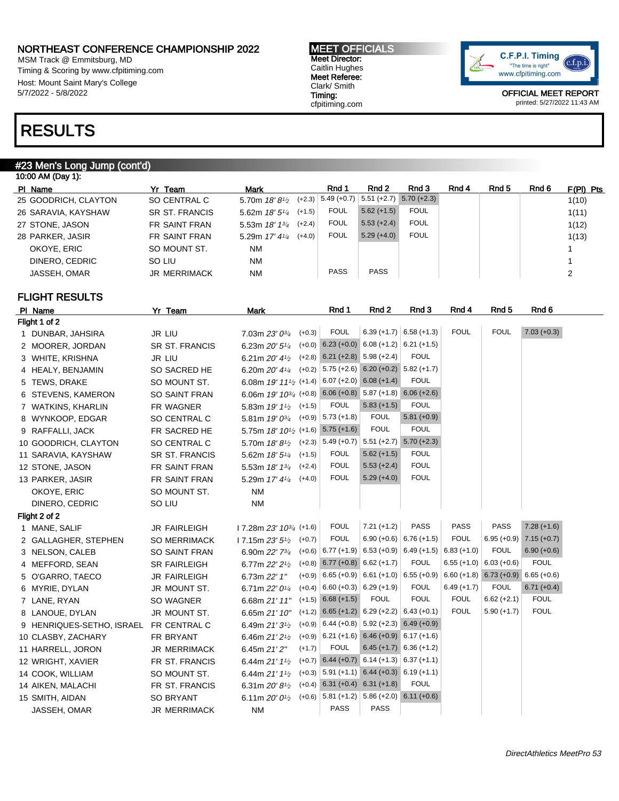MSM Track @ Emmitsburg, MD Timing & Scoring by www.cfpitiming.com Host: Mount Saint Mary's College 5/7/2022 - 5/8/2022

#### MEET OFFICIALS Meet Director: Caitlin Hughes Meet Referee: Clark/ Smith Timing: cfpitiming.com



OFFICIAL MEET REPORT printed: 5/27/2022 11:43 AM

## RESULTS

### #23 Men's Long Jump (cont'd)

| 10:00 AM (Day 1):    |                     |                         |          |               |               |               |       |       |       |             |
|----------------------|---------------------|-------------------------|----------|---------------|---------------|---------------|-------|-------|-------|-------------|
| PI Name              | Yr Team             | <b>Mark</b>             |          | Rnd 1         | Rnd 2         | Rnd 3         | Rnd 4 | Rnd 5 | Rnd 6 | $F(PI)$ Pts |
| 25 GOODRICH, CLAYTON | SO CENTRAL C        | 5.70m $18'8\frac{1}{2}$ | $(+2.3)$ | $5.49 (+0.7)$ | $5.51 (+2.7)$ | $5.70 (+2.3)$ |       |       |       | 1(10)       |
| 26 SARAVIA, KAYSHAW  | SR ST. FRANCIS      | 5.62m $18'5\frac{1}{4}$ | $(+1.5)$ | <b>FOUL</b>   | $5.62 (+1.5)$ | <b>FOUL</b>   |       |       |       | 1(11)       |
| 27 STONE, JASON      | FR SAINT FRAN       | 5.53m $18'$ $13'$       | $(+2.4)$ | <b>FOUL</b>   | $5.53 (+2.4)$ | <b>FOUL</b>   |       |       |       | 1(12)       |
| 28 PARKER, JASIR     | FR SAINT FRAN       | 5.29m $17' 41/4$        | $(+4.0)$ | <b>FOUL</b>   | $5.29(+4.0)$  | <b>FOUL</b>   |       |       |       | 1(13)       |
| OKOYE, ERIC          | SO MOUNT ST.        | <b>NM</b>               |          |               |               |               |       |       |       |             |
| DINERO, CEDRIC       | SO LIU              | <b>NM</b>               |          |               |               |               |       |       |       |             |
| JASSEH, OMAR         | <b>JR MERRIMACK</b> | <b>NM</b>               |          | <b>PASS</b>   | <b>PASS</b>   |               |       |       |       | 2           |
|                      |                     |                         |          |               |               |               |       |       |       |             |

### FLIGHT RESULTS

| PI Name                   | Yr Team               | <b>Mark</b>                                                   | Rnd 1                                | Rnd 2                                              | Rnd 3                     | Rnd 4         | Rnd 5                     | Rnd 6         |
|---------------------------|-----------------------|---------------------------------------------------------------|--------------------------------------|----------------------------------------------------|---------------------------|---------------|---------------------------|---------------|
| Flight 1 of 2             |                       |                                                               |                                      |                                                    |                           |               |                           |               |
| 1 DUNBAR, JAHSIRA         | JR LIU                | $(+0.3)$<br>7.03m 23' 0 <sup>3/4</sup>                        | <b>FOUL</b>                          |                                                    | $6.39 (+1.7)$ 6.58 (+1.3) | <b>FOUL</b>   | <b>FOUL</b>               | $7.03 (+0.3)$ |
| 2 MOORER, JORDAN          | <b>SR ST. FRANCIS</b> | 6.23m 20' 5 <sup>1/4</sup>                                    |                                      | $(+0.0)$ 6.23 $(+0.0)$ 6.08 $(+1.2)$ 6.21 $(+1.5)$ |                           |               |                           |               |
| 3 WHITE, KRISHNA          | JR LIU                | 6.21m $20'$ 4 $\frac{1}{2}$                                   | $(+2.8)$ 6.21 $(+2.8)$ 5.98 $(+2.4)$ |                                                    | <b>FOUL</b>               |               |                           |               |
| 4 HEALY, BENJAMIN         | SO SACRED HE          | $(+0.2)$<br>6.20m 20' 41/4                                    |                                      | $5.75 (+2.6) 6.20 (+0.2) 5.82 (+1.7)$              |                           |               |                           |               |
| 5 TEWS, DRAKE             | SO MOUNT ST.          | 6.08m 19' 111/2 (+1.4)                                        |                                      | $6.07 (+2.0) 6.08 (+1.4)$                          | <b>FOUL</b>               |               |                           |               |
| 6 STEVENS, KAMERON        | <b>SO SAINT FRAN</b>  | 6.06m 19' 103/4 (+0.8)                                        |                                      | $6.06 (+0.8)$ $5.87 (+1.8)$ $6.06 (+2.6)$          |                           |               |                           |               |
| 7 WATKINS, KHARLIN        | FR WAGNER             | 5.83m 19' 1 <sup>1</sup> / <sub>2</sub> (+1.5)                | <b>FOUL</b>                          | $5.83 (+1.5)$                                      | <b>FOUL</b>               |               |                           |               |
| 8 WYNKOOP, EDGAR          | SO CENTRAL C          | 5.81m 19' 03/4                                                | $(+0.9)$ 5.73 $(+1.8)$               | <b>FOUL</b>                                        | $5.81 (+0.9)$             |               |                           |               |
| 9 RAFFALLI, JACK          | FR SACRED HE          | 5.75m $18' 10^{1/2}$ (+1.6) 5.75 (+1.6)                       |                                      | <b>FOUL</b>                                        | <b>FOUL</b>               |               |                           |               |
| 10 GOODRICH, CLAYTON      | SO CENTRAL C          | 5.70m $18'8^{1/2}$ (+2.3) 5.49 (+0.7) 5.51 (+2.7) 5.70 (+2.3) |                                      |                                                    |                           |               |                           |               |
| 11 SARAVIA, KAYSHAW       | <b>SR ST. FRANCIS</b> | $(+1.5)$<br>5.62m 18' 51/4                                    | <b>FOUL</b>                          | $5.62 (+1.5)$                                      | <b>FOUL</b>               |               |                           |               |
| 12 STONE, JASON           | FR SAINT FRAN         | $(+2.4)$<br>5.53m 18' 13/4                                    | <b>FOUL</b>                          | $5.53 (+2.4)$                                      | <b>FOUL</b>               |               |                           |               |
| 13 PARKER, JASIR          | FR SAINT FRAN         | $(+4.0)$<br>5.29m 17' 41/4                                    | <b>FOUL</b>                          | $5.29(+4.0)$                                       | <b>FOUL</b>               |               |                           |               |
| OKOYE, ERIC               | SO MOUNT ST.          | <b>NM</b>                                                     |                                      |                                                    |                           |               |                           |               |
| DINERO, CEDRIC            | SO LIU                | <b>NM</b>                                                     |                                      |                                                    |                           |               |                           |               |
| Flight 2 of 2             |                       |                                                               |                                      |                                                    |                           |               |                           |               |
| 1 MANE, SALIF             | <b>JR FAIRLEIGH</b>   | $17.28m 23' 10^{3/4}$ (+1.6)                                  | <b>FOUL</b>                          | $7.21 (+1.2)$                                      | <b>PASS</b>               | <b>PASS</b>   | <b>PASS</b>               | $7.28(+1.6)$  |
| 2 GALLAGHER, STEPHEN      | <b>SO MERRIMACK</b>   | 17.15m $23'5\frac{1}{2}$<br>$(+0.7)$                          | <b>FOUL</b>                          |                                                    | $6.90 (+0.6)$ 6.76 (+1.5) | <b>FOUL</b>   | $6.95 (+0.9)$             | $7.15 (+0.7)$ |
| 3 NELSON, CALEB           | <b>SO SAINT FRAN</b>  | 6.90m 22' 73/4                                                |                                      | $(+0.6)$ 6.77 (+1.9) 6.53 (+0.9)                   | $6.49 (+1.5)$             | $6.83 (+1.0)$ | <b>FOUL</b>               | $6.90 (+0.6)$ |
| 4 MEFFORD, SEAN           | <b>SR FAIRLEIGH</b>   | $(+0.8)$<br>6.77m 22' 2 <sup>1/2</sup>                        | $6.77 (+0.8) 6.62 (+1.7)$            |                                                    | <b>FOUL</b>               | $6.55 (+1.0)$ | $6.03 (+0.6)$             | <b>FOUL</b>   |
| 5 O'GARRO, TAECO          | <b>JR FAIRLEIGH</b>   | 6.73m 22' 1"                                                  |                                      | $(+0.9)$ 6.65 $(+0.9)$ 6.61 $(+1.0)$               | $6.55 (+0.9)$             |               | $6.60 (+1.8) 6.73 (+0.9)$ | $6.65 (+0.6)$ |
| 6 MYRIE, DYLAN            | JR MOUNT ST.          | 6.71m 22' 01/4                                                | $(+0.4)$ 6.60 (+0.3) 6.29 (+1.9)     |                                                    | <b>FOUL</b>               | $6.49 (+1.7)$ | <b>FOUL</b>               | $6.71 (+0.4)$ |
| 7 LANE, RYAN              | SO WAGNER             | 6.68m 21' 11"                                                 | $(+1.5)$ 6.68 $(+1.5)$               | <b>FOUL</b>                                        | <b>FOUL</b>               | <b>FOUL</b>   | $6.62 (+2.1)$             | <b>FOUL</b>   |
| 8 LANOUE, DYLAN           | JR MOUNT ST.          | 6.65m 21' 10"                                                 |                                      | $(+1.2)$ 6.65 $(+1.2)$ 6.29 $(+2.2)$ 6.43 $(+0.1)$ |                           | <b>FOUL</b>   | $5.90 (+1.7)$             | <b>FOUL</b>   |
| 9 HENRIQUES-SETHO, ISRAEL | FR CENTRAL C          | $(+0.9)$<br>6.49m $21'3^{1/2}$                                |                                      | $6.44 (+0.8)$ 5.92 (+2.3) 6.49 (+0.9)              |                           |               |                           |               |
| 10 CLASBY, ZACHARY        | FR BRYANT             | 6.46m 21' 2 <sup>1</sup> / <sub>2</sub>                       |                                      | $(+0.9)$ 6.21 $(+1.6)$ 6.46 $(+0.9)$ 6.17 $(+1.6)$ |                           |               |                           |               |
| 11 HARRELL, JORON         | <b>JR MERRIMACK</b>   | $(+1.7)$<br>6.45m 21' 2"                                      | <b>FOUL</b>                          |                                                    | $6.45 (+1.7) 6.36 (+1.2)$ |               |                           |               |
| 12 WRIGHT, XAVIER         | FR ST. FRANCIS        | $(+0.7)$<br>6.44m 21' 11/2                                    |                                      | $6.44 (+0.7) 6.14 (+1.3) 6.37 (+1.1)$              |                           |               |                           |               |
| 14 COOK, WILLIAM          | SO MOUNT ST.          | $(+0.3)$<br>6.44m 21' 11/2                                    |                                      | $5.91 (+1.1) 6.44 (+0.3) 6.19 (+1.1)$              |                           |               |                           |               |
| 14 AIKEN, MALACHI         | FR ST. FRANCIS        | $(+0.4)$<br>6.31m $20'8'$                                     |                                      | $6.31 (+0.4) 6.31 (+1.8)$                          | <b>FOUL</b>               |               |                           |               |
| 15 SMITH, AIDAN           | <b>SO BRYANT</b>      | 6.11m $20'0^{1/2}$                                            | $(+0.6)$ 5.81 $(+1.2)$               | $5.86 (+2.0) 6.11 (+0.6)$                          |                           |               |                           |               |
| JASSEH, OMAR              | <b>JR MERRIMACK</b>   | <b>NM</b>                                                     | <b>PASS</b>                          | <b>PASS</b>                                        |                           |               |                           |               |
|                           |                       |                                                               |                                      |                                                    |                           |               |                           |               |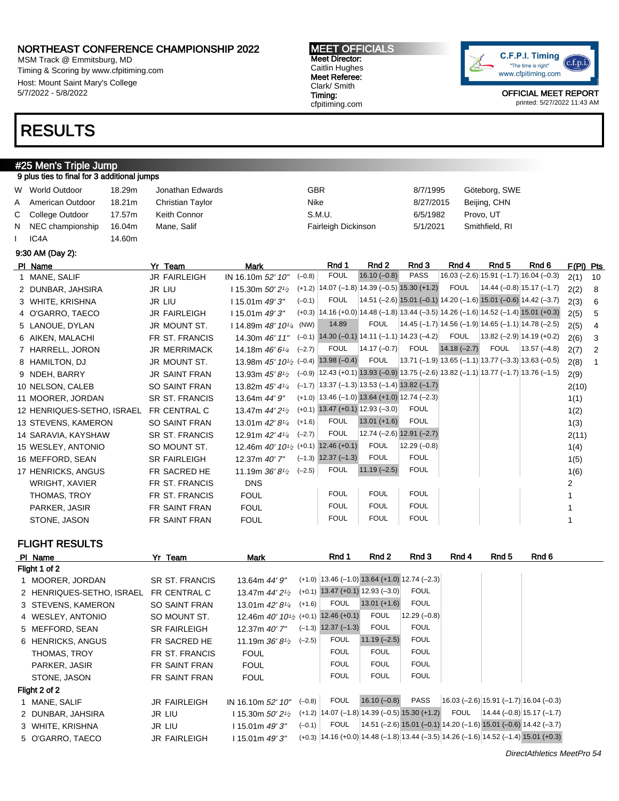MSM Track @ Emmitsburg, MD Timing & Scoring by www.cfpitiming.com Host: Mount Saint Mary's College 5/7/2022 - 5/8/2022

## RESULTS

#### #25 Men's Triple Jump 9 plus ties to final for 3 additional jumps

| W World Outdoor    | 18.29m | Jonathan Edwards | GBR                 | 8/7/1995  | Göteborg, SWE  |
|--------------------|--------|------------------|---------------------|-----------|----------------|
| A American Outdoor | 18.21m | Christian Taylor | Nike                | 8/27/2015 | Beijing, CHN   |
| C College Outdoor  | 17.57m | Keith Connor     | S.M.U.              | 6/5/1982  | Provo. UT      |
| N NEC championship | 16.04m | Mane, Salif      | Fairleigh Dickinson | 5/1/2021  | Smithfield, RI |
| IC <sub>4</sub> A  | 14.60m |                  |                     |           |                |

9:30 AM (Day 2):

| PI Name                    | Yr Team               | <b>Mark</b>                                                   | Rnd 1                                                                                              | Rnd 2           | Rnd 3                       | Rnd 4         | Rnd 5       | Rnd 6                                                              | F(PI) Pts |                |
|----------------------------|-----------------------|---------------------------------------------------------------|----------------------------------------------------------------------------------------------------|-----------------|-----------------------------|---------------|-------------|--------------------------------------------------------------------|-----------|----------------|
| 1 MANE, SALIF              | <b>JR FAIRLEIGH</b>   | $(-0.8)$<br>IN 16.10m 52' 10"                                 | <b>FOUL</b>                                                                                        | $16.10(-0.8)$   | <b>PASS</b>                 |               |             | $16.03$ (-2.6) 15.91 (-1.7) 16.04 (-0.3)                           | 2(1)      | 10             |
| 2 DUNBAR, JAHSIRA          | JR LIU                | 115.30m $50'2^{1/2}$                                          | $(+1.2)$   14.07 (-1.8)   14.39 (-0.5) 15.30 (+1.2)                                                |                 |                             | <b>FOUL</b>   |             | $ 14.44 (-0.8) 15.17 (-1.7) $                                      | 2(2)      | - 8            |
| 3 WHITE, KRISHNA           | JR LIU                | $115.01m$ 49' 3"                                              | FOUL<br>$(-0.1)$                                                                                   |                 |                             |               |             | $14.51$ (-2.6) 15.01 (-0.1) 14.20 (-1.6) 15.01 (-0.6) 14.42 (-3.7) | 2(3)      | 6              |
| 4 O'GARRO, TAECO           | <b>JR FAIRLEIGH</b>   | $115.01m$ 49' 3"                                              | $(+0.3)$ 14.16 $(+0.0)$ 14.48 $(-1.8)$ 13.44 $(-3.5)$ 14.26 $(-1.6)$ 14.52 $(-1.4)$ 15.01 $(+0.3)$ |                 |                             |               |             |                                                                    | 2(5)      | 5              |
| 5 LANOUE, DYLAN            | JR MOUNT ST.          | 114.89m $48'$ $10^{1/4}$ (NW)                                 | 14.89                                                                                              | FOUL            |                             |               |             | $ 14.45(-1.7) 14.56(-1.9) 14.65(-1.1) 14.78(-2.5)$                 | 2(5)      | $\overline{4}$ |
| 6 AIKEN, MALACHI           | FR ST. FRANCIS        | 14.30m 46' 11"                                                | $(-0.1)$ 14.30 (-0.1) 14.11 (-1.1) 14.23 (-4.2)                                                    |                 |                             | <b>FOUL</b>   |             | $ 13.82 (-2.9) 14.19 (+0.2) $                                      | 2(6)      | 3              |
| 7 HARRELL, JORON           | <b>JR MERRIMACK</b>   | $(-2.7)$<br>14.18m $46'6'4$                                   | <b>FOUL</b>                                                                                        | $ 14.17(-0.7) $ | FOUL                        | $14.18(-2.7)$ | <b>FOUL</b> | $13.57(-4.8)$                                                      | 2(7)      | $\overline{2}$ |
| 8 HAMILTON, DJ             | JR MOUNT ST.          | 13.98m $45'$ $10^{1/2}$ (-0.4) 13.98 (-0.4)                   |                                                                                                    | FOUL            |                             |               |             | $ 13.71(-1.9) 13.65(-1.1) 13.77(-3.3) 13.63(-0.5) $                | 2(8)      | 1              |
| 9 NDEH, BARRY              | <b>JR SAINT FRAN</b>  | 13.93m $45'8\frac{1}{2}$                                      | $(-0.9)$   12.43 (+0.1) 13.93 (-0.9) 13.75 (-2.6)   13.82 (-1.1)   13.77 (-1.7)   13.76 (-1.5)     |                 |                             |               |             |                                                                    | 2(9)      |                |
| 10 NELSON, CALEB           | <b>SO SAINT FRAN</b>  | 13.82m 45' 41/4                                               | $(-1.7)$ 13.37 $(-1.3)$ 13.53 $(-1.4)$ 13.82 $(-1.7)$                                              |                 |                             |               |             |                                                                    | 2(10)     |                |
| 11 MOORER, JORDAN          | <b>SR ST. FRANCIS</b> | 13.64m 44' 9"                                                 | $(+1.0)$   13.46 (-1.0) 13.64 (+1.0) 12.74 (-2.3)                                                  |                 |                             |               |             |                                                                    | 1(1)      |                |
| 12 HENRIQUES-SETHO, ISRAEL | FR CENTRAL C          | 13.47m 44' 2 <sup>1</sup> / <sub>2</sub>                      | $(+0.1)$ 13.47 $(+0.1)$ 12.93 $(-3.0)$                                                             |                 | <b>FOUL</b>                 |               |             |                                                                    | 1(2)      |                |
| 13 STEVENS, KAMERON        | <b>SO SAINT FRAN</b>  | $(+1.6)$<br>13.01m 42' 81/4                                   | <b>FOUL</b>                                                                                        | $13.01 (+1.6)$  | <b>FOUL</b>                 |               |             |                                                                    | 1(3)      |                |
| 14 SARAVIA, KAYSHAW        | <b>SR ST. FRANCIS</b> | $(-2.7)$<br>12.91m 42' 41/4                                   | <b>FOUL</b>                                                                                        |                 | $12.74 (-2.6) 12.91 (-2.7)$ |               |             |                                                                    | 2(11)     |                |
| 15 WESLEY, ANTONIO         | SO MOUNT ST.          | 12.46m 40' 10 <sup>1</sup> / <sub>2</sub> (+0.1) 12.46 (+0.1) |                                                                                                    | <b>FOUL</b>     | $12.29(-0.8)$               |               |             |                                                                    | 1(4)      |                |
| 16 MEFFORD, SEAN           | <b>SR FAIRLEIGH</b>   | 12.37m 40' 7"                                                 | $(-1.3)$ 12.37 $(-1.3)$                                                                            | <b>FOUL</b>     | <b>FOUL</b>                 |               |             |                                                                    | 1(5)      |                |
| 17 HENRICKS, ANGUS         | FR SACRED HE          | $(-2.5)$<br>11.19m $36'8'$                                    | <b>FOUL</b>                                                                                        | $11.19(-2.5)$   | <b>FOUL</b>                 |               |             |                                                                    | 1(6)      |                |
| WRIGHT, XAVIER             | FR ST. FRANCIS        | <b>DNS</b>                                                    |                                                                                                    |                 |                             |               |             |                                                                    |           |                |
| THOMAS, TROY               | FR ST. FRANCIS        | <b>FOUL</b>                                                   | <b>FOUL</b>                                                                                        | <b>FOUL</b>     | <b>FOUL</b>                 |               |             |                                                                    |           |                |
| PARKER, JASIR              | <b>FR SAINT FRAN</b>  | <b>FOUL</b>                                                   | <b>FOUL</b>                                                                                        | <b>FOUL</b>     | <b>FOUL</b>                 |               |             |                                                                    |           |                |
| STONE, JASON               | FR SAINT FRAN         | <b>FOUL</b>                                                   | <b>FOUL</b>                                                                                        | <b>FOUL</b>     | <b>FOUL</b>                 |               |             |                                                                    |           |                |

FLIGHT RESULTS

| PI Name                   | Yr Team              | <b>Mark</b>                                                   |          | Rnd 1                                           | Rnd 2          | Rnd 3         | Rnd 4       | Rnd 5 | Rnd 6                                                                                              |  |
|---------------------------|----------------------|---------------------------------------------------------------|----------|-------------------------------------------------|----------------|---------------|-------------|-------|----------------------------------------------------------------------------------------------------|--|
| Flight 1 of 2             |                      |                                                               |          |                                                 |                |               |             |       |                                                                                                    |  |
| 1 MOORER, JORDAN          | SR ST. FRANCIS       | 13.64m 44' 9"                                                 |          | $(+1.0)$ 13.46 (-1.0) 13.64 (+1.0) 12.74 (-2.3) |                |               |             |       |                                                                                                    |  |
| 2 HENRIQUES-SETHO, ISRAEL | FR CENTRAL C         | 13.47m $44'2'$                                                | $(+0.1)$ | $13.47 (+0.1) 12.93 (-3.0)$                     |                | <b>FOUL</b>   |             |       |                                                                                                    |  |
| 3 STEVENS, KAMERON        | <b>SO SAINT FRAN</b> | 13.01m $42'8\frac{1}{4}$                                      | $(+1.6)$ | <b>FOUL</b>                                     | $13.01 (+1.6)$ | <b>FOUL</b>   |             |       |                                                                                                    |  |
| 4 WESLEY, ANTONIO         | SO MOUNT ST.         | 12.46m 40' 10 <sup>1</sup> / <sub>2</sub> (+0.1) 12.46 (+0.1) |          |                                                 | <b>FOUL</b>    | $12.29(-0.8)$ |             |       |                                                                                                    |  |
| 5 MEFFORD, SEAN           | <b>SR FAIRLEIGH</b>  | 12.37m 40' 7"                                                 | $(-1.3)$ | $12.37(-1.3)$                                   | <b>FOUL</b>    | <b>FOUL</b>   |             |       |                                                                                                    |  |
| 6 HENRICKS, ANGUS         | FR SACRED HE         | 11.19m $36'8'$                                                | $(-2.5)$ | <b>FOUL</b>                                     | $11.19(-2.5)$  | <b>FOUL</b>   |             |       |                                                                                                    |  |
| THOMAS, TROY              | FR ST. FRANCIS       | <b>FOUL</b>                                                   |          | <b>FOUL</b>                                     | <b>FOUL</b>    | <b>FOUL</b>   |             |       |                                                                                                    |  |
| PARKER, JASIR             | FR SAINT FRAN        | <b>FOUL</b>                                                   |          | <b>FOUL</b>                                     | <b>FOUL</b>    | <b>FOUL</b>   |             |       |                                                                                                    |  |
| STONE, JASON              | FR SAINT FRAN        | <b>FOUL</b>                                                   |          | <b>FOUL</b>                                     | <b>FOUL</b>    | <b>FOUL</b>   |             |       |                                                                                                    |  |
| Flight 2 of 2             |                      |                                                               |          |                                                 |                |               |             |       |                                                                                                    |  |
| 1 MANE, SALIF             | <b>JR FAIRLEIGH</b>  | IN 16.10m 52' 10"                                             | $(-0.8)$ | <b>FOUL</b>                                     | $16.10 (-0.8)$ | <b>PASS</b>   |             |       | $(16.03 (-2.6) 15.91 (-1.7) 16.04 (-0.3))$                                                         |  |
| 2 DUNBAR, JAHSIRA         | JR LIU               | l 15.30m 50' 21⁄2                                             |          | $(+1.2)$ 14.07 (-1.8) 14.39 (-0.5) 15.30 (+1.2) |                |               | <b>FOUL</b> |       | $ 14.44 (-0.8) 15.17 (-1.7) $                                                                      |  |
| 3 WHITE, KRISHNA          | JR LIU               | 115.01m 49'3"                                                 | $(-0.1)$ | <b>FOUL</b>                                     |                |               |             |       | $14.51$ (-2.6) 15.01 (-0.1) 14.20 (-1.6) 15.01 (-0.6) 14.42 (-3.7)                                 |  |
| 5 O'GARRO, TAECO          | <b>JR FAIRLEIGH</b>  | 115.01m 49'3"                                                 |          |                                                 |                |               |             |       | $(+0.3)$   14.16 (+0.0)   14.48 (-1.8)   13.44 (-3.5)   14.26 (-1.6)   14.52 (-1.4)   15.01 (+0.3) |  |



OFFICIAL MEET REPORT printed: 5/27/2022 11:43 AM

MEET OFFICIALS Meet Director: Caitlin Hughes Meet Referee: Clark/ Smith Timing: cfpitiming.com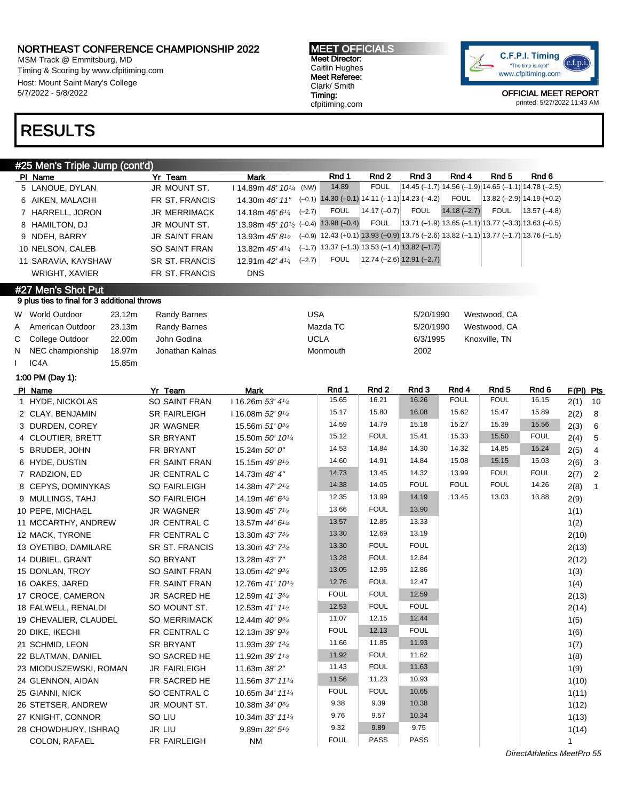MSM Track @ Emmitsburg, MD Timing & Scoring by www.cfpitiming.com Host: Mount Saint Mary's College 5/7/2022 - 5/8/2022

#### MEET OFFICIALS Meet Director: Caitlin Hughes Meet Referee: Clark/ Smith Timing: cfpitiming.com



OFFICIAL MEET REPORT printed: 5/27/2022 11:43 AM

## RESULTS

#### #25 Men's Triple Jump (cont'd) PIName 7r Team Mark Rnd 1 Rnd 2 Rnd 3 Rnd 4 Rnd 5 Rnd 6 Rnd 6 Rnd 5 Rnd 6 Rnd 5 Rnd 6 Rnd 6 Rnd 6 Rnd 6 Rnd 6 Rnd 6 Rnd 6 Rnd 6 Rnd 6 Rnd 6 Rnd 6 Rnd 6 Rnd 6 Rnd 6 Rnd 6 Rnd 6 Rnd 6 Rnd 6 Rnd 6 Rnd 6 Rnd 6 Rnd 6 Rnd 6 Rnd 5 LANOUE, DYLAN JR MOUNT ST. I 14.89m 48' 101/<sup>4</sup> (NW) 14.89 FOUL 14.45 (–1.7) 14.56 (–1.9) 14.65 (–1.1) 14.78 (–2.5) 6 AIKEN, MALACHI FR ST. FRANCIS 14.30m 46' 11"  $(-0.1)$  14.30 (-0.1) 14.11 (-1.1) 14.23 (-4.2) FOUL 13.82 (-2.9) 14.19 (+0.2) 7 HARRELL, JORON JR MERRIMACK 14.18m 46' 6<sup>1/4</sup>  $(-2.7)$  FOUL 14.17 (-0.7) FOUL 14.18 (-2.7) FOUL 13.57 (-4.8) 8 HAMILTON, DJ JR MOUNT ST. 13.98m 45' 101/<sup>2</sup> (–0.4) 13.98 (–0.4) FOUL 13.71 (–1.9) 13.65 (–1.1) 13.77 (–3.3) 13.63 (–0.5) 9 NDEH, BARRY JR SAINT FRAN 13.93m 45' 8<sup>1/2</sup> (–0.9) 12.43 (+0.1) 13.93 (–0.9) 13.75 (–2.6) 13.82 (–1.1) 13.77 (–1.7) 13.76 (–1.5) 10 NELSON, CALEB SO SAINT FRAN 13.82m 45' 41/4 (–1.7) 13.37 (–1.3) 13.53 (–1.4) 13.82 (–1.7) 11 SARAVIA, KAYSHAW SR ST. FRANCIS 12.91m 42' 41/4 (-2.7) (–2.7) FOUL 12.74 (–2.6) 12.91 (–2.7) WRIGHT, XAVIER FR ST. FRANCIS DNS #27 Men's Shot Put 9 plus ties to final for 3 additional throws W World Outdoor 23.12m Randy Barnes USA 5/20/1990 Westwood, CA A American Outdoor 23.13m Randy Barnes Material Mazda TC 5/20/1990 Westwood, CA C College Outdoor 22.00m John Godina UCLA 6/3/1995 Knoxville, TN N NEC championship 18.97m Jonathan Kalnas Monthan Monmouth 2002 IC4A 15.85m 1:00 PM (Day 1): PIName Yr Team Mark Rnd 1 Rnd 2 Rnd 3 Rnd 4 Rnd 5 Rnd 6 F(PI) Pts 1 HYDE, NICKOLAS SO SAINT FRAN 16.26m 53' 41/4 15.65 16.21 16.26 FOUL FOUL 16.15 2(1) 10 2 CLAY, BENJAMIN SR FAIRLEIGH I 16.08m 52' 91/<sup>4</sup> 15.17 15.80 16.08 15.62 15.47 15.89 2(2) 8 3 DURDEN, COREY JR WAGNER  $15.56$ m  $51' 0^{3/4}$ 14.59 14.79 15.18 15.27 15.39 15.56 2(3) 6 4 CLOUTIER, BRETT SR BRYANT 15.50m 50' 10<sup>1/4</sup> 15.12 | FOUL | 15.41 | 15.33 | 15.50 | FOUL | 2(4) | 5 5 BRUDER, JOHN FR BRYANT 15.24m 50' 0" 14.53 14.84 14.30 14.32 14.85 15.24 2(5) 4 6 HYDE, DUSTIN FR SAINT FRAN 15.15m 49' 8<sup>1/2</sup> 14.60 14.91 14.84 15.08 15.15 15.03 2(6) 3 7 RADZION, ED JR CENTRAL C 14.73m 48' 4" 14.73 13.45 14.32 13.99 FOUL FOUL 2(7) 2 8 CEPYS, DOMINYKAS SO FAIRLEIGH 14.38m 47' 2<sup>1/4</sup> 14.38 14.05 FOUL FOUL FOUL 14.26 2(8) 1 9 MULLINGS, TAHJ SO FAIRLEIGH 14.19m 46' 63/4 12.35 13.99 14.19 13.45 13.03 13.88 2(9) 10 PEPE, MICHAEL JR WAGNER 13.90m 45' 71/<sup>4</sup> 13.66 FOUL 13.90 13.90 1(1) 11 MCCARTHY, ANDREW JR CENTRAL C 13.57m 44' 6<sup>1/4</sup> 13.57 12.85 13.33 13.95 1(2) 12 MACK, TYRONE FR CENTRAL C 13.30m 43' 7<sup>3/4</sup> 13.30 12.69 13.19 2(10) 13 OYETIBO, DAMILARE SR ST. FRANCIS 13.30m 43' 73/<sup>4</sup> 13.30 FOUL FOUL  $\vert$  7(13) 14 DUBIEL, GRANT SO BRYANT 13.28m 43' 7" 13.28 FOUL 12.84 2(12) 15 DONLAN, TROY SO SAINT FRAN 13.05m 42'  $9^{3/4}$ 13.05 12.95 12.86 13.05 1(3) 16 OAKES, JARED FR SAINT FRAN 12.76m 41' 10<sup>1</sup>/2 12.76 FOUL 12.47 1(4) 17 CROCE, CAMERON JR SACRED HE  $12.59$ m  $41'3^{3}/4$  FOUL FOUL 12.59  $\vert$   $\vert$ 18 FALWELL, RENALDI SO MOUNT ST. 12.53m 41' 1<sup>1</sup>/2 12.53 FOUL FOUL 2(14) 19 CHEVALIER, CLAUDEL SO MERRIMACK 12.44m 40' 93/<sup>4</sup> 11.07 12.15 12.44 1(5) 20 DIKE, IKECHI FR CENTRAL C 12.13m 39' 93/<sup>4</sup> FOUL 12.13 FOUL 1(6) 21 SCHMID, LEON SR BRYANT 11.93m 39' 13/4 11.66 11.85 11.93 1(7) 22 BLATMAN, DANIEL SO SACRED HE 11.92m 39' 11/<sup>4</sup> 11.92 FOUL 11.62 108 23 MIODUSZEWSKI, ROMAN JR FAIRLEIGH 11.63m 38' 2" 11.43 FOUL 11.63 1(9) 24 GLENNON, AIDAN FR SACRED HE 11.56m 37' 11<sup>1/4</sup> 11.56 11.23 10.93 1(10) 25 GIANNI, NICK SO CENTRAL C 10.65m *34' 11'4* FOUL FOUL 10.65 1(11) 26 STETSER, ANDREW JR MOUNT ST. 10.38m 34' 03/4 9.38 9.39 10.38 1(12) 27 KNIGHT, CONNOR SO LIU 10.34m 33' 11<sup>1/4</sup> 9.76 9.57 10.34 1(13) 28 CHOWDHURY, ISHRAQ JR LIU 9.89m 32' 51/<sup>2</sup> 9.32 9.89 9.75 1(14) COLON, RAFAEL FR FAIRLEIGH NM FOUL PASS PASS 1

DirectAthletics MeetPro 55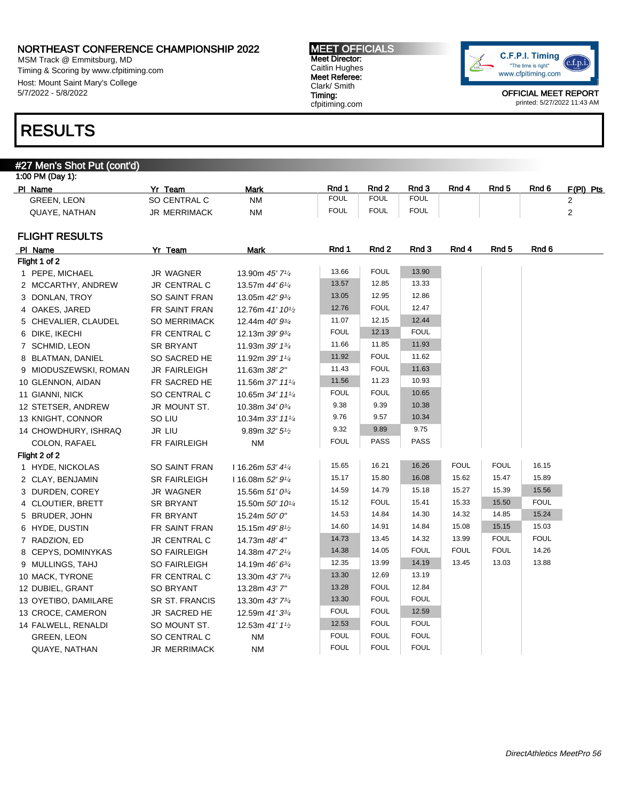MSM Track @ Emmitsburg, MD Timing & Scoring by www.cfpitiming.com Host: Mount Saint Mary's College 5/7/2022 - 5/8/2022

## RESULTS

### #27 Men's Shot Put (cont'd)

| PI Name            | Team            | <b>Mark</b> | Rnd 1 | Rnd <sub>2</sub> | Rnd 3       | Rnd 4 | Rnd <sub>5</sub> | Rnd 6 | F/PI)<br><b>Pts</b> |
|--------------------|-----------------|-------------|-------|------------------|-------------|-------|------------------|-------|---------------------|
| <b>GREEN, LEON</b> | CENTRAL C<br>ິ  | <b>NM</b>   | FOUL  | <b>FOUL</b>      | <b>FOUL</b> |       |                  |       |                     |
| QUAYE, NATHAN      | MERRIMACK<br>JR | <b>NM</b>   | FOUL  | <b>FOUL</b>      | <b>FOUL</b> |       |                  |       |                     |

#### FLIGHT RESULTS

| PI Name               | Yr Team             | <b>Mark</b>                               | Rnd 1       | Rnd 2       | Rnd 3       | Rnd 4       | Rnd 5       | Rnd 6       |
|-----------------------|---------------------|-------------------------------------------|-------------|-------------|-------------|-------------|-------------|-------------|
| Flight 1 of 2         |                     |                                           |             |             |             |             |             |             |
| 1 PEPE, MICHAEL       | <b>JR WAGNER</b>    | 13.90m 45' 71/4                           | 13.66       | <b>FOUL</b> | 13.90       |             |             |             |
| 2 MCCARTHY, ANDREW    | JR CENTRAL C        | 13.57m 44' 61/4                           | 13.57       | 12.85       | 13.33       |             |             |             |
| 3 DONLAN, TROY        | SO SAINT FRAN       | 13.05m 42' 93/4                           | 13.05       | 12.95       | 12.86       |             |             |             |
| 4 OAKES, JARED        | FR SAINT FRAN       | 12.76m 41' 10 <sup>1</sup> / <sub>2</sub> | 12.76       | <b>FOUL</b> | 12.47       |             |             |             |
| 5 CHEVALIER, CLAUDEL  | <b>SO MERRIMACK</b> | 12.44m 40' 93/4                           | 11.07       | 12.15       | 12.44       |             |             |             |
| 6 DIKE, IKECHI        | FR CENTRAL C        | 12.13m 39' 93/4                           | <b>FOUL</b> | 12.13       | <b>FOUL</b> |             |             |             |
| 7 SCHMID, LEON        | <b>SR BRYANT</b>    | 11.93m 39' 13/4                           | 11.66       | 11.85       | 11.93       |             |             |             |
| 8 BLATMAN, DANIEL     | SO SACRED HE        | 11.92m 39' 11/4                           | 11.92       | <b>FOUL</b> | 11.62       |             |             |             |
| 9 MIODUSZEWSKI, ROMAN | <b>JR FAIRLEIGH</b> | 11.63m 38' 2"                             | 11.43       | <b>FOUL</b> | 11.63       |             |             |             |
| 10 GLENNON, AIDAN     | FR SACRED HE        | 11.56m 37' 111/4                          | 11.56       | 11.23       | 10.93       |             |             |             |
| 11 GIANNI, NICK       | SO CENTRAL C        | 10.65m 34' 111/4                          | <b>FOUL</b> | <b>FOUL</b> | 10.65       |             |             |             |
| 12 STETSER, ANDREW    | JR MOUNT ST.        | 10.38m 34' 03/4                           | 9.38        | 9.39        | 10.38       |             |             |             |
| 13 KNIGHT, CONNOR     | SO LIU              | 10.34m 33' 111/4                          | 9.76        | 9.57        | 10.34       |             |             |             |
| 14 CHOWDHURY, ISHRAQ  | JR LIU              | 9.89m 32' 5 <sup>1</sup> / <sub>2</sub>   | 9.32        | 9.89        | 9.75        |             |             |             |
| COLON, RAFAEL         | FR FAIRLEIGH        | <b>NM</b>                                 | <b>FOUL</b> | PASS        | <b>PASS</b> |             |             |             |
| Flight 2 of 2         |                     |                                           |             |             |             |             |             |             |
| 1 HYDE, NICKOLAS      | SO SAINT FRAN       | 116.26m 53' 41/4                          | 15.65       | 16.21       | 16.26       | <b>FOUL</b> | <b>FOUL</b> | 16.15       |
| 2 CLAY, BENJAMIN      | <b>SR FAIRLEIGH</b> | 116.08m 52' 91/4                          | 15.17       | 15.80       | 16.08       | 15.62       | 15.47       | 15.89       |
| 3 DURDEN, COREY       | <b>JR WAGNER</b>    | 15.56m 51' 03/4                           | 14.59       | 14.79       | 15.18       | 15.27       | 15.39       | 15.56       |
| 4 CLOUTIER, BRETT     | <b>SR BRYANT</b>    | 15.50m 50' 101/4                          | 15.12       | <b>FOUL</b> | 15.41       | 15.33       | 15.50       | <b>FOUL</b> |
| 5 BRUDER, JOHN        | FR BRYANT           | 15.24m 50' 0"                             | 14.53       | 14.84       | 14.30       | 14.32       | 14.85       | 15.24       |
| 6 HYDE, DUSTIN        | FR SAINT FRAN       | 15.15m 49' 8 <sup>1/2</sup>               | 14.60       | 14.91       | 14.84       | 15.08       | 15.15       | 15.03       |
| 7 RADZION, ED         | JR CENTRAL C        | 14.73m 48' 4"                             | 14.73       | 13.45       | 14.32       | 13.99       | <b>FOUL</b> | <b>FOUL</b> |
| 8 CEPYS, DOMINYKAS    | SO FAIRLEIGH        | 14.38m 47' 21/4                           | 14.38       | 14.05       | <b>FOUL</b> | <b>FOUL</b> | <b>FOUL</b> | 14.26       |
| 9 MULLINGS, TAHJ      | SO FAIRLEIGH        | 14.19m 46' 63/4                           | 12.35       | 13.99       | 14.19       | 13.45       | 13.03       | 13.88       |
| 10 MACK, TYRONE       | FR CENTRAL C        | 13.30m 43' 73/4                           | 13.30       | 12.69       | 13.19       |             |             |             |
| 12 DUBIEL, GRANT      | <b>SO BRYANT</b>    | 13.28m 43'7"                              | 13.28       | <b>FOUL</b> | 12.84       |             |             |             |
| 13 OYETIBO, DAMILARE  | SR ST. FRANCIS      | 13.30m 43' 73/4                           | 13.30       | <b>FOUL</b> | <b>FOUL</b> |             |             |             |
| 13 CROCE, CAMERON     | JR SACRED HE        | 12.59m 41' 33/4                           | <b>FOUL</b> | <b>FOUL</b> | 12.59       |             |             |             |
| 14 FALWELL, RENALDI   | SO MOUNT ST.        | 12.53m 41' 11/2                           | 12.53       | <b>FOUL</b> | <b>FOUL</b> |             |             |             |
| <b>GREEN, LEON</b>    | SO CENTRAL C        | <b>NM</b>                                 | <b>FOUL</b> | <b>FOUL</b> | <b>FOUL</b> |             |             |             |
| QUAYE, NATHAN         | <b>JR MERRIMACK</b> | <b>NM</b>                                 | <b>FOUL</b> | <b>FOUL</b> | <b>FOUL</b> |             |             |             |

MEET OFFICIALS Meet Director: Caitlin Hughes Meet Referee: Clark/ Smith Timing: cfpitiming.com

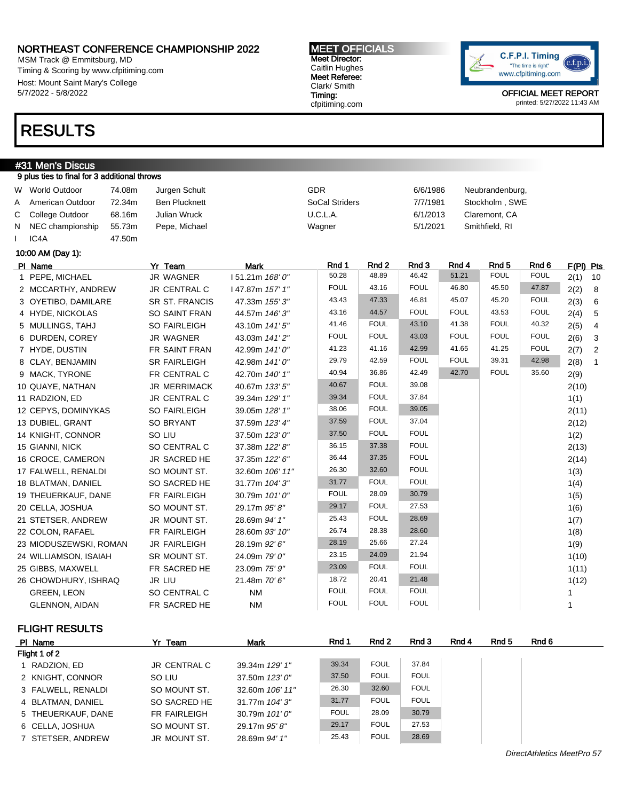MSM Track @ Emmitsburg, MD Timing & Scoring by www.cfpitiming.com Host: Mount Saint Mary's College 5/7/2022 - 5/8/2022

### RESULTS

#### #31 Men's Discus 9 plus ties to final for 3 additional throws

|   | W World Outdoor        | 74.08m | Jurgen Schult         |                 | GDR                   |             | 6/6/1986    |             | Neubrandenburg,  |             |           |                 |
|---|------------------------|--------|-----------------------|-----------------|-----------------------|-------------|-------------|-------------|------------------|-------------|-----------|-----------------|
| A | American Outdoor       | 72.34m | <b>Ben Plucknett</b>  |                 | <b>SoCal Striders</b> |             | 7/7/1981    |             | Stockholm, SWE   |             |           |                 |
| С | College Outdoor        | 68.16m | <b>Julian Wruck</b>   |                 | U.C.L.A.              |             | 6/1/2013    |             | Claremont, CA    |             |           |                 |
| N | NEC championship       | 55.73m | Pepe, Michael         |                 | Wagner                |             | 5/1/2021    |             | Smithfield, RI   |             |           |                 |
|   | IC <sub>4</sub> A      | 47.50m |                       |                 |                       |             |             |             |                  |             |           |                 |
|   | 10:00 AM (Day 1):      |        |                       |                 |                       |             |             |             |                  |             |           |                 |
|   | PI Name                |        | Yr Team               | <b>Mark</b>     | Rnd 1                 | Rnd 2       | Rnd 3       | Rnd 4       | Rnd <sub>5</sub> | Rnd 6       | F(PI) Pts |                 |
|   | 1 PEPE, MICHAEL        |        | <b>JR WAGNER</b>      | 151.21m 168' 0" | 50.28                 | 48.89       | 46.42       | 51.21       | <b>FOUL</b>      | <b>FOUL</b> | 2(1)      | 10              |
|   | 2 MCCARTHY, ANDREW     |        | JR CENTRAL C          | 147.87m 157' 1" | <b>FOUL</b>           | 43.16       | <b>FOUL</b> | 46.80       | 45.50            | 47.87       | 2(2)      | 8               |
|   | 3 OYETIBO, DAMILARE    |        | <b>SR ST. FRANCIS</b> | 47.33m 155' 3"  | 43.43                 | 47.33       | 46.81       | 45.07       | 45.20            | <b>FOUL</b> | 2(3)      | $6\overline{6}$ |
|   | 4 HYDE, NICKOLAS       |        | <b>SO SAINT FRAN</b>  | 44.57m 146'3"   | 43.16                 | 44.57       | <b>FOUL</b> | <b>FOUL</b> | 43.53            | <b>FOUL</b> | 2(4)      | 5               |
|   | 5 MULLINGS, TAHJ       |        | <b>SO FAIRLEIGH</b>   | 43.10m 141'5"   | 41.46                 | <b>FOUL</b> | 43.10       | 41.38       | <b>FOUL</b>      | 40.32       | 2(5)      | 4               |
|   | 6 DURDEN, COREY        |        | <b>JR WAGNER</b>      | 43.03m 141'2"   | <b>FOUL</b>           | <b>FOUL</b> | 43.03       | <b>FOUL</b> | <b>FOUL</b>      | <b>FOUL</b> | 2(6)      | 3               |
|   | 7 HYDE, DUSTIN         |        | FR SAINT FRAN         | 42.99m 141' 0"  | 41.23                 | 41.16       | 42.99       | 41.65       | 41.25            | <b>FOUL</b> | 2(7)      | $\overline{c}$  |
|   | 8 CLAY, BENJAMIN       |        | <b>SR FAIRLEIGH</b>   | 42.98m 141' 0"  | 29.79                 | 42.59       | <b>FOUL</b> | <b>FOUL</b> | 39.31            | 42.98       | 2(8)      | $\overline{1}$  |
|   | 9 MACK, TYRONE         |        | FR CENTRAL C          | 42.70m 140' 1"  | 40.94                 | 36.86       | 42.49       | 42.70       | <b>FOUL</b>      | 35.60       | 2(9)      |                 |
|   | 10 QUAYE, NATHAN       |        | <b>JR MERRIMACK</b>   | 40.67m 133' 5"  | 40.67                 | <b>FOUL</b> | 39.08       |             |                  |             | 2(10)     |                 |
|   | 11 RADZION, ED         |        | JR CENTRAL C          | 39.34m 129' 1"  | 39.34                 | <b>FOUL</b> | 37.84       |             |                  |             | 1(1)      |                 |
|   | 12 CEPYS, DOMINYKAS    |        | <b>SO FAIRLEIGH</b>   | 39.05m 128' 1"  | 38.06                 | <b>FOUL</b> | 39.05       |             |                  |             | 2(11)     |                 |
|   | 13 DUBIEL, GRANT       |        | <b>SO BRYANT</b>      | 37.59m 123' 4"  | 37.59                 | <b>FOUL</b> | 37.04       |             |                  |             | 2(12)     |                 |
|   | 14 KNIGHT, CONNOR      |        | SO LIU                | 37.50m 123' 0"  | 37.50                 | <b>FOUL</b> | <b>FOUL</b> |             |                  |             | 1(2)      |                 |
|   | 15 GIANNI, NICK        |        | SO CENTRAL C          | 37.38m 122' 8"  | 36.15                 | 37.38       | <b>FOUL</b> |             |                  |             | 2(13)     |                 |
|   | 16 CROCE, CAMERON      |        | JR SACRED HE          | 37.35m 122' 6"  | 36.44                 | 37.35       | <b>FOUL</b> |             |                  |             | 2(14)     |                 |
|   | 17 FALWELL, RENALDI    |        | SO MOUNT ST.          | 32.60m 106' 11" | 26.30                 | 32.60       | <b>FOUL</b> |             |                  |             | 1(3)      |                 |
|   | 18 BLATMAN, DANIEL     |        | SO SACRED HE          | 31.77m 104' 3"  | 31.77                 | <b>FOUL</b> | <b>FOUL</b> |             |                  |             | 1(4)      |                 |
|   | 19 THEUERKAUF, DANE    |        | FR FAIRLEIGH          | 30.79m 101' 0"  | <b>FOUL</b>           | 28.09       | 30.79       |             |                  |             | 1(5)      |                 |
|   | 20 CELLA, JOSHUA       |        | SO MOUNT ST.          | 29.17m 95'8"    | 29.17                 | <b>FOUL</b> | 27.53       |             |                  |             | 1(6)      |                 |
|   | 21 STETSER, ANDREW     |        | JR MOUNT ST.          | 28.69m 94' 1"   | 25.43                 | <b>FOUL</b> | 28.69       |             |                  |             | 1(7)      |                 |
|   | 22 COLON, RAFAEL       |        | FR FAIRLEIGH          | 28.60m 93' 10"  | 26.74                 | 28.38       | 28.60       |             |                  |             | 1(8)      |                 |
|   | 23 MIODUSZEWSKI, ROMAN |        | <b>JR FAIRLEIGH</b>   | 28.19m 92' 6"   | 28.19                 | 25.66       | 27.24       |             |                  |             | 1(9)      |                 |
|   | 24 WILLIAMSON, ISAIAH  |        | SR MOUNT ST.          | 24.09m 79' 0"   | 23.15                 | 24.09       | 21.94       |             |                  |             | 1(10)     |                 |
|   | 25 GIBBS, MAXWELL      |        | FR SACRED HE          | 23.09m 75' 9"   | 23.09                 | <b>FOUL</b> | <b>FOUL</b> |             |                  |             | 1(11)     |                 |
|   | 26 CHOWDHURY, ISHRAQ   |        | JR LIU                | 21.48m 70' 6"   | 18.72                 | 20.41       | 21.48       |             |                  |             | 1(12)     |                 |
|   | <b>GREEN, LEON</b>     |        | SO CENTRAL C          | <b>NM</b>       | <b>FOUL</b>           | <b>FOUL</b> | <b>FOUL</b> |             |                  |             |           |                 |
|   | <b>GLENNON, AIDAN</b>  |        | FR SACRED HE          | <b>NM</b>       | <b>FOUL</b>           | <b>FOUL</b> | <b>FOUL</b> |             |                  |             | 1         |                 |

FLIGHT RESULTS

| PI Name            | Yr Team      | <b>Mark</b>     | Rnd 1       | Rnd 2       | Rnd 3       | Rnd 4 | Rnd 5 | Rnd 6 |  |
|--------------------|--------------|-----------------|-------------|-------------|-------------|-------|-------|-------|--|
| Flight 1 of 2      |              |                 |             |             |             |       |       |       |  |
| 1 RADZION, ED      | JR CENTRAL C | 39.34m 129' 1"  | 39.34       | <b>FOUL</b> | 37.84       |       |       |       |  |
| 2 KNIGHT, CONNOR   | SO LIU       | 37.50m 123'0"   | 37.50       | <b>FOUL</b> | <b>FOUL</b> |       |       |       |  |
| 3 FALWELL, RENALDI | SO MOUNT ST. | 32.60m 106' 11" | 26.30       | 32.60       | <b>FOUL</b> |       |       |       |  |
| 4 BLATMAN, DANIEL  | SO SACRED HE | 31.77m 104'3"   | 31.77       | <b>FOUL</b> | <b>FOUL</b> |       |       |       |  |
| 5 THEUERKAUF, DANE | FR FAIRLEIGH | 30.79m 101'0"   | <b>FOUL</b> | 28.09       | 30.79       |       |       |       |  |
| 6 CELLA, JOSHUA    | SO MOUNT ST. | 29.17m 95'8"    | 29.17       | <b>FOUL</b> | 27.53       |       |       |       |  |
| 7 STETSER, ANDREW  | JR MOUNT ST. | 28.69m 94' 1"   | 25.43       | <b>FOUL</b> | 28.69       |       |       |       |  |



OFFICIAL MEET REPORT printed: 5/27/2022 11:43 AM

MEET OFFICIALS Meet Director: Caitlin Hughes Meet Referee: Clark/ Smith Timing: cfpitiming.com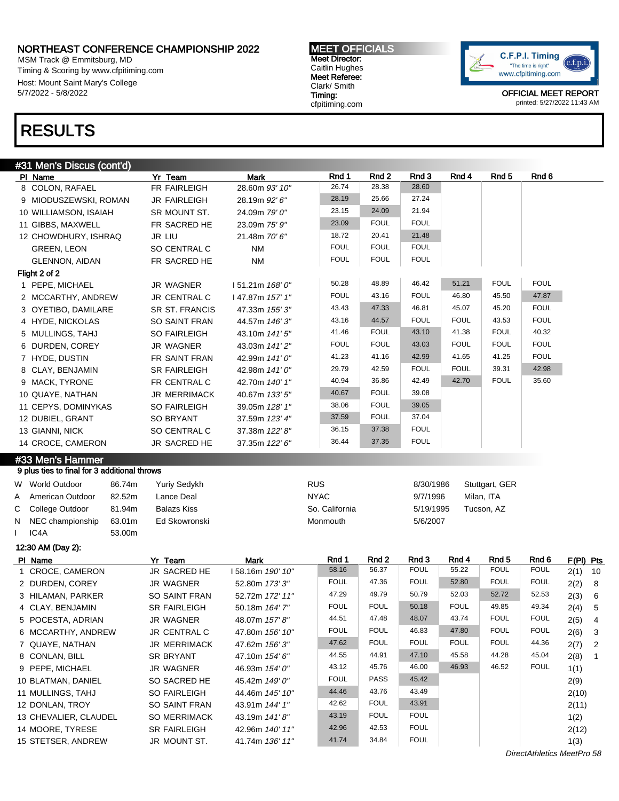MSM Track @ Emmitsburg, MD Timing & Scoring by www.cfpitiming.com Host: Mount Saint Mary's College 5/7/2022 - 5/8/2022

#### MEET OFFICIALS Meet Director: Caitlin Hughes Meet Referee: Clark/ Smith Timing: cfpitiming.com



OFFICIAL MEET REPORT printed: 5/27/2022 11:43 AM

## RESULTS

|  | #31 Men's Discus (cont'd) |  |
|--|---------------------------|--|

|                                              | Yr Team                      | <b>Mark</b>                        | Rnd 1          | Rnd 2          | Rnd 3                      | Rnd 4       | Rnd <sub>5</sub> | Rnd 6       |                         |
|----------------------------------------------|------------------------------|------------------------------------|----------------|----------------|----------------------------|-------------|------------------|-------------|-------------------------|
| 8 COLON, RAFAEL                              | FR FAIRLEIGH                 | 28.60m 93' 10"                     | 26.74          | 28.38          | 28.60                      |             |                  |             |                         |
| 9 MIODUSZEWSKI, ROMAN                        | <b>JR FAIRLEIGH</b>          | 28.19m 92' 6"                      | 28.19          | 25.66          | 27.24                      |             |                  |             |                         |
| 10 WILLIAMSON, ISAIAH                        | SR MOUNT ST.                 | 24.09m 79' 0"                      | 23.15          | 24.09          | 21.94                      |             |                  |             |                         |
| 11 GIBBS, MAXWELL                            | FR SACRED HE                 | 23.09m 75' 9"                      | 23.09          | <b>FOUL</b>    | <b>FOUL</b>                |             |                  |             |                         |
| 12 CHOWDHURY, ISHRAQ                         | JR LIU                       | 21.48m 70' 6"                      | 18.72          | 20.41          | 21.48                      |             |                  |             |                         |
| <b>GREEN, LEON</b>                           | SO CENTRAL C                 | <b>NM</b>                          | <b>FOUL</b>    | <b>FOUL</b>    | <b>FOUL</b>                |             |                  |             |                         |
| <b>GLENNON, AIDAN</b>                        | FR SACRED HE                 | <b>NM</b>                          | <b>FOUL</b>    | <b>FOUL</b>    | <b>FOUL</b>                |             |                  |             |                         |
| Flight 2 of 2                                |                              |                                    |                |                |                            |             |                  |             |                         |
| 1 PEPE, MICHAEL                              | <b>JR WAGNER</b>             | 151.21m 168' 0"                    | 50.28          | 48.89          | 46.42                      | 51.21       | <b>FOUL</b>      | <b>FOUL</b> |                         |
| 2 MCCARTHY, ANDREW                           | JR CENTRAL C                 | 147.87m 157' 1"                    | <b>FOUL</b>    | 43.16          | <b>FOUL</b>                | 46.80       | 45.50            | 47.87       |                         |
| 3 OYETIBO, DAMILARE                          | SR ST. FRANCIS               | 47.33m 155' 3"                     | 43.43          | 47.33          | 46.81                      | 45.07       | 45.20            | <b>FOUL</b> |                         |
| 4 HYDE, NICKOLAS                             | SO SAINT FRAN                | 44.57m 146' 3"                     | 43.16          | 44.57          | <b>FOUL</b>                | <b>FOUL</b> | 43.53            | <b>FOUL</b> |                         |
| 5 MULLINGS, TAHJ                             | SO FAIRLEIGH                 | 43.10m 141'5"                      | 41.46          | <b>FOUL</b>    | 43.10                      | 41.38       | <b>FOUL</b>      | 40.32       |                         |
| 6 DURDEN, COREY                              | <b>JR WAGNER</b>             | 43.03m 141'2"                      | <b>FOUL</b>    | <b>FOUL</b>    | 43.03                      | <b>FOUL</b> | <b>FOUL</b>      | <b>FOUL</b> |                         |
| 7 HYDE, DUSTIN                               | FR SAINT FRAN                | 42.99m 141'0"                      | 41.23          | 41.16          | 42.99                      | 41.65       | 41.25            | <b>FOUL</b> |                         |
| 8 CLAY, BENJAMIN                             | <b>SR FAIRLEIGH</b>          | 42.98m 141'0"                      | 29.79          | 42.59          | <b>FOUL</b>                | <b>FOUL</b> | 39.31            | 42.98       |                         |
| 9 MACK, TYRONE                               | FR CENTRAL C                 | 42.70m 140' 1"                     | 40.94          | 36.86          | 42.49                      | 42.70       | <b>FOUL</b>      | 35.60       |                         |
| 10 QUAYE, NATHAN                             | JR MERRIMACK                 | 40.67m 133' 5"                     | 40.67          | <b>FOUL</b>    | 39.08                      |             |                  |             |                         |
| 11 CEPYS, DOMINYKAS                          | SO FAIRLEIGH                 | 39.05m 128' 1"                     | 38.06          | <b>FOUL</b>    | 39.05                      |             |                  |             |                         |
| 12 DUBIEL, GRANT                             | <b>SO BRYANT</b>             | 37.59m 123' 4"                     | 37.59          | <b>FOUL</b>    | 37.04                      |             |                  |             |                         |
| 13 GIANNI, NICK                              | SO CENTRAL C                 | 37.38m 122' 8"                     | 36.15          | 37.38          | <b>FOUL</b>                |             |                  |             |                         |
| 14 CROCE, CAMERON                            | JR SACRED HE                 | 37.35m 122' 6"                     | 36.44          | 37.35          | <b>FOUL</b>                |             |                  |             |                         |
| #33 Men's Hammer                             |                              |                                    |                |                |                            |             |                  |             |                         |
| 9 plus ties to final for 3 additional throws |                              |                                    |                |                |                            |             |                  |             |                         |
|                                              |                              |                                    |                |                |                            |             |                  |             |                         |
|                                              |                              |                                    |                |                |                            |             |                  |             |                         |
| W World Outdoor<br>86.74m                    | Yuriy Sedykh                 |                                    | <b>RUS</b>     |                | 8/30/1986                  |             | Stuttgart, GER   |             |                         |
| American Outdoor<br>82.52m<br>A              | Lance Deal                   |                                    | <b>NYAC</b>    |                | 9/7/1996                   |             | Milan, ITA       |             |                         |
| С<br>College Outdoor<br>81.94m               | <b>Balazs Kiss</b>           |                                    | So. California |                | 5/19/1995                  |             | Tucson, AZ       |             |                         |
| NEC championship<br>63.01m<br>N              | Ed Skowronski                |                                    | Monmouth       |                | 5/6/2007                   |             |                  |             |                         |
| IC4A<br>53.00m                               |                              |                                    |                |                |                            |             |                  |             |                         |
| 12:30 AM (Day 2):                            |                              |                                    |                |                |                            |             |                  |             |                         |
| PI Name                                      | Yr Team                      | <b>Mark</b>                        | Rnd 1          | Rnd 2          | Rnd 3                      | Rnd 4       | Rnd <sub>5</sub> | Rnd 6       |                         |
| 1 CROCE, CAMERON                             | JR SACRED HE                 | 158.16m 190' 10"                   | 58.16          | 56.37          | <b>FOUL</b>                | 55.22       | <b>FOUL</b>      | <b>FOUL</b> | F(PI) Pts<br>2(1)<br>10 |
| 2 DURDEN, COREY                              | JR WAGNER                    | 52.80m 173'3"                      | <b>FOUL</b>    | 47.36          | <b>FOUL</b>                | 52.80       | <b>FOUL</b>      | <b>FOUL</b> | 2(2)<br>8               |
| 3 HILAMAN, PARKER                            | <b>SO SAINT FRAN</b>         | 52.72m 172' 11"                    | 47.29          | 49.79          | 50.79                      | 52.03       | 52.72            | 52.53       | 2(3)<br>$6\phantom{1}6$ |
| 4 CLAY, BENJAMIN                             | <b>SR FAIRLEIGH</b>          | 50.18m 164' 7"                     | <b>FOUL</b>    | <b>FOUL</b>    | 50.18                      | <b>FOUL</b> | 49.85            | 49.34       | 2(4)<br>$\sqrt{5}$      |
| 5 POCESTA, ADRIAN                            | <b>JR WAGNER</b>             | 48.07m 157' 8"                     | 44.51          | 47.48          | 48.07                      | 43.74       | <b>FOUL</b>      | <b>FOUL</b> | 2(5)<br>4               |
| 6 MCCARTHY, ANDREW                           | JR CENTRAL C                 | 47.80m 156' 10"                    | <b>FOUL</b>    | <b>FOUL</b>    | 46.83                      | 47.80       | <b>FOUL</b>      | <b>FOUL</b> | 2(6)<br>$\mathbf{3}$    |
| 7 QUAYE, NATHAN                              | JR MERRIMACK                 | 47.62m 156'3"                      | 47.62          | <b>FOUL</b>    | <b>FOUL</b>                | <b>FOUL</b> | <b>FOUL</b>      | 44.36       | 2(7)<br>$\overline{2}$  |
| 8 CONLAN, BILL                               | SR BRYANT                    | 47.10m 154' 6"                     | 44.55          | 44.91          | 47.10                      | 45.58       | 44.28            | 45.04       | 2(8)<br>$\overline{1}$  |
| 9 PEPE, MICHAEL                              | JR WAGNER                    | 46.93m 154' 0"                     | 43.12          | 45.76          | 46.00                      | 46.93       | 46.52            | <b>FOUL</b> | 1(1)                    |
| 10 BLATMAN, DANIEL                           | SO SACRED HE                 | 45.42m 149' 0"                     | <b>FOUL</b>    | PASS           | 45.42                      |             |                  |             | 2(9)                    |
| 11 MULLINGS, TAHJ                            | SO FAIRLEIGH                 | 44.46m 145' 10"                    | 44.46          | 43.76          | 43.49                      |             |                  |             | 2(10)                   |
| 12 DONLAN, TROY                              | SO SAINT FRAN                | 43.91m 144' 1"                     | 42.62          | <b>FOUL</b>    | 43.91                      |             |                  |             | 2(11)                   |
| 13 CHEVALIER, CLAUDEL                        | SO MERRIMACK                 | 43.19m 141'8"                      | 43.19          | <b>FOUL</b>    | <b>FOUL</b>                |             |                  |             | 1(2)                    |
| 14 MOORE, TYRESE<br>15 STETSER, ANDREW       | SR FAIRLEIGH<br>JR MOUNT ST. | 42.96m 140' 11"<br>41.74m 136' 11" | 42.96<br>41.74 | 42.53<br>34.84 | <b>FOUL</b><br><b>FOUL</b> |             |                  |             | 2(12)<br>1(3)           |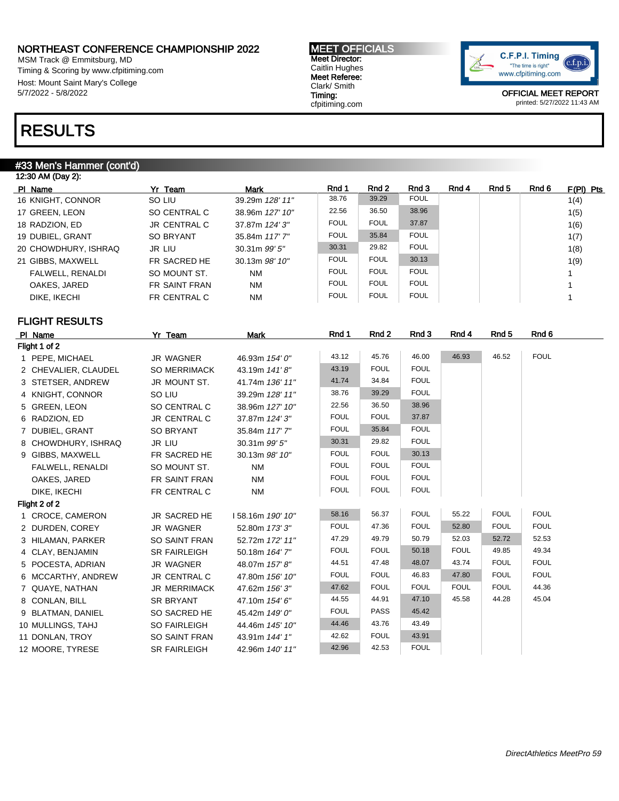MSM Track @ Emmitsburg, MD Timing & Scoring by www.cfpitiming.com Host: Mount Saint Mary's College 5/7/2022 - 5/8/2022

# RESULTS

#### #33 Men's Hammer (cont'd)

| 12:30 AM (Day 2):    |                      |                   |             |             |             |       |       |       |             |
|----------------------|----------------------|-------------------|-------------|-------------|-------------|-------|-------|-------|-------------|
| PI Name              | Yr Team              | <b>Mark</b>       | Rnd 1       | Rnd 2       | Rnd 3       | Rnd 4 | Rnd 5 | Rnd 6 | $F(PI)$ Pts |
| 16 KNIGHT, CONNOR    | SO LIU               | 39.29m 128' 11"   | 38.76       | 39.29       | <b>FOUL</b> |       |       |       | 1(4)        |
| 17 GREEN, LEON       | SO CENTRAL C         | 38.96m 127' 10"   | 22.56       | 36.50       | 38.96       |       |       |       | 1(5)        |
| 18 RADZION, ED       | JR CENTRAL C         | 37.87m 124' 3"    | <b>FOUL</b> | <b>FOUL</b> | 37.87       |       |       |       | 1(6)        |
| 19 DUBIEL, GRANT     | SO BRYANT            | 35.84m 117' 7"    | <b>FOUL</b> | 35.84       | <b>FOUL</b> |       |       |       | 1(7)        |
| 20 CHOWDHURY, ISHRAQ | <b>JR LIU</b>        | $30.31m$ $99'5''$ | 30.31       | 29.82       | <b>FOUL</b> |       |       |       | 1(8)        |
| 21 GIBBS, MAXWELL    | FR SACRED HE         | 30.13m 98' 10"    | <b>FOUL</b> | <b>FOUL</b> | 30.13       |       |       |       | 1(9)        |
| FALWELL, RENALDI     | SO MOUNT ST.         | <b>NM</b>         | <b>FOUL</b> | <b>FOUL</b> | <b>FOUL</b> |       |       |       |             |
| OAKES, JARED         | <b>FR SAINT FRAN</b> | <b>NM</b>         | <b>FOUL</b> | <b>FOUL</b> | <b>FOUL</b> |       |       |       |             |
| DIKE, IKECHI         | FR CENTRAL C         | <b>NM</b>         | <b>FOUL</b> | <b>FOUL</b> | FOUL        |       |       |       |             |
|                      |                      |                   |             |             |             |       |       |       |             |

### FLIGHT RESULTS

| PI Name              | Yr Team              | Mark             | Rnd 1       | Rnd 2       | Rnd 3       | Rnd 4       | Rnd <sub>5</sub> | Rnd 6       |
|----------------------|----------------------|------------------|-------------|-------------|-------------|-------------|------------------|-------------|
| Flight 1 of 2        |                      |                  |             |             |             |             |                  |             |
| 1 PEPE, MICHAEL      | <b>JR WAGNER</b>     | 46.93m 154' 0"   | 43.12       | 45.76       | 46.00       | 46.93       | 46.52            | <b>FOUL</b> |
| 2 CHEVALIER, CLAUDEL | <b>SO MERRIMACK</b>  | 43.19m 141'8"    | 43.19       | <b>FOUL</b> | <b>FOUL</b> |             |                  |             |
| 3 STETSER, ANDREW    | JR MOUNT ST.         | 41.74m 136' 11"  | 41.74       | 34.84       | <b>FOUL</b> |             |                  |             |
| 4 KNIGHT, CONNOR     | SO LIU               | 39.29m 128' 11"  | 38.76       | 39.29       | <b>FOUL</b> |             |                  |             |
| 5 GREEN, LEON        | SO CENTRAL C         | 38.96m 127' 10"  | 22.56       | 36.50       | 38.96       |             |                  |             |
| 6 RADZION, ED        | <b>JR CENTRAL C</b>  | 37.87m 124' 3"   | <b>FOUL</b> | <b>FOUL</b> | 37.87       |             |                  |             |
| 7 DUBIEL, GRANT      | <b>SO BRYANT</b>     | 35.84m 117' 7"   | <b>FOUL</b> | 35.84       | <b>FOUL</b> |             |                  |             |
| 8 CHOWDHURY, ISHRAQ  | JR LIU               | 30.31m 99' 5"    | 30.31       | 29.82       | <b>FOUL</b> |             |                  |             |
| 9 GIBBS, MAXWELL     | FR SACRED HE         | 30.13m 98' 10"   | <b>FOUL</b> | <b>FOUL</b> | 30.13       |             |                  |             |
| FALWELL, RENALDI     | SO MOUNT ST.         | <b>NM</b>        | <b>FOUL</b> | <b>FOUL</b> | <b>FOUL</b> |             |                  |             |
| OAKES, JARED         | FR SAINT FRAN        | <b>NM</b>        | <b>FOUL</b> | <b>FOUL</b> | <b>FOUL</b> |             |                  |             |
| DIKE, IKECHI         | FR CENTRAL C         | <b>NM</b>        | <b>FOUL</b> | <b>FOUL</b> | <b>FOUL</b> |             |                  |             |
| Flight 2 of 2        |                      |                  |             |             |             |             |                  |             |
| 1 CROCE, CAMERON     | JR SACRED HE         | 158.16m 190' 10" | 58.16       | 56.37       | <b>FOUL</b> | 55.22       | <b>FOUL</b>      | <b>FOUL</b> |
| 2 DURDEN, COREY      | JR WAGNER            | 52.80m 173' 3"   | <b>FOUL</b> | 47.36       | <b>FOUL</b> | 52.80       | <b>FOUL</b>      | <b>FOUL</b> |
| 3 HILAMAN, PARKER    | <b>SO SAINT FRAN</b> | 52.72m 172' 11"  | 47.29       | 49.79       | 50.79       | 52.03       | 52.72            | 52.53       |
| 4 CLAY, BENJAMIN     | <b>SR FAIRLEIGH</b>  | 50.18m 164' 7"   | <b>FOUL</b> | <b>FOUL</b> | 50.18       | <b>FOUL</b> | 49.85            | 49.34       |
| 5 POCESTA, ADRIAN    | JR WAGNER            | 48.07m 157' 8"   | 44.51       | 47.48       | 48.07       | 43.74       | <b>FOUL</b>      | <b>FOUL</b> |
| 6 MCCARTHY, ANDREW   | <b>JR CENTRAL C</b>  | 47.80m 156' 10"  | <b>FOUL</b> | <b>FOUL</b> | 46.83       | 47.80       | <b>FOUL</b>      | <b>FOUL</b> |
| 7 QUAYE, NATHAN      | <b>JR MERRIMACK</b>  | 47.62m 156'3"    | 47.62       | <b>FOUL</b> | <b>FOUL</b> | <b>FOUL</b> | <b>FOUL</b>      | 44.36       |
| 8 CONLAN, BILL       | <b>SR BRYANT</b>     | 47.10m 154' 6"   | 44.55       | 44.91       | 47.10       | 45.58       | 44.28            | 45.04       |
| 9 BLATMAN, DANIEL    | SO SACRED HE         | 45.42m 149' 0"   | <b>FOUL</b> | <b>PASS</b> | 45.42       |             |                  |             |
| 10 MULLINGS, TAHJ    | <b>SO FAIRLEIGH</b>  | 44.46m 145' 10"  | 44.46       | 43.76       | 43.49       |             |                  |             |
| 11 DONLAN, TROY      | SO SAINT FRAN        | 43.91m 144' 1"   | 42.62       | <b>FOUL</b> | 43.91       |             |                  |             |
| 12 MOORE, TYRESE     | <b>SR FAIRLEIGH</b>  | 42.96m 140' 11"  | 42.96       | 42.53       | <b>FOUL</b> |             |                  |             |

MEET OFFICIALS Meet Director: Caitlin Hughes Meet Referee: Clark/ Smith Timing: cfpitiming.com

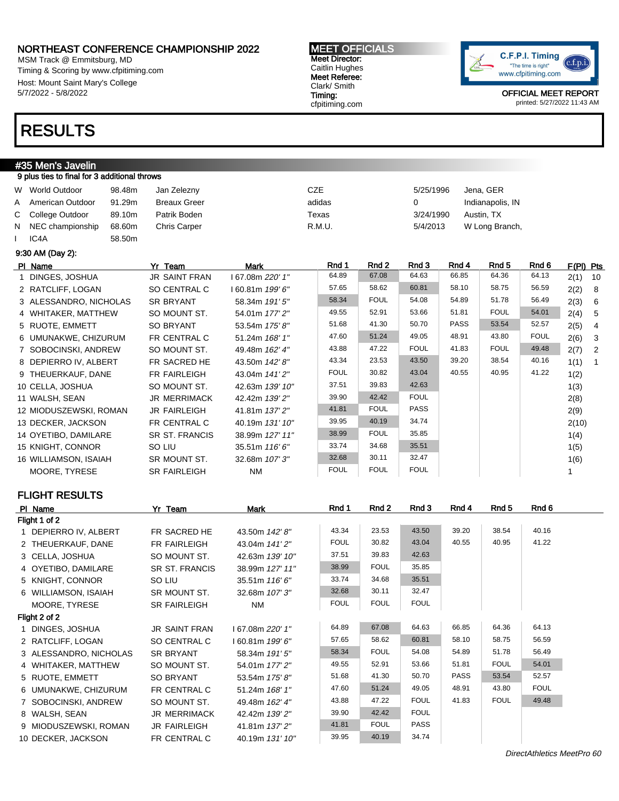MSM Track @ Emmitsburg, MD Timing & Scoring by www.cfpitiming.com Host: Mount Saint Mary's College 5/7/2022 - 5/8/2022

### RESULTS

#### #35 Men's Javelin 9 plus ties to final for 3 additional throws

|   | W World Outdoor    | 98.48m | Jan Zelezny         | CZE    | 5/25/1996 | Jena, GER        |
|---|--------------------|--------|---------------------|--------|-----------|------------------|
| A | American Outdoor   | 91.29m | <b>Breaux Greer</b> | adidas | 0         | Indianapolis, IN |
|   | C College Outdoor  | 89.10m | Patrik Boden        | Texas  | 3/24/1990 | Austin, TX       |
|   | N NEC championship | 68.60m | <b>Chris Carper</b> | R.M.U. | 5/4/2013  | W Long Branch,   |
|   | IC <sub>4</sub> A  | 58.50m |                     |        |           |                  |

9:30 AM (Day 2):

| PI Name                | Yr Team             | Mark                    | Rnd 1       | Rnd 2       | Rnd 3       | Rnd 4       | Rnd 5       | Rnd 6       | F(PI) Pts |                          |
|------------------------|---------------------|-------------------------|-------------|-------------|-------------|-------------|-------------|-------------|-----------|--------------------------|
| 1 DINGES, JOSHUA       | JR SAINT FRAN       | l 67.08m <i>220' 1"</i> | 64.89       | 67.08       | 64.63       | 66.85       | 64.36       | 64.13       | $2(1)$ 10 |                          |
| 2 RATCLIFF, LOGAN      | SO CENTRAL C        | l 60.81m <i>199' 6"</i> | 57.65       | 58.62       | 60.81       | 58.10       | 58.75       | 56.59       | 2(2)      | 8                        |
| 3 ALESSANDRO, NICHOLAS | <b>SR BRYANT</b>    | 58.34m 191' 5"          | 58.34       | <b>FOUL</b> | 54.08       | 54.89       | 51.78       | 56.49       | 2(3)      | - 6                      |
| 4 WHITAKER, MATTHEW    | SO MOUNT ST.        | 54.01m 177' 2"          | 49.55       | 52.91       | 53.66       | 51.81       | <b>FOUL</b> | 54.01       | 2(4)      | $5\overline{)}$          |
| 5 RUOTE, EMMETT        | <b>SO BRYANT</b>    | 53.54m 175' 8"          | 51.68       | 41.30       | 50.70       | <b>PASS</b> | 53.54       | 52.57       | 2(5)      | $\overline{4}$           |
| 6 UMUNAKWE, CHIZURUM   | FR CENTRAL C        | 51.24m 168' 1"          | 47.60       | 51.24       | 49.05       | 48.91       | 43.80       | <b>FOUL</b> | 2(6)      | - 3                      |
| 7 SOBOCINSKI, ANDREW   | SO MOUNT ST.        | 49.48m 162' 4"          | 43.88       | 47.22       | <b>FOUL</b> | 41.83       | <b>FOUL</b> | 49.48       | 2(7)      | $\overline{\phantom{0}}$ |
| 8 DEPIERRO IV, ALBERT  | FR SACRED HE        | 43.50m 142' 8"          | 43.34       | 23.53       | 43.50       | 39.20       | 38.54       | 40.16       | 1(1)      | $\overline{1}$           |
| 9 THEUERKAUF, DANE     | <b>FR FAIRLEIGH</b> | 43.04m 141'2"           | <b>FOUL</b> | 30.82       | 43.04       | 40.55       | 40.95       | 41.22       | 1(2)      |                          |
| 10 CELLA, JOSHUA       | SO MOUNT ST.        | 42.63m 139' 10"         | 37.51       | 39.83       | 42.63       |             |             |             | 1(3)      |                          |
| 11 WALSH, SEAN         | JR MERRIMACK        | 42.42m 139'2"           | 39.90       | 42.42       | <b>FOUL</b> |             |             |             | 2(8)      |                          |
| 12 MIODUSZEWSKI, ROMAN | <b>JR FAIRLEIGH</b> | 41.81m 137' 2"          | 41.81       | <b>FOUL</b> | <b>PASS</b> |             |             |             | 2(9)      |                          |
| 13 DECKER, JACKSON     | FR CENTRAL C        | 40.19m 131' 10"         | 39.95       | 40.19       | 34.74       |             |             |             | 2(10)     |                          |
| 14 OYETIBO, DAMILARE   | SR ST. FRANCIS      | 38.99m 127' 11"         | 38.99       | <b>FOUL</b> | 35.85       |             |             |             | 1(4)      |                          |
| 15 KNIGHT, CONNOR      | SO LIU              | 35.51m 116'6"           | 33.74       | 34.68       | 35.51       |             |             |             | 1(5)      |                          |
| 16 WILLIAMSON, ISAIAH  | SR MOUNT ST.        | 32.68m 107' 3"          | 32.68       | 30.11       | 32.47       |             |             |             | 1(6)      |                          |
| MOORE, TYRESE          | <b>SR FAIRLEIGH</b> | <b>NM</b>               | <b>FOUL</b> | <b>FOUL</b> | <b>FOUL</b> |             |             |             |           |                          |

MEET OFFICIALS Meet Director: Caitlin Hughes Meet Referee: Clark/ Smith Timing: cfpitiming.com

### FLIGHT RESULTS

| PI Name |                        | Yr Team               | Mark            | Rnd 1       | Rnd 2       | Rnd 3       | Rnd 4       | Rnd 5       | Rnd 6       |  |
|---------|------------------------|-----------------------|-----------------|-------------|-------------|-------------|-------------|-------------|-------------|--|
|         | Flight 1 of 2          |                       |                 |             |             |             |             |             |             |  |
|         | 1 DEPIERRO IV, ALBERT  | FR SACRED HE          | 43.50m 142' 8"  | 43.34       | 23.53       | 43.50       | 39.20       | 38.54       | 40.16       |  |
|         | 2 THEUERKAUF, DANE     | FR FAIRLEIGH          | 43.04m 141'2"   | <b>FOUL</b> | 30.82       | 43.04       | 40.55       | 40.95       | 41.22       |  |
|         | 3 CELLA, JOSHUA        | SO MOUNT ST.          | 42.63m 139' 10" | 37.51       | 39.83       | 42.63       |             |             |             |  |
|         | 4 OYETIBO, DAMILARE    | <b>SR ST. FRANCIS</b> | 38.99m 127' 11" | 38.99       | <b>FOUL</b> | 35.85       |             |             |             |  |
|         | 5 KNIGHT, CONNOR       | SO LIU                | 35.51m 116'6"   | 33.74       | 34.68       | 35.51       |             |             |             |  |
|         | 6 WILLIAMSON, ISAIAH   | SR MOUNT ST.          | 32.68m 107' 3"  | 32.68       | 30.11       | 32.47       |             |             |             |  |
|         | MOORE, TYRESE          | <b>SR FAIRLEIGH</b>   | <b>NM</b>       | <b>FOUL</b> | <b>FOUL</b> | <b>FOUL</b> |             |             |             |  |
|         | Flight 2 of 2          |                       |                 |             |             |             |             |             |             |  |
|         | 1 DINGES, JOSHUA       | <b>JR SAINT FRAN</b>  | 167.08m 220' 1" | 64.89       | 67.08       | 64.63       | 66.85       | 64.36       | 64.13       |  |
|         | 2 RATCLIFF, LOGAN      | SO CENTRAL C          | 160.81m 199'6"  | 57.65       | 58.62       | 60.81       | 58.10       | 58.75       | 56.59       |  |
|         | 3 ALESSANDRO, NICHOLAS | <b>SR BRYANT</b>      | 58.34m 191' 5"  | 58.34       | <b>FOUL</b> | 54.08       | 54.89       | 51.78       | 56.49       |  |
|         | 4 WHITAKER, MATTHEW    | SO MOUNT ST.          | 54.01m 177' 2"  | 49.55       | 52.91       | 53.66       | 51.81       | <b>FOUL</b> | 54.01       |  |
|         | 5 RUOTE, EMMETT        | SO BRYANT             | 53.54m 175'8"   | 51.68       | 41.30       | 50.70       | <b>PASS</b> | 53.54       | 52.57       |  |
|         | 6 UMUNAKWE, CHIZURUM   | FR CENTRAL C          | 51.24m 168' 1"  | 47.60       | 51.24       | 49.05       | 48.91       | 43.80       | <b>FOUL</b> |  |
|         | 7 SOBOCINSKI, ANDREW   | SO MOUNT ST.          | 49.48m 162' 4"  | 43.88       | 47.22       | <b>FOUL</b> | 41.83       | <b>FOUL</b> | 49.48       |  |
|         | 8 WALSH, SEAN          | <b>JR MERRIMACK</b>   | 42.42m 139'2"   | 39.90       | 42.42       | <b>FOUL</b> |             |             |             |  |
|         | 9 MIODUSZEWSKI, ROMAN  | <b>JR FAIRLEIGH</b>   | 41.81m 137'2"   | 41.81       | <b>FOUL</b> | <b>PASS</b> |             |             |             |  |
|         | 10 DECKER, JACKSON     | FR CENTRAL C          | 40.19m 131' 10" | 39.95       | 40.19       | 34.74       |             |             |             |  |